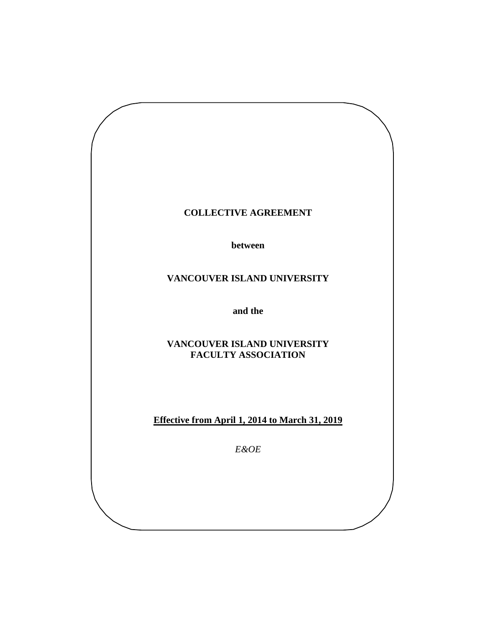# **COLLECTIVE AGREEMENT**

**between** 

# **VANCOUVER ISLAND UNIVERSITY**

**and the**

# **VANCOUVER ISLAND UNIVERSITY FACULTY ASSOCIATION**

**Effective from April 1, 2014 to March 31, 2019**

*E&OE*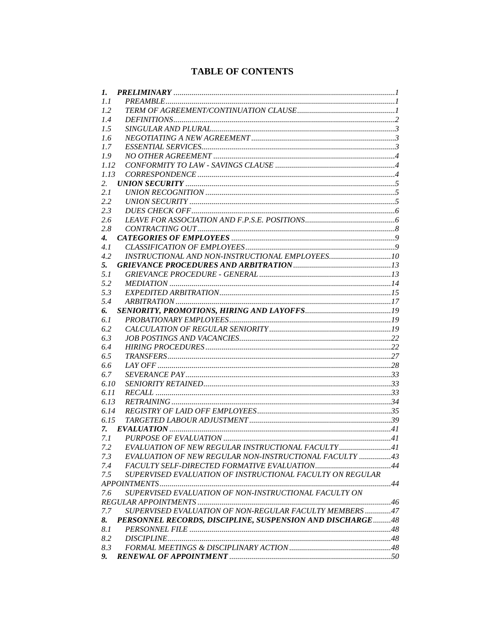# **TABLE OF CONTENTS**

| 1.                 |                                                           |  |
|--------------------|-----------------------------------------------------------|--|
| 1.1                |                                                           |  |
| 1.2                |                                                           |  |
| 1.4                |                                                           |  |
| 1.5                |                                                           |  |
| 1.6                |                                                           |  |
| 1.7                |                                                           |  |
| 1.9                |                                                           |  |
| 1.12               |                                                           |  |
| 1.13               |                                                           |  |
| 2.                 |                                                           |  |
| 2.1                |                                                           |  |
| 2.2                |                                                           |  |
| 2.3                |                                                           |  |
| 2.6                |                                                           |  |
| 2.8                |                                                           |  |
| $\boldsymbol{4}$ . |                                                           |  |
| 4.1                |                                                           |  |
| 4.2                |                                                           |  |
| 5.                 |                                                           |  |
| 5.1                |                                                           |  |
| 5.2                |                                                           |  |
| 5.3                |                                                           |  |
| 5.4                |                                                           |  |
| 6.                 |                                                           |  |
| 6.1                |                                                           |  |
| 6.2                |                                                           |  |
| 6.3                |                                                           |  |
| 6.4                |                                                           |  |
| 6.5                |                                                           |  |
| 6.6                |                                                           |  |
| 6.7                |                                                           |  |
| 6.10               |                                                           |  |
| 6.11               |                                                           |  |
| 6.13               |                                                           |  |
| 6.14               |                                                           |  |
| 6.15               |                                                           |  |
| 7.                 |                                                           |  |
| 7.1                |                                                           |  |
| 7.2                | EVALUATION OF NEW REGULAR INSTRUCTIONAL FACULTY 41        |  |
| 7.3                | EVALUATION OF NEW REGULAR NON-INSTRUCTIONAL FACULTY 43    |  |
| 7.4                |                                                           |  |
| 7.5                | SUPERVISED EVALUATION OF INSTRUCTIONAL FACULTY ON REGULAR |  |
|                    |                                                           |  |
| 7.6                | SUPERVISED EVALUATION OF NON-INSTRUCTIONAL FACULTY ON     |  |
|                    |                                                           |  |
| 7.7                | SUPERVISED EVALUATION OF NON-REGULAR FACULTY MEMBERS 47   |  |
| 8.                 | PERSONNEL RECORDS, DISCIPLINE, SUSPENSION AND DISCHARGE48 |  |
| 8.1                |                                                           |  |
| 8.2                |                                                           |  |
| 8.3                |                                                           |  |
|                    |                                                           |  |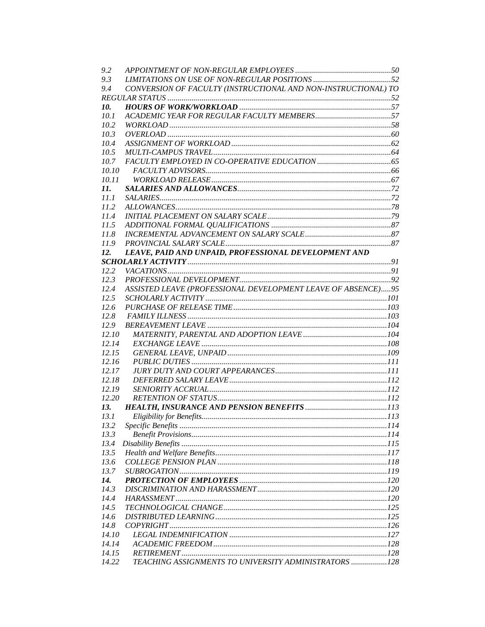| 9.2   |                                                                |  |
|-------|----------------------------------------------------------------|--|
| 9.3   |                                                                |  |
| 9.4   | CONVERSION OF FACULTY (INSTRUCTIONAL AND NON-INSTRUCTIONAL) TO |  |
|       |                                                                |  |
| 10.   |                                                                |  |
| 10.1  |                                                                |  |
| 10.2  |                                                                |  |
| 10.3  |                                                                |  |
| 10.4  |                                                                |  |
| 10.5  |                                                                |  |
| 10.7  |                                                                |  |
| 10.10 |                                                                |  |
| 10.11 |                                                                |  |
| 11.   |                                                                |  |
| 11.1  |                                                                |  |
| 11.2  |                                                                |  |
| 11.4  |                                                                |  |
| 11.5  |                                                                |  |
| 11.8  |                                                                |  |
| 11.9  |                                                                |  |
| 12.   | LEAVE, PAID AND UNPAID, PROFESSIONAL DEVELOPMENT AND           |  |
|       |                                                                |  |
| 12.2  |                                                                |  |
| 12.3  |                                                                |  |
| 12.4  | ASSISTED LEAVE (PROFESSIONAL DEVELOPMENT LEAVE OF ABSENCE)95   |  |
| 12.5  |                                                                |  |
| 12.6  |                                                                |  |
| 12.8  |                                                                |  |
| 12.9  |                                                                |  |
| 12.10 |                                                                |  |
| 12.14 |                                                                |  |
| 12.15 |                                                                |  |
| 12.16 |                                                                |  |
| 12.17 |                                                                |  |
| 12.18 |                                                                |  |
| 12.19 |                                                                |  |
| 12.20 |                                                                |  |
| 13.   |                                                                |  |
| 13.1  |                                                                |  |
| 13.2  |                                                                |  |
| 13.3  |                                                                |  |
| 13.4  |                                                                |  |
| 13.5  |                                                                |  |
| 13.6  |                                                                |  |
| 13.7  |                                                                |  |
| 14.   |                                                                |  |
| 14.3  |                                                                |  |
| 14.4  |                                                                |  |
| 14.5  |                                                                |  |
| 14.6  |                                                                |  |
| 14.8  |                                                                |  |
| 14.10 |                                                                |  |
| 14.14 |                                                                |  |
| 14.15 |                                                                |  |
| 14.22 | TEACHING ASSIGNMENTS TO UNIVERSITY ADMINISTRATORS 128          |  |
|       |                                                                |  |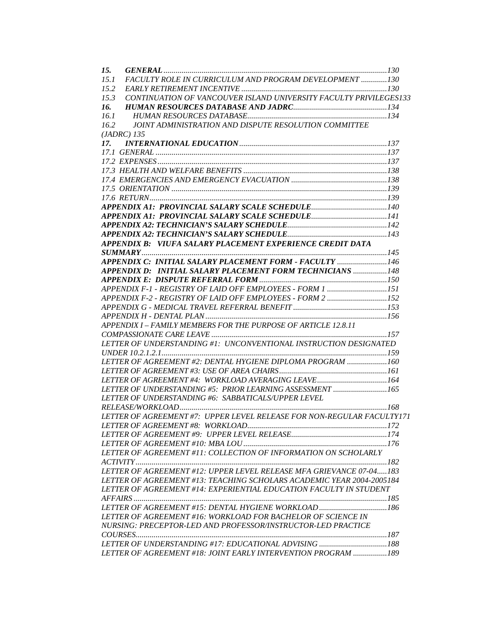| 15.                                                                       |  |
|---------------------------------------------------------------------------|--|
| FACULTY ROLE IN CURRICULUM AND PROGRAM DEVELOPMENT 130<br>15.1            |  |
| 15.2                                                                      |  |
| CONTINUATION OF VANCOUVER ISLAND UNIVERSITY FACULTY PRIVILEGES133<br>15.3 |  |
| 16.                                                                       |  |
| 16.1                                                                      |  |
| JOINT ADMINISTRATION AND DISPUTE RESOLUTION COMMITTEE<br>16.2             |  |
| $(JADRC)$ 135                                                             |  |
|                                                                           |  |
|                                                                           |  |
|                                                                           |  |
|                                                                           |  |
|                                                                           |  |
|                                                                           |  |
|                                                                           |  |
|                                                                           |  |
|                                                                           |  |
|                                                                           |  |
|                                                                           |  |
| APPENDIX B: VIUFA SALARY PLACEMENT EXPERIENCE CREDIT DATA                 |  |
|                                                                           |  |
|                                                                           |  |
| APPENDIX C: INITIAL SALARY PLACEMENT FORM - FACULTY 146                   |  |
| APPENDIX D: INITIAL SALARY PLACEMENT FORM TECHNICIANS  148                |  |
|                                                                           |  |
| APPENDIX F-1 - REGISTRY OF LAID OFF EMPLOYEES - FORM 1 151                |  |
| APPENDIX F-2 - REGISTRY OF LAID OFF EMPLOYEES - FORM 2 152                |  |
|                                                                           |  |
|                                                                           |  |
| APPENDIX I - FAMILY MEMBERS FOR THE PURPOSE OF ARTICLE 12.8.11            |  |
|                                                                           |  |
| LETTER OF UNDERSTANDING #1: UNCONVENTIONAL INSTRUCTION DESIGNATED         |  |
|                                                                           |  |
| LETTER OF AGREEMENT #2: DENTAL HYGIENE DIPLOMA PROGRAM 160                |  |
|                                                                           |  |
| LETTER OF AGREEMENT #4: WORKLOAD AVERAGING LEAVE164                       |  |
| LETTER OF UNDERSTANDING #5: PRIOR LEARNING ASSESSMENT 165                 |  |
| LETTER OF UNDERSTANDING #6: SABBATICALS/UPPER LEVEL                       |  |
|                                                                           |  |
| LETTER OF AGREEMENT #7: UPPER LEVEL RELEASE FOR NON-REGULAR FACULTY171    |  |
|                                                                           |  |
|                                                                           |  |
|                                                                           |  |
| LETTER OF AGREEMENT #11: COLLECTION OF INFORMATION ON SCHOLARLY           |  |
|                                                                           |  |
| LETTER OF AGREEMENT #12: UPPER LEVEL RELEASE MFA GRIEVANCE 07-04183       |  |
| LETTER OF AGREEMENT #13: TEACHING SCHOLARS ACADEMIC YEAR 2004-2005184     |  |
| LETTER OF AGREEMENT #14: EXPERIENTIAL EDUCATION FACULTY IN STUDENT        |  |
|                                                                           |  |
|                                                                           |  |
| LETTER OF AGREEMENT #16: WORKLOAD FOR BACHELOR OF SCIENCE IN              |  |
| NURSING: PRECEPTOR-LED AND PROFESSOR/INSTRUCTOR-LED PRACTICE              |  |
|                                                                           |  |
|                                                                           |  |
|                                                                           |  |
| LETTER OF AGREEMENT #18: JOINT EARLY INTERVENTION PROGRAM 189             |  |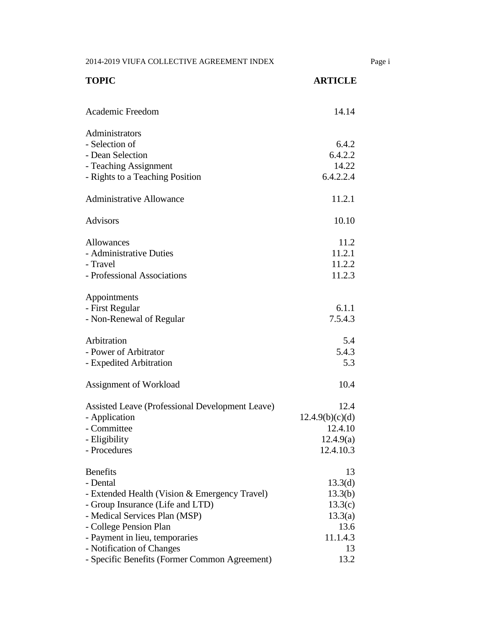2014-2019 VIUFA COLLECTIVE AGREEMENT INDEX Page i

| <b>TOPIC</b>                                    | <b>ARTICLE</b>  |
|-------------------------------------------------|-----------------|
| Academic Freedom                                | 14.14           |
| Administrators                                  |                 |
| - Selection of                                  | 6.4.2           |
| - Dean Selection                                | 6.4.2.2         |
| - Teaching Assignment                           | 14.22           |
| - Rights to a Teaching Position                 | 6.4.2.2.4       |
| <b>Administrative Allowance</b>                 | 11.2.1          |
| <b>Advisors</b>                                 | 10.10           |
| Allowances                                      | 11.2            |
| - Administrative Duties                         | 11.2.1          |
| - Travel                                        | 11.2.2          |
| - Professional Associations                     | 11.2.3          |
| Appointments                                    |                 |
| - First Regular                                 | 6.1.1           |
| - Non-Renewal of Regular                        | 7.5.4.3         |
| Arbitration                                     | 5.4             |
| - Power of Arbitrator                           | 5.4.3           |
| - Expedited Arbitration                         | 5.3             |
| Assignment of Workload                          | 10.4            |
| Assisted Leave (Professional Development Leave) | 12.4            |
| - Application                                   | 12.4.9(b)(c)(d) |
| - Committee                                     | 12.4.10         |
| - Eligibility                                   | 12.4.9(a)       |
| - Procedures                                    | 12.4.10.3       |
| <b>Benefits</b>                                 | 13              |
| - Dental                                        | 13.3(d)         |
| - Extended Health (Vision & Emergency Travel)   | 13.3(b)         |
| - Group Insurance (Life and LTD)                | 13.3(c)         |
| - Medical Services Plan (MSP)                   | 13.3(a)         |
| - College Pension Plan                          | 13.6            |
| - Payment in lieu, temporaries                  | 11.1.4.3        |
| - Notification of Changes                       | 13              |
| - Specific Benefits (Former Common Agreement)   | 13.2            |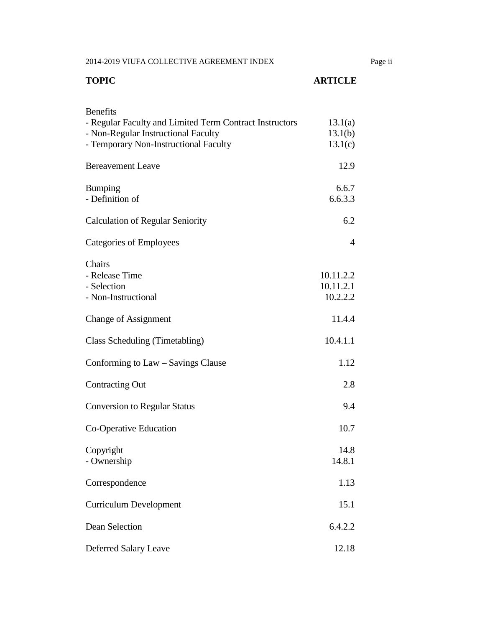2014-2019 VIUFA COLLECTIVE AGREEMENT INDEX Page ii

| <b>TOPIC</b>                                                                                                                                               | <b>ARTICLE</b>                     |
|------------------------------------------------------------------------------------------------------------------------------------------------------------|------------------------------------|
| <b>Benefits</b><br>- Regular Faculty and Limited Term Contract Instructors<br>- Non-Regular Instructional Faculty<br>- Temporary Non-Instructional Faculty | 13.1(a)<br>13.1(b)<br>13.1(c)      |
| <b>Bereavement Leave</b>                                                                                                                                   | 12.9                               |
| <b>Bumping</b><br>- Definition of                                                                                                                          | 6.6.7<br>6.6.3.3                   |
| <b>Calculation of Regular Seniority</b>                                                                                                                    | 6.2                                |
| Categories of Employees                                                                                                                                    | 4                                  |
| Chairs<br>- Release Time<br>- Selection<br>- Non-Instructional                                                                                             | 10.11.2.2<br>10.11.2.1<br>10.2.2.2 |
| <b>Change of Assignment</b>                                                                                                                                | 11.4.4                             |
| Class Scheduling (Timetabling)                                                                                                                             | 10.4.1.1                           |
| Conforming to Law – Savings Clause                                                                                                                         | 1.12                               |
| <b>Contracting Out</b>                                                                                                                                     | 2.8                                |
| <b>Conversion to Regular Status</b>                                                                                                                        | 9.4                                |
| Co-Operative Education                                                                                                                                     | 10.7                               |
| Copyright<br>- Ownership                                                                                                                                   | 14.8<br>14.8.1                     |
| Correspondence                                                                                                                                             | 1.13                               |
| <b>Curriculum Development</b>                                                                                                                              | 15.1                               |
| Dean Selection                                                                                                                                             | 6.4.2.2                            |
| Deferred Salary Leave                                                                                                                                      | 12.18                              |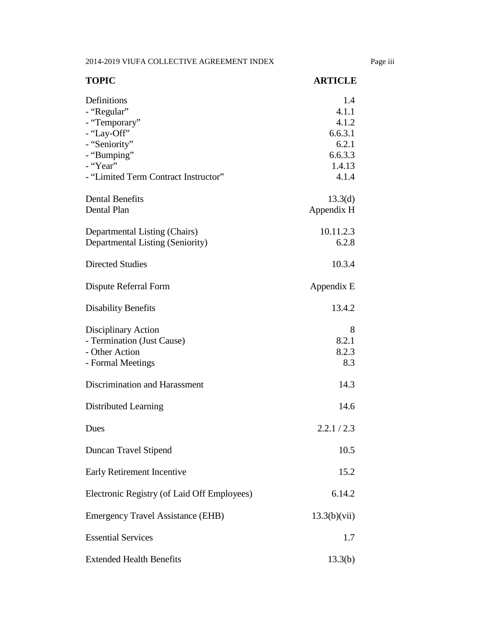2014-2019 VIUFA COLLECTIVE AGREEMENT INDEX Page iii

| <b>TOPIC</b>                                                                                                                                   | <b>ARTICLE</b>                                                          |
|------------------------------------------------------------------------------------------------------------------------------------------------|-------------------------------------------------------------------------|
| Definitions<br>- "Regular"<br>- "Temporary"<br>- "Lay-Off"<br>- "Seniority"<br>- "Bumping"<br>- "Year"<br>- "Limited Term Contract Instructor" | 1.4<br>4.1.1<br>4.1.2<br>6.6.3.1<br>6.2.1<br>6.6.3.3<br>1.4.13<br>4.1.4 |
| <b>Dental Benefits</b><br>Dental Plan                                                                                                          | 13.3(d)<br>Appendix H                                                   |
| Departmental Listing (Chairs)<br>Departmental Listing (Seniority)                                                                              | 10.11.2.3<br>6.2.8                                                      |
| <b>Directed Studies</b>                                                                                                                        | 10.3.4                                                                  |
| Dispute Referral Form                                                                                                                          | Appendix E                                                              |
| <b>Disability Benefits</b>                                                                                                                     | 13.4.2                                                                  |
| Disciplinary Action<br>- Termination (Just Cause)<br>- Other Action<br>- Formal Meetings                                                       | 8<br>8.2.1<br>8.2.3<br>8.3                                              |
| Discrimination and Harassment                                                                                                                  | 14.3                                                                    |
| Distributed Learning                                                                                                                           | 14.6                                                                    |
| Dues                                                                                                                                           | 2.2.1 / 2.3                                                             |
| Duncan Travel Stipend                                                                                                                          | 10.5                                                                    |
| Early Retirement Incentive                                                                                                                     | 15.2                                                                    |
| Electronic Registry (of Laid Off Employees)                                                                                                    | 6.14.2                                                                  |
| <b>Emergency Travel Assistance (EHB)</b>                                                                                                       | 13.3(b)(vii)                                                            |
| <b>Essential Services</b>                                                                                                                      | 1.7                                                                     |
| <b>Extended Health Benefits</b>                                                                                                                | 13.3(b)                                                                 |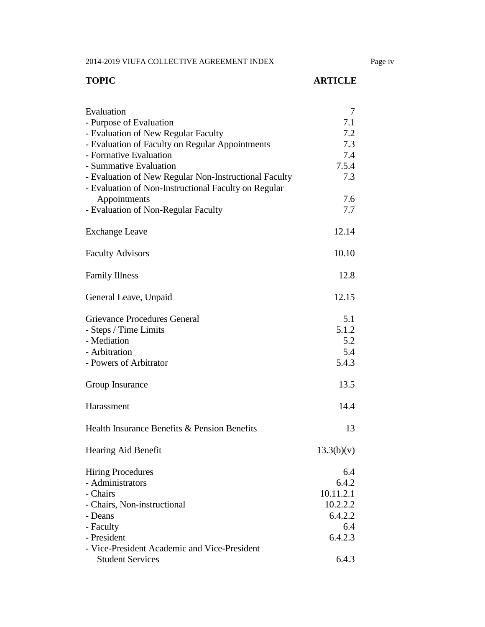2014-2019 VIUFA COLLECTIVE AGREEMENT INDEX Page iv

# **TOPIC ARTICLE**

| Evaluation                                            | 7          |
|-------------------------------------------------------|------------|
| - Purpose of Evaluation                               | 7.1        |
| - Evaluation of New Regular Faculty                   | 7.2        |
| - Evaluation of Faculty on Regular Appointments       | 7.3        |
| - Formative Evaluation                                | 7.4        |
| - Summative Evaluation                                | 7.5.4      |
| - Evaluation of New Regular Non-Instructional Faculty | 7.3        |
| - Evaluation of Non-Instructional Faculty on Regular  |            |
| Appointments                                          | 7.6        |
| - Evaluation of Non-Regular Faculty                   | 7.7        |
|                                                       |            |
| <b>Exchange Leave</b>                                 | 12.14      |
|                                                       |            |
| <b>Faculty Advisors</b>                               | 10.10      |
|                                                       |            |
| <b>Family Illness</b>                                 | 12.8       |
|                                                       |            |
| General Leave, Unpaid                                 | 12.15      |
|                                                       |            |
| <b>Grievance Procedures General</b>                   | 5.1        |
| - Steps / Time Limits                                 | 5.1.2      |
| - Mediation                                           | 5.2        |
| - Arbitration                                         |            |
|                                                       | 5.4        |
| - Powers of Arbitrator                                | 5.4.3      |
|                                                       | 13.5       |
| Group Insurance                                       |            |
| Harassment                                            | 14.4       |
|                                                       |            |
| Health Insurance Benefits & Pension Benefits          | 13         |
|                                                       |            |
|                                                       |            |
| Hearing Aid Benefit                                   | 13.3(b)(v) |
|                                                       | 6.4        |
| <b>Hiring Procedures</b>                              |            |
| - Administrators                                      | 6.4.2      |
| - Chairs                                              | 10.11.2.1  |
| - Chairs, Non-instructional                           | 10.2.2.2   |
| - Deans                                               | 6.4.2.2    |
| - Faculty                                             | 6.4        |
| - President                                           | 6.4.2.3    |
| - Vice-President Academic and Vice-President          |            |
| <b>Student Services</b>                               | 6.4.3      |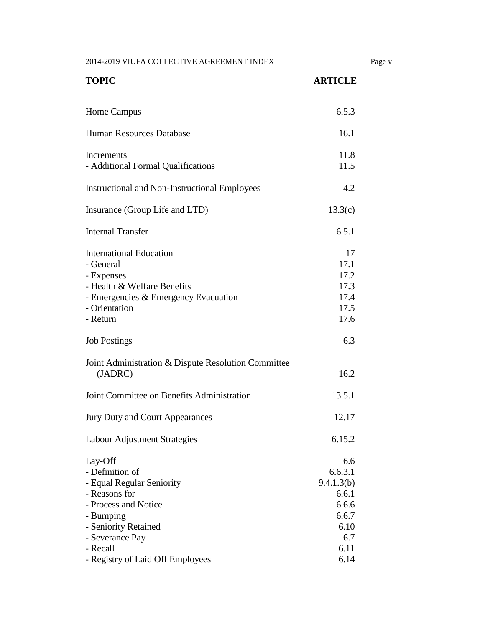2014-2019 VIUFA COLLECTIVE AGREEMENT INDEX Page v

| <b>TOPIC</b>                                                                                                                                                                                             | <b>ARTICLE</b>                                                                         |
|----------------------------------------------------------------------------------------------------------------------------------------------------------------------------------------------------------|----------------------------------------------------------------------------------------|
| Home Campus                                                                                                                                                                                              | 6.5.3                                                                                  |
| <b>Human Resources Database</b>                                                                                                                                                                          | 16.1                                                                                   |
| Increments<br>- Additional Formal Qualifications                                                                                                                                                         | 11.8<br>11.5                                                                           |
| <b>Instructional and Non-Instructional Employees</b>                                                                                                                                                     | 4.2                                                                                    |
| Insurance (Group Life and LTD)                                                                                                                                                                           | 13.3(c)                                                                                |
| <b>Internal Transfer</b>                                                                                                                                                                                 | 6.5.1                                                                                  |
| <b>International Education</b><br>- General<br>- Expenses<br>- Health & Welfare Benefits<br>- Emergencies & Emergency Evacuation<br>- Orientation<br>- Return                                            | 17<br>17.1<br>17.2<br>17.3<br>17.4<br>17.5<br>17.6                                     |
| <b>Job Postings</b>                                                                                                                                                                                      | 6.3                                                                                    |
| Joint Administration & Dispute Resolution Committee<br>(JADRC)                                                                                                                                           | 16.2                                                                                   |
| Joint Committee on Benefits Administration                                                                                                                                                               | 13.5.1                                                                                 |
| Jury Duty and Court Appearances                                                                                                                                                                          | 12.17                                                                                  |
| <b>Labour Adjustment Strategies</b>                                                                                                                                                                      | 6.15.2                                                                                 |
| Lay-Off<br>- Definition of<br>- Equal Regular Seniority<br>- Reasons for<br>- Process and Notice<br>- Bumping<br>- Seniority Retained<br>- Severance Pay<br>- Recall<br>- Registry of Laid Off Employees | 6.6<br>6.6.3.1<br>9.4.1.3(b)<br>6.6.1<br>6.6.6<br>6.6.7<br>6.10<br>6.7<br>6.11<br>6.14 |
|                                                                                                                                                                                                          |                                                                                        |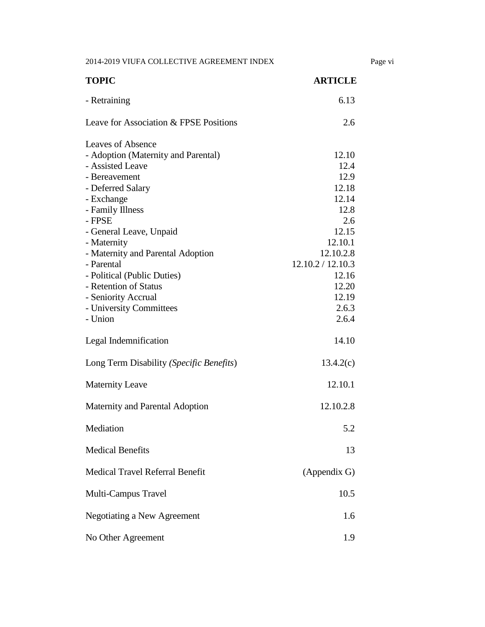2014-2019 VIUFA COLLECTIVE AGREEMENT INDEX Page vi

| <b>TOPIC</b>                             | <b>ARTICLE</b>    |
|------------------------------------------|-------------------|
| - Retraining                             | 6.13              |
| Leave for Association & FPSE Positions   | 2.6               |
| Leaves of Absence                        |                   |
| - Adoption (Maternity and Parental)      | 12.10             |
| - Assisted Leave                         | 12.4              |
| - Bereavement                            | 12.9<br>12.18     |
| - Deferred Salary                        | 12.14             |
| - Exchange                               | 12.8              |
| - Family Illness<br>- FPSE               | 2.6               |
|                                          | 12.15             |
| - General Leave, Unpaid                  |                   |
| - Maternity                              | 12.10.1           |
| - Maternity and Parental Adoption        | 12.10.2.8         |
| - Parental                               | 12.10.2 / 12.10.3 |
| - Political (Public Duties)              | 12.16             |
| - Retention of Status                    | 12.20             |
| - Seniority Accrual                      | 12.19             |
| - University Committees                  | 2.6.3             |
| - Union                                  | 2.6.4             |
| Legal Indemnification                    | 14.10             |
| Long Term Disability (Specific Benefits) | 13.4.2(c)         |
| <b>Maternity Leave</b>                   | 12.10.1           |
| Maternity and Parental Adoption          | 12.10.2.8         |
| Mediation                                | 5.2               |
| <b>Medical Benefits</b>                  | 13                |
| <b>Medical Travel Referral Benefit</b>   | (Appendix G)      |
| Multi-Campus Travel                      | 10.5              |
| <b>Negotiating a New Agreement</b>       | 1.6               |
| No Other Agreement                       | 1.9               |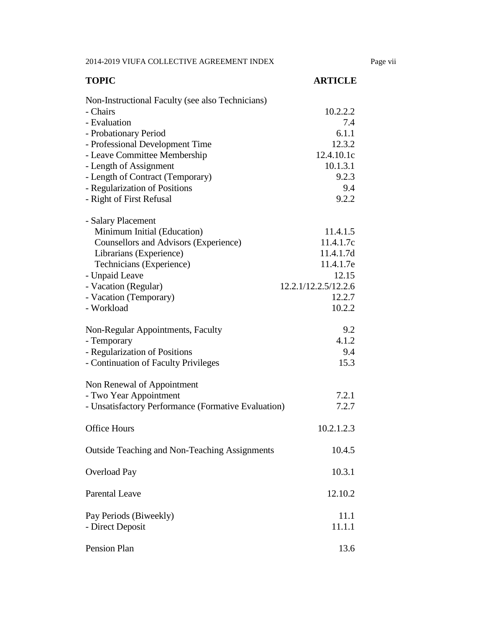2014-2019 VIUFA COLLECTIVE AGREEMENT INDEX Page vii

| <b>TOPIC</b>                                                                                                                                                                                                                                                                                        | <b>ARTICLE</b>                                                                                       |
|-----------------------------------------------------------------------------------------------------------------------------------------------------------------------------------------------------------------------------------------------------------------------------------------------------|------------------------------------------------------------------------------------------------------|
| Non-Instructional Faculty (see also Technicians)<br>- Chairs<br>- Evaluation<br>- Probationary Period<br>- Professional Development Time<br>- Leave Committee Membership<br>- Length of Assignment<br>- Length of Contract (Temporary)<br>- Regularization of Positions<br>- Right of First Refusal | 10.2.2.2<br>7.4<br>6.1.1<br>12.3.2<br>12.4.10.1c<br>10.1.3.1<br>9.2.3<br>9.4<br>9.2.2                |
| - Salary Placement<br>Minimum Initial (Education)<br>Counsellors and Advisors (Experience)<br>Librarians (Experience)<br>Technicians (Experience)<br>- Unpaid Leave<br>- Vacation (Regular)<br>- Vacation (Temporary)<br>- Workload                                                                 | 11.4.1.5<br>11.4.1.7c<br>11.4.1.7d<br>11.4.1.7e<br>12.15<br>12.2.1/12.2.5/12.2.6<br>12.2.7<br>10.2.2 |
| Non-Regular Appointments, Faculty<br>- Temporary<br>- Regularization of Positions<br>- Continuation of Faculty Privileges                                                                                                                                                                           | 9.2<br>4.1.2<br>9.4<br>15.3                                                                          |
| Non Renewal of Appointment<br>- Two Year Appointment<br>- Unsatisfactory Performance (Formative Evaluation)<br><b>Office Hours</b>                                                                                                                                                                  | 7.2.1<br>7.2.7<br>10.2.1.2.3                                                                         |
| <b>Outside Teaching and Non-Teaching Assignments</b>                                                                                                                                                                                                                                                | 10.4.5                                                                                               |
| <b>Overload Pay</b>                                                                                                                                                                                                                                                                                 | 10.3.1                                                                                               |
| <b>Parental Leave</b>                                                                                                                                                                                                                                                                               | 12.10.2                                                                                              |
| Pay Periods (Biweekly)<br>- Direct Deposit                                                                                                                                                                                                                                                          | 11.1<br>11.1.1                                                                                       |
| Pension Plan                                                                                                                                                                                                                                                                                        | 13.6                                                                                                 |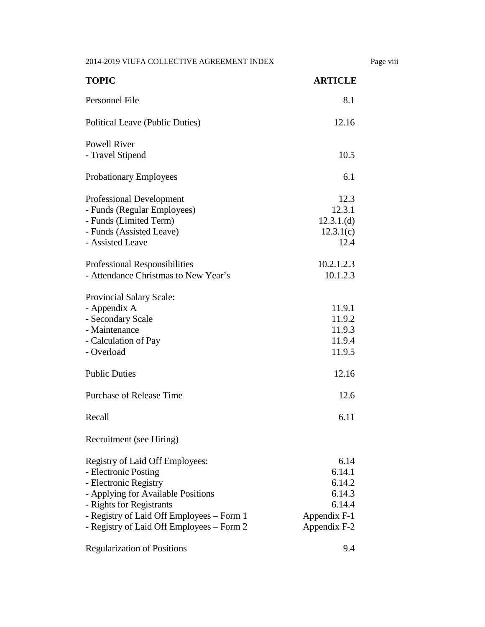2014-2019 VIUFA COLLECTIVE AGREEMENT INDEX Page viii

| <b>TOPIC</b>                                                                                                                                                                                                                                 | <b>ARTICLE</b>                                                               |
|----------------------------------------------------------------------------------------------------------------------------------------------------------------------------------------------------------------------------------------------|------------------------------------------------------------------------------|
| Personnel File                                                                                                                                                                                                                               | 8.1                                                                          |
| Political Leave (Public Duties)                                                                                                                                                                                                              | 12.16                                                                        |
| <b>Powell River</b><br>- Travel Stipend                                                                                                                                                                                                      | 10.5                                                                         |
| <b>Probationary Employees</b>                                                                                                                                                                                                                | 6.1                                                                          |
| <b>Professional Development</b><br>- Funds (Regular Employees)<br>- Funds (Limited Term)<br>- Funds (Assisted Leave)<br>- Assisted Leave                                                                                                     | 12.3<br>12.3.1<br>12.3.1.(d)<br>12.3.1(c)<br>12.4                            |
| Professional Responsibilities<br>- Attendance Christmas to New Year's                                                                                                                                                                        | 10.2.1.2.3<br>10.1.2.3                                                       |
| <b>Provincial Salary Scale:</b><br>- Appendix A<br>- Secondary Scale<br>- Maintenance<br>- Calculation of Pay<br>- Overload                                                                                                                  | 11.9.1<br>11.9.2<br>11.9.3<br>11.9.4<br>11.9.5                               |
| <b>Public Duties</b>                                                                                                                                                                                                                         | 12.16                                                                        |
| <b>Purchase of Release Time</b>                                                                                                                                                                                                              | 12.6                                                                         |
| Recall                                                                                                                                                                                                                                       | 6.11                                                                         |
| Recruitment (see Hiring)                                                                                                                                                                                                                     |                                                                              |
| Registry of Laid Off Employees:<br>- Electronic Posting<br>- Electronic Registry<br>- Applying for Available Positions<br>- Rights for Registrants<br>- Registry of Laid Off Employees – Form 1<br>- Registry of Laid Off Employees – Form 2 | 6.14<br>6.14.1<br>6.14.2<br>6.14.3<br>6.14.4<br>Appendix F-1<br>Appendix F-2 |
| <b>Regularization of Positions</b>                                                                                                                                                                                                           | 9.4                                                                          |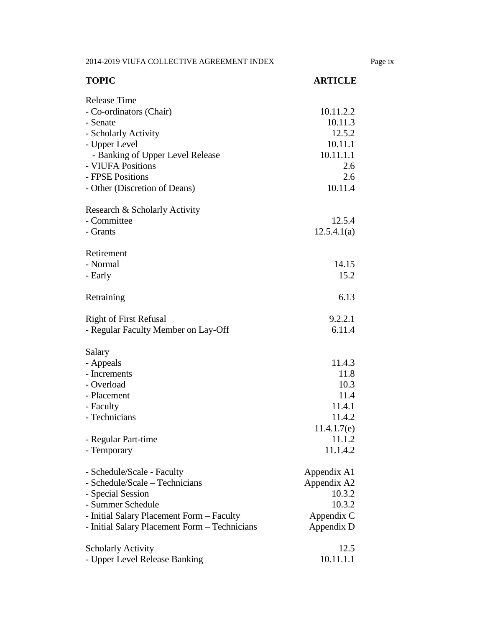2014-2019 VIUFA COLLECTIVE AGREEMENT INDEX Page ix

| <b>TOPIC</b>                                  | <b>ARTICLE</b> |
|-----------------------------------------------|----------------|
| <b>Release Time</b>                           |                |
| - Co-ordinators (Chair)                       | 10.11.2.2      |
| - Senate                                      | 10.11.3        |
| - Scholarly Activity                          | 12.5.2         |
| - Upper Level                                 | 10.11.1        |
| - Banking of Upper Level Release              | 10.11.1.1      |
| - VIUFA Positions                             | 2.6            |
| - FPSE Positions                              | 2.6            |
| - Other (Discretion of Deans)                 | 10.11.4        |
| Research & Scholarly Activity                 |                |
| - Committee                                   | 12.5.4         |
| - Grants                                      | 12.5.4.1(a)    |
| Retirement                                    |                |
| - Normal                                      | 14.15          |
| - Early                                       | 15.2           |
| Retraining                                    | 6.13           |
| <b>Right of First Refusal</b>                 | 9.2.2.1        |
| - Regular Faculty Member on Lay-Off           | 6.11.4         |
| Salary                                        |                |
| - Appeals                                     | 11.4.3         |
| - Increments                                  | 11.8           |
| - Overload                                    | 10.3           |
| - Placement                                   | 11.4           |
| - Faculty                                     | 11.4.1         |
| - Technicians                                 | 11.4.2         |
|                                               | 11.4.1.7(e)    |
| - Regular Part-time                           | 11.1.2         |
| - Temporary                                   | 11.1.4.2       |
| - Schedule/Scale - Faculty                    | Appendix A1    |
| - Schedule/Scale – Technicians                | Appendix A2    |
| - Special Session                             | 10.3.2         |
| - Summer Schedule                             | 10.3.2         |
| - Initial Salary Placement Form - Faculty     | Appendix C     |
| - Initial Salary Placement Form - Technicians | Appendix D     |
| <b>Scholarly Activity</b>                     | 12.5           |
| - Upper Level Release Banking                 | 10.11.1.1      |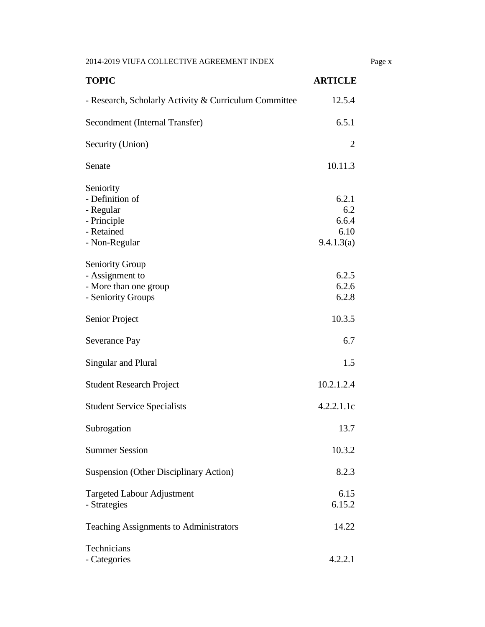2014-2019 VIUFA COLLECTIVE AGREEMENT INDEX Page x

| <b>TOPIC</b>                                                                             | <b>ARTICLE</b>                              |
|------------------------------------------------------------------------------------------|---------------------------------------------|
| - Research, Scholarly Activity & Curriculum Committee                                    | 12.5.4                                      |
| Secondment (Internal Transfer)                                                           | 6.5.1                                       |
| Security (Union)                                                                         | $\overline{2}$                              |
| Senate                                                                                   | 10.11.3                                     |
| Seniority<br>- Definition of<br>- Regular<br>- Principle<br>- Retained<br>- Non-Regular  | 6.2.1<br>6.2<br>6.6.4<br>6.10<br>9.4.1.3(a) |
| <b>Seniority Group</b><br>- Assignment to<br>- More than one group<br>- Seniority Groups | 6.2.5<br>6.2.6<br>6.2.8                     |
| Senior Project                                                                           | 10.3.5                                      |
| Severance Pay                                                                            | 6.7                                         |
| Singular and Plural                                                                      | 1.5                                         |
| <b>Student Research Project</b>                                                          | 10.2.1.2.4                                  |
| <b>Student Service Specialists</b>                                                       | 4.2.2.1.1c                                  |
| Subrogation                                                                              | 13.7                                        |
| <b>Summer Session</b>                                                                    | 10.3.2                                      |
| <b>Suspension (Other Disciplinary Action)</b>                                            | 8.2.3                                       |
| <b>Targeted Labour Adjustment</b><br>- Strategies                                        | 6.15<br>6.15.2                              |
| Teaching Assignments to Administrators                                                   | 14.22                                       |
| Technicians<br>- Categories                                                              | 4.2.2.1                                     |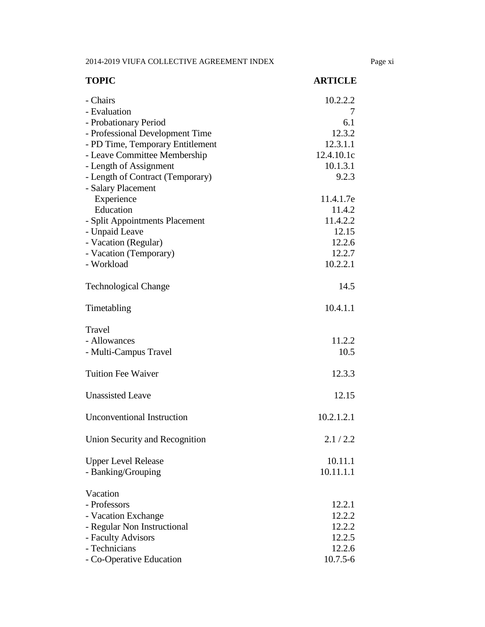2014-2019 VIUFA COLLECTIVE AGREEMENT INDEX Page xi

| <b>TOPIC</b>                      | <b>ARTICLE</b> |
|-----------------------------------|----------------|
| - Chairs                          | 10.2.2.2       |
| - Evaluation                      | 7              |
| - Probationary Period             | 6.1            |
| - Professional Development Time   | 12.3.2         |
| - PD Time, Temporary Entitlement  | 12.3.1.1       |
| - Leave Committee Membership      | 12.4.10.1c     |
| - Length of Assignment            | 10.1.3.1       |
| - Length of Contract (Temporary)  | 9.2.3          |
| - Salary Placement                |                |
| Experience                        | 11.4.1.7e      |
| Education                         | 11.4.2         |
| - Split Appointments Placement    | 11.4.2.2       |
| - Unpaid Leave                    | 12.15          |
| - Vacation (Regular)              | 12.2.6         |
| - Vacation (Temporary)            | 12.2.7         |
| - Workload                        | 10.2.2.1       |
| <b>Technological Change</b>       | 14.5           |
| Timetabling                       | 10.4.1.1       |
| Travel                            |                |
| - Allowances                      | 11.2.2         |
| - Multi-Campus Travel             | 10.5           |
|                                   |                |
| <b>Tuition Fee Waiver</b>         | 12.3.3         |
| <b>Unassisted Leave</b>           | 12.15          |
| <b>Unconventional Instruction</b> | 10.2.1.2.1     |
|                                   |                |
| Union Security and Recognition    | 2.1 / 2.2      |
| <b>Upper Level Release</b>        | 10.11.1        |
| - Banking/Grouping                | 10.11.1.1      |
| Vacation                          |                |
| - Professors                      | 12.2.1         |
| - Vacation Exchange               | 12.2.2         |
| - Regular Non Instructional       | 12.2.2         |
| - Faculty Advisors                | 12.2.5         |
| - Technicians                     | 12.2.6         |
| - Co-Operative Education          | $10.7.5 - 6$   |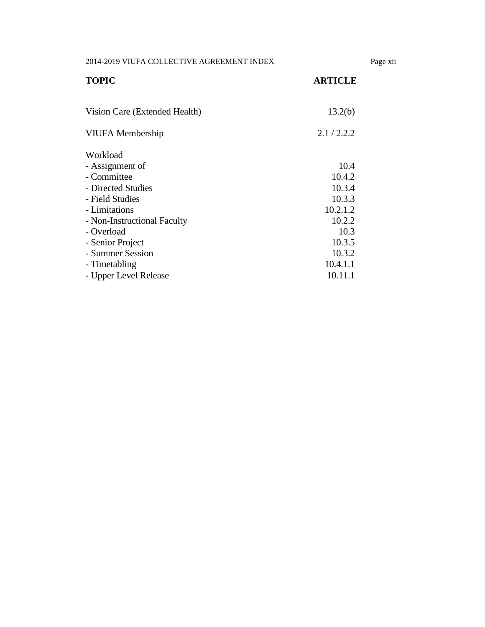2014-2019 VIUFA COLLECTIVE AGREEMENT INDEX Page xii

| <b>TOPIC</b>                  | <b>ARTICLE</b> |
|-------------------------------|----------------|
|                               |                |
| Vision Care (Extended Health) | 13.2(b)        |
| <b>VIUFA</b> Membership       | 2.1/2.2.2      |
| Workload                      |                |
| - Assignment of               | 10.4           |
| - Committee                   | 10.4.2         |
| - Directed Studies            | 10.3.4         |
| - Field Studies               | 10.3.3         |
| - Limitations                 | 10.2.1.2       |
| - Non-Instructional Faculty   | 10.2.2         |
| - Overload                    | 10.3           |
| - Senior Project              | 10.3.5         |
| - Summer Session              | 10.3.2         |
| - Timetabling                 | 10.4.1.1       |
| - Upper Level Release         | 10.11.1        |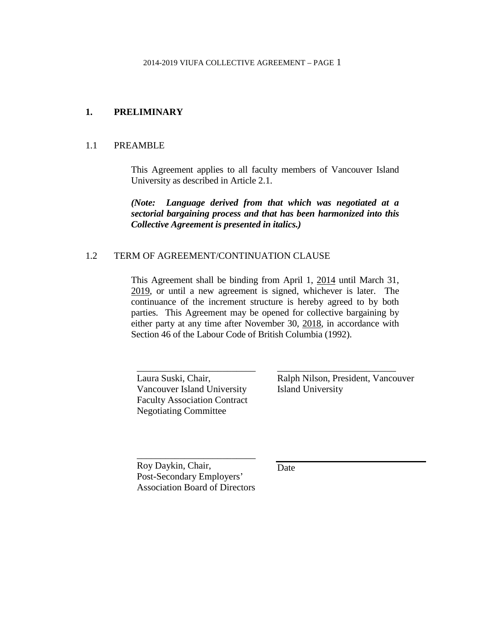#### <span id="page-16-0"></span>**1. PRELIMINARY**

#### <span id="page-16-1"></span>1.1 PREAMBLE

This Agreement applies to all faculty members of Vancouver Island University as described in Article 2.1.

*(Note: Language derived from that which was negotiated at a sectorial bargaining process and that has been harmonized into this Collective Agreement is presented in italics.)*

#### <span id="page-16-2"></span>1.2 TERM OF AGREEMENT/CONTINUATION CLAUSE

This Agreement shall be binding from April 1, 2014 until March 31, 2019, or until a new agreement is signed, whichever is later. The continuance of the increment structure is hereby agreed to by both parties. This Agreement may be opened for collective bargaining by either party at any time after November 30, 2018, in accordance with Section 46 of the Labour Code of British Columbia (1992).

Laura Suski, Chair, Vancouver Island University Faculty Association Contract Negotiating Committee

\_\_\_\_\_\_\_\_\_\_\_\_\_\_\_\_\_\_\_\_\_\_\_\_\_

Ralph Nilson, President, Vancouver Island University

\_\_\_\_\_\_\_\_\_\_\_\_\_\_\_\_\_\_\_\_\_\_\_\_\_

Roy Daykin, Chair, Post-Secondary Employers' Association Board of Directors

\_\_\_\_\_\_\_\_\_\_\_\_\_\_\_\_\_\_\_\_\_\_\_\_\_

Date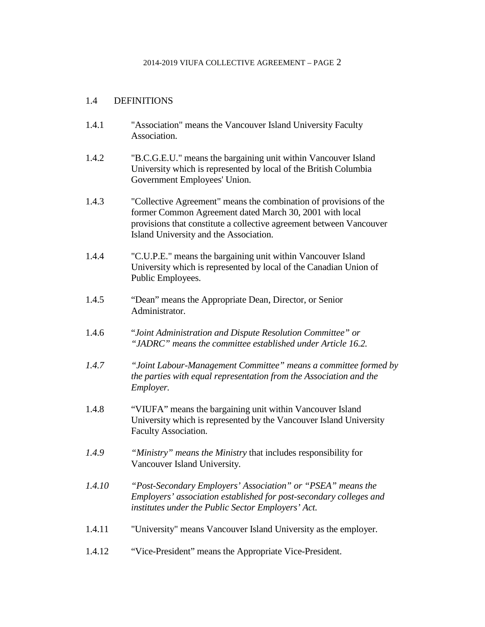# <span id="page-17-0"></span>1.4 DEFINITIONS

- 1.4.1 "Association" means the Vancouver Island University Faculty Association.
- 1.4.2 "B.C.G.E.U." means the bargaining unit within Vancouver Island University which is represented by local of the British Columbia Government Employees' Union.
- 1.4.3 "Collective Agreement" means the combination of provisions of the former Common Agreement dated March 30, 2001 with local provisions that constitute a collective agreement between Vancouver Island University and the Association.
- 1.4.4 "C.U.P.E." means the bargaining unit within Vancouver Island University which is represented by local of the Canadian Union of Public Employees.
- 1.4.5 "Dean" means the Appropriate Dean, Director, or Senior Administrator.
- 1.4.6 "*Joint Administration and Dispute Resolution Committee" or "JADRC" means the committee established under Article 16.2.*
- *1.4.7 "Joint Labour-Management Committee" means a committee formed by the parties with equal representation from the Association and the Employer.*
- 1.4.8 "VIUFA" means the bargaining unit within Vancouver Island University which is represented by the Vancouver Island University Faculty Association.
- *1.4.9 "Ministry" means the Ministry* that includes responsibility for Vancouver Island University*.*
- *1.4.10 "Post-Secondary Employers' Association" or "PSEA" means the Employers' association established for post-secondary colleges and institutes under the Public Sector Employers' Act.*
- 1.4.11 "University" means Vancouver Island University as the employer.
- 1.4.12 "Vice-President" means the Appropriate Vice-President.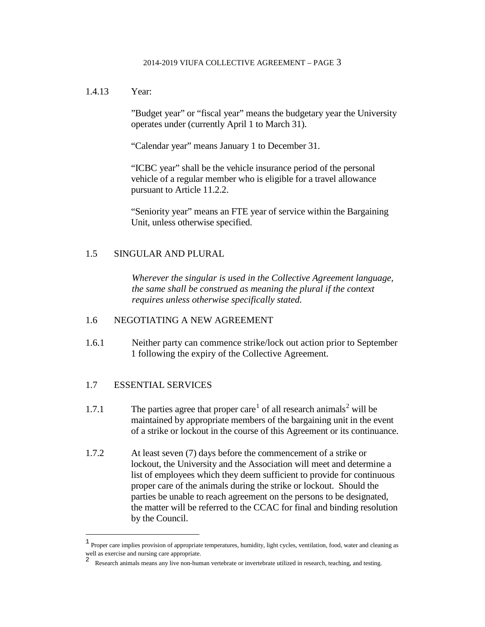#### 1.4.13 Year:

"Budget year" or "fiscal year" means the budgetary year the University operates under (currently April 1 to March 31).

"Calendar year" means January 1 to December 31.

"ICBC year" shall be the vehicle insurance period of the personal vehicle of a regular member who is eligible for a travel allowance pursuant to Article 11.2.2.

"Seniority year" means an FTE year of service within the Bargaining Unit, unless otherwise specified.

# <span id="page-18-0"></span>1.5 SINGULAR AND PLURAL

*Wherever the singular is used in the Collective Agreement language, the same shall be construed as meaning the plural if the context requires unless otherwise specifically stated.*

# <span id="page-18-1"></span>1.6 NEGOTIATING A NEW AGREEMENT

1.6.1 Neither party can commence strike/lock out action prior to September 1 following the expiry of the Collective Agreement.

# <span id="page-18-2"></span>1.7 ESSENTIAL SERVICES

 $\overline{a}$ 

- [1](#page-18-3).7.1 The parties agree that proper care<sup>1</sup> of all research animals<sup>[2](#page-18-4)</sup> will be maintained by appropriate members of the bargaining unit in the event of a strike or lockout in the course of this Agreement or its continuance.
- 1.7.2 At least seven (7) days before the commencement of a strike or lockout, the University and the Association will meet and determine a list of employees which they deem sufficient to provide for continuous proper care of the animals during the strike or lockout. Should the parties be unable to reach agreement on the persons to be designated, the matter will be referred to the CCAC for final and binding resolution by the Council.

<span id="page-18-4"></span><span id="page-18-3"></span><sup>1</sup> Proper care implies provision of appropriate temperatures, humidity, light cycles, ventilation, food, water and cleaning as well as exercise and nursing care appropriate.

<sup>2</sup> Research animals means any live non-human vertebrate or invertebrate utilized in research, teaching, and testing.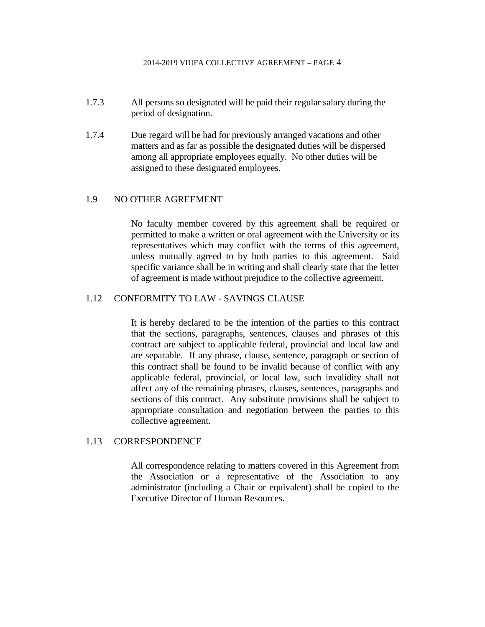- 1.7.3 All persons so designated will be paid their regular salary during the period of designation.
- 1.7.4 Due regard will be had for previously arranged vacations and other matters and as far as possible the designated duties will be dispersed among all appropriate employees equally. No other duties will be assigned to these designated employees.

#### <span id="page-19-0"></span>1.9 NO OTHER AGREEMENT

No faculty member covered by this agreement shall be required or permitted to make a written or oral agreement with the University or its representatives which may conflict with the terms of this agreement, unless mutually agreed to by both parties to this agreement. Said specific variance shall be in writing and shall clearly state that the letter of agreement is made without prejudice to the collective agreement.

#### <span id="page-19-1"></span>1.12 CONFORMITY TO LAW - SAVINGS CLAUSE

It is hereby declared to be the intention of the parties to this contract that the sections, paragraphs, sentences, clauses and phrases of this contract are subject to applicable federal, provincial and local law and are separable. If any phrase, clause, sentence, paragraph or section of this contract shall be found to be invalid because of conflict with any applicable federal, provincial, or local law, such invalidity shall not affect any of the remaining phrases, clauses, sentences, paragraphs and sections of this contract. Any substitute provisions shall be subject to appropriate consultation and negotiation between the parties to this collective agreement.

#### <span id="page-19-2"></span>1.13 CORRESPONDENCE

All correspondence relating to matters covered in this Agreement from the Association or a representative of the Association to any administrator (including a Chair or equivalent) shall be copied to the Executive Director of Human Resources.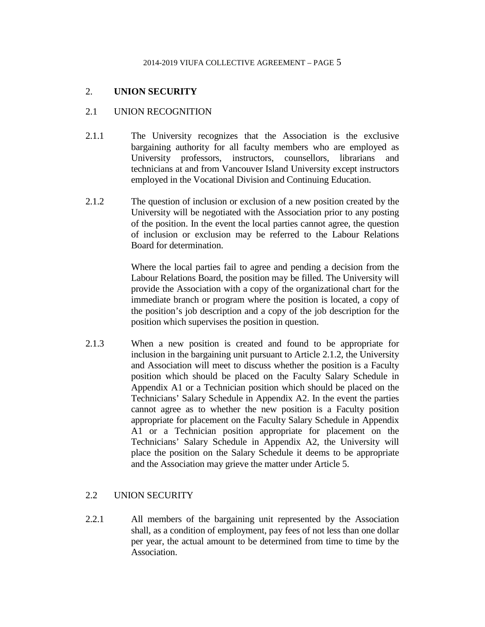# <span id="page-20-0"></span>2. **UNION SECURITY**

#### <span id="page-20-1"></span>2.1 UNION RECOGNITION

- 2.1.1 The University recognizes that the Association is the exclusive bargaining authority for all faculty members who are employed as University professors, instructors, counsellors, librarians and technicians at and from Vancouver Island University except instructors employed in the Vocational Division and Continuing Education.
- 2.1.2 The question of inclusion or exclusion of a new position created by the University will be negotiated with the Association prior to any posting of the position. In the event the local parties cannot agree, the question of inclusion or exclusion may be referred to the Labour Relations Board for determination.

Where the local parties fail to agree and pending a decision from the Labour Relations Board, the position may be filled. The University will provide the Association with a copy of the organizational chart for the immediate branch or program where the position is located, a copy of the position's job description and a copy of the job description for the position which supervises the position in question.

2.1.3 When a new position is created and found to be appropriate for inclusion in the bargaining unit pursuant to Article 2.1.2, the University and Association will meet to discuss whether the position is a Faculty position which should be placed on the Faculty Salary Schedule in Appendix A1 or a Technician position which should be placed on the Technicians' Salary Schedule in Appendix A2. In the event the parties cannot agree as to whether the new position is a Faculty position appropriate for placement on the Faculty Salary Schedule in Appendix A1 or a Technician position appropriate for placement on the Technicians' Salary Schedule in Appendix A2, the University will place the position on the Salary Schedule it deems to be appropriate and the Association may grieve the matter under Article 5.

# <span id="page-20-2"></span>2.2 UNION SECURITY

2.2.1 All members of the bargaining unit represented by the Association shall, as a condition of employment, pay fees of not less than one dollar per year, the actual amount to be determined from time to time by the Association.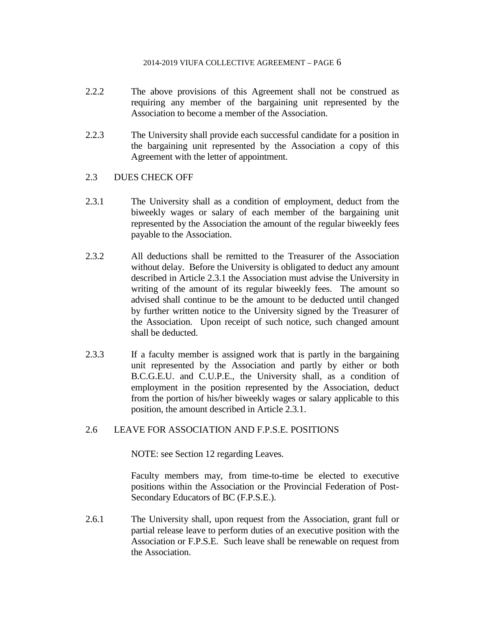- 2.2.2 The above provisions of this Agreement shall not be construed as requiring any member of the bargaining unit represented by the Association to become a member of the Association.
- 2.2.3 The University shall provide each successful candidate for a position in the bargaining unit represented by the Association a copy of this Agreement with the letter of appointment.

# <span id="page-21-0"></span>2.3 DUES CHECK OFF

- 2.3.1 The University shall as a condition of employment, deduct from the biweekly wages or salary of each member of the bargaining unit represented by the Association the amount of the regular biweekly fees payable to the Association.
- 2.3.2 All deductions shall be remitted to the Treasurer of the Association without delay. Before the University is obligated to deduct any amount described in Article 2.3.1 the Association must advise the University in writing of the amount of its regular biweekly fees. The amount so advised shall continue to be the amount to be deducted until changed by further written notice to the University signed by the Treasurer of the Association. Upon receipt of such notice, such changed amount shall be deducted.
- 2.3.3 If a faculty member is assigned work that is partly in the bargaining unit represented by the Association and partly by either or both B.C.G.E.U. and C.U.P.E., the University shall, as a condition of employment in the position represented by the Association, deduct from the portion of his/her biweekly wages or salary applicable to this position, the amount described in Article 2.3.1.

# <span id="page-21-1"></span>2.6 LEAVE FOR ASSOCIATION AND F.P.S.E. POSITIONS

NOTE: see Section 12 regarding Leaves.

Faculty members may, from time-to-time be elected to executive positions within the Association or the Provincial Federation of Post-Secondary Educators of BC (F.P.S.E.).

2.6.1 The University shall, upon request from the Association, grant full or partial release leave to perform duties of an executive position with the Association or F.P.S.E. Such leave shall be renewable on request from the Association.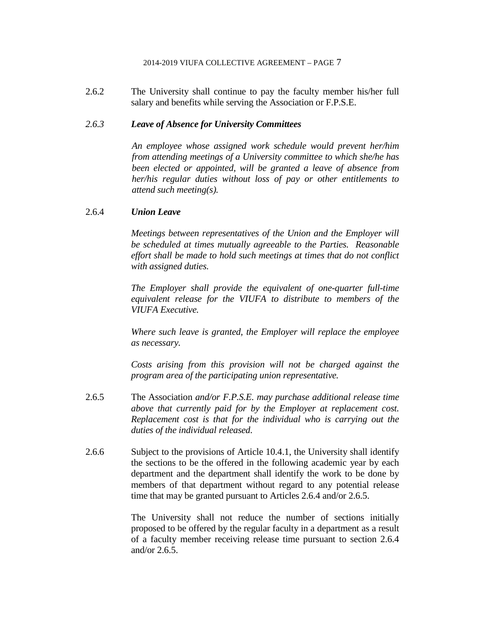2.6.2 The University shall continue to pay the faculty member his/her full salary and benefits while serving the Association or F.P.S.E.

#### *2.6.3 Leave of Absence for University Committees*

*An employee whose assigned work schedule would prevent her/him from attending meetings of a University committee to which she/he has been elected or appointed, will be granted a leave of absence from her/his regular duties without loss of pay or other entitlements to attend such meeting(s).*

#### 2.6.4 *Union Leave*

*Meetings between representatives of the Union and the Employer will be scheduled at times mutually agreeable to the Parties. Reasonable effort shall be made to hold such meetings at times that do not conflict with assigned duties.*

*The Employer shall provide the equivalent of one-quarter full-time equivalent release for the VIUFA to distribute to members of the VIUFA Executive.*

*Where such leave is granted, the Employer will replace the employee as necessary.*

*Costs arising from this provision will not be charged against the program area of the participating union representative.*

- 2.6.5 The Association *and/or F.P.S.E. may purchase additional release time above that currently paid for by the Employer at replacement cost. Replacement cost is that for the individual who is carrying out the duties of the individual released.*
- 2.6.6 Subject to the provisions of Article 10.4.1, the University shall identify the sections to be the offered in the following academic year by each department and the department shall identify the work to be done by members of that department without regard to any potential release time that may be granted pursuant to Articles 2.6.4 and/or 2.6.5.

The University shall not reduce the number of sections initially proposed to be offered by the regular faculty in a department as a result of a faculty member receiving release time pursuant to section 2.6.4 and/or 2.6.5.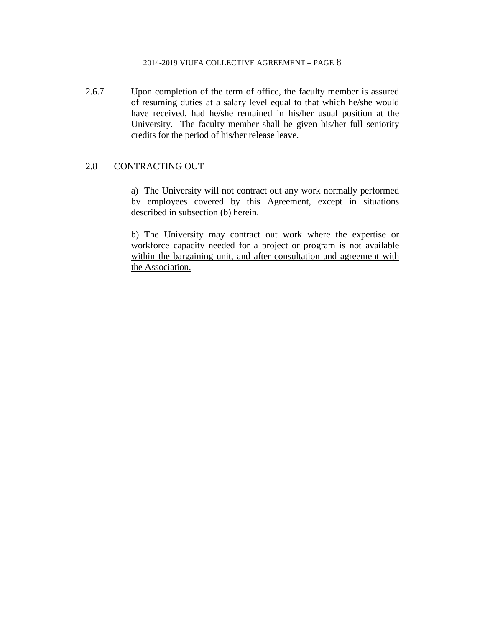2.6.7 Upon completion of the term of office, the faculty member is assured of resuming duties at a salary level equal to that which he/she would have received, had he/she remained in his/her usual position at the University. The faculty member shall be given his/her full seniority credits for the period of his/her release leave.

#### <span id="page-23-0"></span>2.8 CONTRACTING OUT

a)The University will not contract out any work normally performed by employees covered by this Agreement, except in situations described in subsection (b) herein.

b) The University may contract out work where the expertise or workforce capacity needed for a project or program is not available within the bargaining unit, and after consultation and agreement with the Association.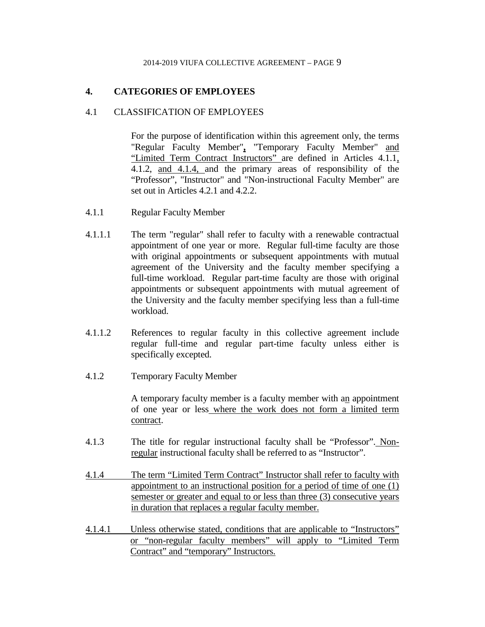# <span id="page-24-0"></span>**4. CATEGORIES OF EMPLOYEES**

#### <span id="page-24-1"></span>4.1 CLASSIFICATION OF EMPLOYEES

For the purpose of identification within this agreement only, the terms "Regular Faculty Member"**,** "Temporary Faculty Member" and "Limited Term Contract Instructors" are defined in Articles 4.1.1, 4.1.2, and 4.1.4, and the primary areas of responsibility of the "Professor", "Instructor" and "Non-instructional Faculty Member" are set out in Articles 4.2.1 and 4.2.2.

- 4.1.1 Regular Faculty Member
- 4.1.1.1 The term "regular" shall refer to faculty with a renewable contractual appointment of one year or more. Regular full-time faculty are those with original appointments or subsequent appointments with mutual agreement of the University and the faculty member specifying a full-time workload. Regular part-time faculty are those with original appointments or subsequent appointments with mutual agreement of the University and the faculty member specifying less than a full-time workload.
- 4.1.1.2 References to regular faculty in this collective agreement include regular full-time and regular part-time faculty unless either is specifically excepted.
- 4.1.2 Temporary Faculty Member

A temporary faculty member is a faculty member with an appointment of one year or less where the work does not form a limited term contract.

- 4.1.3 The title for regular instructional faculty shall be "Professor". Nonregular instructional faculty shall be referred to as "Instructor".
- 4.1.4 The term "Limited Term Contract" Instructor shall refer to faculty with appointment to an instructional position for a period of time of one (1) semester or greater and equal to or less than three (3) consecutive years in duration that replaces a regular faculty member.
- 4.1.4.1 Unless otherwise stated, conditions that are applicable to "Instructors" or "non-regular faculty members" will apply to "Limited Term Contract" and "temporary" Instructors.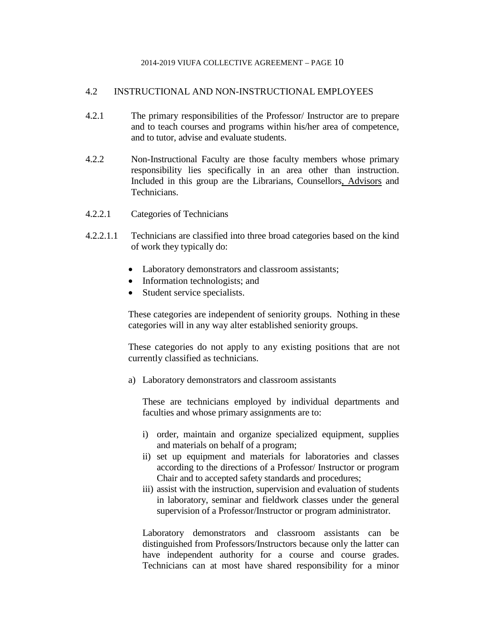#### <span id="page-25-0"></span>4.2 INSTRUCTIONAL AND NON-INSTRUCTIONAL EMPLOYEES

- 4.2.1 The primary responsibilities of the Professor/ Instructor are to prepare and to teach courses and programs within his/her area of competence, and to tutor, advise and evaluate students.
- 4.2.2 Non-Instructional Faculty are those faculty members whose primary responsibility lies specifically in an area other than instruction. Included in this group are the Librarians, Counsellors, Advisors and Technicians.
- 4.2.2.1 Categories of Technicians
- 4.2.2.1.1 Technicians are classified into three broad categories based on the kind of work they typically do:
	- Laboratory demonstrators and classroom assistants;
	- Information technologists; and
	- Student service specialists.

These categories are independent of seniority groups. Nothing in these categories will in any way alter established seniority groups.

These categories do not apply to any existing positions that are not currently classified as technicians.

a) Laboratory demonstrators and classroom assistants

These are technicians employed by individual departments and faculties and whose primary assignments are to:

- i) order, maintain and organize specialized equipment, supplies and materials on behalf of a program;
- ii) set up equipment and materials for laboratories and classes according to the directions of a Professor/ Instructor or program Chair and to accepted safety standards and procedures;
- iii) assist with the instruction, supervision and evaluation of students in laboratory, seminar and fieldwork classes under the general supervision of a Professor/Instructor or program administrator.

Laboratory demonstrators and classroom assistants can be distinguished from Professors/Instructors because only the latter can have independent authority for a course and course grades. Technicians can at most have shared responsibility for a minor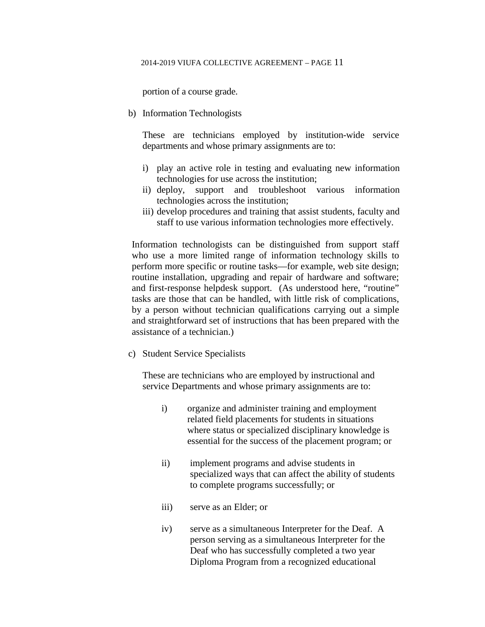portion of a course grade.

b) Information Technologists

These are technicians employed by institution-wide service departments and whose primary assignments are to:

- i) play an active role in testing and evaluating new information technologies for use across the institution;
- ii) deploy, support and troubleshoot various information technologies across the institution;
- iii) develop procedures and training that assist students, faculty and staff to use various information technologies more effectively.

Information technologists can be distinguished from support staff who use a more limited range of information technology skills to perform more specific or routine tasks—for example, web site design; routine installation, upgrading and repair of hardware and software; and first-response helpdesk support. (As understood here, "routine" tasks are those that can be handled, with little risk of complications, by a person without technician qualifications carrying out a simple and straightforward set of instructions that has been prepared with the assistance of a technician.)

c) Student Service Specialists

These are technicians who are employed by instructional and service Departments and whose primary assignments are to:

- i) organize and administer training and employment related field placements for students in situations where status or specialized disciplinary knowledge is essential for the success of the placement program; or
- ii) implement programs and advise students in specialized ways that can affect the ability of students to complete programs successfully; or
- iii) serve as an Elder; or
- iv) serve as a simultaneous Interpreter for the Deaf. A person serving as a simultaneous Interpreter for the Deaf who has successfully completed a two year Diploma Program from a recognized educational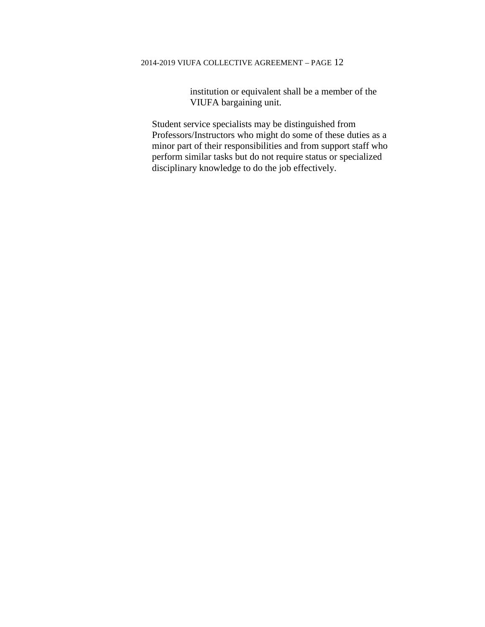institution or equivalent shall be a member of the VIUFA bargaining unit.

Student service specialists may be distinguished from Professors/Instructors who might do some of these duties as a minor part of their responsibilities and from support staff who perform similar tasks but do not require status or specialized disciplinary knowledge to do the job effectively.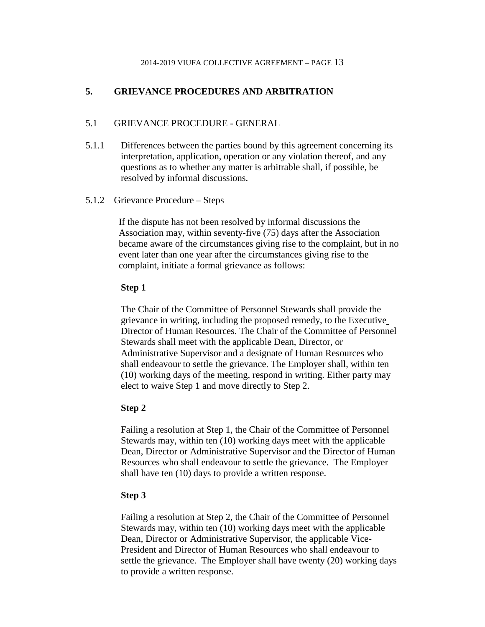# <span id="page-28-0"></span>**5. GRIEVANCE PROCEDURES AND ARBITRATION**

# <span id="page-28-1"></span>5.1 GRIEVANCE PROCEDURE - GENERAL

- 5.1.1 Differences between the parties bound by this agreement concerning its interpretation, application, operation or any violation thereof, and any questions as to whether any matter is arbitrable shall, if possible, be resolved by informal discussions.
- 5.1.2 Grievance Procedure Steps

If the dispute has not been resolved by informal discussions the Association may, within seventy-five (75) days after the Association became aware of the circumstances giving rise to the complaint, but in no event later than one year after the circumstances giving rise to the complaint, initiate a formal grievance as follows:

#### **Step 1**

The Chair of the Committee of Personnel Stewards shall provide the grievance in writing, including the proposed remedy, to the Executive Director of Human Resources. The Chair of the Committee of Personnel Stewards shall meet with the applicable Dean, Director, or Administrative Supervisor and a designate of Human Resources who shall endeavour to settle the grievance. The Employer shall, within ten (10) working days of the meeting, respond in writing. Either party may elect to waive Step 1 and move directly to Step 2.

# **Step 2**

Failing a resolution at Step 1, the Chair of the Committee of Personnel Stewards may, within ten (10) working days meet with the applicable Dean, Director or Administrative Supervisor and the Director of Human Resources who shall endeavour to settle the grievance. The Employer shall have ten (10) days to provide a written response.

#### **Step 3**

Failing a resolution at Step 2, the Chair of the Committee of Personnel Stewards may, within ten (10) working days meet with the applicable Dean, Director or Administrative Supervisor, the applicable Vice-President and Director of Human Resources who shall endeavour to settle the grievance. The Employer shall have twenty (20) working days to provide a written response.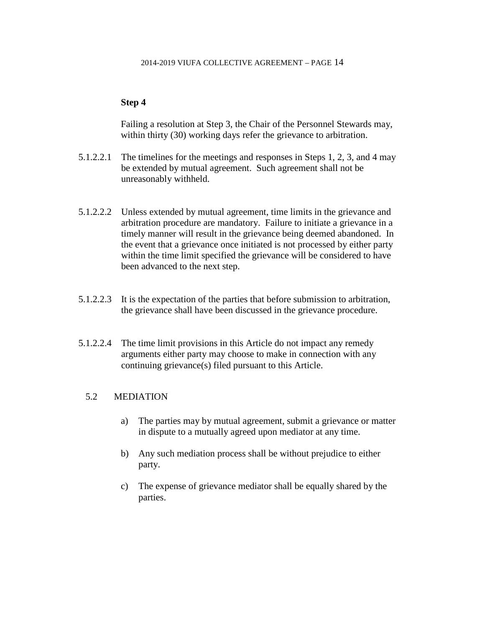#### **Step 4**

Failing a resolution at Step 3, the Chair of the Personnel Stewards may, within thirty (30) working days refer the grievance to arbitration.

- 5.1.2.2.1 The timelines for the meetings and responses in Steps 1, 2, 3, and 4 may be extended by mutual agreement. Such agreement shall not be unreasonably withheld.
- 5.1.2.2.2 Unless extended by mutual agreement, time limits in the grievance and arbitration procedure are mandatory. Failure to initiate a grievance in a timely manner will result in the grievance being deemed abandoned. In the event that a grievance once initiated is not processed by either party within the time limit specified the grievance will be considered to have been advanced to the next step.
- 5.1.2.2.3 It is the expectation of the parties that before submission to arbitration, the grievance shall have been discussed in the grievance procedure.
- 5.1.2.2.4 The time limit provisions in this Article do not impact any remedy arguments either party may choose to make in connection with any continuing grievance(s) filed pursuant to this Article.

# <span id="page-29-0"></span>5.2 MEDIATION

- a) The parties may by mutual agreement, submit a grievance or matter in dispute to a mutually agreed upon mediator at any time.
- b) Any such mediation process shall be without prejudice to either party.
- c) The expense of grievance mediator shall be equally shared by the parties.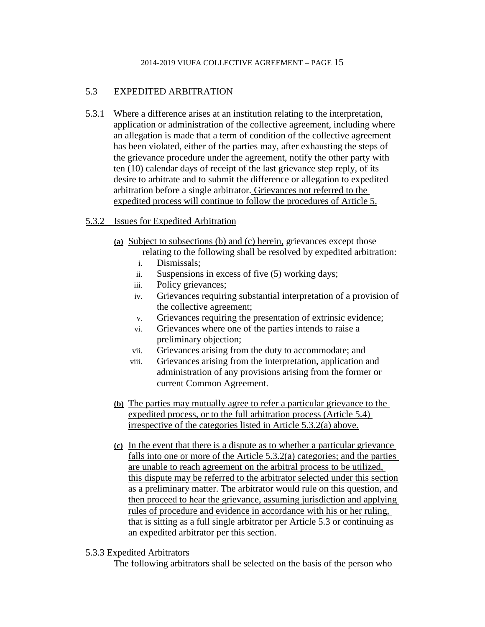# <span id="page-30-0"></span>5.3 EXPEDITED ARBITRATION

5.3.1 Where a difference arises at an institution relating to the interpretation, application or administration of the collective agreement, including where an allegation is made that a term of condition of the collective agreement has been violated, either of the parties may, after exhausting the steps of the grievance procedure under the agreement, notify the other party with ten (10) calendar days of receipt of the last grievance step reply, of its desire to arbitrate and to submit the difference or allegation to expedited arbitration before a single arbitrator. Grievances not referred to the expedited process will continue to follow the procedures of Article 5.

# 5.3.2 Issues for Expedited Arbitration

- **(a)** Subject to subsections (b) and (c) herein, grievances except those relating to the following shall be resolved by expedited arbitration:
	- i. Dismissals;
	- ii. Suspensions in excess of five (5) working days;
	- iii. Policy grievances;
	- iv. Grievances requiring substantial interpretation of a provision of the collective agreement;
	- v. Grievances requiring the presentation of extrinsic evidence;
	- vi. Grievances where one of the parties intends to raise a preliminary objection;
	- vii. Grievances arising from the duty to accommodate; and
	- viii. Grievances arising from the interpretation, application and administration of any provisions arising from the former or current Common Agreement.
- **(b)** The parties may mutually agree to refer a particular grievance to the expedited process, or to the full arbitration process (Article 5.4) irrespective of the categories listed in Article 5.3.2(a) above.
- **(c)** In the event that there is a dispute as to whether a particular grievance falls into one or more of the Article 5.3.2(a) categories; and the parties are unable to reach agreement on the arbitral process to be utilized, this dispute may be referred to the arbitrator selected under this section as a preliminary matter. The arbitrator would rule on this question, and then proceed to hear the grievance, assuming jurisdiction and applying rules of procedure and evidence in accordance with his or her ruling, that is sitting as a full single arbitrator per Article 5.3 or continuing as an expedited arbitrator per this section.
- 5.3.3 Expedited Arbitrators

The following arbitrators shall be selected on the basis of the person who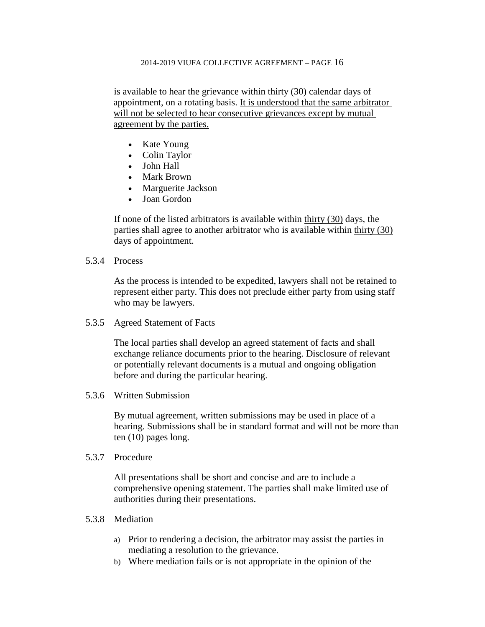is available to hear the grievance within thirty (30) calendar days of appointment, on a rotating basis. It is understood that the same arbitrator will not be selected to hear consecutive grievances except by mutual agreement by the parties.

- Kate Young
- Colin Taylor
- John Hall
- Mark Brown
- Marguerite Jackson
- Joan Gordon

If none of the listed arbitrators is available within thirty (30) days, the parties shall agree to another arbitrator who is available within thirty (30) days of appointment.

5.3.4 Process

As the process is intended to be expedited, lawyers shall not be retained to represent either party. This does not preclude either party from using staff who may be lawyers.

5.3.5 Agreed Statement of Facts

The local parties shall develop an agreed statement of facts and shall exchange reliance documents prior to the hearing. Disclosure of relevant or potentially relevant documents is a mutual and ongoing obligation before and during the particular hearing.

5.3.6 Written Submission

By mutual agreement, written submissions may be used in place of a hearing. Submissions shall be in standard format and will not be more than ten (10) pages long.

5.3.7 Procedure

All presentations shall be short and concise and are to include a comprehensive opening statement. The parties shall make limited use of authorities during their presentations.

- 5.3.8 Mediation
	- a) Prior to rendering a decision, the arbitrator may assist the parties in mediating a resolution to the grievance.
	- b) Where mediation fails or is not appropriate in the opinion of the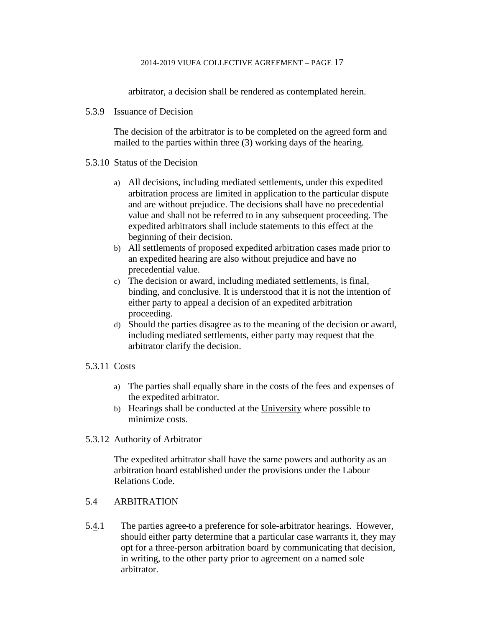arbitrator, a decision shall be rendered as contemplated herein.

5.3.9 Issuance of Decision

The decision of the arbitrator is to be completed on the agreed form and mailed to the parties within three (3) working days of the hearing.

- 5.3.10 Status of the Decision
	- a) All decisions, including mediated settlements, under this expedited arbitration process are limited in application to the particular dispute and are without prejudice. The decisions shall have no precedential value and shall not be referred to in any subsequent proceeding. The expedited arbitrators shall include statements to this effect at the beginning of their decision.
	- b) All settlements of proposed expedited arbitration cases made prior to an expedited hearing are also without prejudice and have no precedential value.
	- c) The decision or award, including mediated settlements, is final, binding, and conclusive. It is understood that it is not the intention of either party to appeal a decision of an expedited arbitration proceeding.
	- d) Should the parties disagree as to the meaning of the decision or award, including mediated settlements, either party may request that the arbitrator clarify the decision.
- 5.3.11 Costs
	- a) The parties shall equally share in the costs of the fees and expenses of the expedited arbitrator.
	- b) Hearings shall be conducted at the University where possible to minimize costs.
- 5.3.12 Authority of Arbitrator

The expedited arbitrator shall have the same powers and authority as an arbitration board established under the provisions under the Labour Relations Code.

# <span id="page-32-0"></span>5.4 ARBITRATION

5.4.1 The parties agree to a preference for sole-arbitrator hearings. However, should either party determine that a particular case warrants it, they may opt for a three-person arbitration board by communicating that decision, in writing, to the other party prior to agreement on a named sole arbitrator.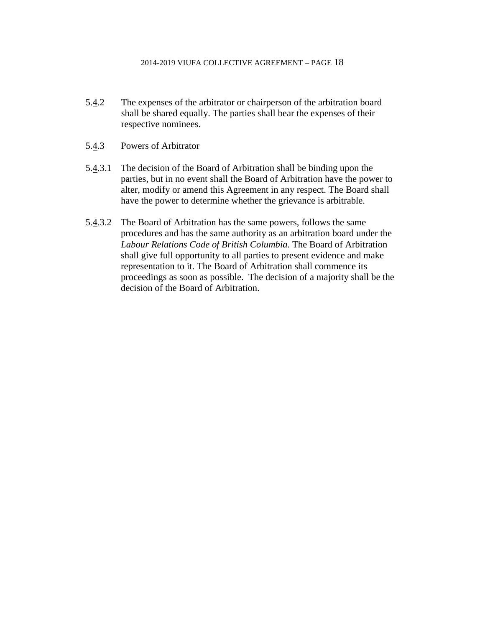- 5.4.2 The expenses of the arbitrator or chairperson of the arbitration board shall be shared equally. The parties shall bear the expenses of their respective nominees.
- 5.4.3 Powers of Arbitrator
- 5.4.3.1 The decision of the Board of Arbitration shall be binding upon the parties, but in no event shall the Board of Arbitration have the power to alter, modify or amend this Agreement in any respect. The Board shall have the power to determine whether the grievance is arbitrable.
- 5.4.3.2 The Board of Arbitration has the same powers, follows the same procedures and has the same authority as an arbitration board under the *Labour Relations Code of British Columbia*. The Board of Arbitration shall give full opportunity to all parties to present evidence and make representation to it. The Board of Arbitration shall commence its proceedings as soon as possible. The decision of a majority shall be the decision of the Board of Arbitration.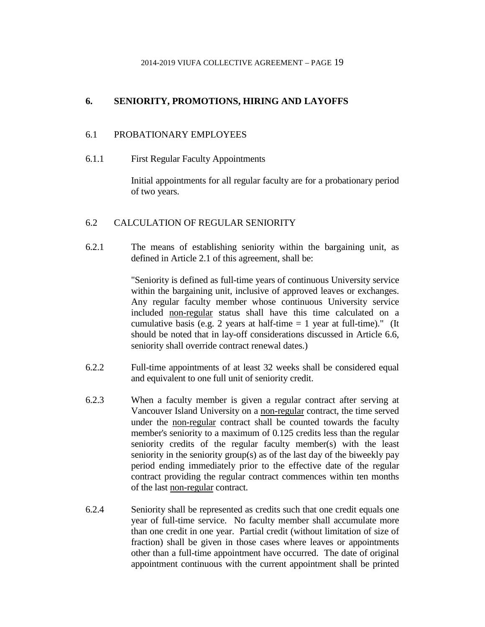# <span id="page-34-0"></span>**6. SENIORITY, PROMOTIONS, HIRING AND LAYOFFS**

#### <span id="page-34-1"></span>6.1 PROBATIONARY EMPLOYEES

6.1.1 First Regular Faculty Appointments

Initial appointments for all regular faculty are for a probationary period of two years.

#### <span id="page-34-2"></span>6.2 CALCULATION OF REGULAR SENIORITY

6.2.1 The means of establishing seniority within the bargaining unit, as defined in Article 2.1 of this agreement, shall be:

> "Seniority is defined as full-time years of continuous University service within the bargaining unit, inclusive of approved leaves or exchanges. Any regular faculty member whose continuous University service included non-regular status shall have this time calculated on a cumulative basis (e.g. 2 years at half-time  $= 1$  year at full-time)." (It should be noted that in lay-off considerations discussed in Article 6.6, seniority shall override contract renewal dates.)

- 6.2.2 Full-time appointments of at least 32 weeks shall be considered equal and equivalent to one full unit of seniority credit.
- 6.2.3 When a faculty member is given a regular contract after serving at Vancouver Island University on a non-regular contract, the time served under the non-regular contract shall be counted towards the faculty member's seniority to a maximum of 0.125 credits less than the regular seniority credits of the regular faculty member(s) with the least seniority in the seniority group(s) as of the last day of the biweekly pay period ending immediately prior to the effective date of the regular contract providing the regular contract commences within ten months of the last non-regular contract.
- 6.2.4 Seniority shall be represented as credits such that one credit equals one year of full-time service. No faculty member shall accumulate more than one credit in one year. Partial credit (without limitation of size of fraction) shall be given in those cases where leaves or appointments other than a full-time appointment have occurred. The date of original appointment continuous with the current appointment shall be printed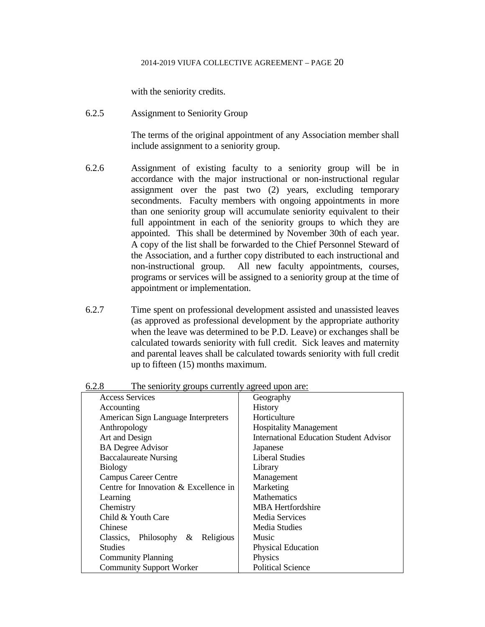with the seniority credits.

6.2.5 Assignment to Seniority Group

The terms of the original appointment of any Association member shall include assignment to a seniority group.

- 6.2.6 Assignment of existing faculty to a seniority group will be in accordance with the major instructional or non-instructional regular assignment over the past two (2) years, excluding temporary secondments. Faculty members with ongoing appointments in more than one seniority group will accumulate seniority equivalent to their full appointment in each of the seniority groups to which they are appointed. This shall be determined by November 30th of each year. A copy of the list shall be forwarded to the Chief Personnel Steward of the Association, and a further copy distributed to each instructional and non-instructional group. All new faculty appointments, courses, programs or services will be assigned to a seniority group at the time of appointment or implementation.
- 6.2.7 Time spent on professional development assisted and unassisted leaves (as approved as professional development by the appropriate authority when the leave was determined to be P.D. Leave) or exchanges shall be calculated towards seniority with full credit. Sick leaves and maternity and parental leaves shall be calculated towards seniority with full credit up to fifteen (15) months maximum.

| <b>Access Services</b>                    | Geography                                      |
|-------------------------------------------|------------------------------------------------|
| Accounting                                | History                                        |
| American Sign Language Interpreters       | Horticulture                                   |
| Anthropology                              | <b>Hospitality Management</b>                  |
| Art and Design                            | <b>International Education Student Advisor</b> |
| <b>BA</b> Degree Advisor                  | Japanese                                       |
| <b>Baccalaureate Nursing</b>              | Liberal Studies                                |
| <b>Biology</b>                            | Library                                        |
| <b>Campus Career Centre</b>               | Management                                     |
| Centre for Innovation & Excellence in     | Marketing                                      |
| Learning                                  | <b>Mathematics</b>                             |
| Chemistry                                 | <b>MBA</b> Hertfordshire                       |
| Child & Youth Care                        | Media Services                                 |
| Chinese                                   | Media Studies                                  |
| Philosophy $\&$<br>Religious<br>Classics, | Music                                          |
| <b>Studies</b>                            | <b>Physical Education</b>                      |
| <b>Community Planning</b>                 | Physics                                        |
| <b>Community Support Worker</b>           | <b>Political Science</b>                       |

6.2.8 The seniority groups currently agreed upon are: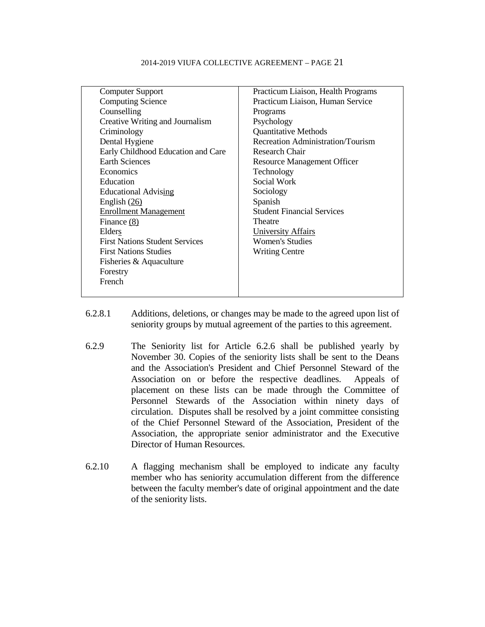| <b>Computer Support</b>               | Practicum Liaison, Health Programs |
|---------------------------------------|------------------------------------|
| <b>Computing Science</b>              | Practicum Liaison, Human Service   |
| Counselling                           | Programs                           |
| Creative Writing and Journalism       | Psychology                         |
| Criminology                           | <b>Quantitative Methods</b>        |
| Dental Hygiene                        | Recreation Administration/Tourism  |
| Early Childhood Education and Care    | Research Chair                     |
| <b>Earth Sciences</b>                 | <b>Resource Management Officer</b> |
| Economics                             | Technology                         |
| Education                             | Social Work                        |
| <b>Educational Advising</b>           | Sociology                          |
| English $(26)$                        | Spanish                            |
| <b>Enrollment Management</b>          | <b>Student Financial Services</b>  |
| Finance (8)                           | Theatre                            |
| Elders                                | <b>University Affairs</b>          |
| <b>First Nations Student Services</b> | <b>Women's Studies</b>             |
| <b>First Nations Studies</b>          | <b>Writing Centre</b>              |
| Fisheries & Aquaculture               |                                    |
| Forestry                              |                                    |
| French                                |                                    |
|                                       |                                    |

- 6.2.8.1 Additions, deletions, or changes may be made to the agreed upon list of seniority groups by mutual agreement of the parties to this agreement.
- 6.2.9 The Seniority list for Article 6.2.6 shall be published yearly by November 30. Copies of the seniority lists shall be sent to the Deans and the Association's President and Chief Personnel Steward of the Association on or before the respective deadlines. Appeals of placement on these lists can be made through the Committee of Personnel Stewards of the Association within ninety days of circulation. Disputes shall be resolved by a joint committee consisting of the Chief Personnel Steward of the Association, President of the Association, the appropriate senior administrator and the Executive Director of Human Resources.
- 6.2.10 A flagging mechanism shall be employed to indicate any faculty member who has seniority accumulation different from the difference between the faculty member's date of original appointment and the date of the seniority lists.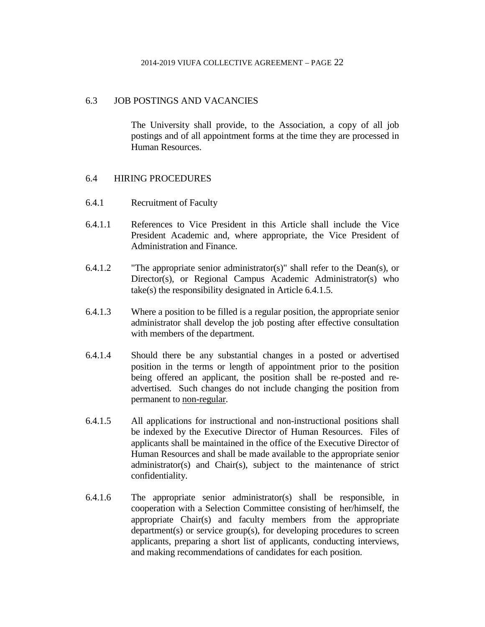## 6.3 JOB POSTINGS AND VACANCIES

The University shall provide, to the Association, a copy of all job postings and of all appointment forms at the time they are processed in Human Resources.

## 6.4 HIRING PROCEDURES

- 6.4.1 Recruitment of Faculty
- 6.4.1.1 References to Vice President in this Article shall include the Vice President Academic and, where appropriate, the Vice President of Administration and Finance.
- 6.4.1.2 "The appropriate senior administrator(s)" shall refer to the Dean(s), or Director(s), or Regional Campus Academic Administrator(s) who take(s) the responsibility designated in Article 6.4.1.5.
- 6.4.1.3 Where a position to be filled is a regular position, the appropriate senior administrator shall develop the job posting after effective consultation with members of the department.
- 6.4.1.4 Should there be any substantial changes in a posted or advertised position in the terms or length of appointment prior to the position being offered an applicant, the position shall be re-posted and readvertised. Such changes do not include changing the position from permanent to non-regular.
- 6.4.1.5 All applications for instructional and non-instructional positions shall be indexed by the Executive Director of Human Resources. Files of applicants shall be maintained in the office of the Executive Director of Human Resources and shall be made available to the appropriate senior administrator(s) and Chair(s), subject to the maintenance of strict confidentiality.
- 6.4.1.6 The appropriate senior administrator(s) shall be responsible, in cooperation with a Selection Committee consisting of her/himself, the appropriate Chair(s) and faculty members from the appropriate department(s) or service group(s), for developing procedures to screen applicants, preparing a short list of applicants, conducting interviews, and making recommendations of candidates for each position.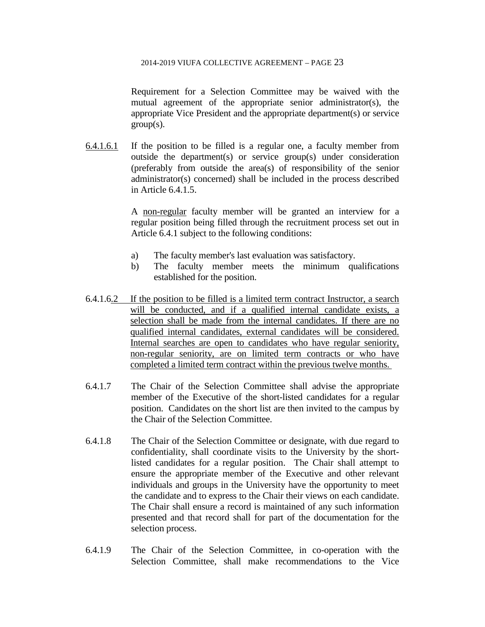Requirement for a Selection Committee may be waived with the mutual agreement of the appropriate senior administrator(s), the appropriate Vice President and the appropriate department(s) or service  $group(s)$ .

6.4.1.6.1 If the position to be filled is a regular one, a faculty member from outside the department(s) or service group(s) under consideration (preferably from outside the area(s) of responsibility of the senior administrator(s) concerned) shall be included in the process described in Article 6.4.1.5.

> A non-regular faculty member will be granted an interview for a regular position being filled through the recruitment process set out in Article 6.4.1 subject to the following conditions:

- a) The faculty member's last evaluation was satisfactory.
- b) The faculty member meets the minimum qualifications established for the position.
- 6.4.1.6.2 If the position to be filled is a limited term contract Instructor, a search will be conducted, and if a qualified internal candidate exists, a selection shall be made from the internal candidates. If there are no qualified internal candidates, external candidates will be considered. Internal searches are open to candidates who have regular seniority, non-regular seniority, are on limited term contracts or who have completed a limited term contract within the previous twelve months.
- 6.4.1.7 The Chair of the Selection Committee shall advise the appropriate member of the Executive of the short-listed candidates for a regular position. Candidates on the short list are then invited to the campus by the Chair of the Selection Committee.
- 6.4.1.8 The Chair of the Selection Committee or designate, with due regard to confidentiality, shall coordinate visits to the University by the shortlisted candidates for a regular position. The Chair shall attempt to ensure the appropriate member of the Executive and other relevant individuals and groups in the University have the opportunity to meet the candidate and to express to the Chair their views on each candidate. The Chair shall ensure a record is maintained of any such information presented and that record shall for part of the documentation for the selection process.
- 6.4.1.9 The Chair of the Selection Committee, in co-operation with the Selection Committee, shall make recommendations to the Vice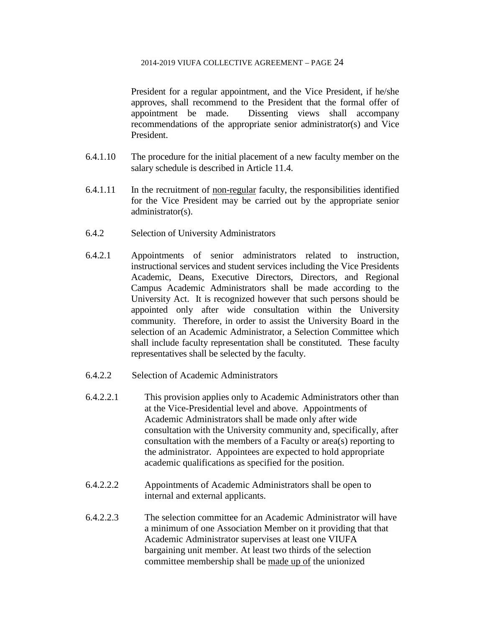President for a regular appointment, and the Vice President, if he/she approves, shall recommend to the President that the formal offer of appointment be made. Dissenting views shall accompany recommendations of the appropriate senior administrator(s) and Vice President.

- 6.4.1.10 The procedure for the initial placement of a new faculty member on the salary schedule is described in Article 11.4.
- $6.4.1.11$  In the recruitment of non-regular faculty, the responsibilities identified for the Vice President may be carried out by the appropriate senior administrator(s).
- 6.4.2 Selection of University Administrators
- 6.4.2.1 Appointments of senior administrators related to instruction, instructional services and student services including the Vice Presidents Academic, Deans, Executive Directors, Directors, and Regional Campus Academic Administrators shall be made according to the University Act. It is recognized however that such persons should be appointed only after wide consultation within the University community. Therefore, in order to assist the University Board in the selection of an Academic Administrator, a Selection Committee which shall include faculty representation shall be constituted. These faculty representatives shall be selected by the faculty.
- 6.4.2.2 Selection of Academic Administrators
- 6.4.2.2.1 This provision applies only to Academic Administrators other than at the Vice-Presidential level and above. Appointments of Academic Administrators shall be made only after wide consultation with the University community and, specifically, after consultation with the members of a Faculty or area(s) reporting to the administrator. Appointees are expected to hold appropriate academic qualifications as specified for the position.
- 6.4.2.2.2 Appointments of Academic Administrators shall be open to internal and external applicants.
- 6.4.2.2.3 The selection committee for an Academic Administrator will have a minimum of one Association Member on it providing that that Academic Administrator supervises at least one VIUFA bargaining unit member. At least two thirds of the selection committee membership shall be made up of the unionized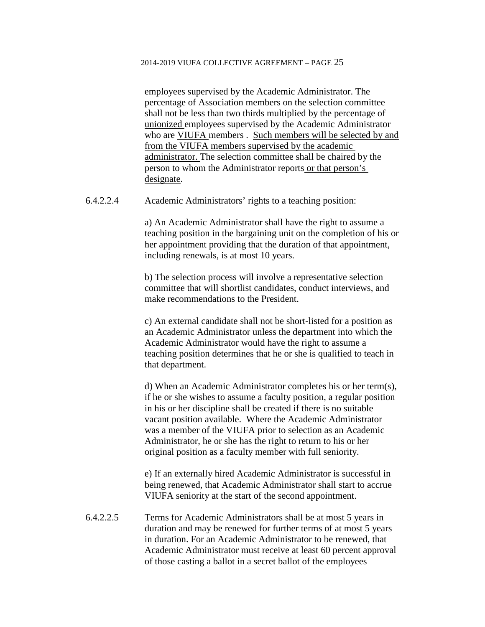employees supervised by the Academic Administrator. The percentage of Association members on the selection committee shall not be less than two thirds multiplied by the percentage of unionized employees supervised by the Academic Administrator who are VIUFA members . Such members will be selected by and from the VIUFA members supervised by the academic administrator. The selection committee shall be chaired by the person to whom the Administrator reports or that person's designate.

6.4.2.2.4 Academic Administrators' rights to a teaching position:

a) An Academic Administrator shall have the right to assume a teaching position in the bargaining unit on the completion of his or her appointment providing that the duration of that appointment, including renewals, is at most 10 years.

b) The selection process will involve a representative selection committee that will shortlist candidates, conduct interviews, and make recommendations to the President.

c) An external candidate shall not be short-listed for a position as an Academic Administrator unless the department into which the Academic Administrator would have the right to assume a teaching position determines that he or she is qualified to teach in that department.

d) When an Academic Administrator completes his or her term(s), if he or she wishes to assume a faculty position, a regular position in his or her discipline shall be created if there is no suitable vacant position available. Where the Academic Administrator was a member of the VIUFA prior to selection as an Academic Administrator, he or she has the right to return to his or her original position as a faculty member with full seniority.

e) If an externally hired Academic Administrator is successful in being renewed, that Academic Administrator shall start to accrue VIUFA seniority at the start of the second appointment.

6.4.2.2.5 Terms for Academic Administrators shall be at most 5 years in duration and may be renewed for further terms of at most 5 years in duration. For an Academic Administrator to be renewed, that Academic Administrator must receive at least 60 percent approval of those casting a ballot in a secret ballot of the employees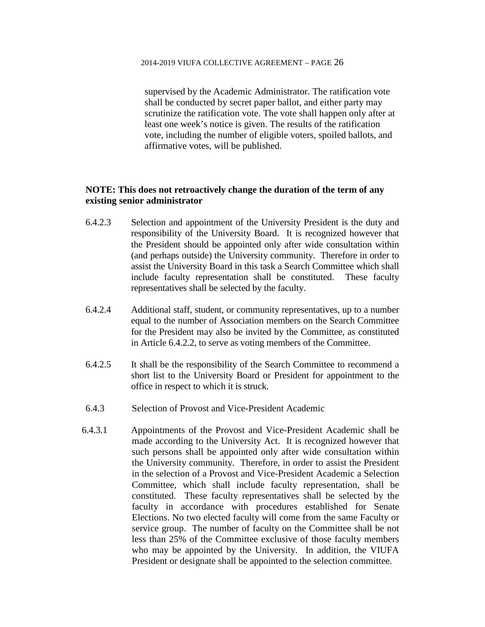supervised by the Academic Administrator. The ratification vote shall be conducted by secret paper ballot, and either party may scrutinize the ratification vote. The vote shall happen only after at least one week's notice is given. The results of the ratification vote, including the number of eligible voters, spoiled ballots, and affirmative votes, will be published.

# **NOTE: This does not retroactively change the duration of the term of any existing senior administrator**

- 6.4.2.3 Selection and appointment of the University President is the duty and responsibility of the University Board. It is recognized however that the President should be appointed only after wide consultation within (and perhaps outside) the University community. Therefore in order to assist the University Board in this task a Search Committee which shall include faculty representation shall be constituted. These faculty representatives shall be selected by the faculty.
- 6.4.2.4 Additional staff, student, or community representatives, up to a number equal to the number of Association members on the Search Committee for the President may also be invited by the Committee, as constituted in Article 6.4.2.2, to serve as voting members of the Committee.
- 6.4.2.5 It shall be the responsibility of the Search Committee to recommend a short list to the University Board or President for appointment to the office in respect to which it is struck.
- 6.4.3 Selection of Provost and Vice-President Academic
- 6.4.3.1 Appointments of the Provost and Vice-President Academic shall be made according to the University Act. It is recognized however that such persons shall be appointed only after wide consultation within the University community. Therefore, in order to assist the President in the selection of a Provost and Vice-President Academic a Selection Committee, which shall include faculty representation, shall be constituted. These faculty representatives shall be selected by the faculty in accordance with procedures established for Senate Elections. No two elected faculty will come from the same Faculty or service group. The number of faculty on the Committee shall be not less than 25% of the Committee exclusive of those faculty members who may be appointed by the University. In addition, the VIUFA President or designate shall be appointed to the selection committee.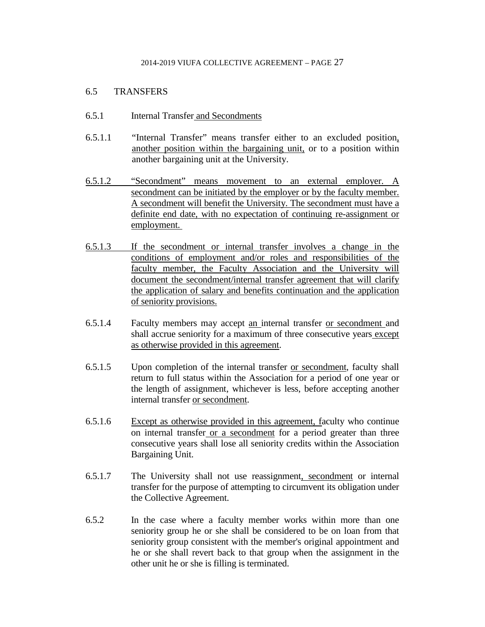## 6.5 TRANSFERS

- 6.5.1 Internal Transfer and Secondments
- 6.5.1.1 "Internal Transfer" means transfer either to an excluded position, another position within the bargaining unit, or to a position within another bargaining unit at the University.
- 6.5.1.2 "Secondment" means movement to an external employer. A secondment can be initiated by the employer or by the faculty member. A secondment will benefit the University. The secondment must have a definite end date, with no expectation of continuing re-assignment or employment.
- 6.5.1.3 If the secondment or internal transfer involves a change in the conditions of employment and/or roles and responsibilities of the faculty member, the Faculty Association and the University will document the secondment/internal transfer agreement that will clarify the application of salary and benefits continuation and the application of seniority provisions.
- 6.5.1.4 Faculty members may accept an internal transfer or secondment and shall accrue seniority for a maximum of three consecutive years except as otherwise provided in this agreement.
- 6.5.1.5 Upon completion of the internal transfer or secondment, faculty shall return to full status within the Association for a period of one year or the length of assignment, whichever is less, before accepting another internal transfer or secondment.
- 6.5.1.6 Except as otherwise provided in this agreement, faculty who continue on internal transfer or a secondment for a period greater than three consecutive years shall lose all seniority credits within the Association Bargaining Unit.
- 6.5.1.7 The University shall not use reassignment, secondment or internal transfer for the purpose of attempting to circumvent its obligation under the Collective Agreement.
- 6.5.2 In the case where a faculty member works within more than one seniority group he or she shall be considered to be on loan from that seniority group consistent with the member's original appointment and he or she shall revert back to that group when the assignment in the other unit he or she is filling is terminated.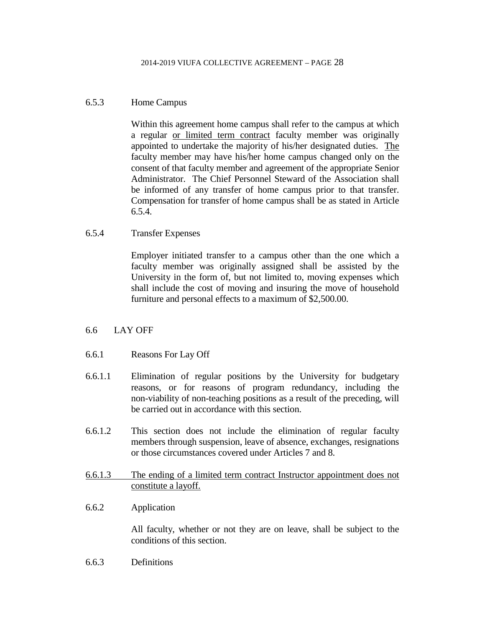## 6.5.3 Home Campus

Within this agreement home campus shall refer to the campus at which a regular or limited term contract faculty member was originally appointed to undertake the majority of his/her designated duties. The faculty member may have his/her home campus changed only on the consent of that faculty member and agreement of the appropriate Senior Administrator. The Chief Personnel Steward of the Association shall be informed of any transfer of home campus prior to that transfer. Compensation for transfer of home campus shall be as stated in Article 6.5.4.

6.5.4 Transfer Expenses

Employer initiated transfer to a campus other than the one which a faculty member was originally assigned shall be assisted by the University in the form of, but not limited to, moving expenses which shall include the cost of moving and insuring the move of household furniture and personal effects to a maximum of \$2,500.00.

## 6.6 LAY OFF

- 6.6.1 Reasons For Lay Off
- 6.6.1.1 Elimination of regular positions by the University for budgetary reasons, or for reasons of program redundancy, including the non-viability of non-teaching positions as a result of the preceding, will be carried out in accordance with this section.
- 6.6.1.2 This section does not include the elimination of regular faculty members through suspension, leave of absence, exchanges, resignations or those circumstances covered under Articles 7 and 8.
- 6.6.1.3 The ending of a limited term contract Instructor appointment does not constitute a layoff.
- 6.6.2 Application

All faculty, whether or not they are on leave, shall be subject to the conditions of this section.

6.6.3 Definitions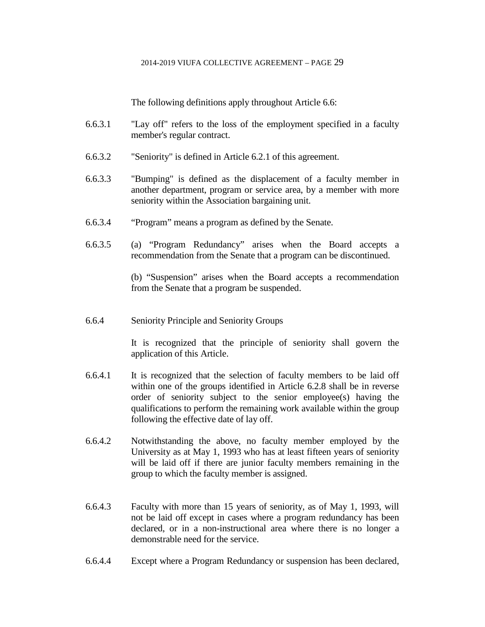The following definitions apply throughout Article 6.6:

- 6.6.3.1 "Lay off" refers to the loss of the employment specified in a faculty member's regular contract.
- 6.6.3.2 "Seniority" is defined in Article 6.2.1 of this agreement.
- 6.6.3.3 "Bumping" is defined as the displacement of a faculty member in another department, program or service area, by a member with more seniority within the Association bargaining unit.
- 6.6.3.4 "Program" means a program as defined by the Senate.
- 6.6.3.5 (a) "Program Redundancy" arises when the Board accepts a recommendation from the Senate that a program can be discontinued.

(b) "Suspension" arises when the Board accepts a recommendation from the Senate that a program be suspended.

6.6.4 Seniority Principle and Seniority Groups

It is recognized that the principle of seniority shall govern the application of this Article.

- 6.6.4.1 It is recognized that the selection of faculty members to be laid off within one of the groups identified in Article 6.2.8 shall be in reverse order of seniority subject to the senior employee(s) having the qualifications to perform the remaining work available within the group following the effective date of lay off.
- 6.6.4.2 Notwithstanding the above, no faculty member employed by the University as at May 1, 1993 who has at least fifteen years of seniority will be laid off if there are junior faculty members remaining in the group to which the faculty member is assigned.
- 6.6.4.3 Faculty with more than 15 years of seniority, as of May 1, 1993, will not be laid off except in cases where a program redundancy has been declared, or in a non-instructional area where there is no longer a demonstrable need for the service.
- 6.6.4.4 Except where a Program Redundancy or suspension has been declared,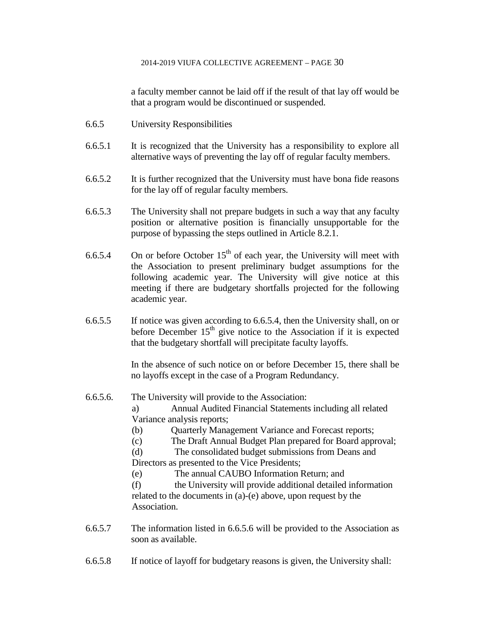a faculty member cannot be laid off if the result of that lay off would be that a program would be discontinued or suspended.

- 6.6.5 University Responsibilities
- 6.6.5.1 It is recognized that the University has a responsibility to explore all alternative ways of preventing the lay off of regular faculty members.
- 6.6.5.2 It is further recognized that the University must have bona fide reasons for the lay off of regular faculty members.
- 6.6.5.3 The University shall not prepare budgets in such a way that any faculty position or alternative position is financially unsupportable for the purpose of bypassing the steps outlined in Article 8.2.1.
- 6.6.5.4 On or before October  $15<sup>th</sup>$  of each year, the University will meet with the Association to present preliminary budget assumptions for the following academic year. The University will give notice at this meeting if there are budgetary shortfalls projected for the following academic year.
- 6.6.5.5 If notice was given according to 6.6.5.4, then the University shall, on or before December  $15<sup>th</sup>$  give notice to the Association if it is expected that the budgetary shortfall will precipitate faculty layoffs.

In the absence of such notice on or before December 15, there shall be no layoffs except in the case of a Program Redundancy.

6.6.5.6. The University will provide to the Association:

a) Annual Audited Financial Statements including all related Variance analysis reports;

- (b) Quarterly Management Variance and Forecast reports;
- (c) The Draft Annual Budget Plan prepared for Board approval;

(d) The consolidated budget submissions from Deans and

Directors as presented to the Vice Presidents;

(e) The annual CAUBO Information Return; and

(f) the University will provide additional detailed information related to the documents in (a)-(e) above, upon request by the Association.

- 6.6.5.7 The information listed in 6.6.5.6 will be provided to the Association as soon as available.
- 6.6.5.8 If notice of layoff for budgetary reasons is given, the University shall: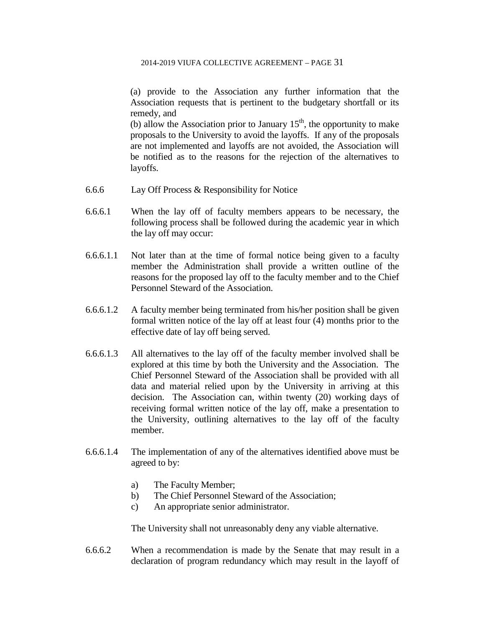(a) provide to the Association any further information that the Association requests that is pertinent to the budgetary shortfall or its remedy, and

(b) allow the Association prior to January  $15<sup>th</sup>$ , the opportunity to make proposals to the University to avoid the layoffs. If any of the proposals are not implemented and layoffs are not avoided, the Association will be notified as to the reasons for the rejection of the alternatives to layoffs.

- 6.6.6 Lay Off Process & Responsibility for Notice
- 6.6.6.1 When the lay off of faculty members appears to be necessary, the following process shall be followed during the academic year in which the lay off may occur:
- 6.6.6.1.1 Not later than at the time of formal notice being given to a faculty member the Administration shall provide a written outline of the reasons for the proposed lay off to the faculty member and to the Chief Personnel Steward of the Association.
- 6.6.6.1.2 A faculty member being terminated from his/her position shall be given formal written notice of the lay off at least four (4) months prior to the effective date of lay off being served.
- 6.6.6.1.3 All alternatives to the lay off of the faculty member involved shall be explored at this time by both the University and the Association. The Chief Personnel Steward of the Association shall be provided with all data and material relied upon by the University in arriving at this decision. The Association can, within twenty (20) working days of receiving formal written notice of the lay off, make a presentation to the University, outlining alternatives to the lay off of the faculty member.
- 6.6.6.1.4 The implementation of any of the alternatives identified above must be agreed to by:
	- a) The Faculty Member;
	- b) The Chief Personnel Steward of the Association;
	- c) An appropriate senior administrator.

The University shall not unreasonably deny any viable alternative.

6.6.6.2 When a recommendation is made by the Senate that may result in a declaration of program redundancy which may result in the layoff of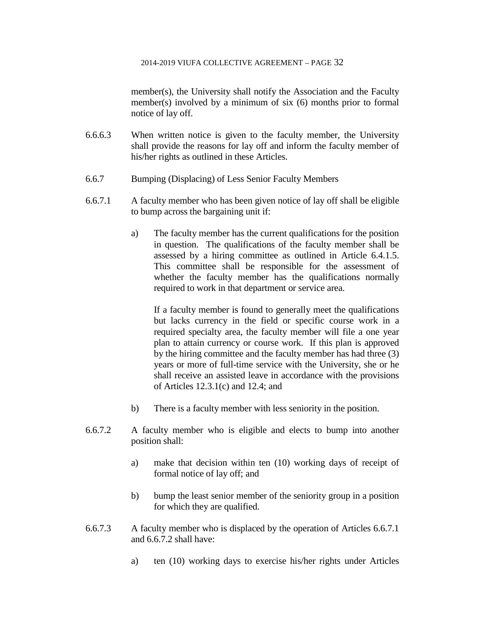member(s), the University shall notify the Association and the Faculty member(s) involved by a minimum of six (6) months prior to formal notice of lay off.

- 6.6.6.3 When written notice is given to the faculty member, the University shall provide the reasons for lay off and inform the faculty member of his/her rights as outlined in these Articles.
- 6.6.7 Bumping (Displacing) of Less Senior Faculty Members
- 6.6.7.1 A faculty member who has been given notice of lay off shall be eligible to bump across the bargaining unit if:
	- a) The faculty member has the current qualifications for the position in question. The qualifications of the faculty member shall be assessed by a hiring committee as outlined in Article 6.4.1.5. This committee shall be responsible for the assessment of whether the faculty member has the qualifications normally required to work in that department or service area.

If a faculty member is found to generally meet the qualifications but lacks currency in the field or specific course work in a required specialty area, the faculty member will file a one year plan to attain currency or course work. If this plan is approved by the hiring committee and the faculty member has had three (3) years or more of full-time service with the University, she or he shall receive an assisted leave in accordance with the provisions of Articles 12.3.1(c) and 12.4; and

- b) There is a faculty member with less seniority in the position.
- 6.6.7.2 A faculty member who is eligible and elects to bump into another position shall:
	- a) make that decision within ten (10) working days of receipt of formal notice of lay off; and
	- b) bump the least senior member of the seniority group in a position for which they are qualified.
- 6.6.7.3 A faculty member who is displaced by the operation of Articles 6.6.7.1 and 6.6.7.2 shall have:
	- a) ten (10) working days to exercise his/her rights under Articles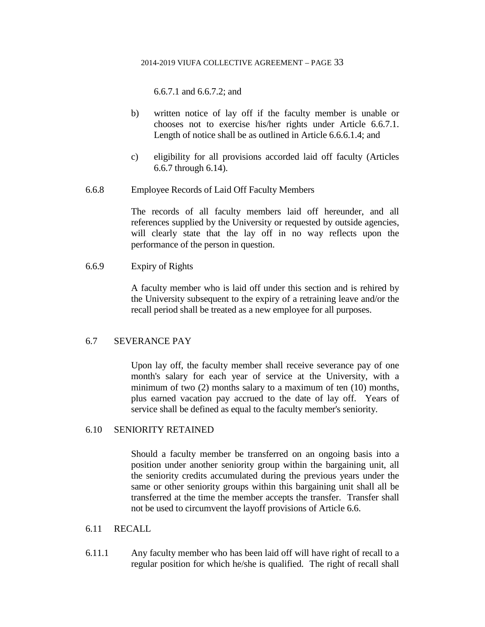6.6.7.1 and 6.6.7.2; and

- b) written notice of lay off if the faculty member is unable or chooses not to exercise his/her rights under Article 6.6.7.1. Length of notice shall be as outlined in Article 6.6.6.1.4; and
- c) eligibility for all provisions accorded laid off faculty (Articles 6.6.7 through 6.14).
- 6.6.8 Employee Records of Laid Off Faculty Members

The records of all faculty members laid off hereunder, and all references supplied by the University or requested by outside agencies, will clearly state that the lay off in no way reflects upon the performance of the person in question.

## 6.6.9 Expiry of Rights

A faculty member who is laid off under this section and is rehired by the University subsequent to the expiry of a retraining leave and/or the recall period shall be treated as a new employee for all purposes.

## 6.7 SEVERANCE PAY

Upon lay off, the faculty member shall receive severance pay of one month's salary for each year of service at the University, with a minimum of two (2) months salary to a maximum of ten (10) months, plus earned vacation pay accrued to the date of lay off. Years of service shall be defined as equal to the faculty member's seniority.

## 6.10 SENIORITY RETAINED

Should a faculty member be transferred on an ongoing basis into a position under another seniority group within the bargaining unit, all the seniority credits accumulated during the previous years under the same or other seniority groups within this bargaining unit shall all be transferred at the time the member accepts the transfer. Transfer shall not be used to circumvent the layoff provisions of Article 6.6.

## 6.11 RECALL

6.11.1 Any faculty member who has been laid off will have right of recall to a regular position for which he/she is qualified. The right of recall shall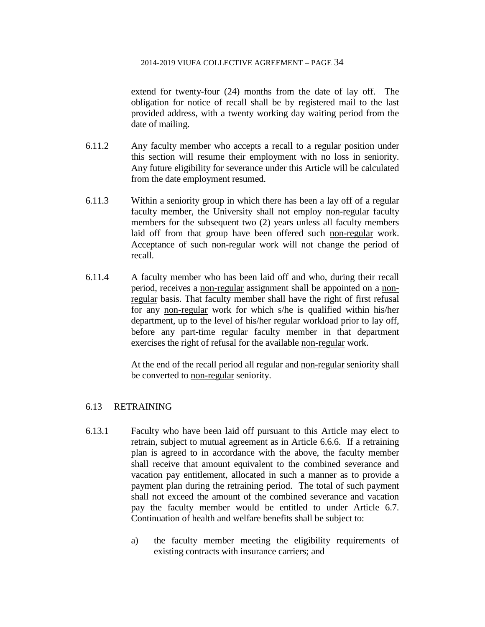extend for twenty-four (24) months from the date of lay off. The obligation for notice of recall shall be by registered mail to the last provided address, with a twenty working day waiting period from the date of mailing.

- 6.11.2 Any faculty member who accepts a recall to a regular position under this section will resume their employment with no loss in seniority. Any future eligibility for severance under this Article will be calculated from the date employment resumed.
- 6.11.3 Within a seniority group in which there has been a lay off of a regular faculty member, the University shall not employ non-regular faculty members for the subsequent two (2) years unless all faculty members laid off from that group have been offered such non-regular work. Acceptance of such non-regular work will not change the period of recall.
- 6.11.4 A faculty member who has been laid off and who, during their recall period, receives a non-regular assignment shall be appointed on a nonregular basis. That faculty member shall have the right of first refusal for any non-regular work for which s/he is qualified within his/her department, up to the level of his/her regular workload prior to lay off, before any part-time regular faculty member in that department exercises the right of refusal for the available non-regular work.

At the end of the recall period all regular and non-regular seniority shall be converted to non-regular seniority.

## 6.13 RETRAINING

- 6.13.1 Faculty who have been laid off pursuant to this Article may elect to retrain, subject to mutual agreement as in Article 6.6.6. If a retraining plan is agreed to in accordance with the above, the faculty member shall receive that amount equivalent to the combined severance and vacation pay entitlement, allocated in such a manner as to provide a payment plan during the retraining period. The total of such payment shall not exceed the amount of the combined severance and vacation pay the faculty member would be entitled to under Article 6.7. Continuation of health and welfare benefits shall be subject to:
	- a) the faculty member meeting the eligibility requirements of existing contracts with insurance carriers; and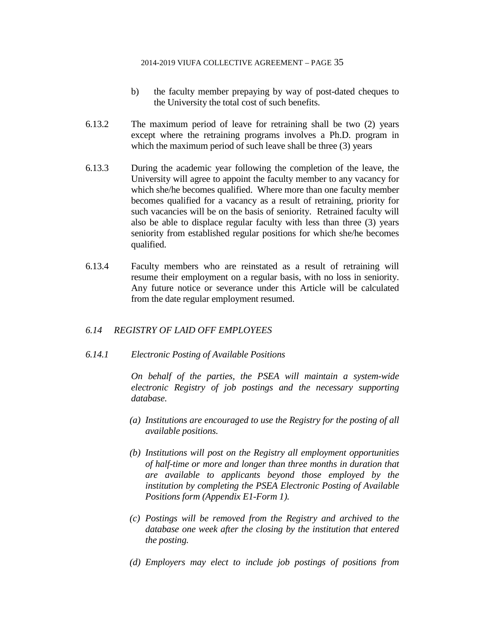- b) the faculty member prepaying by way of post-dated cheques to the University the total cost of such benefits.
- 6.13.2 The maximum period of leave for retraining shall be two (2) years except where the retraining programs involves a Ph.D. program in which the maximum period of such leave shall be three (3) years
- 6.13.3 During the academic year following the completion of the leave, the University will agree to appoint the faculty member to any vacancy for which she/he becomes qualified. Where more than one faculty member becomes qualified for a vacancy as a result of retraining, priority for such vacancies will be on the basis of seniority. Retrained faculty will also be able to displace regular faculty with less than three (3) years seniority from established regular positions for which she/he becomes qualified.
- 6.13.4 Faculty members who are reinstated as a result of retraining will resume their employment on a regular basis, with no loss in seniority. Any future notice or severance under this Article will be calculated from the date regular employment resumed.

## *6.14 REGISTRY OF LAID OFF EMPLOYEES*

## *6.14.1 Electronic Posting of Available Positions*

*On behalf of the parties, the PSEA will maintain a system-wide electronic Registry of job postings and the necessary supporting database.*

- *(a) Institutions are encouraged to use the Registry for the posting of all available positions.*
- *(b) Institutions will post on the Registry all employment opportunities of half-time or more and longer than three months in duration that are available to applicants beyond those employed by the institution by completing the PSEA Electronic Posting of Available Positions form (Appendix E1-Form 1).*
- *(c) Postings will be removed from the Registry and archived to the database one week after the closing by the institution that entered the posting.*
- *(d) Employers may elect to include job postings of positions from*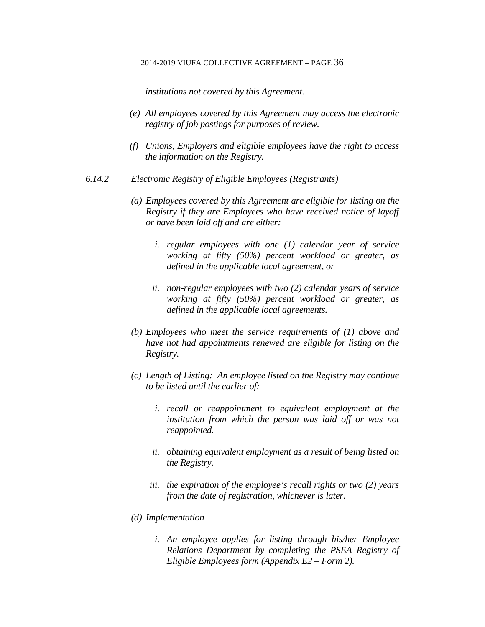*institutions not covered by this Agreement.*

- *(e) All employees covered by this Agreement may access the electronic registry of job postings for purposes of review.*
- *(f) Unions, Employers and eligible employees have the right to access the information on the Registry.*
- *6.14.2 Electronic Registry of Eligible Employees (Registrants)*
	- *(a) Employees covered by this Agreement are eligible for listing on the Registry if they are Employees who have received notice of layoff or have been laid off and are either:*
		- *i. regular employees with one (1) calendar year of service working at fifty (50%) percent workload or greater, as defined in the applicable local agreement, or*
		- *ii. non-regular employees with two (2) calendar years of service working at fifty (50%) percent workload or greater, as defined in the applicable local agreements.*
	- *(b) Employees who meet the service requirements of (1) above and have not had appointments renewed are eligible for listing on the Registry.*
	- *(c) Length of Listing: An employee listed on the Registry may continue to be listed until the earlier of:*
		- *i. recall or reappointment to equivalent employment at the institution from which the person was laid off or was not reappointed.*
		- *ii. obtaining equivalent employment as a result of being listed on the Registry.*
		- *iii. the expiration of the employee's recall rights or two (2) years from the date of registration, whichever is later.*
	- *(d) Implementation*
		- *i. An employee applies for listing through his/her Employee Relations Department by completing the PSEA Registry of Eligible Employees form (Appendix E2 – Form 2).*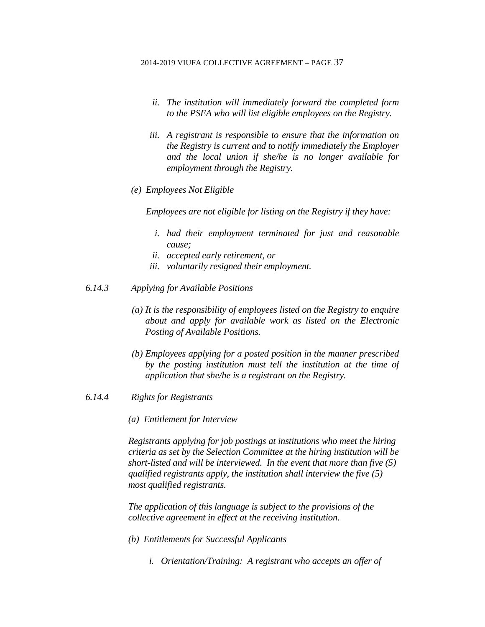- *ii. The institution will immediately forward the completed form to the PSEA who will list eligible employees on the Registry.*
- *iii. A registrant is responsible to ensure that the information on the Registry is current and to notify immediately the Employer and the local union if she/he is no longer available for employment through the Registry.*
- *(e) Employees Not Eligible*

*Employees are not eligible for listing on the Registry if they have:*

- *i. had their employment terminated for just and reasonable cause;*
- *ii. accepted early retirement, or*
- *iii. voluntarily resigned their employment.*
- *6.14.3 Applying for Available Positions*
	- *(a) It is the responsibility of employees listed on the Registry to enquire about and apply for available work as listed on the Electronic Posting of Available Positions.*
	- *(b) Employees applying for a posted position in the manner prescribed by the posting institution must tell the institution at the time of application that she/he is a registrant on the Registry.*
- *6.14.4 Rights for Registrants*
	- *(a) Entitlement for Interview*

*Registrants applying for job postings at institutions who meet the hiring criteria as set by the Selection Committee at the hiring institution will be short-listed and will be interviewed. In the event that more than five (5) qualified registrants apply, the institution shall interview the five (5) most qualified registrants.*

*The application of this language is subject to the provisions of the collective agreement in effect at the receiving institution.*

- *(b) Entitlements for Successful Applicants*
	- *i. Orientation/Training: A registrant who accepts an offer of*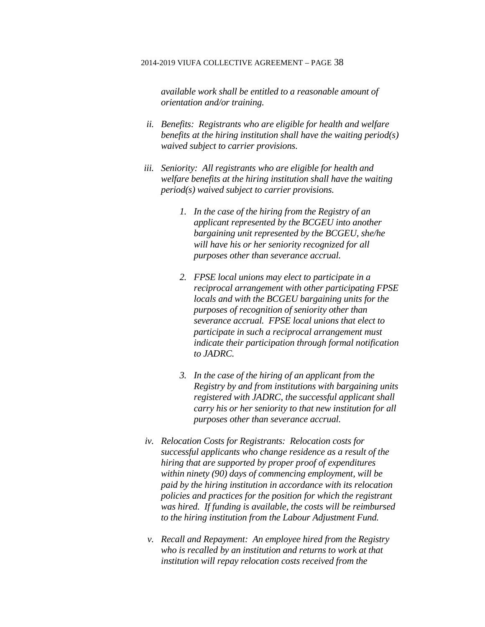*available work shall be entitled to a reasonable amount of orientation and/or training.*

- *ii. Benefits: Registrants who are eligible for health and welfare benefits at the hiring institution shall have the waiting period(s) waived subject to carrier provisions.*
- *iii. Seniority: All registrants who are eligible for health and welfare benefits at the hiring institution shall have the waiting period(s) waived subject to carrier provisions.*
	- *1. In the case of the hiring from the Registry of an applicant represented by the BCGEU into another bargaining unit represented by the BCGEU, she/he will have his or her seniority recognized for all purposes other than severance accrual.*
	- *2. FPSE local unions may elect to participate in a reciprocal arrangement with other participating FPSE locals and with the BCGEU bargaining units for the purposes of recognition of seniority other than severance accrual. FPSE local unions that elect to participate in such a reciprocal arrangement must indicate their participation through formal notification to JADRC.*
	- *3. In the case of the hiring of an applicant from the Registry by and from institutions with bargaining units registered with JADRC, the successful applicant shall carry his or her seniority to that new institution for all purposes other than severance accrual.*
- *iv. Relocation Costs for Registrants: Relocation costs for successful applicants who change residence as a result of the hiring that are supported by proper proof of expenditures within ninety (90) days of commencing employment, will be paid by the hiring institution in accordance with its relocation policies and practices for the position for which the registrant was hired. If funding is available, the costs will be reimbursed to the hiring institution from the Labour Adjustment Fund.*
- *v. Recall and Repayment: An employee hired from the Registry who is recalled by an institution and returns to work at that institution will repay relocation costs received from the*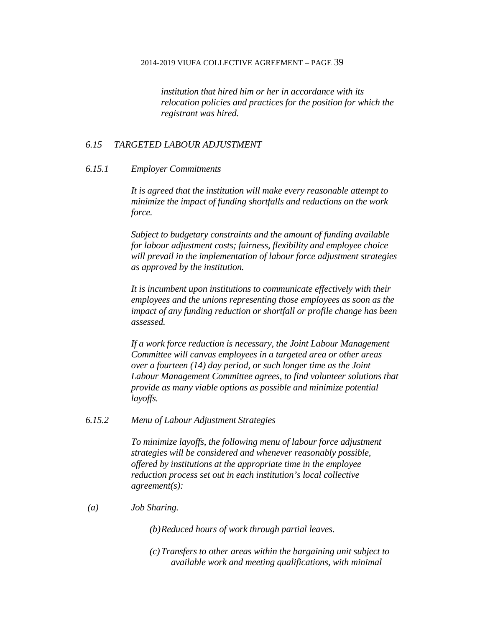*institution that hired him or her in accordance with its relocation policies and practices for the position for which the registrant was hired.*

### *6.15 TARGETED LABOUR ADJUSTMENT*

### *6.15.1 Employer Commitments*

*It is agreed that the institution will make every reasonable attempt to minimize the impact of funding shortfalls and reductions on the work force.*

*Subject to budgetary constraints and the amount of funding available for labour adjustment costs; fairness, flexibility and employee choice will prevail in the implementation of labour force adjustment strategies as approved by the institution.*

*It is incumbent upon institutions to communicate effectively with their employees and the unions representing those employees as soon as the impact of any funding reduction or shortfall or profile change has been assessed.*

*If a work force reduction is necessary, the Joint Labour Management Committee will canvas employees in a targeted area or other areas over a fourteen (14) day period, or such longer time as the Joint Labour Management Committee agrees, to find volunteer solutions that provide as many viable options as possible and minimize potential layoffs.*

## *6.15.2 Menu of Labour Adjustment Strategies*

*To minimize layoffs, the following menu of labour force adjustment strategies will be considered and whenever reasonably possible, offered by institutions at the appropriate time in the employee reduction process set out in each institution's local collective agreement(s):*

### *(a) Job Sharing.*

*(b)Reduced hours of work through partial leaves.*

*(c)Transfers to other areas within the bargaining unit subject to available work and meeting qualifications, with minimal*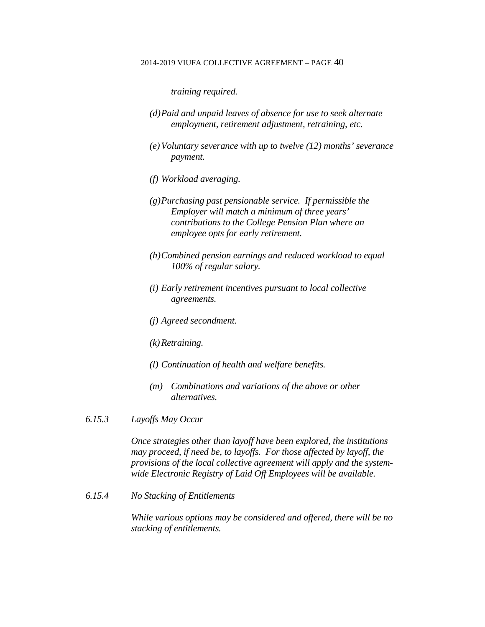*training required.*

- *(d)Paid and unpaid leaves of absence for use to seek alternate employment, retirement adjustment, retraining, etc.*
- *(e)Voluntary severance with up to twelve (12) months' severance payment.*
- *(f) Workload averaging.*
- *(g)Purchasing past pensionable service. If permissible the Employer will match a minimum of three years' contributions to the College Pension Plan where an employee opts for early retirement.*
- *(h)Combined pension earnings and reduced workload to equal 100% of regular salary.*
- *(i) Early retirement incentives pursuant to local collective agreements.*
- *(j) Agreed secondment.*
- *(k)Retraining.*
- *(l) Continuation of health and welfare benefits.*
- *(m) Combinations and variations of the above or other alternatives.*
- *6.15.3 Layoffs May Occur*

*Once strategies other than layoff have been explored, the institutions may proceed, if need be, to layoffs. For those affected by layoff, the provisions of the local collective agreement will apply and the systemwide Electronic Registry of Laid Off Employees will be available.*

*6.15.4 No Stacking of Entitlements*

*While various options may be considered and offered, there will be no stacking of entitlements.*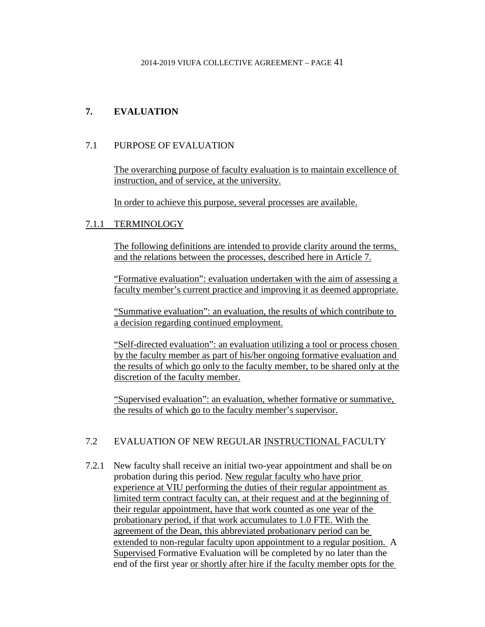# **7. EVALUATION**

# 7.1 PURPOSE OF EVALUATION

The overarching purpose of faculty evaluation is to maintain excellence of instruction, and of service, at the university.

In order to achieve this purpose, several processes are available.

# 7.1.1 TERMINOLOGY

The following definitions are intended to provide clarity around the terms, and the relations between the processes, described here in Article 7.

"Formative evaluation": evaluation undertaken with the aim of assessing a faculty member's current practice and improving it as deemed appropriate.

"Summative evaluation": an evaluation, the results of which contribute to a decision regarding continued employment.

"Self-directed evaluation": an evaluation utilizing a tool or process chosen by the faculty member as part of his/her ongoing formative evaluation and the results of which go only to the faculty member, to be shared only at the discretion of the faculty member.

"Supervised evaluation": an evaluation, whether formative or summative, the results of which go to the faculty member's supervisor.

# 7.2 EVALUATION OF NEW REGULAR INSTRUCTIONAL FACULTY

7.2.1 New faculty shall receive an initial two-year appointment and shall be on probation during this period. New regular faculty who have prior experience at VIU performing the duties of their regular appointment as limited term contract faculty can, at their request and at the beginning of their regular appointment, have that work counted as one year of the probationary period, if that work accumulates to 1.0 FTE. With the agreement of the Dean, this abbreviated probationary period can be extended to non-regular faculty upon appointment to a regular position. A Supervised Formative Evaluation will be completed by no later than the end of the first year or shortly after hire if the faculty member opts for the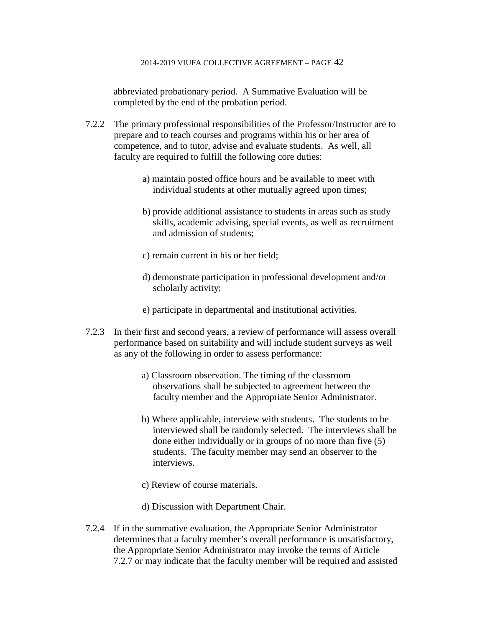abbreviated probationary period. A Summative Evaluation will be completed by the end of the probation period.

- 7.2.2 The primary professional responsibilities of the Professor/Instructor are to prepare and to teach courses and programs within his or her area of competence, and to tutor, advise and evaluate students. As well, all faculty are required to fulfill the following core duties:
	- a) maintain posted office hours and be available to meet with individual students at other mutually agreed upon times;
	- b) provide additional assistance to students in areas such as study skills, academic advising, special events, as well as recruitment and admission of students;
	- c) remain current in his or her field;
	- d) demonstrate participation in professional development and/or scholarly activity;
	- e) participate in departmental and institutional activities.
- 7.2.3 In their first and second years, a review of performance will assess overall performance based on suitability and will include student surveys as well as any of the following in order to assess performance:
	- a) Classroom observation. The timing of the classroom observations shall be subjected to agreement between the faculty member and the Appropriate Senior Administrator.
	- b) Where applicable, interview with students. The students to be interviewed shall be randomly selected. The interviews shall be done either individually or in groups of no more than five (5) students. The faculty member may send an observer to the interviews.
	- c) Review of course materials.
	- d) Discussion with Department Chair.
- 7.2.4 If in the summative evaluation, the Appropriate Senior Administrator determines that a faculty member's overall performance is unsatisfactory, the Appropriate Senior Administrator may invoke the terms of Article 7.2.7 or may indicate that the faculty member will be required and assisted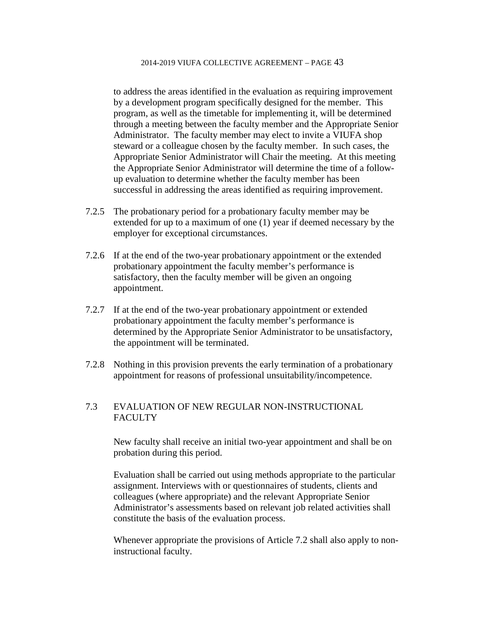to address the areas identified in the evaluation as requiring improvement by a development program specifically designed for the member. This program, as well as the timetable for implementing it, will be determined through a meeting between the faculty member and the Appropriate Senior Administrator. The faculty member may elect to invite a VIUFA shop steward or a colleague chosen by the faculty member. In such cases, the Appropriate Senior Administrator will Chair the meeting. At this meeting the Appropriate Senior Administrator will determine the time of a followup evaluation to determine whether the faculty member has been successful in addressing the areas identified as requiring improvement.

- 7.2.5 The probationary period for a probationary faculty member may be extended for up to a maximum of one (1) year if deemed necessary by the employer for exceptional circumstances.
- 7.2.6 If at the end of the two-year probationary appointment or the extended probationary appointment the faculty member's performance is satisfactory, then the faculty member will be given an ongoing appointment.
- 7.2.7 If at the end of the two-year probationary appointment or extended probationary appointment the faculty member's performance is determined by the Appropriate Senior Administrator to be unsatisfactory, the appointment will be terminated.
- 7.2.8 Nothing in this provision prevents the early termination of a probationary appointment for reasons of professional unsuitability/incompetence.

# 7.3 EVALUATION OF NEW REGULAR NON-INSTRUCTIONAL **FACULTY**

New faculty shall receive an initial two-year appointment and shall be on probation during this period.

Evaluation shall be carried out using methods appropriate to the particular assignment. Interviews with or questionnaires of students, clients and colleagues (where appropriate) and the relevant Appropriate Senior Administrator's assessments based on relevant job related activities shall constitute the basis of the evaluation process.

Whenever appropriate the provisions of Article 7.2 shall also apply to noninstructional faculty.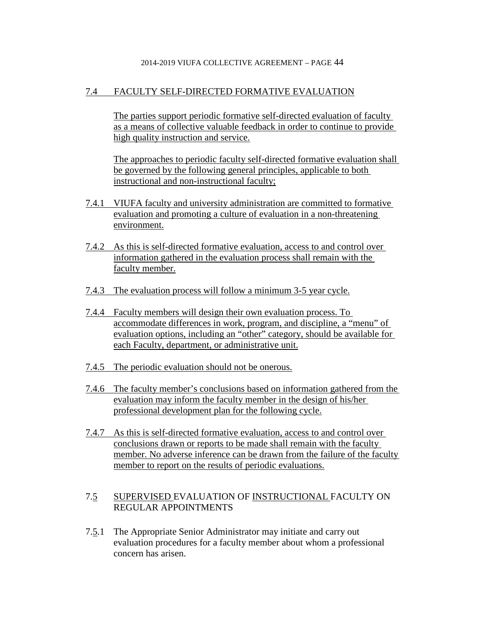# 7.4 FACULTY SELF-DIRECTED FORMATIVE EVALUATION

The parties support periodic formative self-directed evaluation of faculty as a means of collective valuable feedback in order to continue to provide high quality instruction and service.

The approaches to periodic faculty self-directed formative evaluation shall be governed by the following general principles, applicable to both instructional and non-instructional faculty;

- 7.4.1 VIUFA faculty and university administration are committed to formative evaluation and promoting a culture of evaluation in a non-threatening environment.
- 7.4.2 As this is self-directed formative evaluation, access to and control over information gathered in the evaluation process shall remain with the faculty member.
- 7.4.3 The evaluation process will follow a minimum 3-5 year cycle.
- 7.4.4 Faculty members will design their own evaluation process. To accommodate differences in work, program, and discipline, a "menu" of evaluation options, including an "other" category, should be available for each Faculty, department, or administrative unit.
- 7.4.5 The periodic evaluation should not be onerous.
- 7.4.6 The faculty member's conclusions based on information gathered from the evaluation may inform the faculty member in the design of his/her professional development plan for the following cycle.
- 7.4.7 As this is self-directed formative evaluation, access to and control over conclusions drawn or reports to be made shall remain with the faculty member. No adverse inference can be drawn from the failure of the faculty member to report on the results of periodic evaluations.

## 7.5 SUPERVISED EVALUATION OF INSTRUCTIONAL FACULTY ON REGULAR APPOINTMENTS

7.5.1 The Appropriate Senior Administrator may initiate and carry out evaluation procedures for a faculty member about whom a professional concern has arisen.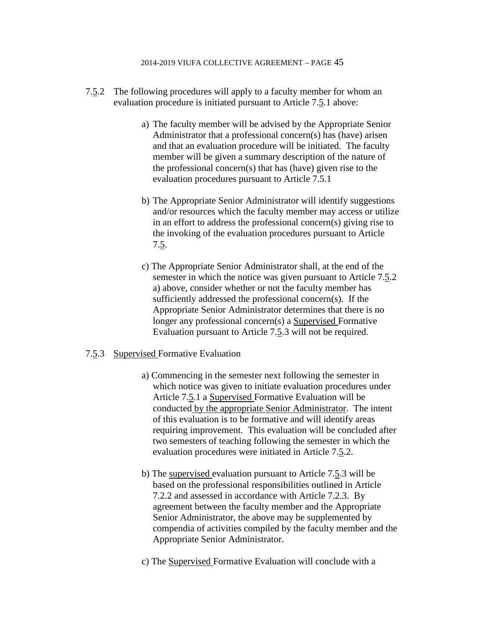- 7.5.2 The following procedures will apply to a faculty member for whom an evaluation procedure is initiated pursuant to Article 7.5.1 above:
	- a) The faculty member will be advised by the Appropriate Senior Administrator that a professional concern(s) has (have) arisen and that an evaluation procedure will be initiated. The faculty member will be given a summary description of the nature of the professional concern(s) that has (have) given rise to the evaluation procedures pursuant to Article 7.5.1
	- b) The Appropriate Senior Administrator will identify suggestions and/or resources which the faculty member may access or utilize in an effort to address the professional concern(s) giving rise to the invoking of the evaluation procedures pursuant to Article 7.5.
	- c) The Appropriate Senior Administrator shall, at the end of the semester in which the notice was given pursuant to Article 7.5.2 a) above, consider whether or not the faculty member has sufficiently addressed the professional concern(s). If the Appropriate Senior Administrator determines that there is no longer any professional concern(s) a Supervised Formative Evaluation pursuant to Article 7.5.3 will not be required.

## 7.5.3 Supervised Formative Evaluation

- a) Commencing in the semester next following the semester in which notice was given to initiate evaluation procedures under Article 7.5.1 a Supervised Formative Evaluation will be conducted by the appropriate Senior Administrator. The intent of this evaluation is to be formative and will identify areas requiring improvement. This evaluation will be concluded after two semesters of teaching following the semester in which the evaluation procedures were initiated in Article 7.5.2.
- b) The supervised evaluation pursuant to Article 7.5.3 will be based on the professional responsibilities outlined in Article 7.2.2 and assessed in accordance with Article 7.2.3. By agreement between the faculty member and the Appropriate Senior Administrator, the above may be supplemented by compendia of activities compiled by the faculty member and the Appropriate Senior Administrator.
- c) The Supervised Formative Evaluation will conclude with a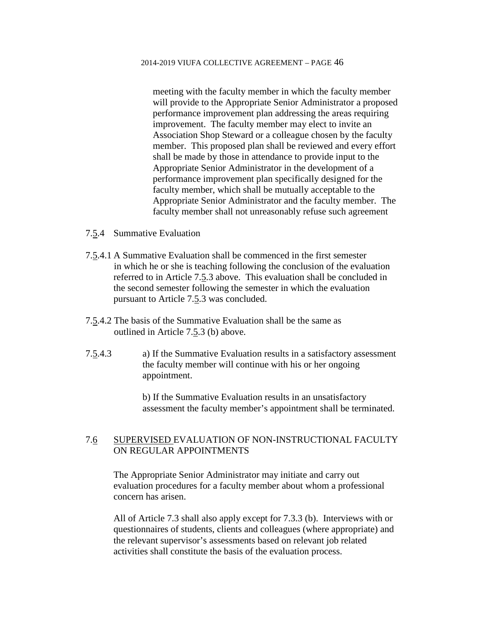meeting with the faculty member in which the faculty member will provide to the Appropriate Senior Administrator a proposed performance improvement plan addressing the areas requiring improvement. The faculty member may elect to invite an Association Shop Steward or a colleague chosen by the faculty member. This proposed plan shall be reviewed and every effort shall be made by those in attendance to provide input to the Appropriate Senior Administrator in the development of a performance improvement plan specifically designed for the faculty member, which shall be mutually acceptable to the Appropriate Senior Administrator and the faculty member. The faculty member shall not unreasonably refuse such agreement

- 7.5.4 Summative Evaluation
- 7.5.4.1 A Summative Evaluation shall be commenced in the first semester in which he or she is teaching following the conclusion of the evaluation referred to in Article 7.5.3 above. This evaluation shall be concluded in the second semester following the semester in which the evaluation pursuant to Article 7.5.3 was concluded.
- 7.5.4.2 The basis of the Summative Evaluation shall be the same as outlined in Article 7.5.3 (b) above.
- 7.5.4.3 a) If the Summative Evaluation results in a satisfactory assessment the faculty member will continue with his or her ongoing appointment.

b) If the Summative Evaluation results in an unsatisfactory assessment the faculty member's appointment shall be terminated.

# 7.6 SUPERVISED EVALUATION OF NON-INSTRUCTIONAL FACULTY ON REGULAR APPOINTMENTS

The Appropriate Senior Administrator may initiate and carry out evaluation procedures for a faculty member about whom a professional concern has arisen.

All of Article 7.3 shall also apply except for 7.3.3 (b). Interviews with or questionnaires of students, clients and colleagues (where appropriate) and the relevant supervisor's assessments based on relevant job related activities shall constitute the basis of the evaluation process.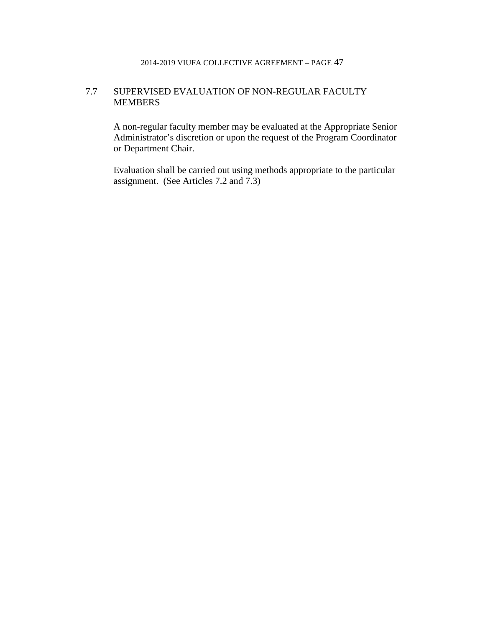# 7.7 SUPERVISED EVALUATION OF NON-REGULAR FACULTY MEMBERS

A non-regular faculty member may be evaluated at the Appropriate Senior Administrator's discretion or upon the request of the Program Coordinator or Department Chair.

Evaluation shall be carried out using methods appropriate to the particular assignment. (See Articles 7.2 and 7.3)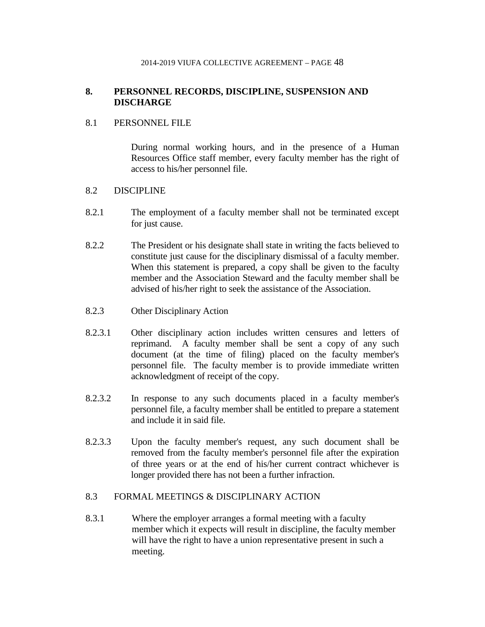# **8. PERSONNEL RECORDS, DISCIPLINE, SUSPENSION AND DISCHARGE**

## 8.1 PERSONNEL FILE

During normal working hours, and in the presence of a Human Resources Office staff member, every faculty member has the right of access to his/her personnel file.

## 8.2 DISCIPLINE

- 8.2.1 The employment of a faculty member shall not be terminated except for just cause.
- 8.2.2 The President or his designate shall state in writing the facts believed to constitute just cause for the disciplinary dismissal of a faculty member. When this statement is prepared, a copy shall be given to the faculty member and the Association Steward and the faculty member shall be advised of his/her right to seek the assistance of the Association.
- 8.2.3 Other Disciplinary Action
- 8.2.3.1 Other disciplinary action includes written censures and letters of reprimand. A faculty member shall be sent a copy of any such document (at the time of filing) placed on the faculty member's personnel file. The faculty member is to provide immediate written acknowledgment of receipt of the copy.
- 8.2.3.2 In response to any such documents placed in a faculty member's personnel file, a faculty member shall be entitled to prepare a statement and include it in said file.
- 8.2.3.3 Upon the faculty member's request, any such document shall be removed from the faculty member's personnel file after the expiration of three years or at the end of his/her current contract whichever is longer provided there has not been a further infraction.

# 8.3 FORMAL MEETINGS & DISCIPLINARY ACTION

8.3.1 Where the employer arranges a formal meeting with a faculty member which it expects will result in discipline, the faculty member will have the right to have a union representative present in such a meeting.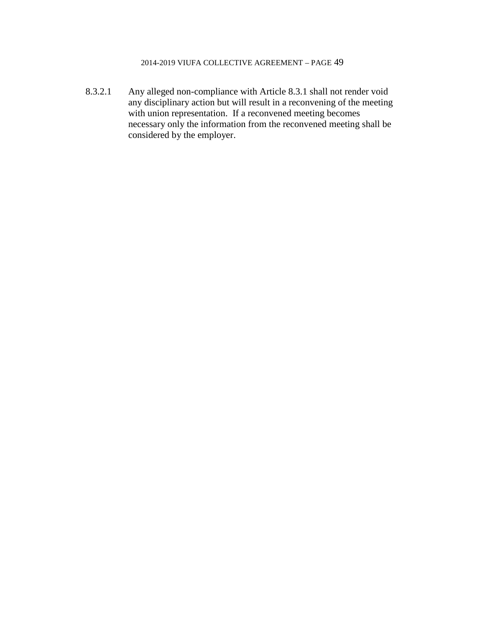8.3.2.1 Any alleged non-compliance with Article 8.3.1 shall not render void any disciplinary action but will result in a reconvening of the meeting with union representation. If a reconvened meeting becomes necessary only the information from the reconvened meeting shall be considered by the employer.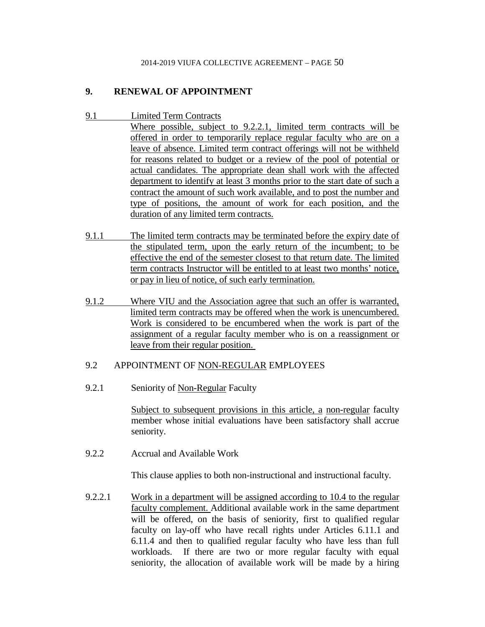# **9. RENEWAL OF APPOINTMENT**

- 9.1 Limited Term Contracts
	- Where possible, subject to 9.2.2.1, limited term contracts will be offered in order to temporarily replace regular faculty who are on a leave of absence. Limited term contract offerings will not be withheld for reasons related to budget or a review of the pool of potential or actual candidates. The appropriate dean shall work with the affected department to identify at least 3 months prior to the start date of such a contract the amount of such work available, and to post the number and type of positions, the amount of work for each position, and the duration of any limited term contracts.
- 9.1.1 The limited term contracts may be terminated before the expiry date of the stipulated term, upon the early return of the incumbent; to be effective the end of the semester closest to that return date. The limited term contracts Instructor will be entitled to at least two months' notice, or pay in lieu of notice, of such early termination.
- 9.1.2 Where VIU and the Association agree that such an offer is warranted, limited term contracts may be offered when the work is unencumbered. Work is considered to be encumbered when the work is part of the assignment of a regular faculty member who is on a reassignment or leave from their regular position.

## 9.2 APPOINTMENT OF NON-REGULAR EMPLOYEES

9.2.1 Seniority of Non-Regular Faculty

Subject to subsequent provisions in this article, a non-regular faculty member whose initial evaluations have been satisfactory shall accrue seniority.

9.2.2 Accrual and Available Work

This clause applies to both non-instructional and instructional faculty.

9.2.2.1 Work in a department will be assigned according to 10.4 to the regular faculty complement. Additional available work in the same department will be offered, on the basis of seniority, first to qualified regular faculty on lay-off who have recall rights under Articles 6.11.1 and 6.11.4 and then to qualified regular faculty who have less than full workloads. If there are two or more regular faculty with equal seniority, the allocation of available work will be made by a hiring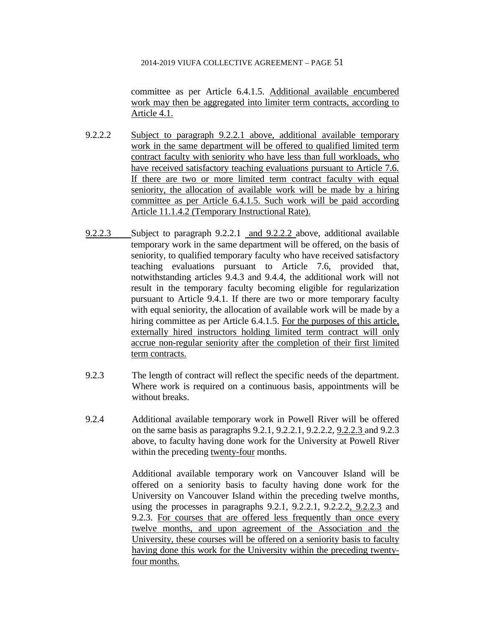committee as per Article 6.4.1.5. Additional available encumbered work may then be aggregated into limiter term contracts, according to Article 4.1.

- 9.2.2.2 Subject to paragraph 9.2.2.1 above, additional available temporary work in the same department will be offered to qualified limited term contract faculty with seniority who have less than full workloads, who have received satisfactory teaching evaluations pursuant to Article 7.6. If there are two or more limited term contract faculty with equal seniority, the allocation of available work will be made by a hiring committee as per Article 6.4.1.5. Such work will be paid according Article 11.1.4.2 (Temporary Instructional Rate).
- 9.2.2.3 Subject to paragraph 9.2.2.1 and 9.2.2.2 above, additional available temporary work in the same department will be offered, on the basis of seniority, to qualified temporary faculty who have received satisfactory teaching evaluations pursuant to Article 7.6, provided that, notwithstanding articles 9.4.3 and 9.4.4, the additional work will not result in the temporary faculty becoming eligible for regularization pursuant to Article 9.4.1. If there are two or more temporary faculty with equal seniority, the allocation of available work will be made by a hiring committee as per Article 6.4.1.5. For the purposes of this article, externally hired instructors holding limited term contract will only accrue non-regular seniority after the completion of their first limited term contracts.
- 9.2.3 The length of contract will reflect the specific needs of the department. Where work is required on a continuous basis, appointments will be without breaks.
- 9.2.4 Additional available temporary work in Powell River will be offered on the same basis as paragraphs 9.2.1, 9.2.2.1, 9.2.2.2, 9.2.2.3 and 9.2.3 above, to faculty having done work for the University at Powell River within the preceding twenty-four months.

Additional available temporary work on Vancouver Island will be offered on a seniority basis to faculty having done work for the University on Vancouver Island within the preceding twelve months, using the processes in paragraphs 9.2.1, 9.2.2.1, 9.2.2.2, 9.2.2.3 and 9.2.3. For courses that are offered less frequently than once every twelve months, and upon agreement of the Association and the University, these courses will be offered on a seniority basis to faculty having done this work for the University within the preceding twentyfour months.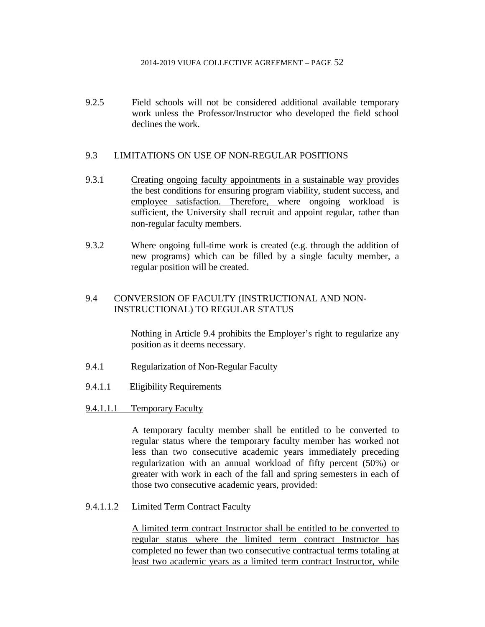9.2.5 Field schools will not be considered additional available temporary work unless the Professor/Instructor who developed the field school declines the work.

## 9.3 LIMITATIONS ON USE OF NON-REGULAR POSITIONS

- 9.3.1 Creating ongoing faculty appointments in a sustainable way provides the best conditions for ensuring program viability, student success, and employee satisfaction. Therefore, where ongoing workload is sufficient, the University shall recruit and appoint regular, rather than non-regular faculty members.
- 9.3.2 Where ongoing full-time work is created (e.g. through the addition of new programs) which can be filled by a single faculty member, a regular position will be created.

# 9.4 CONVERSION OF FACULTY (INSTRUCTIONAL AND NON-INSTRUCTIONAL) TO REGULAR STATUS

Nothing in Article 9.4 prohibits the Employer's right to regularize any position as it deems necessary.

- 9.4.1 Regularization of Non-Regular Faculty
- 9.4.1.1 Eligibility Requirements
- 9.4.1.1.1 Temporary Faculty

A temporary faculty member shall be entitled to be converted to regular status where the temporary faculty member has worked not less than two consecutive academic years immediately preceding regularization with an annual workload of fifty percent (50%) or greater with work in each of the fall and spring semesters in each of those two consecutive academic years, provided:

9.4.1.1.2 Limited Term Contract Faculty

A limited term contract Instructor shall be entitled to be converted to regular status where the limited term contract Instructor has completed no fewer than two consecutive contractual terms totaling at least two academic years as a limited term contract Instructor, while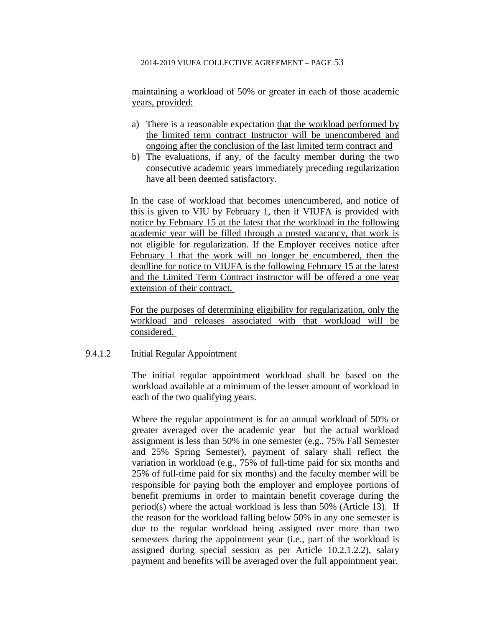maintaining a workload of 50% or greater in each of those academic years, provided:

- a) There is a reasonable expectation that the workload performed by the limited term contract Instructor will be unencumbered and ongoing after the conclusion of the last limited term contract and
- b) The evaluations, if any, of the faculty member during the two consecutive academic years immediately preceding regularization have all been deemed satisfactory.

In the case of workload that becomes unencumbered, and notice of this is given to VIU by February 1, then if VIUFA is provided with notice by February 15 at the latest that the workload in the following academic year will be filled through a posted vacancy, that work is not eligible for regularization. If the Employer receives notice after February 1 that the work will no longer be encumbered, then the deadline for notice to VIUFA is the following February 15 at the latest and the Limited Term Contract instructor will be offered a one year extension of their contract.

For the purposes of determining eligibility for regularization, only the workload and releases associated with that workload will be considered.

## 9.4.1.2 Initial Regular Appointment

The initial regular appointment workload shall be based on the workload available at a minimum of the lesser amount of workload in each of the two qualifying years.

Where the regular appointment is for an annual workload of 50% or greater averaged over the academic year but the actual workload assignment is less than 50% in one semester (e.g., 75% Fall Semester and 25% Spring Semester), payment of salary shall reflect the variation in workload (e.g., 75% of full-time paid for six months and 25% of full-time paid for six months) and the faculty member will be responsible for paying both the employer and employee portions of benefit premiums in order to maintain benefit coverage during the period(s) where the actual workload is less than 50% (Article 13). If the reason for the workload falling below 50% in any one semester is due to the regular workload being assigned over more than two semesters during the appointment year (i.e., part of the workload is assigned during special session as per Article 10.2.1.2.2), salary payment and benefits will be averaged over the full appointment year.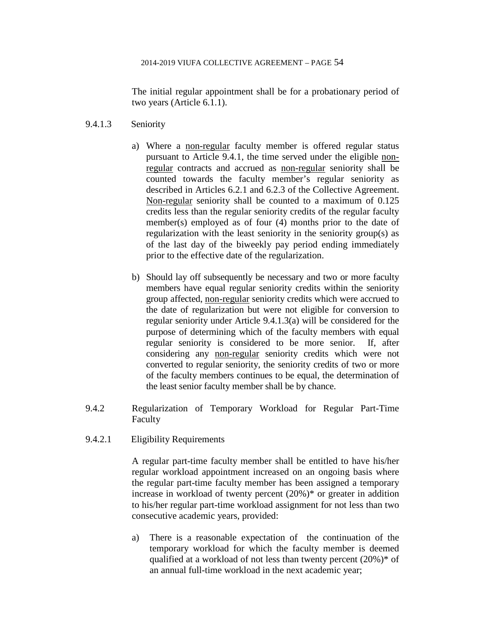The initial regular appointment shall be for a probationary period of two years (Article 6.1.1).

- 9.4.1.3 Seniority
	- a) Where a non-regular faculty member is offered regular status pursuant to Article 9.4.1, the time served under the eligible nonregular contracts and accrued as non-regular seniority shall be counted towards the faculty member's regular seniority as described in Articles 6.2.1 and 6.2.3 of the Collective Agreement. Non-regular seniority shall be counted to a maximum of 0.125 credits less than the regular seniority credits of the regular faculty member(s) employed as of four (4) months prior to the date of regularization with the least seniority in the seniority group(s) as of the last day of the biweekly pay period ending immediately prior to the effective date of the regularization.
	- b) Should lay off subsequently be necessary and two or more faculty members have equal regular seniority credits within the seniority group affected, non-regular seniority credits which were accrued to the date of regularization but were not eligible for conversion to regular seniority under Article 9.4.1.3(a) will be considered for the purpose of determining which of the faculty members with equal regular seniority is considered to be more senior. If, after considering any non-regular seniority credits which were not converted to regular seniority, the seniority credits of two or more of the faculty members continues to be equal, the determination of the least senior faculty member shall be by chance.
- 9.4.2 Regularization of Temporary Workload for Regular Part-Time Faculty
- 9.4.2.1 Eligibility Requirements

A regular part-time faculty member shall be entitled to have his/her regular workload appointment increased on an ongoing basis where the regular part-time faculty member has been assigned a temporary increase in workload of twenty percent (20%)\* or greater in addition to his/her regular part-time workload assignment for not less than two consecutive academic years, provided:

a) There is a reasonable expectation of the continuation of the temporary workload for which the faculty member is deemed qualified at a workload of not less than twenty percent (20%)\* of an annual full-time workload in the next academic year;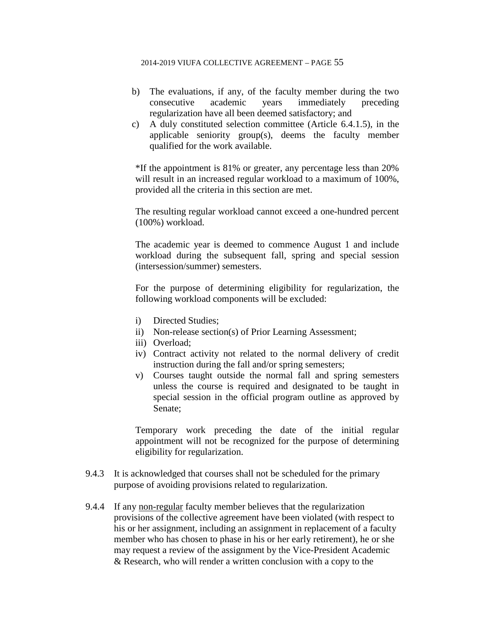- b) The evaluations, if any, of the faculty member during the two consecutive academic years immediately preceding regularization have all been deemed satisfactory; and
- c) A duly constituted selection committee (Article 6.4.1.5), in the applicable seniority group(s), deems the faculty member qualified for the work available.

\*If the appointment is 81% or greater, any percentage less than 20% will result in an increased regular workload to a maximum of 100%, provided all the criteria in this section are met.

The resulting regular workload cannot exceed a one-hundred percent (100%) workload.

The academic year is deemed to commence August 1 and include workload during the subsequent fall, spring and special session (intersession/summer) semesters.

For the purpose of determining eligibility for regularization, the following workload components will be excluded:

- i) Directed Studies;
- ii) Non-release section(s) of Prior Learning Assessment;
- iii) Overload;
- iv) Contract activity not related to the normal delivery of credit instruction during the fall and/or spring semesters;
- v) Courses taught outside the normal fall and spring semesters unless the course is required and designated to be taught in special session in the official program outline as approved by Senate;

Temporary work preceding the date of the initial regular appointment will not be recognized for the purpose of determining eligibility for regularization.

- 9.4.3 It is acknowledged that courses shall not be scheduled for the primary purpose of avoiding provisions related to regularization.
- 9.4.4 If any non-regular faculty member believes that the regularization provisions of the collective agreement have been violated (with respect to his or her assignment, including an assignment in replacement of a faculty member who has chosen to phase in his or her early retirement), he or she may request a review of the assignment by the Vice-President Academic & Research, who will render a written conclusion with a copy to the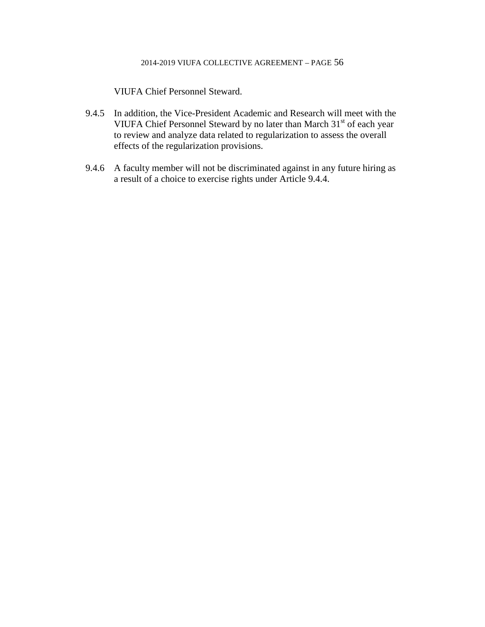VIUFA Chief Personnel Steward.

- 9.4.5 In addition, the Vice-President Academic and Research will meet with the VIUFA Chief Personnel Steward by no later than March 31<sup>st</sup> of each year to review and analyze data related to regularization to assess the overall effects of the regularization provisions.
- 9.4.6 A faculty member will not be discriminated against in any future hiring as a result of a choice to exercise rights under Article 9.4.4.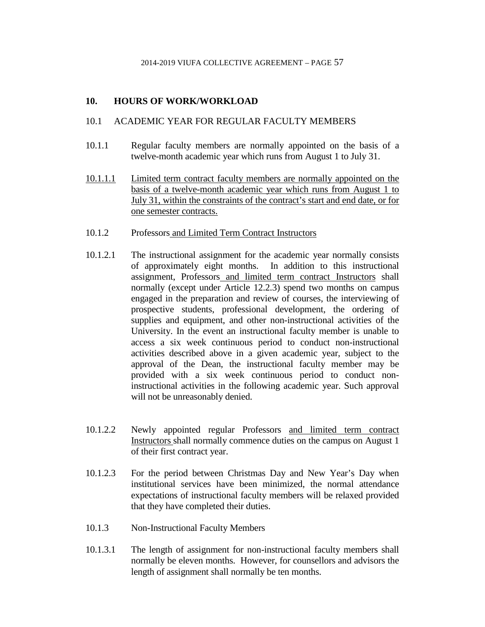# **10. HOURS OF WORK/WORKLOAD**

## 10.1 ACADEMIC YEAR FOR REGULAR FACULTY MEMBERS

- 10.1.1 Regular faculty members are normally appointed on the basis of a twelve-month academic year which runs from August 1 to July 31.
- 10.1.1.1 Limited term contract faculty members are normally appointed on the basis of a twelve-month academic year which runs from August 1 to July 31, within the constraints of the contract's start and end date, or for one semester contracts.
- 10.1.2 Professors and Limited Term Contract Instructors
- 10.1.2.1 The instructional assignment for the academic year normally consists of approximately eight months. In addition to this instructional assignment, Professors and limited term contract Instructors shall normally (except under Article 12.2.3) spend two months on campus engaged in the preparation and review of courses, the interviewing of prospective students, professional development, the ordering of supplies and equipment, and other non-instructional activities of the University. In the event an instructional faculty member is unable to access a six week continuous period to conduct non-instructional activities described above in a given academic year, subject to the approval of the Dean, the instructional faculty member may be provided with a six week continuous period to conduct noninstructional activities in the following academic year. Such approval will not be unreasonably denied.
- 10.1.2.2 Newly appointed regular Professors and limited term contract Instructors shall normally commence duties on the campus on August 1 of their first contract year.
- 10.1.2.3 For the period between Christmas Day and New Year's Day when institutional services have been minimized, the normal attendance expectations of instructional faculty members will be relaxed provided that they have completed their duties.
- 10.1.3 Non-Instructional Faculty Members
- 10.1.3.1 The length of assignment for non-instructional faculty members shall normally be eleven months. However, for counsellors and advisors the length of assignment shall normally be ten months.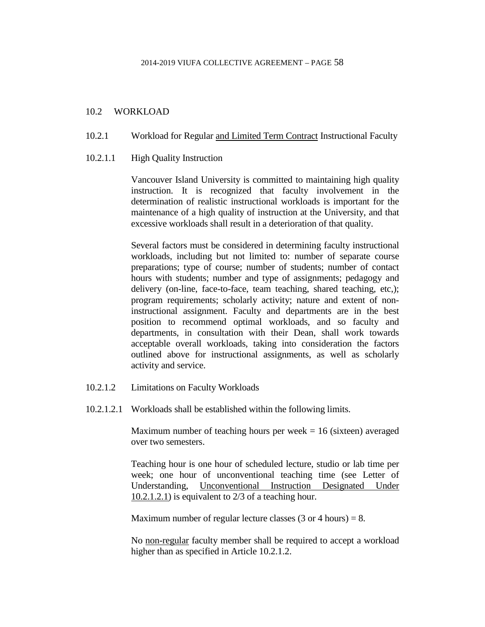## 10.2 WORKLOAD

- 10.2.1 Workload for Regular and Limited Term Contract Instructional Faculty
- 10.2.1.1 High Quality Instruction

Vancouver Island University is committed to maintaining high quality instruction. It is recognized that faculty involvement in the determination of realistic instructional workloads is important for the maintenance of a high quality of instruction at the University, and that excessive workloads shall result in a deterioration of that quality.

Several factors must be considered in determining faculty instructional workloads, including but not limited to: number of separate course preparations; type of course; number of students; number of contact hours with students; number and type of assignments; pedagogy and delivery (on-line, face-to-face, team teaching, shared teaching, etc,); program requirements; scholarly activity; nature and extent of noninstructional assignment. Faculty and departments are in the best position to recommend optimal workloads, and so faculty and departments, in consultation with their Dean, shall work towards acceptable overall workloads, taking into consideration the factors outlined above for instructional assignments, as well as scholarly activity and service.

- 10.2.1.2 Limitations on Faculty Workloads
- 10.2.1.2.1 Workloads shall be established within the following limits.

Maximum number of teaching hours per week  $= 16$  (sixteen) averaged over two semesters.

Teaching hour is one hour of scheduled lecture, studio or lab time per week; one hour of unconventional teaching time (see Letter of Understanding, Unconventional Instruction Designated Under 10.2.1.2.1) is equivalent to 2/3 of a teaching hour.

Maximum number of regular lecture classes  $(3 \text{ or } 4 \text{ hours}) = 8$ .

No non-regular faculty member shall be required to accept a workload higher than as specified in Article 10.2.1.2.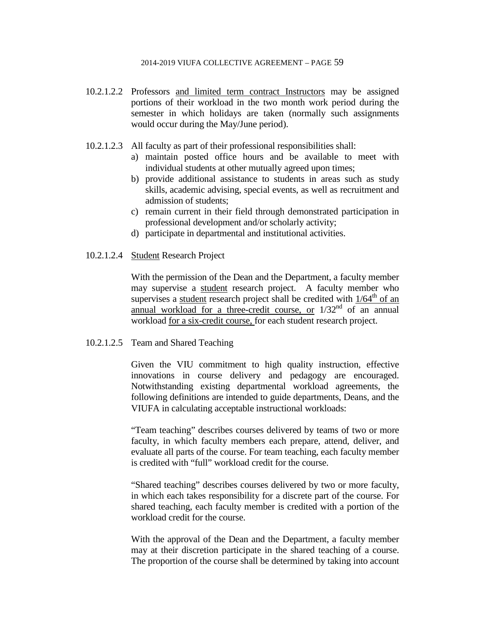- 10.2.1.2.2 Professors and limited term contract Instructors may be assigned portions of their workload in the two month work period during the semester in which holidays are taken (normally such assignments would occur during the May/June period).
- 10.2.1.2.3 All faculty as part of their professional responsibilities shall:
	- a) maintain posted office hours and be available to meet with individual students at other mutually agreed upon times;
	- b) provide additional assistance to students in areas such as study skills, academic advising, special events, as well as recruitment and admission of students;
	- c) remain current in their field through demonstrated participation in professional development and/or scholarly activity;
	- d) participate in departmental and institutional activities.
- 10.2.1.2.4 Student Research Project

With the permission of the Dean and the Department, a faculty member may supervise a student research project. A faculty member who supervises a student research project shall be credited with  $1/64<sup>th</sup>$  of an annual workload for a three-credit course, or  $1/32<sup>nd</sup>$  of an annual workload for a six-credit course, for each student research project.

### 10.2.1.2.5 Team and Shared Teaching

Given the VIU commitment to high quality instruction, effective innovations in course delivery and pedagogy are encouraged. Notwithstanding existing departmental workload agreements, the following definitions are intended to guide departments, Deans, and the VIUFA in calculating acceptable instructional workloads:

"Team teaching" describes courses delivered by teams of two or more faculty, in which faculty members each prepare, attend, deliver, and evaluate all parts of the course. For team teaching, each faculty member is credited with "full" workload credit for the course.

"Shared teaching" describes courses delivered by two or more faculty, in which each takes responsibility for a discrete part of the course. For shared teaching, each faculty member is credited with a portion of the workload credit for the course.

With the approval of the Dean and the Department, a faculty member may at their discretion participate in the shared teaching of a course. The proportion of the course shall be determined by taking into account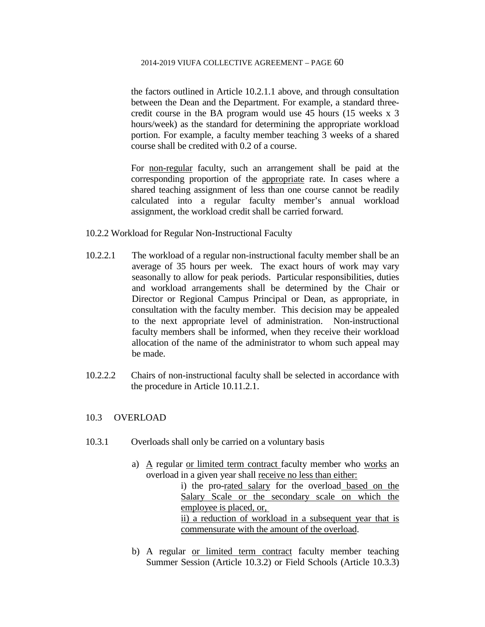the factors outlined in Article 10.2.1.1 above, and through consultation between the Dean and the Department. For example, a standard threecredit course in the BA program would use 45 hours (15 weeks x 3 hours/week) as the standard for determining the appropriate workload portion. For example, a faculty member teaching 3 weeks of a shared course shall be credited with 0.2 of a course.

For non-regular faculty, such an arrangement shall be paid at the corresponding proportion of the appropriate rate. In cases where a shared teaching assignment of less than one course cannot be readily calculated into a regular faculty member's annual workload assignment, the workload credit shall be carried forward.

- 10.2.2 Workload for Regular Non-Instructional Faculty
- 10.2.2.1 The workload of a regular non-instructional faculty member shall be an average of 35 hours per week. The exact hours of work may vary seasonally to allow for peak periods. Particular responsibilities, duties and workload arrangements shall be determined by the Chair or Director or Regional Campus Principal or Dean, as appropriate, in consultation with the faculty member. This decision may be appealed to the next appropriate level of administration. Non-instructional faculty members shall be informed, when they receive their workload allocation of the name of the administrator to whom such appeal may be made.
- 10.2.2.2 Chairs of non-instructional faculty shall be selected in accordance with the procedure in Article 10.11.2.1.

# 10.3 OVERLOAD

- 10.3.1 Overloads shall only be carried on a voluntary basis
	- a) A regular or limited term contract faculty member who works an overload in a given year shall receive no less than either:
		- i) the pro-rated salary for the overload based on the Salary Scale or the secondary scale on which the employee is placed, or,

ii) a reduction of workload in a subsequent year that is commensurate with the amount of the overload.

b) A regular or limited term contract faculty member teaching Summer Session (Article 10.3.2) or Field Schools (Article 10.3.3)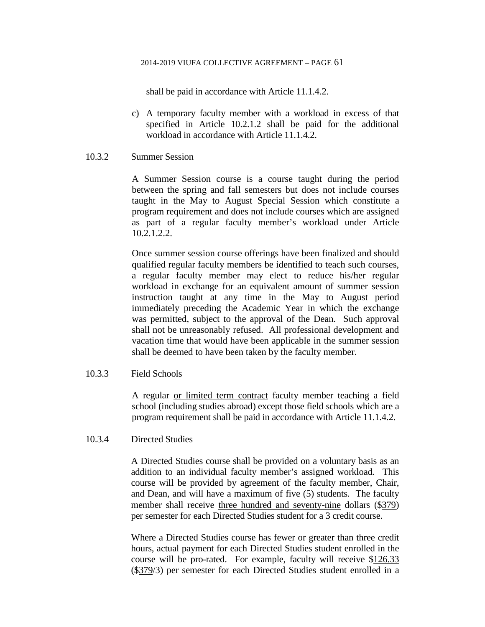shall be paid in accordance with Article 11.1.4.2.

c) A temporary faculty member with a workload in excess of that specified in Article 10.2.1.2 shall be paid for the additional workload in accordance with Article 11.1.4.2.

### 10.3.2 Summer Session

A Summer Session course is a course taught during the period between the spring and fall semesters but does not include courses taught in the May to August Special Session which constitute a program requirement and does not include courses which are assigned as part of a regular faculty member's workload under Article 10.2.1.2.2.

Once summer session course offerings have been finalized and should qualified regular faculty members be identified to teach such courses, a regular faculty member may elect to reduce his/her regular workload in exchange for an equivalent amount of summer session instruction taught at any time in the May to August period immediately preceding the Academic Year in which the exchange was permitted, subject to the approval of the Dean. Such approval shall not be unreasonably refused. All professional development and vacation time that would have been applicable in the summer session shall be deemed to have been taken by the faculty member.

## 10.3.3 Field Schools

A regular or limited term contract faculty member teaching a field school (including studies abroad) except those field schools which are a program requirement shall be paid in accordance with Article 11.1.4.2.

## 10.3.4 Directed Studies

A Directed Studies course shall be provided on a voluntary basis as an addition to an individual faculty member's assigned workload. This course will be provided by agreement of the faculty member, Chair, and Dean, and will have a maximum of five (5) students. The faculty member shall receive three hundred and seventy-nine dollars (\$379) per semester for each Directed Studies student for a 3 credit course.

Where a Directed Studies course has fewer or greater than three credit hours, actual payment for each Directed Studies student enrolled in the course will be pro-rated. For example, faculty will receive \$126.33 (\$379/3) per semester for each Directed Studies student enrolled in a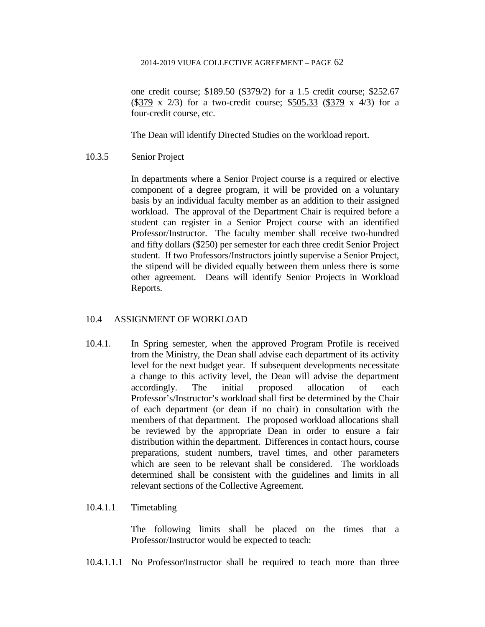one credit course; \$189.50 (\$379/2) for a 1.5 credit course; \$252.67 (\$379 x 2/3) for a two-credit course; \$505.33 (\$379 x 4/3) for a four-credit course, etc.

The Dean will identify Directed Studies on the workload report.

10.3.5 Senior Project

In departments where a Senior Project course is a required or elective component of a degree program, it will be provided on a voluntary basis by an individual faculty member as an addition to their assigned workload. The approval of the Department Chair is required before a student can register in a Senior Project course with an identified Professor/Instructor. The faculty member shall receive two-hundred and fifty dollars (\$250) per semester for each three credit Senior Project student. If two Professors/Instructors jointly supervise a Senior Project, the stipend will be divided equally between them unless there is some other agreement. Deans will identify Senior Projects in Workload Reports.

# 10.4 ASSIGNMENT OF WORKLOAD

10.4.1. In Spring semester, when the approved Program Profile is received from the Ministry, the Dean shall advise each department of its activity level for the next budget year. If subsequent developments necessitate a change to this activity level, the Dean will advise the department accordingly. The initial proposed allocation of each Professor's/Instructor's workload shall first be determined by the Chair of each department (or dean if no chair) in consultation with the members of that department. The proposed workload allocations shall be reviewed by the appropriate Dean in order to ensure a fair distribution within the department. Differences in contact hours, course preparations, student numbers, travel times, and other parameters which are seen to be relevant shall be considered. The workloads determined shall be consistent with the guidelines and limits in all relevant sections of the Collective Agreement.

## 10.4.1.1 Timetabling

The following limits shall be placed on the times that a Professor/Instructor would be expected to teach:

10.4.1.1.1 No Professor/Instructor shall be required to teach more than three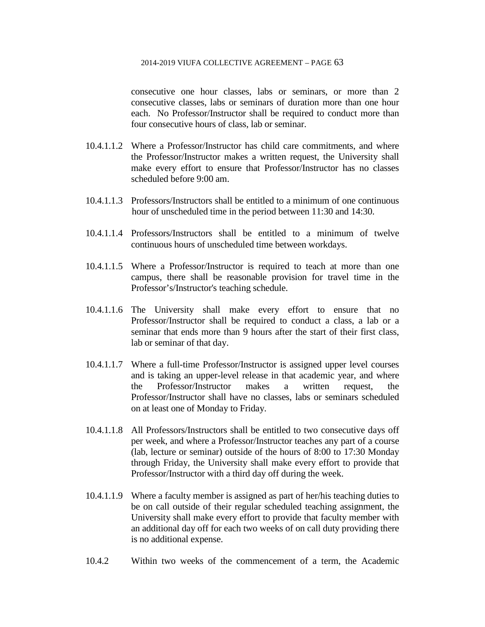consecutive one hour classes, labs or seminars, or more than 2 consecutive classes, labs or seminars of duration more than one hour each. No Professor/Instructor shall be required to conduct more than four consecutive hours of class, lab or seminar.

- 10.4.1.1.2 Where a Professor/Instructor has child care commitments, and where the Professor/Instructor makes a written request, the University shall make every effort to ensure that Professor/Instructor has no classes scheduled before 9:00 am.
- 10.4.1.1.3 Professors/Instructors shall be entitled to a minimum of one continuous hour of unscheduled time in the period between 11:30 and 14:30.
- 10.4.1.1.4 Professors/Instructors shall be entitled to a minimum of twelve continuous hours of unscheduled time between workdays.
- 10.4.1.1.5 Where a Professor/Instructor is required to teach at more than one campus, there shall be reasonable provision for travel time in the Professor's/Instructor's teaching schedule.
- 10.4.1.1.6 The University shall make every effort to ensure that no Professor/Instructor shall be required to conduct a class, a lab or a seminar that ends more than 9 hours after the start of their first class, lab or seminar of that day.
- 10.4.1.1.7 Where a full-time Professor/Instructor is assigned upper level courses and is taking an upper-level release in that academic year, and where the Professor/Instructor makes a written request, the Professor/Instructor shall have no classes, labs or seminars scheduled on at least one of Monday to Friday.
- 10.4.1.1.8 All Professors/Instructors shall be entitled to two consecutive days off per week, and where a Professor/Instructor teaches any part of a course (lab, lecture or seminar) outside of the hours of 8:00 to 17:30 Monday through Friday, the University shall make every effort to provide that Professor/Instructor with a third day off during the week.
- 10.4.1.1.9 Where a faculty member is assigned as part of her/his teaching duties to be on call outside of their regular scheduled teaching assignment, the University shall make every effort to provide that faculty member with an additional day off for each two weeks of on call duty providing there is no additional expense.
- 10.4.2 Within two weeks of the commencement of a term, the Academic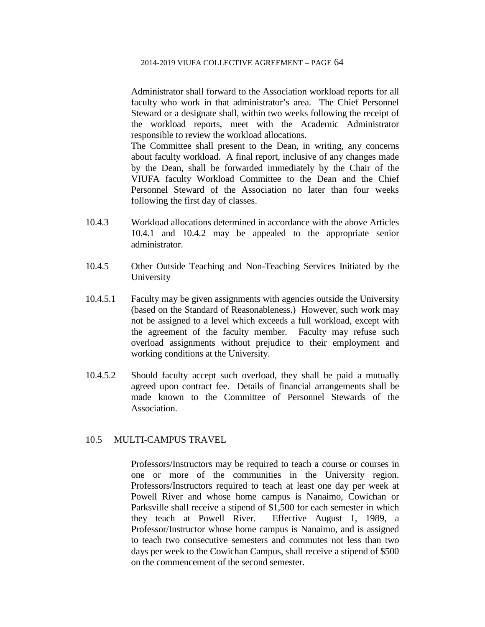Administrator shall forward to the Association workload reports for all faculty who work in that administrator's area. The Chief Personnel Steward or a designate shall, within two weeks following the receipt of the workload reports, meet with the Academic Administrator responsible to review the workload allocations.

The Committee shall present to the Dean, in writing, any concerns about faculty workload. A final report, inclusive of any changes made by the Dean, shall be forwarded immediately by the Chair of the VIUFA faculty Workload Committee to the Dean and the Chief Personnel Steward of the Association no later than four weeks following the first day of classes.

- 10.4.3 Workload allocations determined in accordance with the above Articles 10.4.1 and 10.4.2 may be appealed to the appropriate senior administrator.
- 10.4.5 Other Outside Teaching and Non-Teaching Services Initiated by the University
- 10.4.5.1 Faculty may be given assignments with agencies outside the University (based on the Standard of Reasonableness.) However, such work may not be assigned to a level which exceeds a full workload, except with the agreement of the faculty member. Faculty may refuse such overload assignments without prejudice to their employment and working conditions at the University.
- 10.4.5.2 Should faculty accept such overload, they shall be paid a mutually agreed upon contract fee. Details of financial arrangements shall be made known to the Committee of Personnel Stewards of the Association.

# 10.5 MULTI-CAMPUS TRAVEL

Professors/Instructors may be required to teach a course or courses in one or more of the communities in the University region. Professors/Instructors required to teach at least one day per week at Powell River and whose home campus is Nanaimo, Cowichan or Parksville shall receive a stipend of \$1,500 for each semester in which they teach at Powell River. Effective August 1, 1989, a Professor/Instructor whose home campus is Nanaimo, and is assigned to teach two consecutive semesters and commutes not less than two days per week to the Cowichan Campus, shall receive a stipend of \$500 on the commencement of the second semester.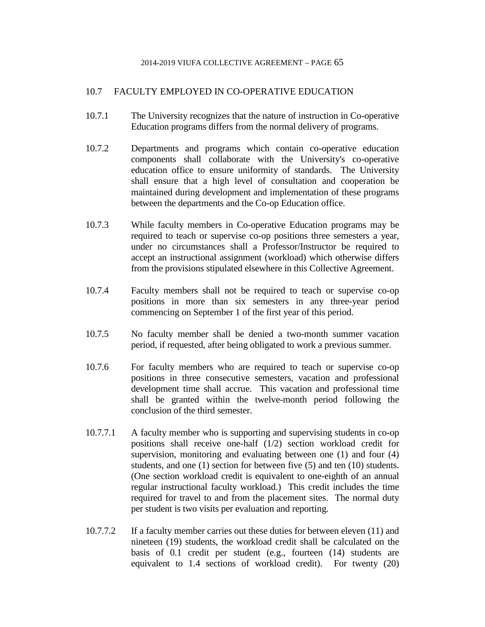# 10.7 FACULTY EMPLOYED IN CO-OPERATIVE EDUCATION

- 10.7.1 The University recognizes that the nature of instruction in Co-operative Education programs differs from the normal delivery of programs.
- 10.7.2 Departments and programs which contain co-operative education components shall collaborate with the University's co-operative education office to ensure uniformity of standards. The University shall ensure that a high level of consultation and cooperation be maintained during development and implementation of these programs between the departments and the Co-op Education office.
- 10.7.3 While faculty members in Co-operative Education programs may be required to teach or supervise co-op positions three semesters a year, under no circumstances shall a Professor/Instructor be required to accept an instructional assignment (workload) which otherwise differs from the provisions stipulated elsewhere in this Collective Agreement.
- 10.7.4 Faculty members shall not be required to teach or supervise co-op positions in more than six semesters in any three-year period commencing on September 1 of the first year of this period.
- 10.7.5 No faculty member shall be denied a two-month summer vacation period, if requested, after being obligated to work a previous summer.
- 10.7.6 For faculty members who are required to teach or supervise co-op positions in three consecutive semesters, vacation and professional development time shall accrue. This vacation and professional time shall be granted within the twelve-month period following the conclusion of the third semester.
- 10.7.7.1 A faculty member who is supporting and supervising students in co-op positions shall receive one-half (1/2) section workload credit for supervision, monitoring and evaluating between one (1) and four (4) students, and one (1) section for between five (5) and ten (10) students. (One section workload credit is equivalent to one-eighth of an annual regular instructional faculty workload.) This credit includes the time required for travel to and from the placement sites. The normal duty per student is two visits per evaluation and reporting.
- 10.7.7.2 If a faculty member carries out these duties for between eleven (11) and nineteen (19) students, the workload credit shall be calculated on the basis of 0.1 credit per student (e.g., fourteen (14) students are equivalent to 1.4 sections of workload credit). For twenty (20)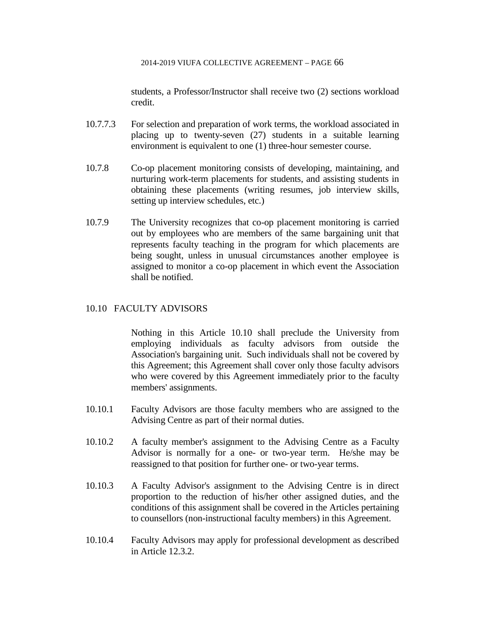students, a Professor/Instructor shall receive two (2) sections workload credit.

- 10.7.7.3 For selection and preparation of work terms, the workload associated in placing up to twenty-seven (27) students in a suitable learning environment is equivalent to one (1) three-hour semester course.
- 10.7.8 Co-op placement monitoring consists of developing, maintaining, and nurturing work-term placements for students, and assisting students in obtaining these placements (writing resumes, job interview skills, setting up interview schedules, etc.)
- 10.7.9 The University recognizes that co-op placement monitoring is carried out by employees who are members of the same bargaining unit that represents faculty teaching in the program for which placements are being sought, unless in unusual circumstances another employee is assigned to monitor a co-op placement in which event the Association shall be notified.

# 10.10 FACULTY ADVISORS

Nothing in this Article 10.10 shall preclude the University from employing individuals as faculty advisors from outside the Association's bargaining unit. Such individuals shall not be covered by this Agreement; this Agreement shall cover only those faculty advisors who were covered by this Agreement immediately prior to the faculty members' assignments.

- 10.10.1 Faculty Advisors are those faculty members who are assigned to the Advising Centre as part of their normal duties.
- 10.10.2 A faculty member's assignment to the Advising Centre as a Faculty Advisor is normally for a one- or two-year term. He/she may be reassigned to that position for further one- or two-year terms.
- 10.10.3 A Faculty Advisor's assignment to the Advising Centre is in direct proportion to the reduction of his/her other assigned duties, and the conditions of this assignment shall be covered in the Articles pertaining to counsellors (non-instructional faculty members) in this Agreement.
- 10.10.4 Faculty Advisors may apply for professional development as described in Article 12.3.2.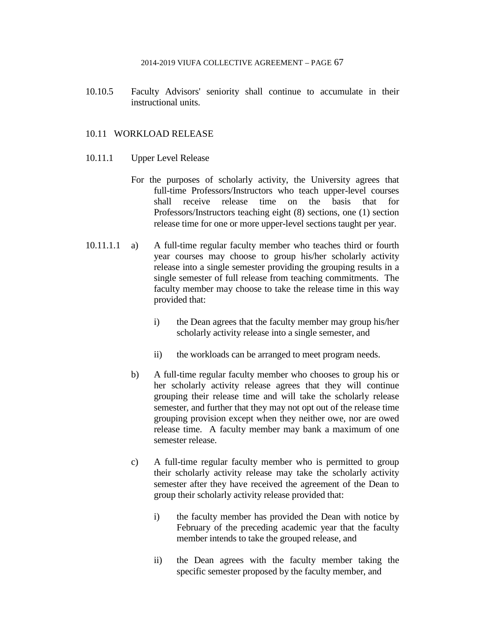10.10.5 Faculty Advisors' seniority shall continue to accumulate in their instructional units.

## 10.11 WORKLOAD RELEASE

- 10.11.1 Upper Level Release
	- For the purposes of scholarly activity, the University agrees that full-time Professors/Instructors who teach upper-level courses shall receive release time on the basis that for Professors/Instructors teaching eight (8) sections, one (1) section release time for one or more upper-level sections taught per year.
- 10.11.1.1 a) A full-time regular faculty member who teaches third or fourth year courses may choose to group his/her scholarly activity release into a single semester providing the grouping results in a single semester of full release from teaching commitments. The faculty member may choose to take the release time in this way provided that:
	- i) the Dean agrees that the faculty member may group his/her scholarly activity release into a single semester, and
	- ii) the workloads can be arranged to meet program needs.
	- b) A full-time regular faculty member who chooses to group his or her scholarly activity release agrees that they will continue grouping their release time and will take the scholarly release semester, and further that they may not opt out of the release time grouping provision except when they neither owe, nor are owed release time. A faculty member may bank a maximum of one semester release.
	- c) A full-time regular faculty member who is permitted to group their scholarly activity release may take the scholarly activity semester after they have received the agreement of the Dean to group their scholarly activity release provided that:
		- i) the faculty member has provided the Dean with notice by February of the preceding academic year that the faculty member intends to take the grouped release, and
		- ii) the Dean agrees with the faculty member taking the specific semester proposed by the faculty member, and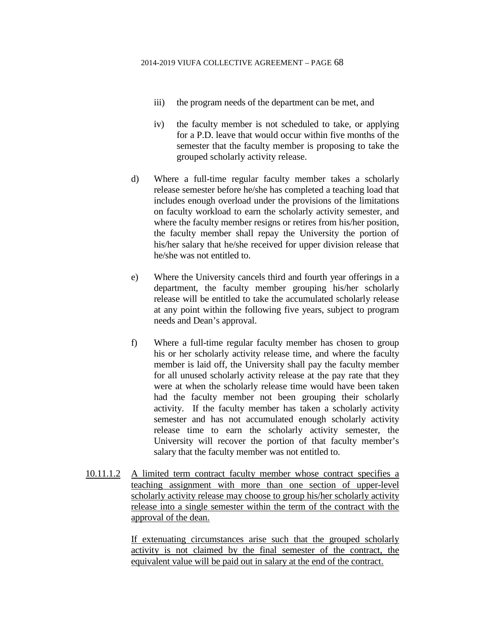- iii) the program needs of the department can be met, and
- iv) the faculty member is not scheduled to take, or applying for a P.D. leave that would occur within five months of the semester that the faculty member is proposing to take the grouped scholarly activity release.
- d) Where a full-time regular faculty member takes a scholarly release semester before he/she has completed a teaching load that includes enough overload under the provisions of the limitations on faculty workload to earn the scholarly activity semester, and where the faculty member resigns or retires from his/her position, the faculty member shall repay the University the portion of his/her salary that he/she received for upper division release that he/she was not entitled to.
- e) Where the University cancels third and fourth year offerings in a department, the faculty member grouping his/her scholarly release will be entitled to take the accumulated scholarly release at any point within the following five years, subject to program needs and Dean's approval.
- f) Where a full-time regular faculty member has chosen to group his or her scholarly activity release time, and where the faculty member is laid off, the University shall pay the faculty member for all unused scholarly activity release at the pay rate that they were at when the scholarly release time would have been taken had the faculty member not been grouping their scholarly activity. If the faculty member has taken a scholarly activity semester and has not accumulated enough scholarly activity release time to earn the scholarly activity semester, the University will recover the portion of that faculty member's salary that the faculty member was not entitled to.
- 10.11.1.2 A limited term contract faculty member whose contract specifies a teaching assignment with more than one section of upper-level scholarly activity release may choose to group his/her scholarly activity release into a single semester within the term of the contract with the approval of the dean.

If extenuating circumstances arise such that the grouped scholarly activity is not claimed by the final semester of the contract, the equivalent value will be paid out in salary at the end of the contract.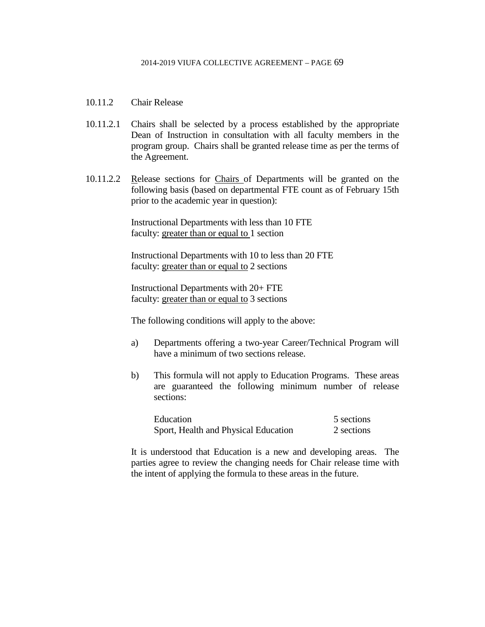- 10.11.2 Chair Release
- 10.11.2.1 Chairs shall be selected by a process established by the appropriate Dean of Instruction in consultation with all faculty members in the program group. Chairs shall be granted release time as per the terms of the Agreement.
- 10.11.2.2 Release sections for Chairs of Departments will be granted on the following basis (based on departmental FTE count as of February 15th prior to the academic year in question):

Instructional Departments with less than 10 FTE faculty: greater than or equal to 1 section

Instructional Departments with 10 to less than 20 FTE faculty: greater than or equal to 2 sections

Instructional Departments with 20+ FTE faculty: greater than or equal to 3 sections

The following conditions will apply to the above:

- a) Departments offering a two-year Career/Technical Program will have a minimum of two sections release.
- b) This formula will not apply to Education Programs. These areas are guaranteed the following minimum number of release sections:

| Education                            | 5 sections |
|--------------------------------------|------------|
| Sport, Health and Physical Education | 2 sections |

It is understood that Education is a new and developing areas. The parties agree to review the changing needs for Chair release time with the intent of applying the formula to these areas in the future.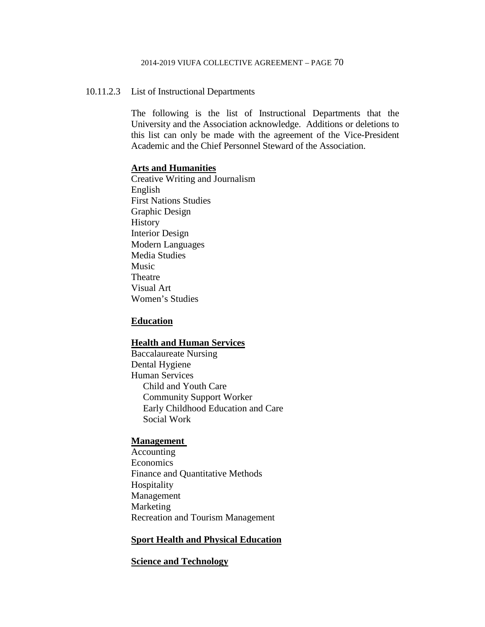### 10.11.2.3 List of Instructional Departments

The following is the list of Instructional Departments that the University and the Association acknowledge. Additions or deletions to this list can only be made with the agreement of the Vice-President Academic and the Chief Personnel Steward of the Association.

### **Arts and Humanities**

Creative Writing and Journalism English First Nations Studies Graphic Design History Interior Design Modern Languages Media Studies Music Theatre Visual Art Women's Studies

### **Education**

### **Health and Human Services**

Baccalaureate Nursing Dental Hygiene Human Services Child and Youth Care Community Support Worker Early Childhood Education and Care Social Work

### **Management**

Accounting Economics Finance and Quantitative Methods Hospitality Management Marketing Recreation and Tourism Management

## **Sport Health and Physical Education**

### **Science and Technology**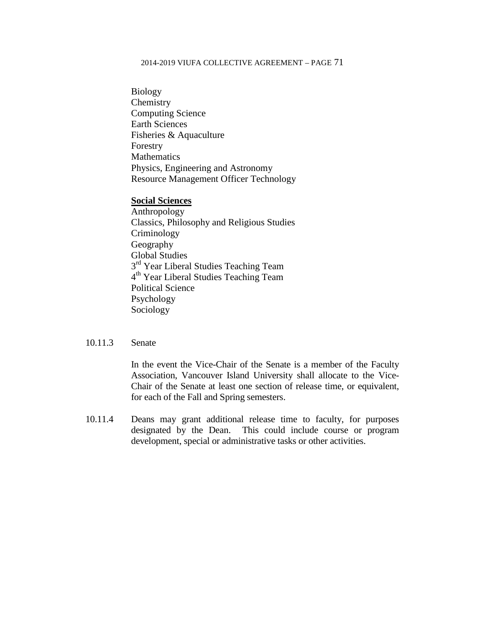Biology Chemistry Computing Science Earth Sciences Fisheries & Aquaculture Forestry Mathematics Physics, Engineering and Astronomy Resource Management Officer Technology

### **Social Sciences**

Anthropology Classics, Philosophy and Religious Studies Criminology Geography Global Studies  $3<sup>rd</sup>$  Year Liberal Studies Teaching Team 4th Year Liberal Studies Teaching Team Political Science Psychology Sociology

### 10.11.3 Senate

In the event the Vice-Chair of the Senate is a member of the Faculty Association, Vancouver Island University shall allocate to the Vice-Chair of the Senate at least one section of release time, or equivalent, for each of the Fall and Spring semesters.

10.11.4 Deans may grant additional release time to faculty, for purposes designated by the Dean. This could include course or program development, special or administrative tasks or other activities.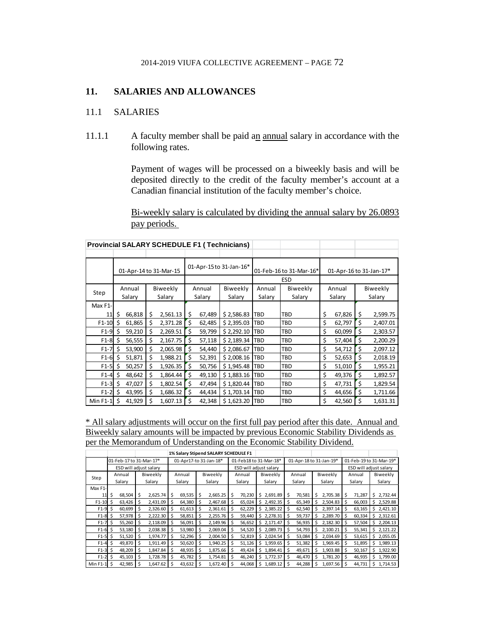# **11. SALARIES AND ALLOWANCES**

### 11.1 SALARIES

11.1.1 A faculty member shall be paid an annual salary in accordance with the following rates.

> Payment of wages will be processed on a biweekly basis and will be deposited directly to the credit of the faculty member's account at a Canadian financial institution of the faculty member's choice.

> Bi-weekly salary is calculated by dividing the annual salary by 26.0893 pay periods.

> > T.

т

T.

|            | 01-Apr-14 to 31-Mar-15 |        |    | 01-Apr-15 to 31-Jan-16* |        |        |            | 01-Feb-16 to 31-Mar-16* | 01-Apr-16 to 31-Jan-17* |        |        |    |          |  |  |  |
|------------|------------------------|--------|----|-------------------------|--------|--------|------------|-------------------------|-------------------------|--------|--------|----|----------|--|--|--|
|            |                        |        |    |                         |        |        |            |                         | <b>ESD</b>              |        |        |    |          |  |  |  |
| Step       |                        | Annual |    | Biweekly                |        | Annual | Biweekly   | Annual                  | Biweekly                |        | Annual |    | Biweekly |  |  |  |
|            | Salary<br>Salary       |        |    |                         | Salary | Salary | Salary     | Salary                  |                         | Salary | Salary |    |          |  |  |  |
| Max F1-    |                        |        |    |                         |        |        |            |                         |                         |        |        |    |          |  |  |  |
| 11         | \$                     | 66,818 | \$ | 2,561.13                | \$     | 67,489 | \$2,586.83 | TBD                     | TBD                     | \$     | 67,826 | \$ | 2,599.75 |  |  |  |
| $F1-10$    | Ś                      | 61,865 | \$ | 2,371.28                | \$     | 62,485 | \$2,395.03 | TBD                     | <b>TBD</b>              | \$     | 62,797 | \$ | 2,407.01 |  |  |  |
| $F1-9$     | Ś                      | 59,210 | Ś  | 2,269.51                | Ś      | 59,799 | \$2,292.10 | <b>TBD</b>              | TBD                     | \$     | 60,099 | \$ | 2,303.57 |  |  |  |
| $F1-8$     | Ś                      | 56,555 | \$ | 2,167.75                | Ś      | 57,118 | \$2,189.34 | <b>TBD</b>              | TBD                     | \$     | 57,404 | \$ | 2,200.29 |  |  |  |
| $F1-7$     | Ś                      | 53,900 | \$ | 2,065.98                | Ś      | 54,440 | \$2,086.67 | <b>TBD</b>              | TBD                     | \$     | 54,712 | \$ | 2,097.12 |  |  |  |
| $F1-6$     | Ś                      | 51,871 | \$ | 1,988.21                | Ś      | 52,391 | \$2,008.16 | <b>TBD</b>              | <b>TBD</b>              | \$     | 52,653 | \$ | 2,018.19 |  |  |  |
| $F1-5$     | Ś                      | 50,257 | \$ | 1,926.35                | \$     | 50,756 | \$1,945.48 | <b>TBD</b>              | TBD                     | \$     | 51,010 | \$ | 1,955.21 |  |  |  |
| $F1-4$     | Ś                      | 48,642 | \$ | 1,864.44                | Ś      | 49,130 | \$1,883.16 | <b>TBD</b>              | TBD                     | \$     | 49,376 | \$ | 1,892.57 |  |  |  |
| $F1-3$     | Ś                      | 47,027 | \$ | 1,802.54                | Ś.     | 47,494 | \$1,820.44 | <b>TBD</b>              | <b>TBD</b>              | \$     | 47,731 | \$ | 1,829.54 |  |  |  |
| $F1-2$     | S                      | 43,995 | \$ | 1,686.32                | Ś.     | 44,434 | \$1,703.14 | <b>TBD</b>              | TBD                     | \$     | 44,656 | \$ | 1,711.66 |  |  |  |
| $Min F1-1$ | Ś                      | 41,929 | Ś  | 1,607.13                | Ś      | 42,348 | \$1,623.20 | <b>TBD</b>              | TBD                     | \$     | 42,560 | \$ | 1,631.31 |  |  |  |

**Provincial SALARY SCHEDULE F1 ( Technicians)**

\* All salary adjustments will occur on the first full pay period after this date. Annual and Biweekly salary amounts will be impacted by previous Economic Stability Dividends as per the Memorandum of Understanding on the Economic Stability Dividend.

|           | 1% Salary Stipend SALARY SCHEDULE F1 |                         |    |          |                  |                        |                  |          |                        |        |        |          |                         |        |        |          |        |                         |          |          |  |
|-----------|--------------------------------------|-------------------------|----|----------|------------------|------------------------|------------------|----------|------------------------|--------|--------|----------|-------------------------|--------|--------|----------|--------|-------------------------|----------|----------|--|
|           |                                      | 01-Feb-17 to 31-Mar-17* |    |          |                  | 01-Apr17-to 31-Jan-18* |                  |          | 01-Feb18 to 31-Mar-18* |        |        |          | 01-Apr-18 to 31-Jan-19* |        |        |          |        | 01-Feb-19 to 31-Mar-19* |          |          |  |
|           |                                      | ESD will adjust salary  |    |          |                  |                        |                  |          | ESD will adjust salary |        |        |          |                         |        |        |          |        | ESD will adjust salary  |          |          |  |
|           |                                      | Annual                  |    | Biweekly |                  | Annual                 | Biweekly         |          | Annual                 |        |        | Biweekly |                         | Annual |        | Biweekly | Annual |                         | Biweekly |          |  |
| Step      |                                      | Salary                  |    | Salary   | Salary<br>Salary |                        | Salary<br>Salary |          | Salary                 |        | Salary |          | Salary                  |        | Salary |          |        |                         |          |          |  |
| Max F1-   |                                      |                         |    |          |                  |                        |                  |          |                        |        |        |          |                         |        |        |          |        |                         |          |          |  |
| 11        | \$                                   | 68,504                  | \$ | 2,625.74 | Ś                | 69,535                 | \$               | 2,665.25 | Ś                      | 70,230 | Ŝ.     | 2,691.89 | Ś                       | 70,581 | Ś      | 2,705.38 | Ŝ      | 71,287                  | Ŝ        | 2,732.44 |  |
| $F1 - 10$ | Ś                                    | 63,426                  |    | 2,431.09 |                  | 64,380                 | \$               | 2,467.68 |                        | 65,024 | \$     | 2,492.35 | Ś                       | 65,349 |        | 2,504.83 |        | 66,003                  | Ś        | 2,529.88 |  |
| $F1-9$    | \$                                   | 60,699                  | \$ | 2,326.60 | Ś                | 61,613                 | \$               | 2,361.61 | Ś                      | 62,229 | \$     | 2,385.22 | \$                      | 62,540 | Ś      | 2.397.14 | Ŝ      | 63,165                  | \$       | 2,421.10 |  |
| $F1-8$    | \$                                   | 57,978                  | \$ | 2,222.30 |                  | 58,851                 | \$               | 2,255.76 | \$                     | 59,440 | \$     | 2,278.31 | \$                      | 59,737 | Ś      | 2,289.70 |        | 60,334                  | Ŝ.       | 2,312.61 |  |
| $F1-7$    | \$                                   | 55,260                  | \$ | 2,118.09 | Ś                | 56,091                 | \$               | 2.149.96 | Ś                      | 56,652 | \$     | 2,171.47 | \$                      | 56,935 | Ś      | 2.182.30 |        | 57,504                  | \$       | 2,204.13 |  |
| $F1-6$    | \$                                   | 53,180                  | Ŝ  | 2,038.38 |                  | 53,980                 | \$               | 2.069.04 |                        | 54,520 | \$     | 2.089.73 | Ś                       | 54,793 | Ś      | 2.100.21 |        | 55,341                  | Ś        | 2,121.22 |  |
| $F1-5$    | \$                                   | 51,520                  |    | 1,974.77 |                  | 52,296                 | \$               | 2,004.50 |                        | 52,819 | \$     | 2,024.54 | \$                      | 53,084 |        | 2,034.69 |        | 53,615                  | Ŝ.       | 2,055.05 |  |
| $F1-4$    | \$                                   | 49,870                  | \$ | 1,911.49 |                  | 50,620                 | \$               | 1,940.25 | Ś                      | 51,126 | \$     | 1,959.65 | \$                      | 51,382 |        | 1,969.45 |        | 51,895                  | Ŝ.       | 1,989.13 |  |
| $F1-3$    | \$                                   | 48,209                  | \$ | 1,847.84 |                  | 48,935                 | \$               | 1,875.66 | Ś                      | 49.424 | Ś      | 1.894.41 | Ś                       | 49,671 |        | 1,903.88 |        | 50,167                  | Ś        | 1,922.90 |  |
| $F1-2$    | \$                                   | 45,103                  | \$ | 1,728.78 |                  | 45,782                 | \$               | 1,754.81 | \$                     | 46,240 | \$     | 1,772.37 | Ś                       | 46,470 |        | 1,781.20 |        | 46,935                  | \$       | 1,799.00 |  |
| Min F1-1  | \$                                   | 42,985                  |    | 1,647.62 |                  | 43,632                 | \$               | 1,672.40 |                        | 44.068 | \$     | 1,689.12 | Ś                       | 44,288 |        | 1,697.56 |        | 44,731                  | \$       | 1,714.53 |  |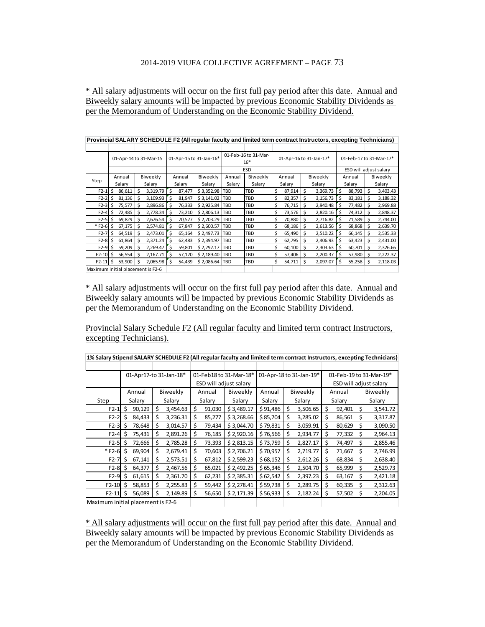\* All salary adjustments will occur on the first full pay period after this date. Annual and Biweekly salary amounts will be impacted by previous Economic Stability Dividends as per the Memorandum of Understanding on the Economic Stability Dividend.

| Provincial SALARY SCHEDULE F2 (All reqular faculty and limited term contract Instructors, excepting Technicians) |             |                                   |               |                               |            |            |    |        |                         |                         |                        |        |    |          |
|------------------------------------------------------------------------------------------------------------------|-------------|-----------------------------------|---------------|-------------------------------|------------|------------|----|--------|-------------------------|-------------------------|------------------------|--------|----|----------|
|                                                                                                                  |             |                                   |               |                               |            |            |    |        |                         |                         |                        |        |    |          |
| 01-Apr-14 to 31-Mar-15                                                                                           |             | 01-Apr-15 to 31-Jan-16*           |               | 01-Feb-16 to 31-Mar-<br>$16*$ |            |            |    |        | 01-Apr-16 to 31-Jan-17* | 01-Feb-17 to 31-Mar-17* |                        |        |    |          |
|                                                                                                                  |             |                                   |               |                               |            | <b>ESD</b> |    |        |                         |                         | ESD will adjust salary |        |    |          |
| Step                                                                                                             | Annual      | Biweekly                          | Annual        | Biweekly                      | Annual     | Biweekly   |    | Annual |                         | Biweekly                |                        | Annual |    | Biweekly |
|                                                                                                                  | Salary      | Salary                            | Salary        | Salary                        | Salary     | Salary     |    | Salary |                         | Salary                  |                        | Salary |    | Salary   |
| $F2-1$                                                                                                           | Ś<br>86,611 | 3,319.79                          | Ś<br>87,477   | \$3,352.98                    | <b>TBD</b> | TBD        | \$ | 87,914 | Ś                       | 3,369.73                | Ś                      | 88,793 | Ŝ  | 3,403.43 |
| $F2-2$ \$                                                                                                        | 81.136      | 3.109.93<br>Ŝ                     | Ś<br>81,947   | \$3.141.02 TBD                |            | TBD        | \$ | 82,357 | Ŝ                       | 3,156.73                | ٔ s                    | 83,181 | Ŝ  | 3,188.32 |
| $F2-3$ \$                                                                                                        | 75,577      | 2,896.86<br>Ŝ                     | Ŝ.<br>76,333  | \$2,925.84 TBD                |            | TBD        | \$ | 76,715 | \$                      | 2,940.48                | ' \$                   | 77,482 | \$ | 2,969.88 |
| $F2-4$                                                                                                           | 72,485      | 2.778.34                          | Ś<br>73,210   | \$2,806.13 TBD                |            | TBD        | \$ | 73,576 |                         | 2,820.16                | Š.                     | 74,312 | Ŝ  | 2,848.37 |
| $F2-5$                                                                                                           | 69,829      | 2,676.54                          | \$.<br>70,527 | \$2,703.29 TBD                |            | TBD        | \$ | 70,880 | S                       | 2,716.82                | .S                     | 71,589 | S  | 2,744.00 |
| $*$ F2-6 S                                                                                                       | 67,175      | 2,574.81                          | Ŝ.<br>67,847  | \$2,600.57 TBD                |            | TBD        | \$ | 68,186 |                         | $2,613.56$ \$           |                        | 68,868 | Ŝ  | 2,639.70 |
| $F2-7$                                                                                                           | Ŝ<br>64,519 | 2,473.01<br>Ŝ                     | 's<br>65,164  | \$2,497.73 TBD                |            | TBD        | \$ | 65,490 | \$                      | 2,510.22                | ۰\$                    | 66,145 | Ś  | 2,535.33 |
| F2-8                                                                                                             | 61,864      | 2,371.24                          | -S<br>62,483  | \$2,394.97                    | <b>TBD</b> | TBD        | \$ | 62,795 | S                       | 2,406.93                | '\$                    | 63,423 | Ŝ  | 2,431.00 |
| $F2-9$                                                                                                           | 59,209      | 2,269.47                          | Ŝ<br>59,801   | \$2,292.17                    | <b>TBD</b> | TBD        | \$ | 60,100 | S                       | 2,303.63                | -S                     | 60,701 | Ś  | 2,326.66 |
| $F2-10$                                                                                                          | 56.554      | 2.167.71                          | Ś<br>57,120   | \$2.189.40 TBD                |            | TBD        | \$ | 57,406 | S                       | 2,200.37                | Ŝ                      | 57,980 | Ŝ  | 2,222.37 |
| $F2-11$ \$                                                                                                       | 53,900      | 2,065.98                          | Ŝ.<br>54,439  | \$2,086.64 TBD                |            | TBD        | \$ | 54,711 | \$                      | 2,097.07                | \$                     | 55,258 | Ŝ  | 2,118.03 |
|                                                                                                                  |             | Maximum initial placement is F2-6 |               |                               |            |            |    |        |                         |                         |                        |        |    |          |

\* All salary adjustments will occur on the first full pay period after this date. Annual and Biweekly salary amounts will be impacted by previous Economic Stability Dividends as per the Memorandum of Understanding on the Economic Stability Dividend.

Provincial Salary Schedule F2 (All regular faculty and limited term contract Instructors, excepting Technicians).

|                                   |   |        |    | 01-Apr17-to 31-Jan-18* |    | 01-Feb18 to 31-Mar-18* |                        | 01-Apr-18 to 31-Jan-19* |    |          |                        | 01-Feb-19 to 31-Mar-19* |          |          |  |  |  |
|-----------------------------------|---|--------|----|------------------------|----|------------------------|------------------------|-------------------------|----|----------|------------------------|-------------------------|----------|----------|--|--|--|
|                                   |   |        |    |                        |    |                        | ESD will adjust salary |                         |    |          | ESD will adjust salary |                         |          |          |  |  |  |
|                                   |   | Annual |    | Biweekly               |    | Annual                 | Biweekly               | Annual                  |    | Biweekly |                        | Annual                  | Biweekly |          |  |  |  |
| Step                              |   | Salary |    | Salary                 |    | Salary                 | Salary                 | Salary                  |    | Salary   | Salary                 |                         |          | Salary   |  |  |  |
| $F2-1$                            | Ś | 90,129 | \$ | 3,454.63               | \$ | 91,030                 | \$3,489.17             | \$91,486                | \$ | 3,506.65 | \$                     | 92,401                  | \$       | 3,541.72 |  |  |  |
| $F2-2$                            | Ś | 84,433 | Ś  | 3,236.31               | Ś  | 85,277                 | \$3,268.66             | \$85,704                | Ś  | 3,285.02 | Ŝ.                     | 86,561                  | Ś        | 3,317.87 |  |  |  |
| $F2-3$                            | S | 78,648 |    | 3,014.57               | \$ | 79,434                 | \$3,044.70             | \$79,831                | \$ | 3,059.91 | \$                     | 80,629                  | \$       | 3,090.50 |  |  |  |
| $F2-4$                            |   | 75,431 | Ś  | 2,891.26               | \$ | 76,185                 | \$2,920.16             | \$76,566                | \$ | 2,934.77 | \$                     | 77,332                  | Ś        | 2,964.13 |  |  |  |
| $F2-5$                            | S | 72,666 | Ś  | 2,785.28               | \$ | 73,393                 | \$2,813.15             | \$73,759                | \$ | 2,827.17 | \$                     | 74,497                  | \$       | 2,855.46 |  |  |  |
| $* F2-6$                          | Ś | 69,904 | Ś  | 2,679.41               | \$ | 70,603                 | \$2,706.21             | \$70,957                | \$ | 2,719.77 | \$                     | 71,667                  | Ś        | 2,746.99 |  |  |  |
| $F2-7$                            | Ś | 67,141 | Ś  | 2,573.51               | Ś  | 67,812                 | \$2,599.23             | \$68,152                | \$ | 2,612.26 | \$                     | 68,834                  | \$       | 2,638.40 |  |  |  |
| $F2-8$                            | Ŝ | 64,377 | Ś  | 2,467.56               | \$ | 65,021                 | \$2,492.25             | \$65,346                | \$ | 2,504.70 | \$                     | 65,999                  | \$       | 2,529.73 |  |  |  |
| $F2-9$                            | Ś | 61,615 | Ś  | 2,361.70               | \$ | 62,231                 | \$2,385.31             | \$62,542                | \$ | 2,397.23 | \$                     | 63,167                  | Ś        | 2,421.18 |  |  |  |
| $F2-10$                           | Ŝ | 58,853 | \$ | 2,255.83               | \$ | 59,442                 | \$2,278.41             | \$59,738                | \$ | 2,289.75 | \$                     | 60,335                  | \$       | 2,312.63 |  |  |  |
| $F2-11$                           | Ś | 56,089 | Ś  | 2,149.89               | \$ | 56,650                 | \$2,171.39             | \$56,933                | \$ | 2,182.24 | \$                     | 57,502                  | \$       | 2,204.05 |  |  |  |
| Maximum initial placement is F2-6 |   |        |    |                        |    |                        |                        |                         |    |          |                        |                         |          |          |  |  |  |

**1% Salary Stipend SALARY SCHEDULE F2 (All regular faculty and limited term contract Instructors, excepting Technicians)**

\* All salary adjustments will occur on the first full pay period after this date. Annual and Biweekly salary amounts will be impacted by previous Economic Stability Dividends as per the Memorandum of Understanding on the Economic Stability Dividend.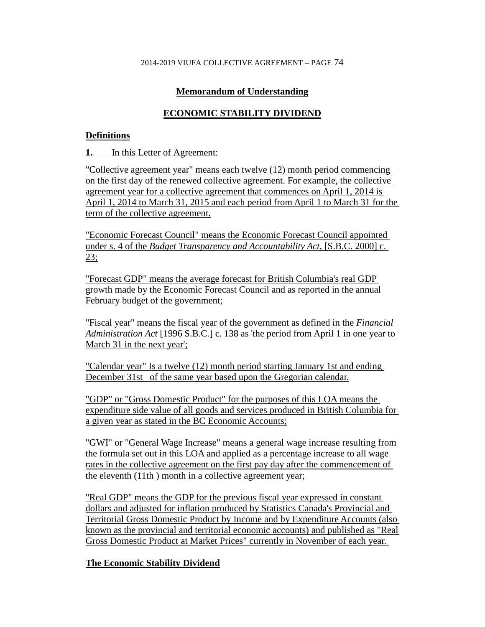# **Memorandum of Understanding**

# **ECONOMIC STABILITY DIVIDEND**

# **Definitions**

**1.** In this Letter of Agreement:

"Collective agreement year" means each twelve (12) month period commencing on the first day of the renewed collective agreement. For example, the collective agreement year for a collective agreement that commences on April 1, 2014 is April 1, 2014 to March 31, 2015 and each period from April 1 to March 31 for the term of the collective agreement.

"Economic Forecast Council" means the Economic Forecast Council appointed under s. 4 of the *Budget Transparency and Accountability Act*, [S.B.C. 2000] c. 23;

"Forecast GDP" means the average forecast for British Columbia's real GDP growth made by the Economic Forecast Council and as reported in the annual February budget of the government;

"Fiscal year" means the fiscal year of the government as defined in the *Financial Administration Act* [1996 S.B.C.] c. 138 as 'the period from April 1 in one year to March 31 in the next year';

"Calendar year" Is a twelve (12) month period starting January 1st and ending December 31st of the same year based upon the Gregorian calendar.

"GDP" or "Gross Domestic Product" for the purposes of this LOA means the expenditure side value of all goods and services produced in British Columbia for a given year as stated in the BC Economic Accounts;

"GWI" or "General Wage Increase" means a general wage increase resulting from the formula set out in this LOA and applied as a percentage increase to all wage rates in the collective agreement on the first pay day after the commencement of the eleventh (11th ) month in a collective agreement year;

"Real GDP" means the GDP for the previous fiscal year expressed in constant dollars and adjusted for inflation produced by Statistics Canada's Provincial and Territorial Gross Domestic Product by Income and by Expenditure Accounts (also known as the provincial and territorial economic accounts) and published as "Real Gross Domestic Product at Market Prices" currently in November of each year.

# **The Economic Stability Dividend**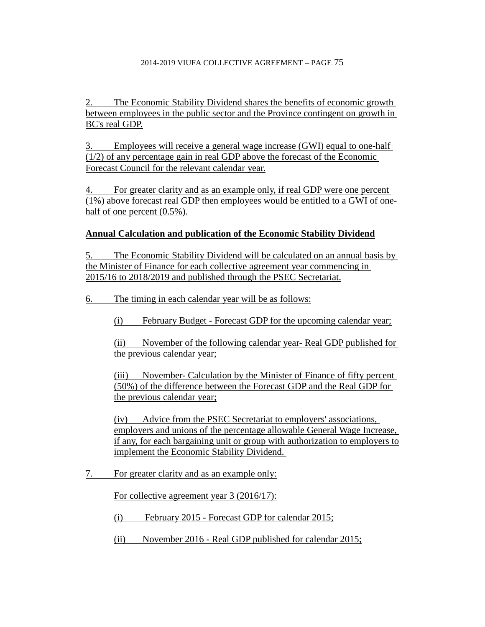The Economic Stability Dividend shares the benefits of economic growth between employees in the public sector and the Province contingent on growth in BC's real GDP.

3. Employees will receive a general wage increase (GWI) equal to one-half (1/2) of any percentage gain in real GDP above the forecast of the Economic Forecast Council for the relevant calendar year.

4. For greater clarity and as an example only, if real GDP were one percent (1%) above forecast real GDP then employees would be entitled to a GWI of onehalf of one percent  $(0.5\%)$ .

# **Annual Calculation and publication of the Economic Stability Dividend**

5. The Economic Stability Dividend will be calculated on an annual basis by the Minister of Finance for each collective agreement year commencing in 2015/16 to 2018/2019 and published through the PSEC Secretariat.

6. The timing in each calendar year will be as follows:

(i) February Budget - Forecast GDP for the upcoming calendar year;

(ii) November of the following calendar year- Real GDP published for the previous calendar year;

(iii) November- Calculation by the Minister of Finance of fifty percent (50%) of the difference between the Forecast GDP and the Real GDP for the previous calendar year;

(iv) Advice from the PSEC Secretariat to employers' associations, employers and unions of the percentage allowable General Wage Increase, if any, for each bargaining unit or group with authorization to employers to implement the Economic Stability Dividend.

7. For greater clarity and as an example only:

For collective agreement year 3 (2016/17):

(i) February 2015 - Forecast GDP for calendar 2015;

(ii) November 2016 - Real GDP published for calendar 2015;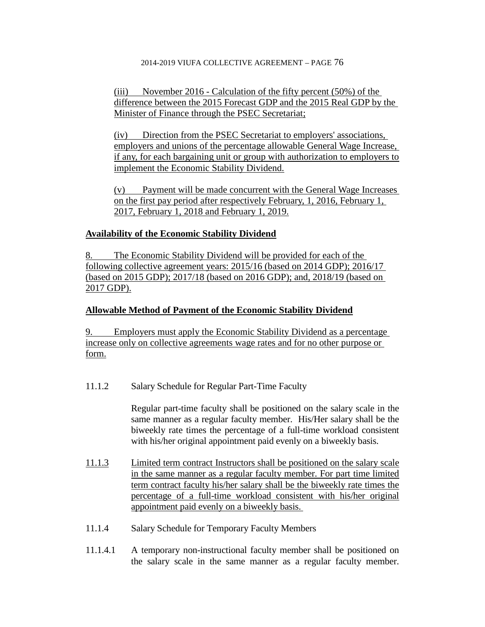(iii) November 2016 - Calculation of the fifty percent (50%) of the difference between the 2015 Forecast GDP and the 2015 Real GDP by the Minister of Finance through the PSEC Secretariat;

(iv) Direction from the PSEC Secretariat to employers' associations, employers and unions of the percentage allowable General Wage Increase, if any, for each bargaining unit or group with authorization to employers to implement the Economic Stability Dividend.

(v) Payment will be made concurrent with the General Wage Increases on the first pay period after respectively February, 1, 2016, February 1, 2017, February 1, 2018 and February 1, 2019.

# **Availability of the Economic Stability Dividend**

8. The Economic Stability Dividend will be provided for each of the following collective agreement years: 2015/16 (based on 2014 GDP); 2016/17 (based on 2015 GDP); 2017/18 (based on 2016 GDP); and, 2018/19 (based on 2017 GDP).

# **Allowable Method of Payment of the Economic Stability Dividend**

9. Employers must apply the Economic Stability Dividend as a percentage increase only on collective agreements wage rates and for no other purpose or form.

11.1.2 Salary Schedule for Regular Part-Time Faculty

Regular part-time faculty shall be positioned on the salary scale in the same manner as a regular faculty member. His/Her salary shall be the biweekly rate times the percentage of a full-time workload consistent with his/her original appointment paid evenly on a biweekly basis.

- 11.1.3 Limited term contract Instructors shall be positioned on the salary scale in the same manner as a regular faculty member. For part time limited term contract faculty his/her salary shall be the biweekly rate times the percentage of a full-time workload consistent with his/her original appointment paid evenly on a biweekly basis.
- 11.1.4 Salary Schedule for Temporary Faculty Members
- 11.1.4.1 A temporary non-instructional faculty member shall be positioned on the salary scale in the same manner as a regular faculty member.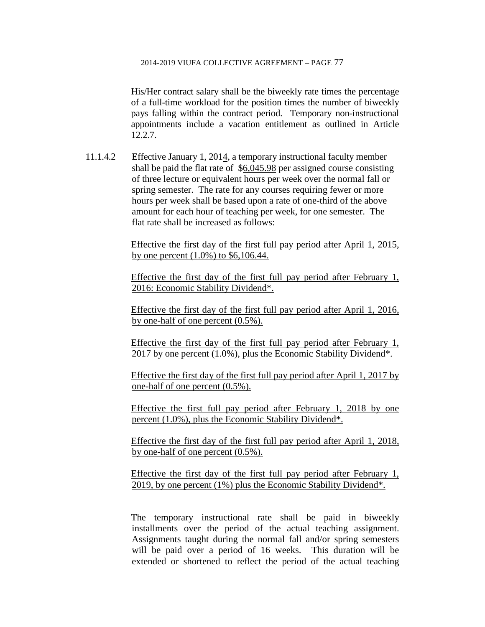His/Her contract salary shall be the biweekly rate times the percentage of a full-time workload for the position times the number of biweekly pays falling within the contract period. Temporary non-instructional appointments include a vacation entitlement as outlined in Article 12.2.7.

11.1.4.2 Effective January 1, 2014, a temporary instructional faculty member shall be paid the flat rate of \$6,045.98 per assigned course consisting of three lecture or equivalent hours per week over the normal fall or spring semester. The rate for any courses requiring fewer or more hours per week shall be based upon a rate of one-third of the above amount for each hour of teaching per week, for one semester. The flat rate shall be increased as follows:

> Effective the first day of the first full pay period after April 1, 2015, by one percent (1.0%) to \$6,106.44.

> Effective the first day of the first full pay period after February 1, 2016: Economic Stability Dividend\*.

> Effective the first day of the first full pay period after April 1, 2016, by one-half of one percent (0.5%).

> Effective the first day of the first full pay period after February 1, 2017 by one percent (1.0%), plus the Economic Stability Dividend\*.

> Effective the first day of the first full pay period after April 1, 2017 by one-half of one percent (0.5%).

> Effective the first full pay period after February 1, 2018 by one percent (1.0%), plus the Economic Stability Dividend\*.

> Effective the first day of the first full pay period after April 1, 2018, by one-half of one percent (0.5%).

> Effective the first day of the first full pay period after February 1, 2019, by one percent (1%) plus the Economic Stability Dividend\*.

> The temporary instructional rate shall be paid in biweekly installments over the period of the actual teaching assignment. Assignments taught during the normal fall and/or spring semesters will be paid over a period of 16 weeks. This duration will be extended or shortened to reflect the period of the actual teaching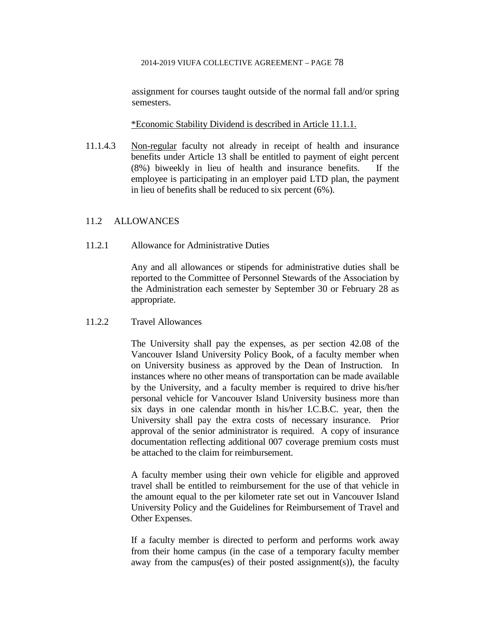assignment for courses taught outside of the normal fall and/or spring semesters.

\*Economic Stability Dividend is described in Article 11.1.1.

11.1.4.3 Non-regular faculty not already in receipt of health and insurance benefits under Article 13 shall be entitled to payment of eight percent (8%) biweekly in lieu of health and insurance benefits. If the employee is participating in an employer paid LTD plan, the payment in lieu of benefits shall be reduced to six percent (6%).

# 11.2 ALLOWANCES

11.2.1 Allowance for Administrative Duties

Any and all allowances or stipends for administrative duties shall be reported to the Committee of Personnel Stewards of the Association by the Administration each semester by September 30 or February 28 as appropriate.

## 11.2.2 Travel Allowances

The University shall pay the expenses, as per section 42.08 of the Vancouver Island University Policy Book, of a faculty member when on University business as approved by the Dean of Instruction. In instances where no other means of transportation can be made available by the University, and a faculty member is required to drive his/her personal vehicle for Vancouver Island University business more than six days in one calendar month in his/her I.C.B.C. year, then the University shall pay the extra costs of necessary insurance. Prior approval of the senior administrator is required. A copy of insurance documentation reflecting additional 007 coverage premium costs must be attached to the claim for reimbursement.

A faculty member using their own vehicle for eligible and approved travel shall be entitled to reimbursement for the use of that vehicle in the amount equal to the per kilometer rate set out in Vancouver Island University Policy and the Guidelines for Reimbursement of Travel and Other Expenses.

If a faculty member is directed to perform and performs work away from their home campus (in the case of a temporary faculty member away from the campus(es) of their posted assignment(s)), the faculty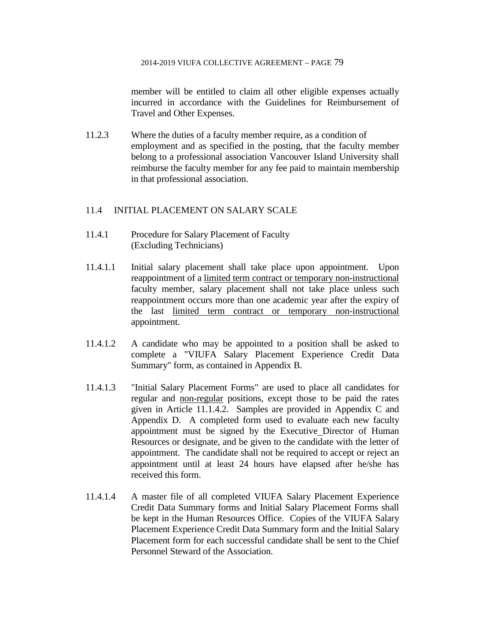member will be entitled to claim all other eligible expenses actually incurred in accordance with the Guidelines for Reimbursement of Travel and Other Expenses.

11.2.3 Where the duties of a faculty member require, as a condition of employment and as specified in the posting, that the faculty member belong to a professional association Vancouver Island University shall reimburse the faculty member for any fee paid to maintain membership in that professional association.

# 11.4 INITIAL PLACEMENT ON SALARY SCALE

- 11.4.1 Procedure for Salary Placement of Faculty (Excluding Technicians)
- 11.4.1.1 Initial salary placement shall take place upon appointment. Upon reappointment of a limited term contract or temporary non-instructional faculty member, salary placement shall not take place unless such reappointment occurs more than one academic year after the expiry of the last limited term contract or temporary non-instructional appointment.
- 11.4.1.2 A candidate who may be appointed to a position shall be asked to complete a "VIUFA Salary Placement Experience Credit Data Summary" form, as contained in Appendix B.
- 11.4.1.3 "Initial Salary Placement Forms" are used to place all candidates for regular and non-regular positions, except those to be paid the rates given in Article 11.1.4.2. Samples are provided in Appendix C and Appendix D. A completed form used to evaluate each new faculty appointment must be signed by the Executive Director of Human Resources or designate, and be given to the candidate with the letter of appointment. The candidate shall not be required to accept or reject an appointment until at least 24 hours have elapsed after he/she has received this form.
- 11.4.1.4 A master file of all completed VIUFA Salary Placement Experience Credit Data Summary forms and Initial Salary Placement Forms shall be kept in the Human Resources Office. Copies of the VIUFA Salary Placement Experience Credit Data Summary form and the Initial Salary Placement form for each successful candidate shall be sent to the Chief Personnel Steward of the Association.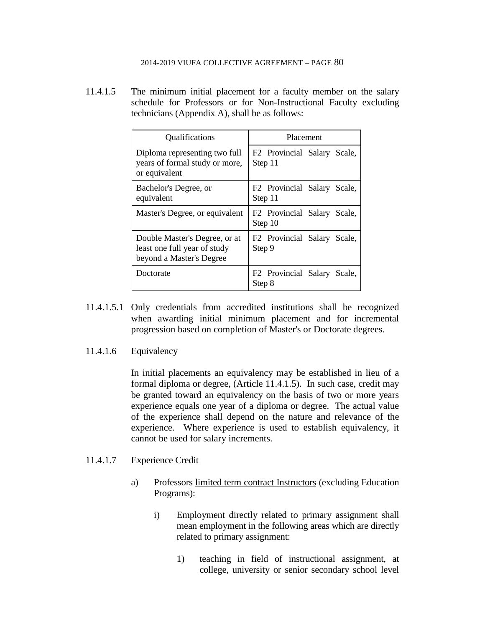11.4.1.5 The minimum initial placement for a faculty member on the salary schedule for Professors or for Non-Instructional Faculty excluding technicians (Appendix A), shall be as follows:

| Qualifications                                                                            | Placement                                          |  |  |  |  |  |  |  |  |
|-------------------------------------------------------------------------------------------|----------------------------------------------------|--|--|--|--|--|--|--|--|
| Diploma representing two full<br>years of formal study or more,<br>or equivalent          | F <sub>2</sub> Provincial Salary Scale,<br>Step 11 |  |  |  |  |  |  |  |  |
| Bachelor's Degree, or<br>equivalent                                                       | F <sub>2</sub> Provincial Salary Scale,<br>Step 11 |  |  |  |  |  |  |  |  |
| Master's Degree, or equivalent                                                            | F <sub>2</sub> Provincial Salary Scale,<br>Step 10 |  |  |  |  |  |  |  |  |
| Double Master's Degree, or at<br>least one full year of study<br>beyond a Master's Degree | F <sub>2</sub> Provincial Salary Scale,<br>Step 9  |  |  |  |  |  |  |  |  |
| Doctorate                                                                                 | F2 Provincial Salary Scale,<br>Step 8              |  |  |  |  |  |  |  |  |

- 11.4.1.5.1 Only credentials from accredited institutions shall be recognized when awarding initial minimum placement and for incremental progression based on completion of Master's or Doctorate degrees.
- 11.4.1.6 Equivalency

In initial placements an equivalency may be established in lieu of a formal diploma or degree, (Article 11.4.1.5). In such case, credit may be granted toward an equivalency on the basis of two or more years experience equals one year of a diploma or degree. The actual value of the experience shall depend on the nature and relevance of the experience. Where experience is used to establish equivalency, it cannot be used for salary increments.

## 11.4.1.7 Experience Credit

- a) Professors limited term contract Instructors (excluding Education Programs):
	- i) Employment directly related to primary assignment shall mean employment in the following areas which are directly related to primary assignment:
		- 1) teaching in field of instructional assignment, at college, university or senior secondary school level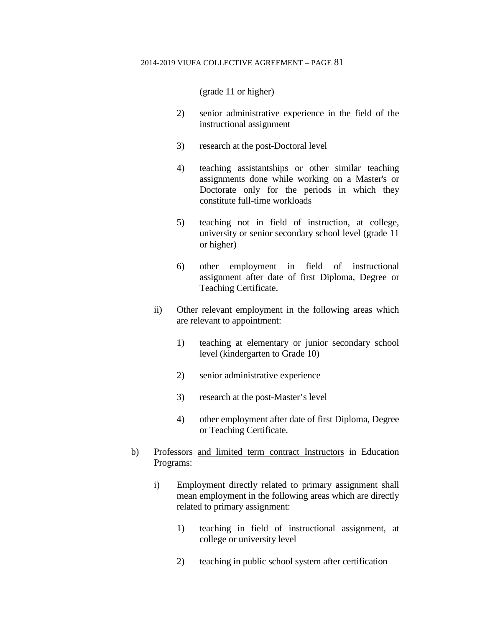(grade 11 or higher)

- 2) senior administrative experience in the field of the instructional assignment
- 3) research at the post-Doctoral level
- 4) teaching assistantships or other similar teaching assignments done while working on a Master's or Doctorate only for the periods in which they constitute full-time workloads
- 5) teaching not in field of instruction, at college, university or senior secondary school level (grade 11 or higher)
- 6) other employment in field of instructional assignment after date of first Diploma, Degree or Teaching Certificate.
- ii) Other relevant employment in the following areas which are relevant to appointment:
	- 1) teaching at elementary or junior secondary school level (kindergarten to Grade 10)
	- 2) senior administrative experience
	- 3) research at the post-Master's level
	- 4) other employment after date of first Diploma, Degree or Teaching Certificate.
- b) Professors and limited term contract Instructors in Education Programs:
	- i) Employment directly related to primary assignment shall mean employment in the following areas which are directly related to primary assignment:
		- 1) teaching in field of instructional assignment, at college or university level
		- 2) teaching in public school system after certification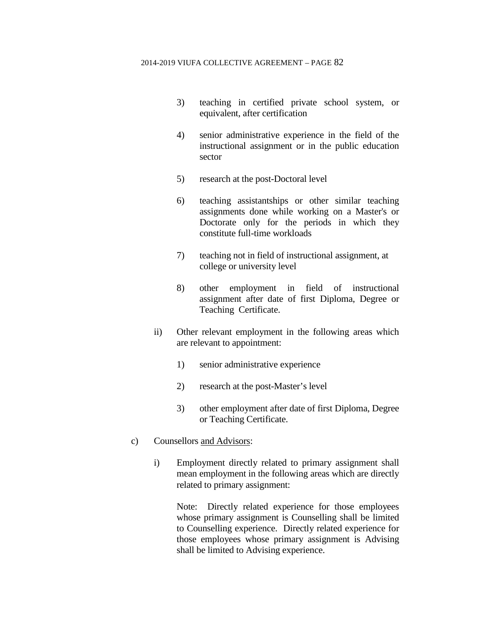- 3) teaching in certified private school system, or equivalent, after certification
- 4) senior administrative experience in the field of the instructional assignment or in the public education sector
- 5) research at the post-Doctoral level
- 6) teaching assistantships or other similar teaching assignments done while working on a Master's or Doctorate only for the periods in which they constitute full-time workloads
- 7) teaching not in field of instructional assignment, at college or university level
- 8) other employment in field of instructional assignment after date of first Diploma, Degree or Teaching Certificate.
- ii) Other relevant employment in the following areas which are relevant to appointment:
	- 1) senior administrative experience
	- 2) research at the post-Master's level
	- 3) other employment after date of first Diploma, Degree or Teaching Certificate.
- c) Counsellors and Advisors:
	- i) Employment directly related to primary assignment shall mean employment in the following areas which are directly related to primary assignment:

Note: Directly related experience for those employees whose primary assignment is Counselling shall be limited to Counselling experience. Directly related experience for those employees whose primary assignment is Advising shall be limited to Advising experience.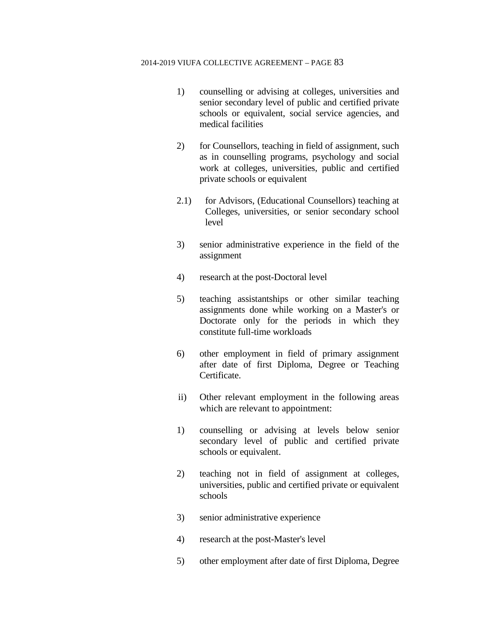- 1) counselling or advising at colleges, universities and senior secondary level of public and certified private schools or equivalent, social service agencies, and medical facilities
- 2) for Counsellors, teaching in field of assignment, such as in counselling programs, psychology and social work at colleges, universities, public and certified private schools or equivalent
- 2.1) for Advisors, (Educational Counsellors) teaching at Colleges, universities, or senior secondary school level
- 3) senior administrative experience in the field of the assignment
- 4) research at the post-Doctoral level
- 5) teaching assistantships or other similar teaching assignments done while working on a Master's or Doctorate only for the periods in which they constitute full-time workloads
- 6) other employment in field of primary assignment after date of first Diploma, Degree or Teaching Certificate.
- ii) Other relevant employment in the following areas which are relevant to appointment:
- 1) counselling or advising at levels below senior secondary level of public and certified private schools or equivalent.
- 2) teaching not in field of assignment at colleges, universities, public and certified private or equivalent schools
- 3) senior administrative experience
- 4) research at the post-Master's level
- 5) other employment after date of first Diploma, Degree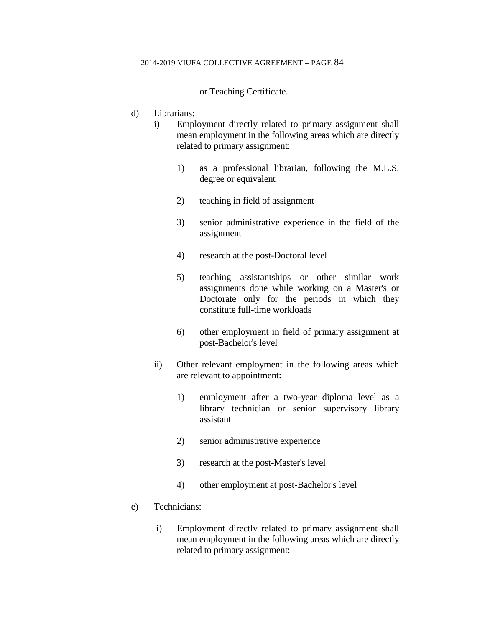or Teaching Certificate.

- d) Librarians:
	- i) Employment directly related to primary assignment shall mean employment in the following areas which are directly related to primary assignment:
		- 1) as a professional librarian, following the M.L.S. degree or equivalent
		- 2) teaching in field of assignment
		- 3) senior administrative experience in the field of the assignment
		- 4) research at the post-Doctoral level
		- 5) teaching assistantships or other similar work assignments done while working on a Master's or Doctorate only for the periods in which they constitute full-time workloads
		- 6) other employment in field of primary assignment at post-Bachelor's level
	- ii) Other relevant employment in the following areas which are relevant to appointment:
		- 1) employment after a two-year diploma level as a library technician or senior supervisory library assistant
		- 2) senior administrative experience
		- 3) research at the post-Master's level
		- 4) other employment at post-Bachelor's level
- e) Technicians:
	- i) Employment directly related to primary assignment shall mean employment in the following areas which are directly related to primary assignment: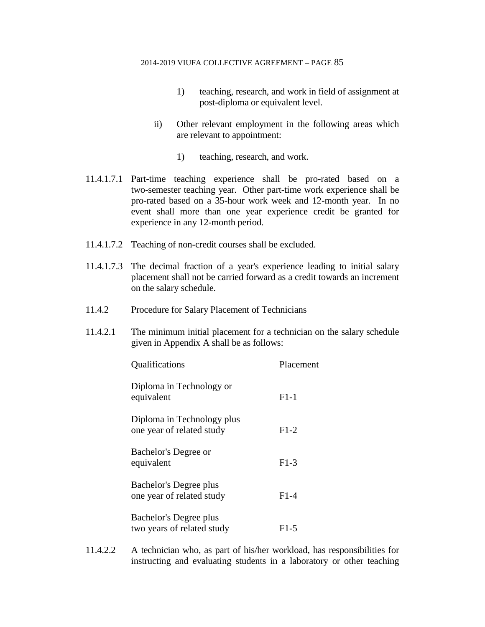- 1) teaching, research, and work in field of assignment at post-diploma or equivalent level.
- ii) Other relevant employment in the following areas which are relevant to appointment:
	- 1) teaching, research, and work.
- 11.4.1.7.1 Part-time teaching experience shall be pro-rated based on a two-semester teaching year. Other part-time work experience shall be pro-rated based on a 35-hour work week and 12-month year. In no event shall more than one year experience credit be granted for experience in any 12-month period.
- 11.4.1.7.2 Teaching of non-credit courses shall be excluded.
- 11.4.1.7.3 The decimal fraction of a year's experience leading to initial salary placement shall not be carried forward as a credit towards an increment on the salary schedule.
- 11.4.2 Procedure for Salary Placement of Technicians
- 11.4.2.1 The minimum initial placement for a technician on the salary schedule given in Appendix A shall be as follows:

| Qualifications                                          | Placement |
|---------------------------------------------------------|-----------|
| Diploma in Technology or<br>equivalent                  | $F1-1$    |
| Diploma in Technology plus<br>one year of related study | $F1-2$    |
| Bachelor's Degree or<br>equivalent                      | $F1-3$    |
| Bachelor's Degree plus<br>one year of related study     | $F1-4$    |
| Bachelor's Degree plus<br>two years of related study    | F1-5      |

11.4.2.2 A technician who, as part of his/her workload, has responsibilities for instructing and evaluating students in a laboratory or other teaching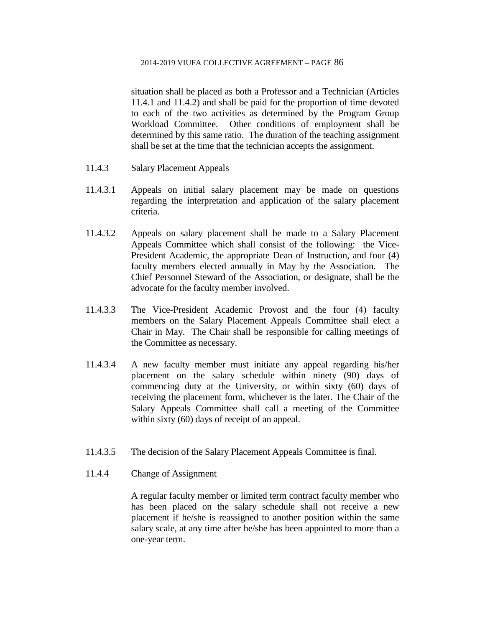situation shall be placed as both a Professor and a Technician (Articles 11.4.1 and 11.4.2) and shall be paid for the proportion of time devoted to each of the two activities as determined by the Program Group Workload Committee. Other conditions of employment shall be determined by this same ratio. The duration of the teaching assignment shall be set at the time that the technician accepts the assignment.

- 11.4.3 Salary Placement Appeals
- 11.4.3.1 Appeals on initial salary placement may be made on questions regarding the interpretation and application of the salary placement criteria.
- 11.4.3.2 Appeals on salary placement shall be made to a Salary Placement Appeals Committee which shall consist of the following: the Vice-President Academic, the appropriate Dean of Instruction, and four (4) faculty members elected annually in May by the Association. The Chief Personnel Steward of the Association, or designate, shall be the advocate for the faculty member involved.
- 11.4.3.3 The Vice-President Academic Provost and the four (4) faculty members on the Salary Placement Appeals Committee shall elect a Chair in May. The Chair shall be responsible for calling meetings of the Committee as necessary.
- 11.4.3.4 A new faculty member must initiate any appeal regarding his/her placement on the salary schedule within ninety (90) days of commencing duty at the University, or within sixty (60) days of receiving the placement form, whichever is the later. The Chair of the Salary Appeals Committee shall call a meeting of the Committee within sixty (60) days of receipt of an appeal.
- 11.4.3.5 The decision of the Salary Placement Appeals Committee is final.
- 11.4.4 Change of Assignment

A regular faculty member or limited term contract faculty member who has been placed on the salary schedule shall not receive a new placement if he/she is reassigned to another position within the same salary scale, at any time after he/she has been appointed to more than a one-year term.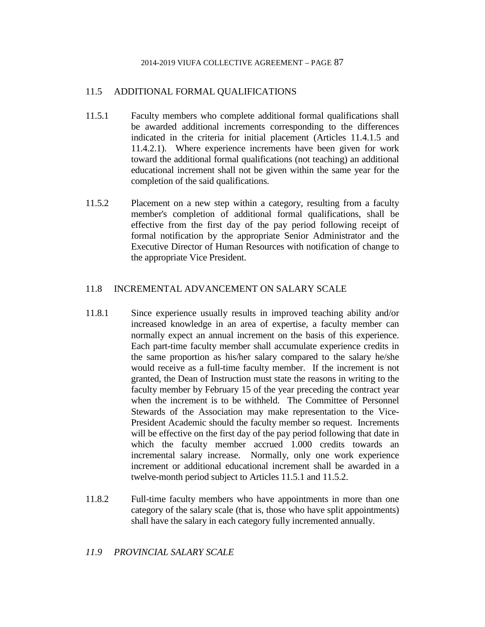# 11.5 ADDITIONAL FORMAL QUALIFICATIONS

- 11.5.1 Faculty members who complete additional formal qualifications shall be awarded additional increments corresponding to the differences indicated in the criteria for initial placement (Articles 11.4.1.5 and 11.4.2.1). Where experience increments have been given for work toward the additional formal qualifications (not teaching) an additional educational increment shall not be given within the same year for the completion of the said qualifications.
- 11.5.2 Placement on a new step within a category, resulting from a faculty member's completion of additional formal qualifications, shall be effective from the first day of the pay period following receipt of formal notification by the appropriate Senior Administrator and the Executive Director of Human Resources with notification of change to the appropriate Vice President.

# 11.8 INCREMENTAL ADVANCEMENT ON SALARY SCALE

- 11.8.1 Since experience usually results in improved teaching ability and/or increased knowledge in an area of expertise, a faculty member can normally expect an annual increment on the basis of this experience. Each part-time faculty member shall accumulate experience credits in the same proportion as his/her salary compared to the salary he/she would receive as a full-time faculty member. If the increment is not granted, the Dean of Instruction must state the reasons in writing to the faculty member by February 15 of the year preceding the contract year when the increment is to be withheld. The Committee of Personnel Stewards of the Association may make representation to the Vice-President Academic should the faculty member so request. Increments will be effective on the first day of the pay period following that date in which the faculty member accrued 1.000 credits towards an incremental salary increase. Normally, only one work experience increment or additional educational increment shall be awarded in a twelve-month period subject to Articles 11.5.1 and 11.5.2.
- 11.8.2 Full-time faculty members who have appointments in more than one category of the salary scale (that is, those who have split appointments) shall have the salary in each category fully incremented annually.

# *11.9 PROVINCIAL SALARY SCALE*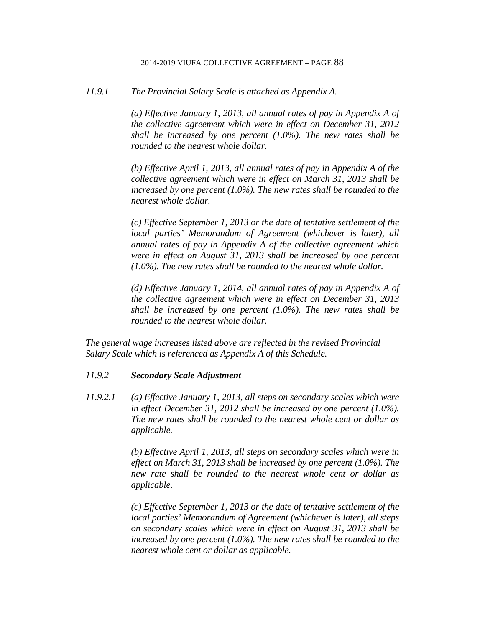*11.9.1 The Provincial Salary Scale is attached as Appendix A.*

*(a) Effective January 1, 2013, all annual rates of pay in Appendix A of the collective agreement which were in effect on December 31, 2012 shall be increased by one percent (1.0%). The new rates shall be rounded to the nearest whole dollar.*

*(b) Effective April 1, 2013, all annual rates of pay in Appendix A of the collective agreement which were in effect on March 31, 2013 shall be increased by one percent (1.0%). The new rates shall be rounded to the nearest whole dollar.*

*(c) Effective September 1, 2013 or the date of tentative settlement of the local parties' Memorandum of Agreement (whichever is later), all annual rates of pay in Appendix A of the collective agreement which were in effect on August 31, 2013 shall be increased by one percent (1.0%). The new rates shall be rounded to the nearest whole dollar.*

*(d) Effective January 1, 2014, all annual rates of pay in Appendix A of the collective agreement which were in effect on December 31, 2013 shall be increased by one percent (1.0%). The new rates shall be rounded to the nearest whole dollar.* 

*The general wage increases listed above are reflected in the revised Provincial Salary Scale which is referenced as Appendix A of this Schedule.*

## *11.9.2 Secondary Scale Adjustment*

*11.9.2.1 (a) Effective January 1, 2013, all steps on secondary scales which were in effect December 31, 2012 shall be increased by one percent (1.0%). The new rates shall be rounded to the nearest whole cent or dollar as applicable.*

> *(b) Effective April 1, 2013, all steps on secondary scales which were in effect on March 31, 2013 shall be increased by one percent (1.0%). The new rate shall be rounded to the nearest whole cent or dollar as applicable.*

> *(c) Effective September 1, 2013 or the date of tentative settlement of the local parties' Memorandum of Agreement (whichever is later), all steps on secondary scales which were in effect on August 31, 2013 shall be increased by one percent (1.0%). The new rates shall be rounded to the nearest whole cent or dollar as applicable.*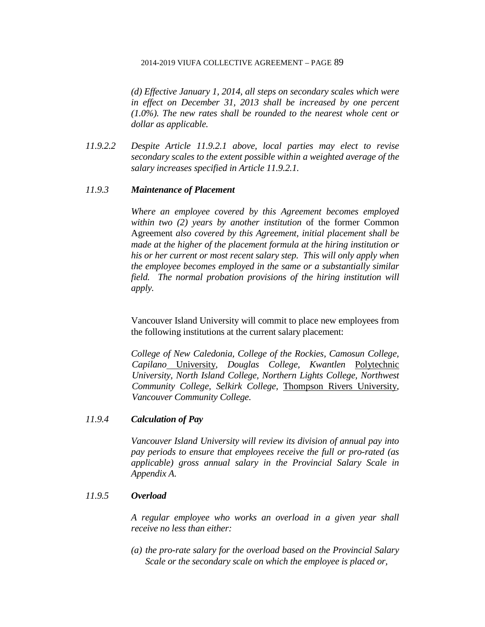*(d) Effective January 1, 2014, all steps on secondary scales which were in effect on December 31, 2013 shall be increased by one percent (1.0%). The new rates shall be rounded to the nearest whole cent or dollar as applicable.*

*11.9.2.2 Despite Article 11.9.2.1 above, local parties may elect to revise secondary scales to the extent possible within a weighted average of the salary increases specified in Article 11.9.2.1.*

## *11.9.3 Maintenance of Placement*

*Where an employee covered by this Agreement becomes employed within two (2) years by another institution* of the former Common Agreement *also covered by this Agreement, initial placement shall be made at the higher of the placement formula at the hiring institution or his or her current or most recent salary step. This will only apply when the employee becomes employed in the same or a substantially similar field. The normal probation provisions of the hiring institution will apply.* 

Vancouver Island University will commit to place new employees from the following institutions at the current salary placement:

*College of New Caledonia, College of the Rockies, Camosun College, Capilano* University*, Douglas College, Kwantlen* Polytechnic *University, North Island College, Northern Lights College, Northwest Community College, Selkirk College,* Thompson Rivers University*, Vancouver Community College.*

# *11.9.4 Calculation of Pay*

*Vancouver Island University will review its division of annual pay into pay periods to ensure that employees receive the full or pro-rated (as applicable) gross annual salary in the Provincial Salary Scale in Appendix A.*

### *11.9.5 Overload*

*A regular employee who works an overload in a given year shall receive no less than either:*

*(a) the pro-rate salary for the overload based on the Provincial Salary Scale or the secondary scale on which the employee is placed or,*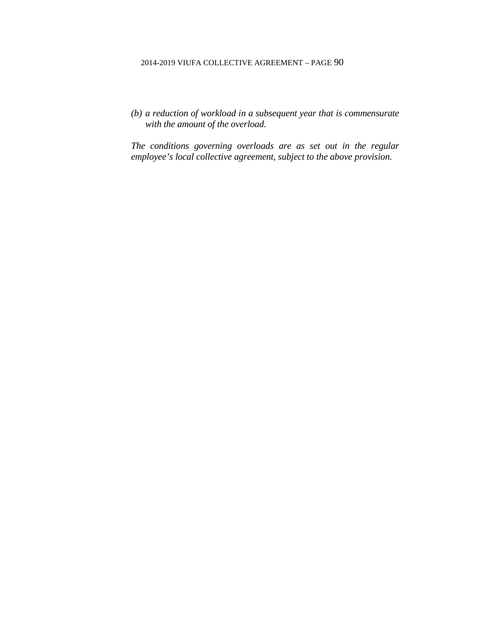*(b) a reduction of workload in a subsequent year that is commensurate with the amount of the overload.*

*The conditions governing overloads are as set out in the regular employee's local collective agreement, subject to the above provision.*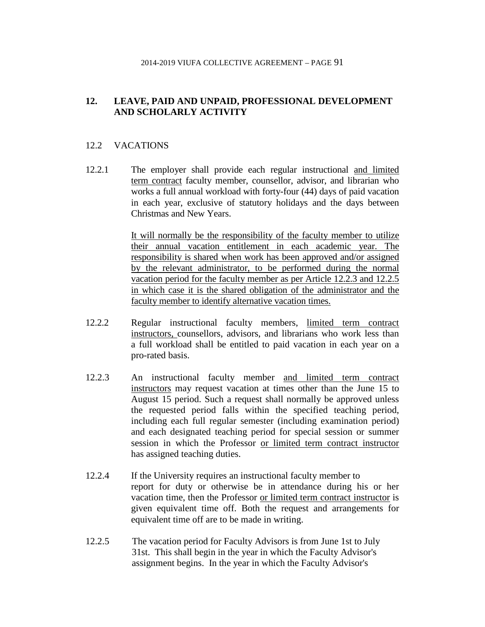# **12. LEAVE, PAID AND UNPAID, PROFESSIONAL DEVELOPMENT AND SCHOLARLY ACTIVITY**

# 12.2 VACATIONS

12.2.1 The employer shall provide each regular instructional and limited term contract faculty member, counsellor, advisor, and librarian who works a full annual workload with forty-four (44) days of paid vacation in each year, exclusive of statutory holidays and the days between Christmas and New Years.

> It will normally be the responsibility of the faculty member to utilize their annual vacation entitlement in each academic year. The responsibility is shared when work has been approved and/or assigned by the relevant administrator, to be performed during the normal vacation period for the faculty member as per Article 12.2.3 and 12.2.5 in which case it is the shared obligation of the administrator and the faculty member to identify alternative vacation times.

- 12.2.2 Regular instructional faculty members, limited term contract instructors, counsellors, advisors, and librarians who work less than a full workload shall be entitled to paid vacation in each year on a pro-rated basis.
- 12.2.3 An instructional faculty member and limited term contract instructors may request vacation at times other than the June 15 to August 15 period. Such a request shall normally be approved unless the requested period falls within the specified teaching period, including each full regular semester (including examination period) and each designated teaching period for special session or summer session in which the Professor or limited term contract instructor has assigned teaching duties.
- 12.2.4 If the University requires an instructional faculty member to report for duty or otherwise be in attendance during his or her vacation time, then the Professor or limited term contract instructor is given equivalent time off. Both the request and arrangements for equivalent time off are to be made in writing.
- 12.2.5 The vacation period for Faculty Advisors is from June 1st to July 31st. This shall begin in the year in which the Faculty Advisor's assignment begins. In the year in which the Faculty Advisor's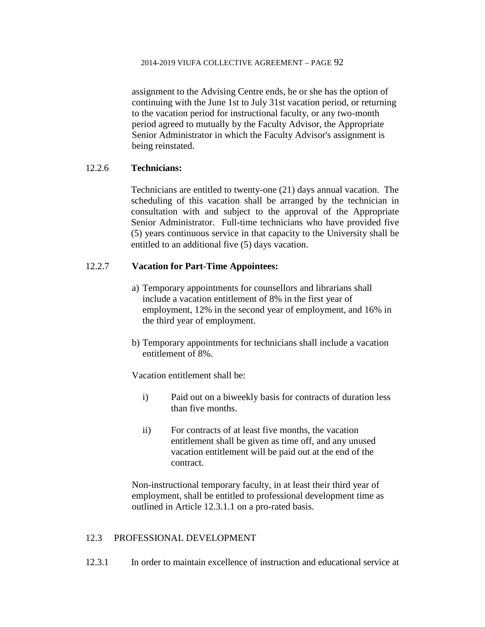assignment to the Advising Centre ends, he or she has the option of continuing with the June 1st to July 31st vacation period, or returning to the vacation period for instructional faculty, or any two-month period agreed to mutually by the Faculty Advisor, the Appropriate Senior Administrator in which the Faculty Advisor's assignment is being reinstated.

# 12.2.6 **Technicians:**

Technicians are entitled to twenty-one (21) days annual vacation. The scheduling of this vacation shall be arranged by the technician in consultation with and subject to the approval of the Appropriate Senior Administrator. Full-time technicians who have provided five (5) years continuous service in that capacity to the University shall be entitled to an additional five (5) days vacation.

# 12.2.7 **Vacation for Part-Time Appointees:**

- a) Temporary appointments for counsellors and librarians shall include a vacation entitlement of 8% in the first year of employment, 12% in the second year of employment, and 16% in the third year of employment.
- b) Temporary appointments for technicians shall include a vacation entitlement of 8%.

Vacation entitlement shall be:

- i) Paid out on a biweekly basis for contracts of duration less than five months.
- ii) For contracts of at least five months, the vacation entitlement shall be given as time off, and any unused vacation entitlement will be paid out at the end of the contract.

Non-instructional temporary faculty, in at least their third year of employment, shall be entitled to professional development time as outlined in Article 12.3.1.1 on a pro-rated basis.

# 12.3 PROFESSIONAL DEVELOPMENT

12.3.1 In order to maintain excellence of instruction and educational service at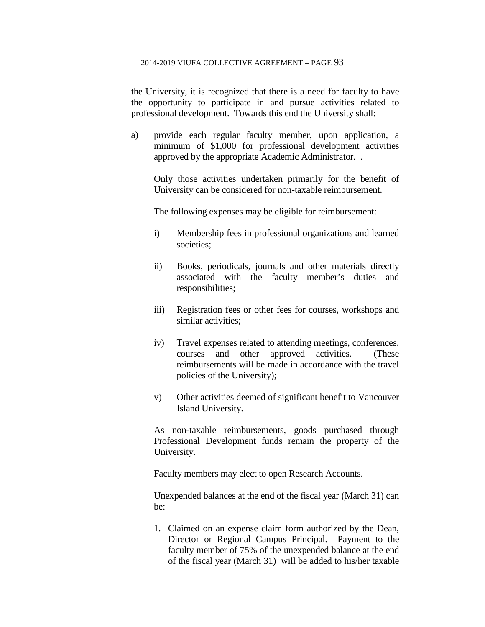the University, it is recognized that there is a need for faculty to have the opportunity to participate in and pursue activities related to professional development. Towards this end the University shall:

a) provide each regular faculty member, upon application, a minimum of \$1,000 for professional development activities approved by the appropriate Academic Administrator. .

Only those activities undertaken primarily for the benefit of University can be considered for non-taxable reimbursement.

The following expenses may be eligible for reimbursement:

- i) Membership fees in professional organizations and learned societies;
- ii) Books, periodicals, journals and other materials directly associated with the faculty member's duties and responsibilities;
- iii) Registration fees or other fees for courses, workshops and similar activities;
- iv) Travel expenses related to attending meetings, conferences, courses and other approved activities. (These reimbursements will be made in accordance with the travel policies of the University);
- v) Other activities deemed of significant benefit to Vancouver Island University.

As non-taxable reimbursements, goods purchased through Professional Development funds remain the property of the University.

Faculty members may elect to open Research Accounts.

Unexpended balances at the end of the fiscal year (March 31) can be:

1. Claimed on an expense claim form authorized by the Dean, Director or Regional Campus Principal. Payment to the faculty member of 75% of the unexpended balance at the end of the fiscal year (March 31) will be added to his/her taxable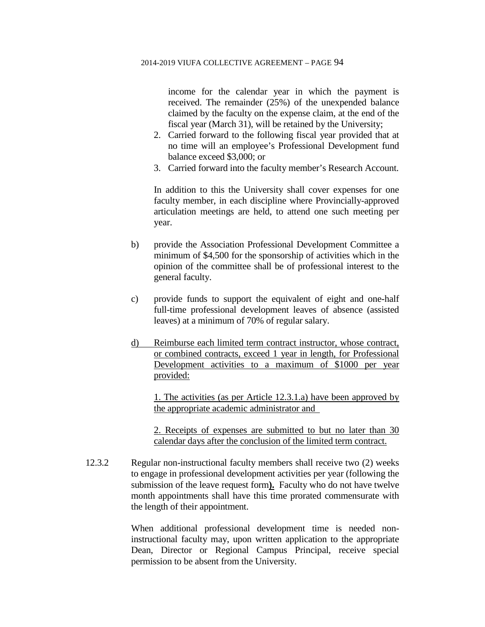income for the calendar year in which the payment is received. The remainder (25%) of the unexpended balance claimed by the faculty on the expense claim, at the end of the fiscal year (March 31), will be retained by the University;

- 2. Carried forward to the following fiscal year provided that at no time will an employee's Professional Development fund balance exceed \$3,000; or
- 3. Carried forward into the faculty member's Research Account.

In addition to this the University shall cover expenses for one faculty member, in each discipline where Provincially-approved articulation meetings are held, to attend one such meeting per year.

- b) provide the Association Professional Development Committee a minimum of \$4,500 for the sponsorship of activities which in the opinion of the committee shall be of professional interest to the general faculty.
- c) provide funds to support the equivalent of eight and one-half full-time professional development leaves of absence (assisted leaves) at a minimum of 70% of regular salary.
- d) Reimburse each limited term contract instructor, whose contract, or combined contracts, exceed 1 year in length, for Professional Development activities to a maximum of \$1000 per year provided:

1. The activities (as per Article 12.3.1.a) have been approved by the appropriate academic administrator and

2. Receipts of expenses are submitted to but no later than 30 calendar days after the conclusion of the limited term contract.

12.3.2 Regular non-instructional faculty members shall receive two (2) weeks to engage in professional development activities per year (following the submission of the leave request form**).** Faculty who do not have twelve month appointments shall have this time prorated commensurate with the length of their appointment.

> When additional professional development time is needed noninstructional faculty may, upon written application to the appropriate Dean, Director or Regional Campus Principal, receive special permission to be absent from the University.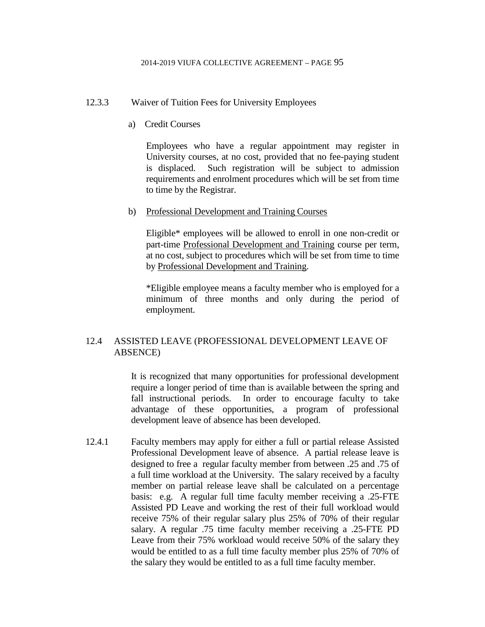### 12.3.3 Waiver of Tuition Fees for University Employees

a) Credit Courses

Employees who have a regular appointment may register in University courses, at no cost, provided that no fee-paying student is displaced. Such registration will be subject to admission requirements and enrolment procedures which will be set from time to time by the Registrar.

b) Professional Development and Training Courses

Eligible\* employees will be allowed to enroll in one non-credit or part-time Professional Development and Training course per term, at no cost, subject to procedures which will be set from time to time by Professional Development and Training.

\*Eligible employee means a faculty member who is employed for a minimum of three months and only during the period of employment.

# 12.4 ASSISTED LEAVE (PROFESSIONAL DEVELOPMENT LEAVE OF ABSENCE)

It is recognized that many opportunities for professional development require a longer period of time than is available between the spring and fall instructional periods. In order to encourage faculty to take advantage of these opportunities, a program of professional development leave of absence has been developed.

12.4.1 Faculty members may apply for either a full or partial release Assisted Professional Development leave of absence. A partial release leave is designed to free a regular faculty member from between .25 and .75 of a full time workload at the University. The salary received by a faculty member on partial release leave shall be calculated on a percentage basis: e.g. A regular full time faculty member receiving a .25-FTE Assisted PD Leave and working the rest of their full workload would receive 75% of their regular salary plus 25% of 70% of their regular salary. A regular .75 time faculty member receiving a .25-FTE PD Leave from their 75% workload would receive 50% of the salary they would be entitled to as a full time faculty member plus 25% of 70% of the salary they would be entitled to as a full time faculty member.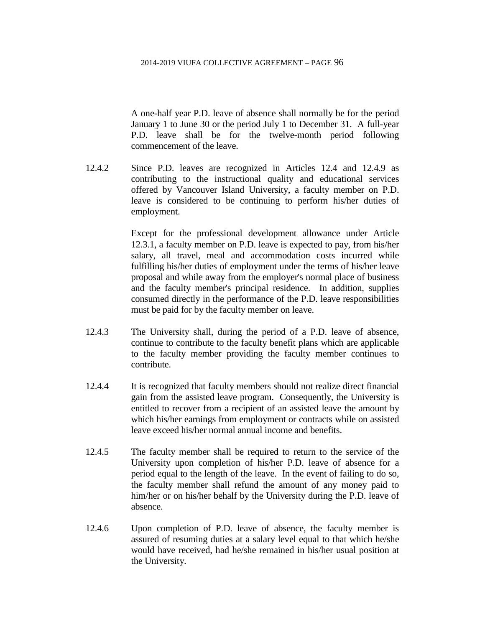A one-half year P.D. leave of absence shall normally be for the period January 1 to June 30 or the period July 1 to December 31. A full-year P.D. leave shall be for the twelve-month period following commencement of the leave.

12.4.2 Since P.D. leaves are recognized in Articles 12.4 and 12.4.9 as contributing to the instructional quality and educational services offered by Vancouver Island University, a faculty member on P.D. leave is considered to be continuing to perform his/her duties of employment.

> Except for the professional development allowance under Article 12.3.1, a faculty member on P.D. leave is expected to pay, from his/her salary, all travel, meal and accommodation costs incurred while fulfilling his/her duties of employment under the terms of his/her leave proposal and while away from the employer's normal place of business and the faculty member's principal residence. In addition, supplies consumed directly in the performance of the P.D. leave responsibilities must be paid for by the faculty member on leave.

- 12.4.3 The University shall, during the period of a P.D. leave of absence, continue to contribute to the faculty benefit plans which are applicable to the faculty member providing the faculty member continues to contribute.
- 12.4.4 It is recognized that faculty members should not realize direct financial gain from the assisted leave program. Consequently, the University is entitled to recover from a recipient of an assisted leave the amount by which his/her earnings from employment or contracts while on assisted leave exceed his/her normal annual income and benefits.
- 12.4.5 The faculty member shall be required to return to the service of the University upon completion of his/her P.D. leave of absence for a period equal to the length of the leave. In the event of failing to do so, the faculty member shall refund the amount of any money paid to him/her or on his/her behalf by the University during the P.D. leave of absence.
- 12.4.6 Upon completion of P.D. leave of absence, the faculty member is assured of resuming duties at a salary level equal to that which he/she would have received, had he/she remained in his/her usual position at the University.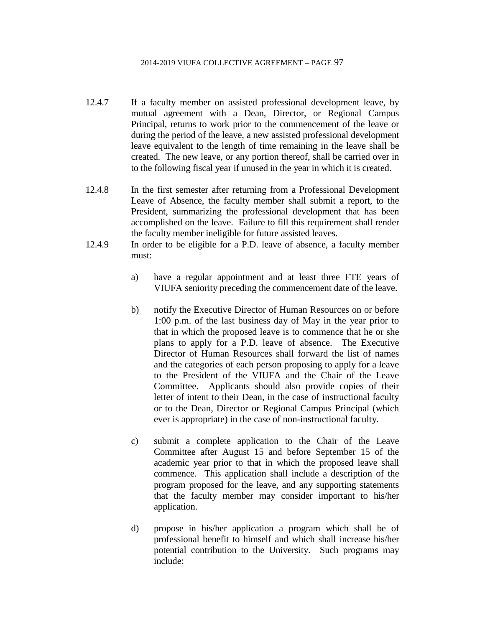- 12.4.7 If a faculty member on assisted professional development leave, by mutual agreement with a Dean, Director, or Regional Campus Principal, returns to work prior to the commencement of the leave or during the period of the leave, a new assisted professional development leave equivalent to the length of time remaining in the leave shall be created. The new leave, or any portion thereof, shall be carried over in to the following fiscal year if unused in the year in which it is created.
- 12.4.8 In the first semester after returning from a Professional Development Leave of Absence, the faculty member shall submit a report, to the President, summarizing the professional development that has been accomplished on the leave. Failure to fill this requirement shall render the faculty member ineligible for future assisted leaves.
- 12.4.9 In order to be eligible for a P.D. leave of absence, a faculty member must:
	- a) have a regular appointment and at least three FTE years of VIUFA seniority preceding the commencement date of the leave.
	- b) notify the Executive Director of Human Resources on or before 1:00 p.m. of the last business day of May in the year prior to that in which the proposed leave is to commence that he or she plans to apply for a P.D. leave of absence. The Executive Director of Human Resources shall forward the list of names and the categories of each person proposing to apply for a leave to the President of the VIUFA and the Chair of the Leave Committee. Applicants should also provide copies of their letter of intent to their Dean, in the case of instructional faculty or to the Dean, Director or Regional Campus Principal (which ever is appropriate) in the case of non-instructional faculty.
	- c) submit a complete application to the Chair of the Leave Committee after August 15 and before September 15 of the academic year prior to that in which the proposed leave shall commence. This application shall include a description of the program proposed for the leave, and any supporting statements that the faculty member may consider important to his/her application.
	- d) propose in his/her application a program which shall be of professional benefit to himself and which shall increase his/her potential contribution to the University. Such programs may include: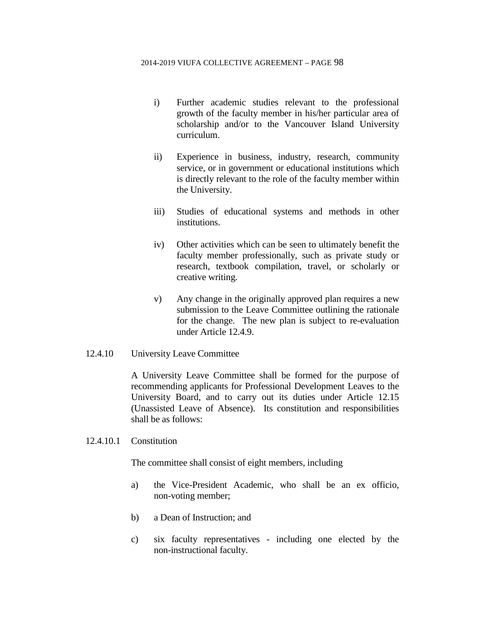- i) Further academic studies relevant to the professional growth of the faculty member in his/her particular area of scholarship and/or to the Vancouver Island University curriculum.
- ii) Experience in business, industry, research, community service, or in government or educational institutions which is directly relevant to the role of the faculty member within the University.
- iii) Studies of educational systems and methods in other institutions.
- iv) Other activities which can be seen to ultimately benefit the faculty member professionally, such as private study or research, textbook compilation, travel, or scholarly or creative writing.
- v) Any change in the originally approved plan requires a new submission to the Leave Committee outlining the rationale for the change. The new plan is subject to re-evaluation under Article 12.4.9.
- 12.4.10 University Leave Committee

A University Leave Committee shall be formed for the purpose of recommending applicants for Professional Development Leaves to the University Board, and to carry out its duties under Article 12.15 (Unassisted Leave of Absence). Its constitution and responsibilities shall be as follows:

12.4.10.1 Constitution

The committee shall consist of eight members, including

- a) the Vice-President Academic, who shall be an ex officio, non-voting member;
- b) a Dean of Instruction; and
- c) six faculty representatives including one elected by the non-instructional faculty.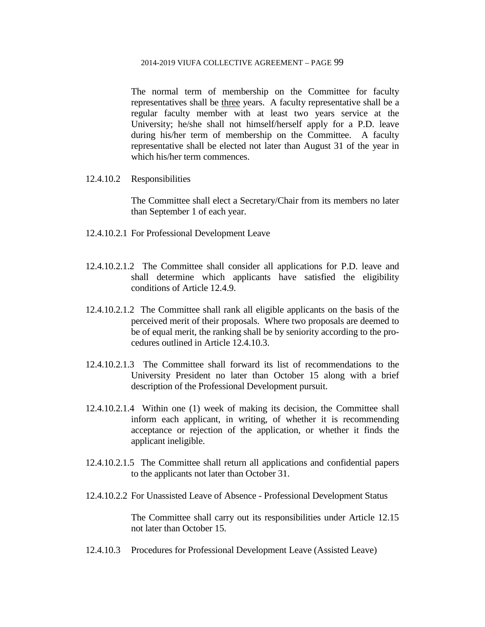The normal term of membership on the Committee for faculty representatives shall be three years. A faculty representative shall be a regular faculty member with at least two years service at the University; he/she shall not himself/herself apply for a P.D. leave during his/her term of membership on the Committee. A faculty representative shall be elected not later than August 31 of the year in which his/her term commences.

12.4.10.2 Responsibilities

The Committee shall elect a Secretary/Chair from its members no later than September 1 of each year.

- 12.4.10.2.1 For Professional Development Leave
- 12.4.10.2.1.2 The Committee shall consider all applications for P.D. leave and shall determine which applicants have satisfied the eligibility conditions of Article 12.4.9.
- 12.4.10.2.1.2 The Committee shall rank all eligible applicants on the basis of the perceived merit of their proposals. Where two proposals are deemed to be of equal merit, the ranking shall be by seniority according to the procedures outlined in Article 12.4.10.3.
- 12.4.10.2.1.3 The Committee shall forward its list of recommendations to the University President no later than October 15 along with a brief description of the Professional Development pursuit.
- 12.4.10.2.1.4 Within one (1) week of making its decision, the Committee shall inform each applicant, in writing, of whether it is recommending acceptance or rejection of the application, or whether it finds the applicant ineligible.
- 12.4.10.2.1.5 The Committee shall return all applications and confidential papers to the applicants not later than October 31.
- 12.4.10.2.2 For Unassisted Leave of Absence Professional Development Status

The Committee shall carry out its responsibilities under Article 12.15 not later than October 15.

12.4.10.3 Procedures for Professional Development Leave (Assisted Leave)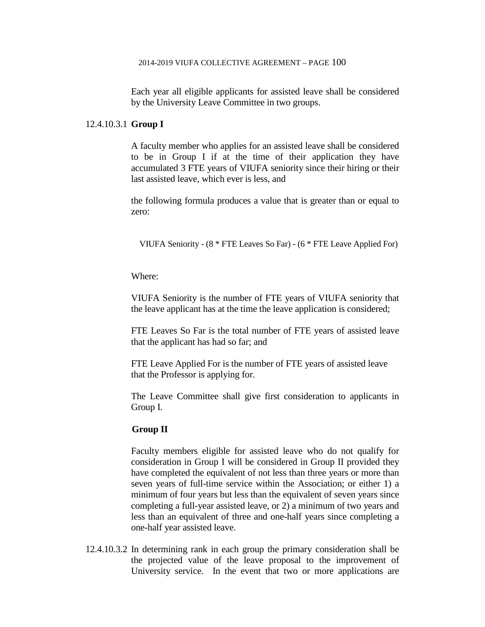Each year all eligible applicants for assisted leave shall be considered by the University Leave Committee in two groups.

### 12.4.10.3.1 **Group I**

A faculty member who applies for an assisted leave shall be considered to be in Group I if at the time of their application they have accumulated 3 FTE years of VIUFA seniority since their hiring or their last assisted leave, which ever is less, and

the following formula produces a value that is greater than or equal to zero:

VIUFA Seniority - (8 \* FTE Leaves So Far) - (6 \* FTE Leave Applied For)

Where:

VIUFA Seniority is the number of FTE years of VIUFA seniority that the leave applicant has at the time the leave application is considered;

FTE Leaves So Far is the total number of FTE years of assisted leave that the applicant has had so far; and

FTE Leave Applied For is the number of FTE years of assisted leave that the Professor is applying for.

The Leave Committee shall give first consideration to applicants in Group I.

#### **Group II**

Faculty members eligible for assisted leave who do not qualify for consideration in Group I will be considered in Group II provided they have completed the equivalent of not less than three years or more than seven years of full-time service within the Association; or either 1) a minimum of four years but less than the equivalent of seven years since completing a full-year assisted leave, or 2) a minimum of two years and less than an equivalent of three and one-half years since completing a one-half year assisted leave.

12.4.10.3.2 In determining rank in each group the primary consideration shall be the projected value of the leave proposal to the improvement of University service. In the event that two or more applications are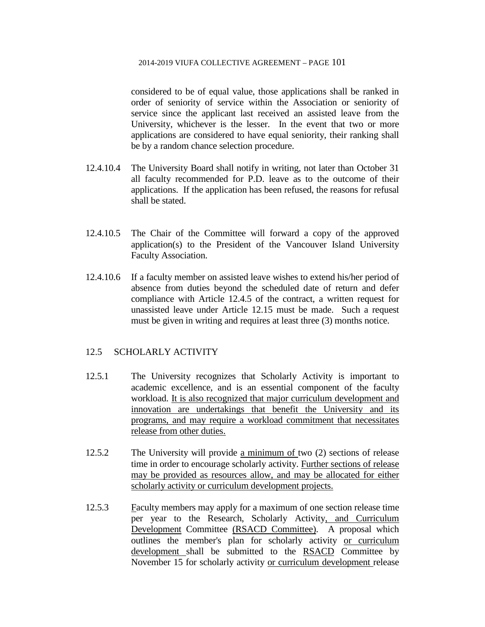considered to be of equal value, those applications shall be ranked in order of seniority of service within the Association or seniority of service since the applicant last received an assisted leave from the University, whichever is the lesser. In the event that two or more applications are considered to have equal seniority, their ranking shall be by a random chance selection procedure.

- 12.4.10.4 The University Board shall notify in writing, not later than October 31 all faculty recommended for P.D. leave as to the outcome of their applications. If the application has been refused, the reasons for refusal shall be stated.
- 12.4.10.5 The Chair of the Committee will forward a copy of the approved application(s) to the President of the Vancouver Island University Faculty Association.
- 12.4.10.6 If a faculty member on assisted leave wishes to extend his/her period of absence from duties beyond the scheduled date of return and defer compliance with Article 12.4.5 of the contract, a written request for unassisted leave under Article 12.15 must be made. Such a request must be given in writing and requires at least three (3) months notice.

### 12.5 SCHOLARLY ACTIVITY

- 12.5.1 The University recognizes that Scholarly Activity is important to academic excellence, and is an essential component of the faculty workload. It is also recognized that major curriculum development and innovation are undertakings that benefit the University and its programs, and may require a workload commitment that necessitates release from other duties.
- 12.5.2 The University will provide a minimum of two (2) sections of release time in order to encourage scholarly activity. Further sections of release may be provided as resources allow, and may be allocated for either scholarly activity or curriculum development projects.
- 12.5.3 Faculty members may apply for a maximum of one section release time per year to the Research, Scholarly Activity, and Curriculum Development Committee (RSACD Committee). A proposal which outlines the member's plan for scholarly activity or curriculum development shall be submitted to the RSACD Committee by November 15 for scholarly activity or curriculum development release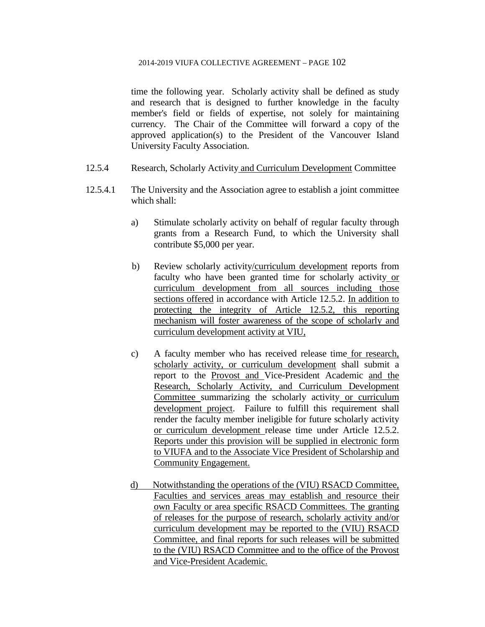time the following year. Scholarly activity shall be defined as study and research that is designed to further knowledge in the faculty member's field or fields of expertise, not solely for maintaining currency. The Chair of the Committee will forward a copy of the approved application(s) to the President of the Vancouver Island University Faculty Association.

- 12.5.4 Research, Scholarly Activity and Curriculum Development Committee
- 12.5.4.1 The University and the Association agree to establish a joint committee which shall:
	- a) Stimulate scholarly activity on behalf of regular faculty through grants from a Research Fund, to which the University shall contribute \$5,000 per year.
	- b) Review scholarly activity/curriculum development reports from faculty who have been granted time for scholarly activity or curriculum development from all sources including those sections offered in accordance with Article 12.5.2. In addition to protecting the integrity of Article 12.5.2, this reporting mechanism will foster awareness of the scope of scholarly and curriculum development activity at VIU,
	- c) A faculty member who has received release time for research, scholarly activity, or curriculum development shall submit a report to the Provost and Vice-President Academic and the Research, Scholarly Activity, and Curriculum Development Committee summarizing the scholarly activity or curriculum development project. Failure to fulfill this requirement shall render the faculty member ineligible for future scholarly activity or curriculum development release time under Article 12.5.2. Reports under this provision will be supplied in electronic form to VIUFA and to the Associate Vice President of Scholarship and Community Engagement.
	- d) Notwithstanding the operations of the (VIU) RSACD Committee, Faculties and services areas may establish and resource their own Faculty or area specific RSACD Committees. The granting of releases for the purpose of research, scholarly activity and/or curriculum development may be reported to the (VIU) RSACD Committee, and final reports for such releases will be submitted to the (VIU) RSACD Committee and to the office of the Provost and Vice-President Academic.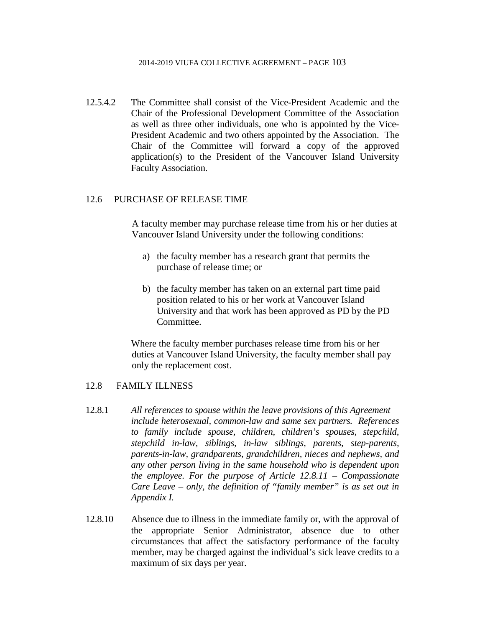12.5.4.2 The Committee shall consist of the Vice-President Academic and the Chair of the Professional Development Committee of the Association as well as three other individuals, one who is appointed by the Vice-President Academic and two others appointed by the Association. The Chair of the Committee will forward a copy of the approved application(s) to the President of the Vancouver Island University Faculty Association.

### 12.6 PURCHASE OF RELEASE TIME

A faculty member may purchase release time from his or her duties at Vancouver Island University under the following conditions:

- a) the faculty member has a research grant that permits the purchase of release time; or
- b) the faculty member has taken on an external part time paid position related to his or her work at Vancouver Island University and that work has been approved as PD by the PD Committee.

Where the faculty member purchases release time from his or her duties at Vancouver Island University, the faculty member shall pay only the replacement cost.

### 12.8 FAMILY ILLNESS

- 12.8.1 *All references to spouse within the leave provisions of this Agreement include heterosexual, common-law and same sex partners. References to family include spouse, children, children's spouses, stepchild, stepchild in-law, siblings, in-law siblings, parents, step-parents, parents-in-law, grandparents, grandchildren, nieces and nephews, and any other person living in the same household who is dependent upon the employee. For the purpose of Article 12.8.11 – Compassionate Care Leave – only, the definition of "family member" is as set out in Appendix I.*
- 12.8.10 Absence due to illness in the immediate family or, with the approval of the appropriate Senior Administrator, absence due to other circumstances that affect the satisfactory performance of the faculty member, may be charged against the individual's sick leave credits to a maximum of six days per year.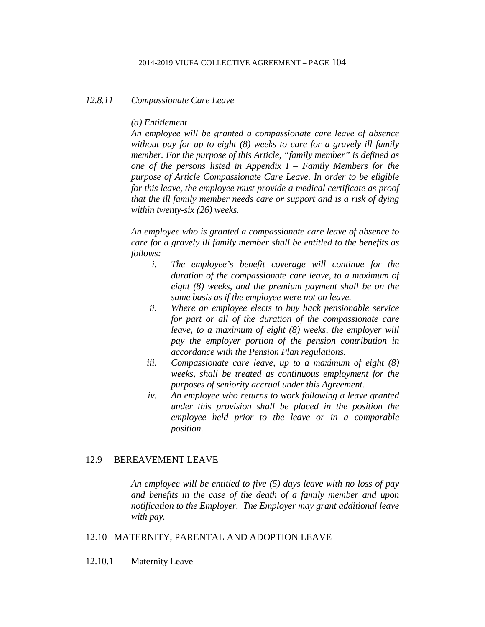#### *12.8.11 Compassionate Care Leave*

#### *(a) Entitlement*

*An employee will be granted a compassionate care leave of absence without pay for up to eight (8) weeks to care for a gravely ill family member. For the purpose of this Article, "family member" is defined as one of the persons listed in Appendix I – Family Members for the purpose of Article Compassionate Care Leave. In order to be eligible for this leave, the employee must provide a medical certificate as proof that the ill family member needs care or support and is a risk of dying within twenty-six (26) weeks.*

*An employee who is granted a compassionate care leave of absence to care for a gravely ill family member shall be entitled to the benefits as follows:*

- *i. The employee's benefit coverage will continue for the duration of the compassionate care leave, to a maximum of eight (8) weeks, and the premium payment shall be on the same basis as if the employee were not on leave.*
- *ii. Where an employee elects to buy back pensionable service for part or all of the duration of the compassionate care leave, to a maximum of eight (8) weeks, the employer will pay the employer portion of the pension contribution in accordance with the Pension Plan regulations.*
- *iii. Compassionate care leave, up to a maximum of eight (8) weeks, shall be treated as continuous employment for the purposes of seniority accrual under this Agreement.*
- *iv. An employee who returns to work following a leave granted under this provision shall be placed in the position the employee held prior to the leave or in a comparable position*.

#### 12.9 BEREAVEMENT LEAVE

*An employee will be entitled to five (5) days leave with no loss of pay and benefits in the case of the death of a family member and upon notification to the Employer. The Employer may grant additional leave with pay.*

### 12.10 MATERNITY, PARENTAL AND ADOPTION LEAVE

12.10.1 Maternity Leave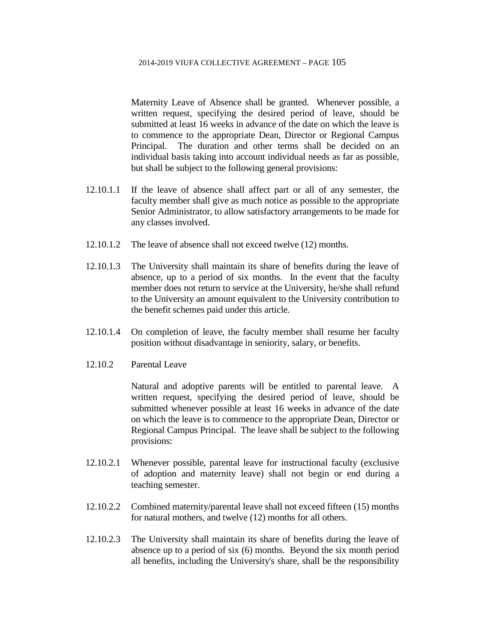Maternity Leave of Absence shall be granted. Whenever possible, a written request, specifying the desired period of leave, should be submitted at least 16 weeks in advance of the date on which the leave is to commence to the appropriate Dean, Director or Regional Campus Principal. The duration and other terms shall be decided on an individual basis taking into account individual needs as far as possible, but shall be subject to the following general provisions:

- 12.10.1.1 If the leave of absence shall affect part or all of any semester, the faculty member shall give as much notice as possible to the appropriate Senior Administrator, to allow satisfactory arrangements to be made for any classes involved.
- 12.10.1.2 The leave of absence shall not exceed twelve (12) months.
- 12.10.1.3 The University shall maintain its share of benefits during the leave of absence, up to a period of six months. In the event that the faculty member does not return to service at the University, he/she shall refund to the University an amount equivalent to the University contribution to the benefit schemes paid under this article.
- 12.10.1.4 On completion of leave, the faculty member shall resume her faculty position without disadvantage in seniority, salary, or benefits.
- 12.10.2 Parental Leave

Natural and adoptive parents will be entitled to parental leave. A written request, specifying the desired period of leave, should be submitted whenever possible at least 16 weeks in advance of the date on which the leave is to commence to the appropriate Dean, Director or Regional Campus Principal. The leave shall be subject to the following provisions:

- 12.10.2.1 Whenever possible, parental leave for instructional faculty (exclusive of adoption and maternity leave) shall not begin or end during a teaching semester.
- 12.10.2.2 Combined maternity/parental leave shall not exceed fifteen (15) months for natural mothers, and twelve (12) months for all others.
- 12.10.2.3 The University shall maintain its share of benefits during the leave of absence up to a period of six (6) months. Beyond the six month period all benefits, including the University's share, shall be the responsibility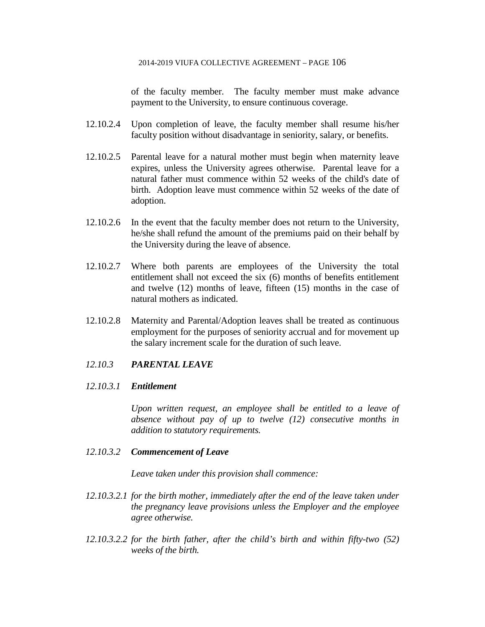of the faculty member. The faculty member must make advance payment to the University, to ensure continuous coverage.

- 12.10.2.4 Upon completion of leave, the faculty member shall resume his/her faculty position without disadvantage in seniority, salary, or benefits.
- 12.10.2.5 Parental leave for a natural mother must begin when maternity leave expires, unless the University agrees otherwise. Parental leave for a natural father must commence within 52 weeks of the child's date of birth. Adoption leave must commence within 52 weeks of the date of adoption.
- 12.10.2.6 In the event that the faculty member does not return to the University, he/she shall refund the amount of the premiums paid on their behalf by the University during the leave of absence.
- 12.10.2.7 Where both parents are employees of the University the total entitlement shall not exceed the six (6) months of benefits entitlement and twelve (12) months of leave, fifteen (15) months in the case of natural mothers as indicated.
- 12.10.2.8 Maternity and Parental/Adoption leaves shall be treated as continuous employment for the purposes of seniority accrual and for movement up the salary increment scale for the duration of such leave.

### *12.10.3 PARENTAL LEAVE*

### *12.10.3.1 Entitlement*

*Upon written request, an employee shall be entitled to a leave of absence without pay of up to twelve (12) consecutive months in addition to statutory requirements.*

### *12.10.3.2 Commencement of Leave*

*Leave taken under this provision shall commence:*

- *12.10.3.2.1 for the birth mother, immediately after the end of the leave taken under the pregnancy leave provisions unless the Employer and the employee agree otherwise.*
- *12.10.3.2.2 for the birth father, after the child's birth and within fifty-two (52) weeks of the birth.*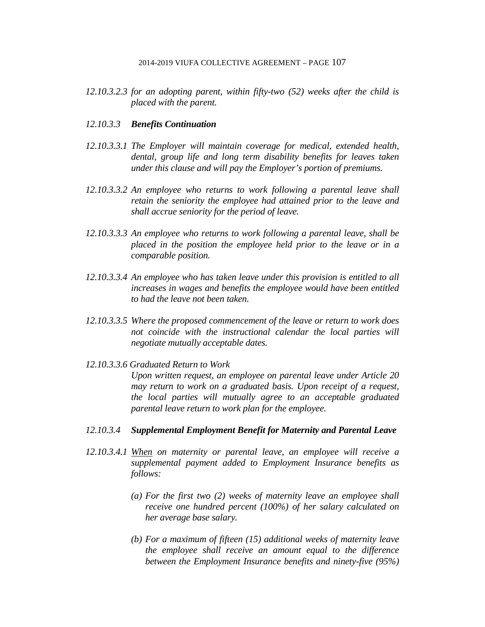*12.10.3.2.3 for an adopting parent, within fifty-two (52) weeks after the child is placed with the parent.*

### *12.10.3.3 Benefits Continuation*

- *12.10.3.3.1 The Employer will maintain coverage for medical, extended health, dental, group life and long term disability benefits for leaves taken under this clause and will pay the Employer's portion of premiums.*
- *12.10.3.3.2 An employee who returns to work following a parental leave shall retain the seniority the employee had attained prior to the leave and shall accrue seniority for the period of leave.*
- *12.10.3.3.3 An employee who returns to work following a parental leave, shall be placed in the position the employee held prior to the leave or in a comparable position.*
- *12.10.3.3.4 An employee who has taken leave under this provision is entitled to all increases in wages and benefits the employee would have been entitled to had the leave not been taken.*
- *12.10.3.3.5 Where the proposed commencement of the leave or return to work does not coincide with the instructional calendar the local parties will negotiate mutually acceptable dates.*
- *12.10.3.3.6 Graduated Return to Work*

*Upon written request, an employee on parental leave under Article 20 may return to work on a graduated basis. Upon receipt of a request, the local parties will mutually agree to an acceptable graduated parental leave return to work plan for the employee.*

- *12.10.3.4 Supplemental Employment Benefit for Maternity and Parental Leave*
- *12.10.3.4.1 When on maternity or parental leave, an employee will receive a supplemental payment added to Employment Insurance benefits as follows:*
	- *(a) For the first two (2) weeks of maternity leave an employee shall receive one hundred percent (100%) of her salary calculated on her average base salary.*
	- *(b) For a maximum of fifteen (15) additional weeks of maternity leave the employee shall receive an amount equal to the difference between the Employment Insurance benefits and ninety-five (95%)*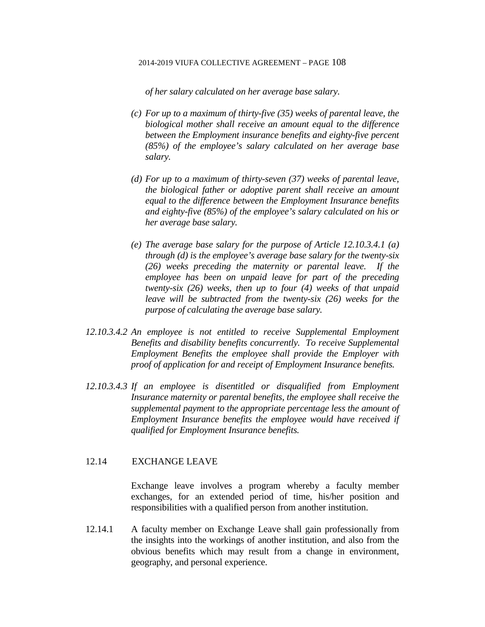*of her salary calculated on her average base salary.*

- *(c) For up to a maximum of thirty-five (35) weeks of parental leave, the biological mother shall receive an amount equal to the difference between the Employment insurance benefits and eighty-five percent (85%) of the employee's salary calculated on her average base salary.*
- *(d) For up to a maximum of thirty-seven (37) weeks of parental leave, the biological father or adoptive parent shall receive an amount equal to the difference between the Employment Insurance benefits and eighty-five (85%) of the employee's salary calculated on his or her average base salary.*
- *(e) The average base salary for the purpose of Article 12.10.3.4.1 (a) through (d) is the employee's average base salary for the twenty-six (26) weeks preceding the maternity or parental leave. If the employee has been on unpaid leave for part of the preceding twenty-six (26) weeks, then up to four (4) weeks of that unpaid leave will be subtracted from the twenty-six (26) weeks for the purpose of calculating the average base salary.*
- *12.10.3.4.2 An employee is not entitled to receive Supplemental Employment Benefits and disability benefits concurrently. To receive Supplemental Employment Benefits the employee shall provide the Employer with proof of application for and receipt of Employment Insurance benefits.*
- *12.10.3.4.3 If an employee is disentitled or disqualified from Employment Insurance maternity or parental benefits, the employee shall receive the supplemental payment to the appropriate percentage less the amount of Employment Insurance benefits the employee would have received if qualified for Employment Insurance benefits.*

### 12.14 EXCHANGE LEAVE

Exchange leave involves a program whereby a faculty member exchanges, for an extended period of time, his/her position and responsibilities with a qualified person from another institution.

12.14.1 A faculty member on Exchange Leave shall gain professionally from the insights into the workings of another institution, and also from the obvious benefits which may result from a change in environment, geography, and personal experience.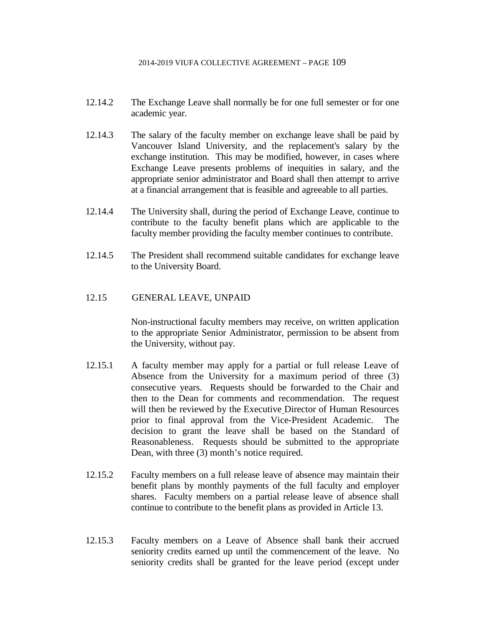- 12.14.2 The Exchange Leave shall normally be for one full semester or for one academic year.
- 12.14.3 The salary of the faculty member on exchange leave shall be paid by Vancouver Island University, and the replacement's salary by the exchange institution. This may be modified, however, in cases where Exchange Leave presents problems of inequities in salary, and the appropriate senior administrator and Board shall then attempt to arrive at a financial arrangement that is feasible and agreeable to all parties.
- 12.14.4 The University shall, during the period of Exchange Leave, continue to contribute to the faculty benefit plans which are applicable to the faculty member providing the faculty member continues to contribute.
- 12.14.5 The President shall recommend suitable candidates for exchange leave to the University Board.

### 12.15 GENERAL LEAVE, UNPAID

Non-instructional faculty members may receive, on written application to the appropriate Senior Administrator, permission to be absent from the University, without pay.

- 12.15.1 A faculty member may apply for a partial or full release Leave of Absence from the University for a maximum period of three (3) consecutive years. Requests should be forwarded to the Chair and then to the Dean for comments and recommendation. The request will then be reviewed by the Executive Director of Human Resources prior to final approval from the Vice-President Academic. The decision to grant the leave shall be based on the Standard of Reasonableness. Requests should be submitted to the appropriate Dean, with three (3) month's notice required.
- 12.15.2 Faculty members on a full release leave of absence may maintain their benefit plans by monthly payments of the full faculty and employer shares. Faculty members on a partial release leave of absence shall continue to contribute to the benefit plans as provided in Article 13.
- 12.15.3 Faculty members on a Leave of Absence shall bank their accrued seniority credits earned up until the commencement of the leave. No seniority credits shall be granted for the leave period (except under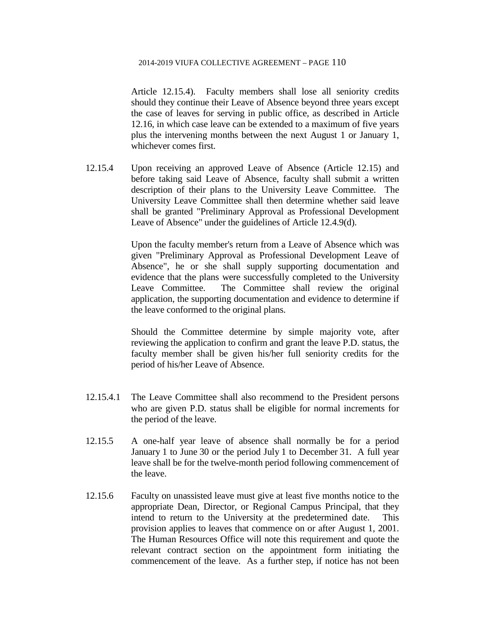Article 12.15.4). Faculty members shall lose all seniority credits should they continue their Leave of Absence beyond three years except the case of leaves for serving in public office, as described in Article 12.16, in which case leave can be extended to a maximum of five years plus the intervening months between the next August 1 or January 1, whichever comes first.

12.15.4 Upon receiving an approved Leave of Absence (Article 12.15) and before taking said Leave of Absence, faculty shall submit a written description of their plans to the University Leave Committee. The University Leave Committee shall then determine whether said leave shall be granted "Preliminary Approval as Professional Development Leave of Absence" under the guidelines of Article 12.4.9(d).

> Upon the faculty member's return from a Leave of Absence which was given "Preliminary Approval as Professional Development Leave of Absence", he or she shall supply supporting documentation and evidence that the plans were successfully completed to the University Leave Committee. The Committee shall review the original application, the supporting documentation and evidence to determine if the leave conformed to the original plans.

> Should the Committee determine by simple majority vote, after reviewing the application to confirm and grant the leave P.D. status, the faculty member shall be given his/her full seniority credits for the period of his/her Leave of Absence.

- 12.15.4.1 The Leave Committee shall also recommend to the President persons who are given P.D. status shall be eligible for normal increments for the period of the leave.
- 12.15.5 A one-half year leave of absence shall normally be for a period January 1 to June 30 or the period July 1 to December 31. A full year leave shall be for the twelve-month period following commencement of the leave.
- 12.15.6 Faculty on unassisted leave must give at least five months notice to the appropriate Dean, Director, or Regional Campus Principal, that they intend to return to the University at the predetermined date. This provision applies to leaves that commence on or after August 1, 2001. The Human Resources Office will note this requirement and quote the relevant contract section on the appointment form initiating the commencement of the leave. As a further step, if notice has not been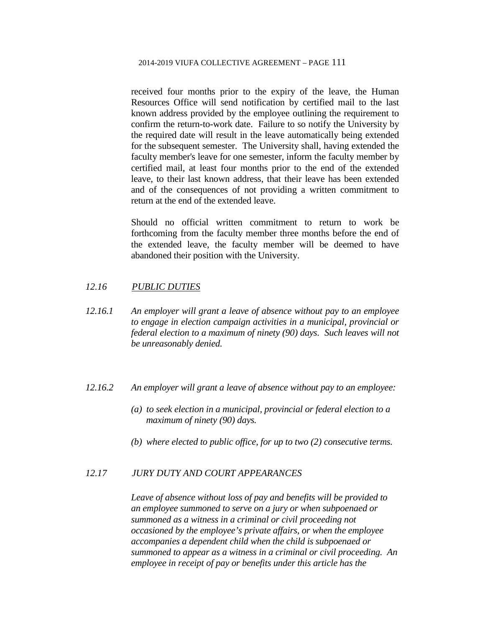received four months prior to the expiry of the leave, the Human Resources Office will send notification by certified mail to the last known address provided by the employee outlining the requirement to confirm the return-to-work date. Failure to so notify the University by the required date will result in the leave automatically being extended for the subsequent semester. The University shall, having extended the faculty member's leave for one semester, inform the faculty member by certified mail, at least four months prior to the end of the extended leave, to their last known address, that their leave has been extended and of the consequences of not providing a written commitment to return at the end of the extended leave.

Should no official written commitment to return to work be forthcoming from the faculty member three months before the end of the extended leave, the faculty member will be deemed to have abandoned their position with the University.

### *12.16 PUBLIC DUTIES*

- *12.16.1 An employer will grant a leave of absence without pay to an employee to engage in election campaign activities in a municipal, provincial or federal election to a maximum of ninety (90) days. Such leaves will not be unreasonably denied.*
- *12.16.2 An employer will grant a leave of absence without pay to an employee:*
	- *(a) to seek election in a municipal, provincial or federal election to a maximum of ninety (90) days.*
	- *(b) where elected to public office, for up to two (2) consecutive terms.*

### *12.17 JURY DUTY AND COURT APPEARANCES*

*Leave of absence without loss of pay and benefits will be provided to an employee summoned to serve on a jury or when subpoenaed or summoned as a witness in a criminal or civil proceeding not occasioned by the employee's private affairs, or when the employee accompanies a dependent child when the child is subpoenaed or summoned to appear as a witness in a criminal or civil proceeding. An employee in receipt of pay or benefits under this article has the*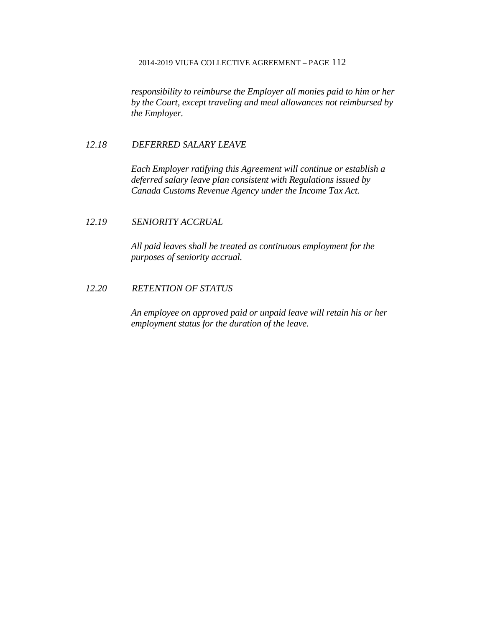*responsibility to reimburse the Employer all monies paid to him or her by the Court, except traveling and meal allowances not reimbursed by the Employer.*

## *12.18 DEFERRED SALARY LEAVE*

*Each Employer ratifying this Agreement will continue or establish a deferred salary leave plan consistent with Regulations issued by Canada Customs Revenue Agency under the Income Tax Act.*

# *12.19 SENIORITY ACCRUAL*

*All paid leaves shall be treated as continuous employment for the purposes of seniority accrual.*

# *12.20 RETENTION OF STATUS*

*An employee on approved paid or unpaid leave will retain his or her employment status for the duration of the leave.*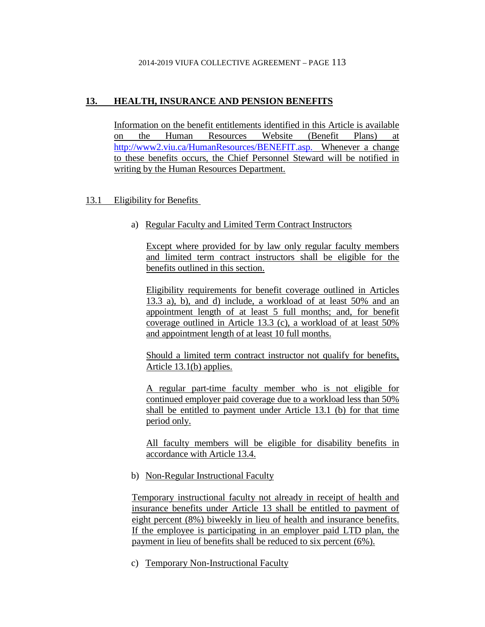# **13. HEALTH, INSURANCE AND PENSION BENEFITS**

Information on the benefit entitlements identified in this Article is available on the Human Resources Website (Benefit Plans) at http://www2.viu.ca/HumanResources/BENEFIT.asp. Whenever a change to these benefits occurs, the Chief Personnel Steward will be notified in writing by the Human Resources Department.

# 13.1 Eligibility for Benefits

a) Regular Faculty and Limited Term Contract Instructors

Except where provided for by law only regular faculty members and limited term contract instructors shall be eligible for the benefits outlined in this section.

Eligibility requirements for benefit coverage outlined in Articles 13.3 a), b), and d) include, a workload of at least 50% and an appointment length of at least 5 full months; and, for benefit coverage outlined in Article 13.3 (c), a workload of at least 50% and appointment length of at least 10 full months.

Should a limited term contract instructor not qualify for benefits, Article 13.1(b) applies.

A regular part-time faculty member who is not eligible for continued employer paid coverage due to a workload less than 50% shall be entitled to payment under Article 13.1 (b) for that time period only.

All faculty members will be eligible for disability benefits in accordance with Article 13.4.

b) Non-Regular Instructional Faculty

Temporary instructional faculty not already in receipt of health and insurance benefits under Article 13 shall be entitled to payment of eight percent (8%) biweekly in lieu of health and insurance benefits. If the employee is participating in an employer paid LTD plan, the payment in lieu of benefits shall be reduced to six percent (6%).

c) Temporary Non-Instructional Faculty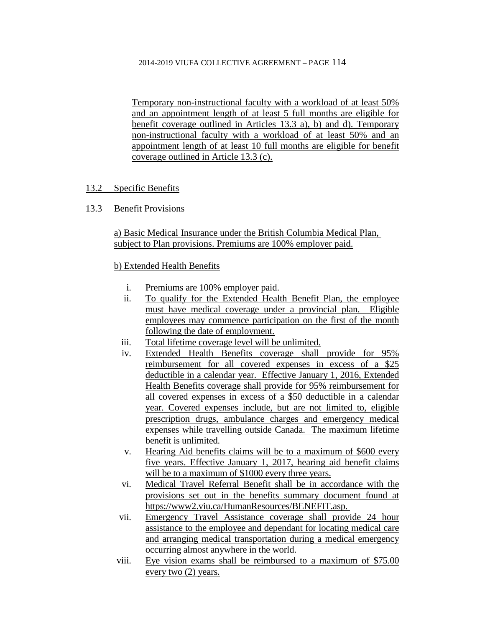Temporary non-instructional faculty with a workload of at least 50% and an appointment length of at least 5 full months are eligible for benefit coverage outlined in Articles 13.3 a), b) and d). Temporary non-instructional faculty with a workload of at least 50% and an appointment length of at least 10 full months are eligible for benefit coverage outlined in Article 13.3 (c).

# 13.2 Specific Benefits

# 13.3 Benefit Provisions

a) Basic Medical Insurance under the British Columbia Medical Plan, subject to Plan provisions. Premiums are 100% employer paid.

# b) Extended Health Benefits

- i. Premiums are 100% employer paid.
- ii. To qualify for the Extended Health Benefit Plan, the employee must have medical coverage under a provincial plan. Eligible employees may commence participation on the first of the month following the date of employment.
- iii. Total lifetime coverage level will be unlimited.
- iv. Extended Health Benefits coverage shall provide for 95% reimbursement for all covered expenses in excess of a \$25 deductible in a calendar year. Effective January 1, 2016, Extended Health Benefits coverage shall provide for 95% reimbursement for all covered expenses in excess of a \$50 deductible in a calendar year. Covered expenses include, but are not limited to, eligible prescription drugs, ambulance charges and emergency medical expenses while travelling outside Canada. The maximum lifetime benefit is unlimited.
- v. Hearing Aid benefits claims will be to a maximum of \$600 every five years. Effective January 1, 2017, hearing aid benefit claims will be to a maximum of \$1000 every three years.
- vi. Medical Travel Referral Benefit shall be in accordance with the provisions set out in the benefits summary document found at https://www2.viu.ca/HumanResources/BENEFIT.asp.
- vii. Emergency Travel Assistance coverage shall provide 24 hour assistance to the employee and dependant for locating medical care and arranging medical transportation during a medical emergency occurring almost anywhere in the world.
- viii. Eye vision exams shall be reimbursed to a maximum of \$75.00 every two (2) years.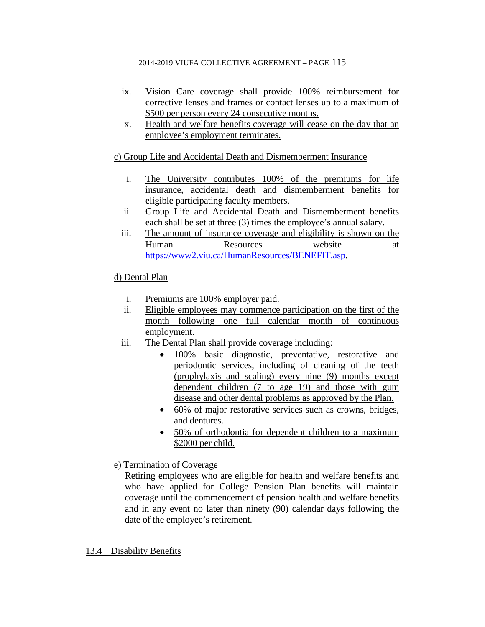- ix. Vision Care coverage shall provide 100% reimbursement for corrective lenses and frames or contact lenses up to a maximum of \$500 per person every 24 consecutive months.
- x. Health and welfare benefits coverage will cease on the day that an employee's employment terminates.

c) Group Life and Accidental Death and Dismemberment Insurance

- i. The University contributes 100% of the premiums for life insurance, accidental death and dismemberment benefits for eligible participating faculty members.
- ii. Group Life and Accidental Death and Dismemberment benefits each shall be set at three (3) times the employee's annual salary.
- iii. The amount of insurance coverage and eligibility is shown on the Human Resources website at [https://www2.viu.ca/HumanResources/BENEFIT.asp.](https://www2.viu.ca/HumanResources/BENEFIT.asp)

# d) Dental Plan

- i. Premiums are 100% employer paid.
- ii. Eligible employees may commence participation on the first of the month following one full calendar month of continuous employment.
- iii. The Dental Plan shall provide coverage including:
	- 100% basic diagnostic, preventative, restorative and periodontic services, including of cleaning of the teeth (prophylaxis and scaling) every nine (9) months except dependent children (7 to age 19) and those with gum disease and other dental problems as approved by the Plan.
	- 60% of major restorative services such as crowns, bridges, and dentures.
	- 50% of orthodontia for dependent children to a maximum \$2000 per child.
- e) Termination of Coverage

Retiring employees who are eligible for health and welfare benefits and who have applied for College Pension Plan benefits will maintain coverage until the commencement of pension health and welfare benefits and in any event no later than ninety (90) calendar days following the date of the employee's retirement.

13.4 Disability Benefits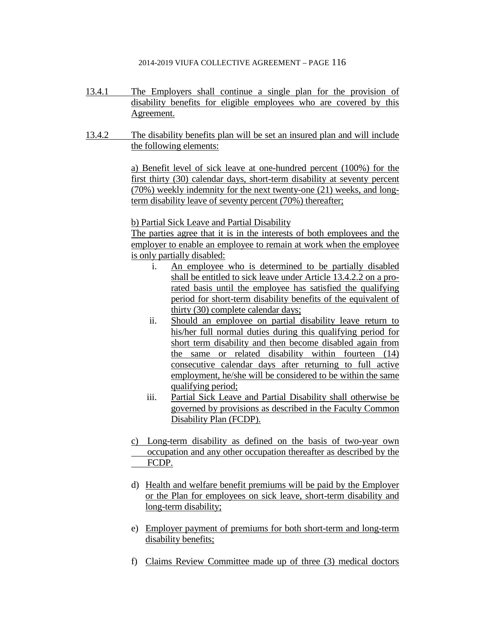- 13.4.1 The Employers shall continue a single plan for the provision of disability benefits for eligible employees who are covered by this Agreement.
- 13.4.2 The disability benefits plan will be set an insured plan and will include the following elements:

a) Benefit level of sick leave at one-hundred percent (100%) for the first thirty (30) calendar days, short-term disability at seventy percent (70%) weekly indemnity for the next twenty-one (21) weeks, and longterm disability leave of seventy percent (70%) thereafter;

b) Partial Sick Leave and Partial Disability

The parties agree that it is in the interests of both employees and the employer to enable an employee to remain at work when the employee is only partially disabled:

- i. An employee who is determined to be partially disabled shall be entitled to sick leave under Article 13.4.2.2 on a prorated basis until the employee has satisfied the qualifying period for short-term disability benefits of the equivalent of thirty (30) complete calendar days;
- ii. Should an employee on partial disability leave return to his/her full normal duties during this qualifying period for short term disability and then become disabled again from the same or related disability within fourteen (14) consecutive calendar days after returning to full active employment, he/she will be considered to be within the same qualifying period;
- iii. Partial Sick Leave and Partial Disability shall otherwise be governed by provisions as described in the Faculty Common Disability Plan (FCDP).
- c) Long-term disability as defined on the basis of two-year own occupation and any other occupation thereafter as described by the FCDP.
- d) Health and welfare benefit premiums will be paid by the Employer or the Plan for employees on sick leave, short-term disability and long-term disability;
- e) Employer payment of premiums for both short-term and long-term disability benefits;
- f) Claims Review Committee made up of three (3) medical doctors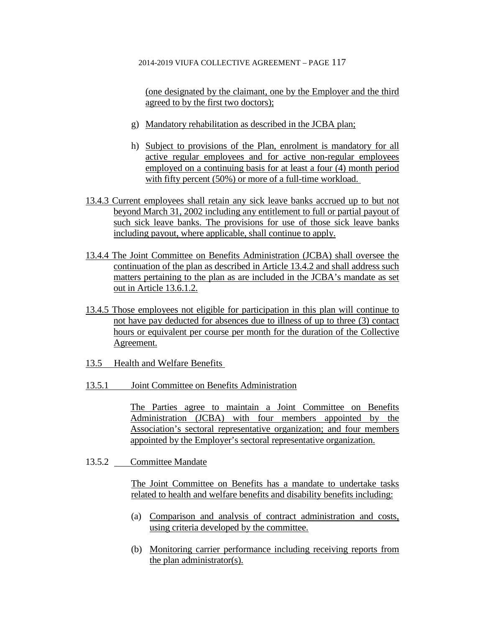(one designated by the claimant, one by the Employer and the third agreed to by the first two doctors);

- g) Mandatory rehabilitation as described in the JCBA plan;
- h) Subject to provisions of the Plan, enrolment is mandatory for all active regular employees and for active non-regular employees employed on a continuing basis for at least a four (4) month period with fifty percent (50%) or more of a full-time workload.
- 13.4.3 Current employees shall retain any sick leave banks accrued up to but not beyond March 31, 2002 including any entitlement to full or partial payout of such sick leave banks. The provisions for use of those sick leave banks including payout, where applicable, shall continue to apply.
- 13.4.4 The Joint Committee on Benefits Administration (JCBA) shall oversee the continuation of the plan as described in Article 13.4.2 and shall address such matters pertaining to the plan as are included in the JCBA's mandate as set out in Article 13.6.1.2.
- 13.4.5 Those employees not eligible for participation in this plan will continue to not have pay deducted for absences due to illness of up to three (3) contact hours or equivalent per course per month for the duration of the Collective Agreement.
- 13.5 Health and Welfare Benefits
- 13.5.1 Joint Committee on Benefits Administration

The Parties agree to maintain a Joint Committee on Benefits Administration (JCBA) with four members appointed by the Association's sectoral representative organization; and four members appointed by the Employer's sectoral representative organization.

13.5.2 Committee Mandate

The Joint Committee on Benefits has a mandate to undertake tasks related to health and welfare benefits and disability benefits including:

- (a) Comparison and analysis of contract administration and costs, using criteria developed by the committee.
- (b) Monitoring carrier performance including receiving reports from the plan administrator(s).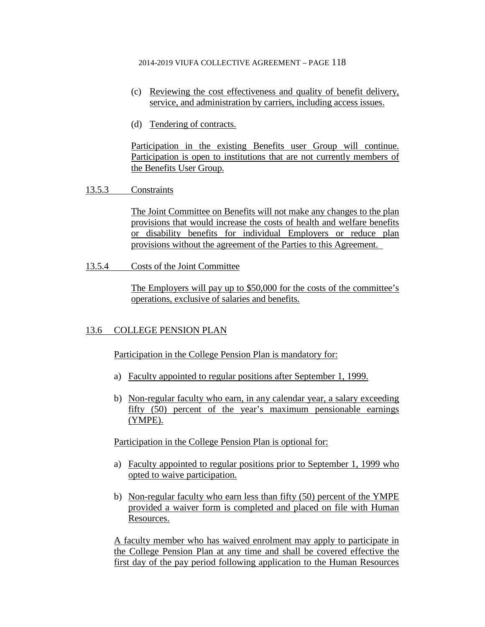- (c) Reviewing the cost effectiveness and quality of benefit delivery, service, and administration by carriers, including access issues.
- (d) Tendering of contracts.

Participation in the existing Benefits user Group will continue. Participation is open to institutions that are not currently members of the Benefits User Group.

## 13.5.3 Constraints

The Joint Committee on Benefits will not make any changes to the plan provisions that would increase the costs of health and welfare benefits or disability benefits for individual Employers or reduce plan provisions without the agreement of the Parties to this Agreement.

13.5.4 Costs of the Joint Committee

The Employers will pay up to \$50,000 for the costs of the committee's operations, exclusive of salaries and benefits.

# 13.6 COLLEGE PENSION PLAN

Participation in the College Pension Plan is mandatory for:

- a) Faculty appointed to regular positions after September 1, 1999.
- b) Non-regular faculty who earn, in any calendar year, a salary exceeding fifty (50) percent of the year's maximum pensionable earnings (YMPE).

Participation in the College Pension Plan is optional for:

- a) Faculty appointed to regular positions prior to September 1, 1999 who opted to waive participation.
- b) Non-regular faculty who earn less than fifty (50) percent of the YMPE provided a waiver form is completed and placed on file with Human Resources.

A faculty member who has waived enrolment may apply to participate in the College Pension Plan at any time and shall be covered effective the first day of the pay period following application to the Human Resources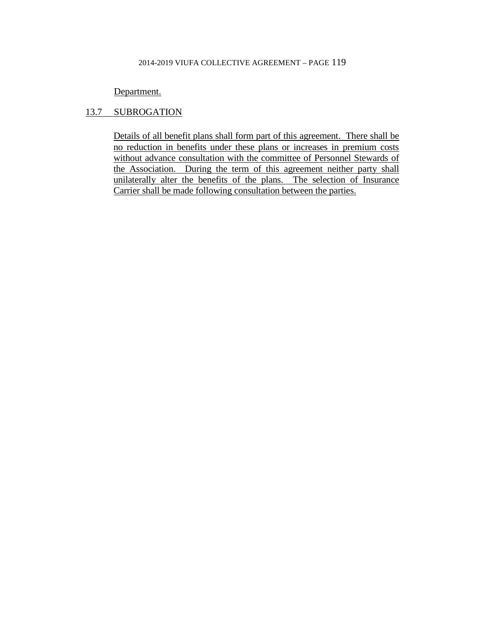### Department.

# 13.7 SUBROGATION

Details of all benefit plans shall form part of this agreement. There shall be no reduction in benefits under these plans or increases in premium costs without advance consultation with the committee of Personnel Stewards of the Association. During the term of this agreement neither party shall unilaterally alter the benefits of the plans. The selection of Insurance Carrier shall be made following consultation between the parties.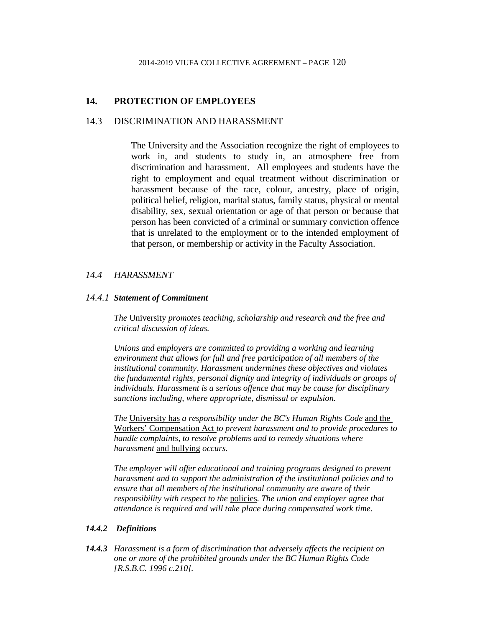# **14. PROTECTION OF EMPLOYEES**

### 14.3 DISCRIMINATION AND HARASSMENT

The University and the Association recognize the right of employees to work in, and students to study in, an atmosphere free from discrimination and harassment. All employees and students have the right to employment and equal treatment without discrimination or harassment because of the race, colour, ancestry, place of origin, political belief, religion, marital status, family status, physical or mental disability, sex, sexual orientation or age of that person or because that person has been convicted of a criminal or summary conviction offence that is unrelated to the employment or to the intended employment of that person, or membership or activity in the Faculty Association.

### *14.4 HARASSMENT*

#### *14.4.1 Statement of Commitment*

*The* University *promote*s *teaching, scholarship and research and the free and critical discussion of ideas.* 

*Unions and employers are committed to providing a working and learning environment that allows for full and free participation of all members of the institutional community. Harassment undermines these objectives and violates the fundamental rights, personal dignity and integrity of individuals or groups of individuals. Harassment is a serious offence that may be cause for disciplinary sanctions including, where appropriate, dismissal or expulsion.*

*The* University has *a responsibility under the BC's Human Rights Code* and the Workers' Compensation Act *to prevent harassment and to provide procedures to handle complaints, to resolve problems and to remedy situations where harassment* and bullying *occurs.*

The employer will offer educational and training programs designed to prevent *harassment and to support the administration of the institutional policies and to ensure that all members of the institutional community are aware of their responsibility with respect to the* policies*. The union and employer agree that attendance is required and will take place during compensated work time.*

#### *14.4.2 Definitions*

*14.4.3 Harassment is a form of discrimination that adversely affects the recipient on one or more of the prohibited grounds under the BC Human Rights Code [R.S.B.C. 1996 c.210].*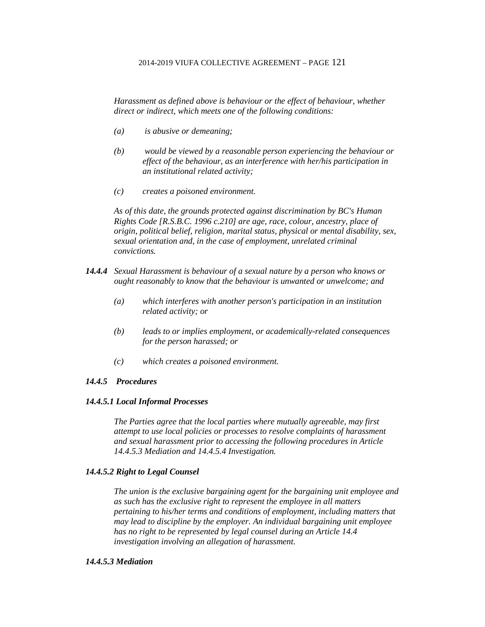*Harassment as defined above is behaviour or the effect of behaviour, whether direct or indirect, which meets one of the following conditions:*

- *(a) is abusive or demeaning;*
- *(b) would be viewed by a reasonable person experiencing the behaviour or effect of the behaviour, as an interference with her/his participation in an institutional related activity;*
- *(c) creates a poisoned environment.*

*As of this date, the grounds protected against discrimination by BC's Human Rights Code [R.S.B.C. 1996 c.210] are age, race, colour, ancestry, place of origin, political belief, religion, marital status, physical or mental disability, sex, sexual orientation and, in the case of employment, unrelated criminal convictions.*

- *14.4.4 Sexual Harassment is behaviour of a sexual nature by a person who knows or ought reasonably to know that the behaviour is unwanted or unwelcome; and*
	- *(a) which interferes with another person's participation in an institution related activity; or*
	- *(b) leads to or implies employment, or academically-related consequences for the person harassed; or*
	- *(c) which creates a poisoned environment.*

### *14.4.5 Procedures*

#### *14.4.5.1 Local Informal Processes*

*The Parties agree that the local parties where mutually agreeable, may first attempt to use local policies or processes to resolve complaints of harassment and sexual harassment prior to accessing the following procedures in Article 14.4.5.3 Mediation and 14.4.5.4 Investigation.*

#### *14.4.5.2 Right to Legal Counsel*

*The union is the exclusive bargaining agent for the bargaining unit employee and as such has the exclusive right to represent the employee in all matters pertaining to his/her terms and conditions of employment, including matters that may lead to discipline by the employer. An individual bargaining unit employee has no right to be represented by legal counsel during an Article 14.4 investigation involving an allegation of harassment.*

#### *14.4.5.3 Mediation*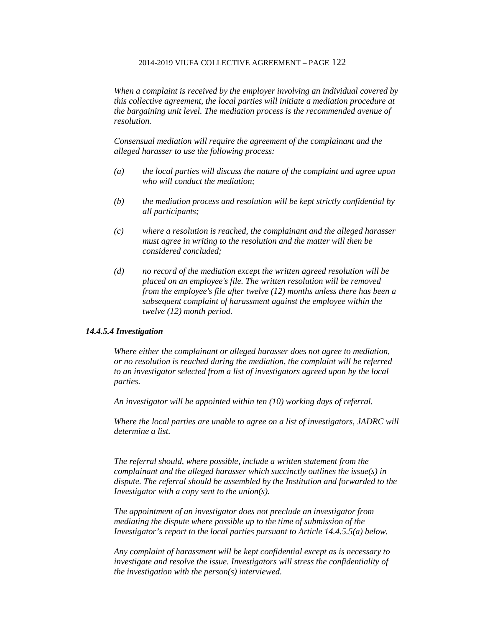*When a complaint is received by the employer involving an individual covered by this collective agreement, the local parties will initiate a mediation procedure at the bargaining unit level. The mediation process is the recommended avenue of resolution.* 

*Consensual mediation will require the agreement of the complainant and the alleged harasser to use the following process:*

- *(a) the local parties will discuss the nature of the complaint and agree upon who will conduct the mediation;*
- *(b) the mediation process and resolution will be kept strictly confidential by all participants;*
- *(c) where a resolution is reached, the complainant and the alleged harasser must agree in writing to the resolution and the matter will then be considered concluded;*
- *(d) no record of the mediation except the written agreed resolution will be placed on an employee's file. The written resolution will be removed from the employee's file after twelve (12) months unless there has been a subsequent complaint of harassment against the employee within the twelve (12) month period.*

#### *14.4.5.4 Investigation*

*Where either the complainant or alleged harasser does not agree to mediation, or no resolution is reached during the mediation, the complaint will be referred to an investigator selected from a list of investigators agreed upon by the local parties.*

*An investigator will be appointed within ten (10) working days of referral.*

*Where the local parties are unable to agree on a list of investigators, JADRC will determine a list.*

*The referral should, where possible, include a written statement from the complainant and the alleged harasser which succinctly outlines the issue(s) in dispute. The referral should be assembled by the Institution and forwarded to the Investigator with a copy sent to the union(s).*

*The appointment of an investigator does not preclude an investigator from mediating the dispute where possible up to the time of submission of the Investigator's report to the local parties pursuant to Article 14.4.5.5(a) below.*

*Any complaint of harassment will be kept confidential except as is necessary to investigate and resolve the issue. Investigators will stress the confidentiality of the investigation with the person(s) interviewed.*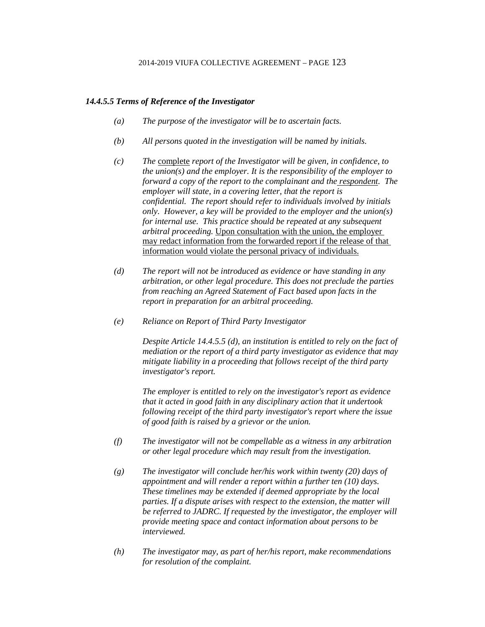### *14.4.5.5 Terms of Reference of the Investigator*

- *(a) The purpose of the investigator will be to ascertain facts.*
- *(b) All persons quoted in the investigation will be named by initials.*
- *(c) The* complete *report of the Investigator will be given, in confidence, to the union(s) and the employer. It is the responsibility of the employer to forward a copy of the report to the complainant and the respondent. The employer will state, in a covering letter, that the report is confidential. The report should refer to individuals involved by initials only. However, a key will be provided to the employer and the union(s) for internal use. This practice should be repeated at any subsequent arbitral proceeding.* Upon consultation with the union, the employer may redact information from the forwarded report if the release of that information would violate the personal privacy of individuals.
- *(d) The report will not be introduced as evidence or have standing in any arbitration, or other legal procedure. This does not preclude the parties from reaching an Agreed Statement of Fact based upon facts in the report in preparation for an arbitral proceeding.*
- *(e) Reliance on Report of Third Party Investigator*

*Despite Article 14.4.5.5 (d), an institution is entitled to rely on the fact of mediation or the report of a third party investigator as evidence that may mitigate liability in a proceeding that follows receipt of the third party investigator's report.*

*The employer is entitled to rely on the investigator's report as evidence that it acted in good faith in any disciplinary action that it undertook following receipt of the third party investigator's report where the issue of good faith is raised by a grievor or the union.*

- *(f) The investigator will not be compellable as a witness in any arbitration or other legal procedure which may result from the investigation.*
- *(g) The investigator will conclude her/his work within twenty (20) days of appointment and will render a report within a further ten (10) days. These timelines may be extended if deemed appropriate by the local parties. If a dispute arises with respect to the extension, the matter will be referred to JADRC. If requested by the investigator, the employer will provide meeting space and contact information about persons to be interviewed.*
- *(h) The investigator may, as part of her/his report, make recommendations for resolution of the complaint.*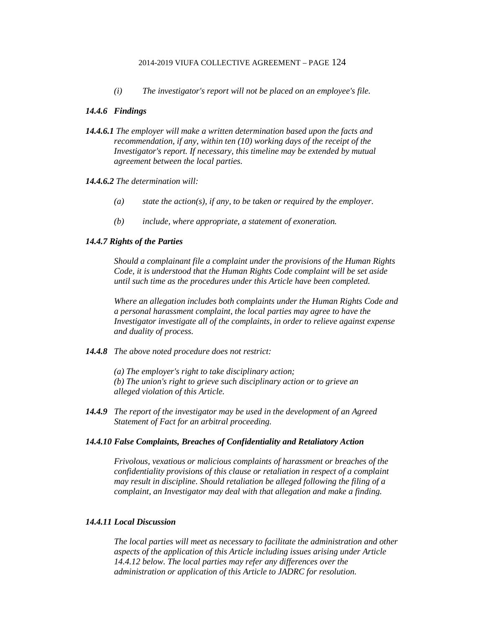*(i) The investigator's report will not be placed on an employee's file.*

### *14.4.6 Findings*

*14.4.6.1 The employer will make a written determination based upon the facts and recommendation, if any, within ten (10) working days of the receipt of the Investigator's report. If necessary, this timeline may be extended by mutual agreement between the local parties.*

#### *14.4.6.2 The determination will:*

- *(a) state the action(s), if any, to be taken or required by the employer.*
- *(b) include, where appropriate, a statement of exoneration.*

### *14.4.7 Rights of the Parties*

*Should a complainant file a complaint under the provisions of the Human Rights Code, it is understood that the Human Rights Code complaint will be set aside until such time as the procedures under this Article have been completed.*

*Where an allegation includes both complaints under the Human Rights Code and a personal harassment complaint, the local parties may agree to have the Investigator investigate all of the complaints, in order to relieve against expense and duality of process.*

*14.4.8 The above noted procedure does not restrict:*

*(a) The employer's right to take disciplinary action; (b) The union's right to grieve such disciplinary action or to grieve an alleged violation of this Article.*

*14.4.9 The report of the investigator may be used in the development of an Agreed Statement of Fact for an arbitral proceeding.*

#### *14.4.10 False Complaints, Breaches of Confidentiality and Retaliatory Action*

*Frivolous, vexatious or malicious complaints of harassment or breaches of the confidentiality provisions of this clause or retaliation in respect of a complaint may result in discipline. Should retaliation be alleged following the filing of a complaint, an Investigator may deal with that allegation and make a finding.*

### *14.4.11 Local Discussion*

*The local parties will meet as necessary to facilitate the administration and other aspects of the application of this Article including issues arising under Article 14.4.12 below. The local parties may refer any differences over the administration or application of this Article to JADRC for resolution.*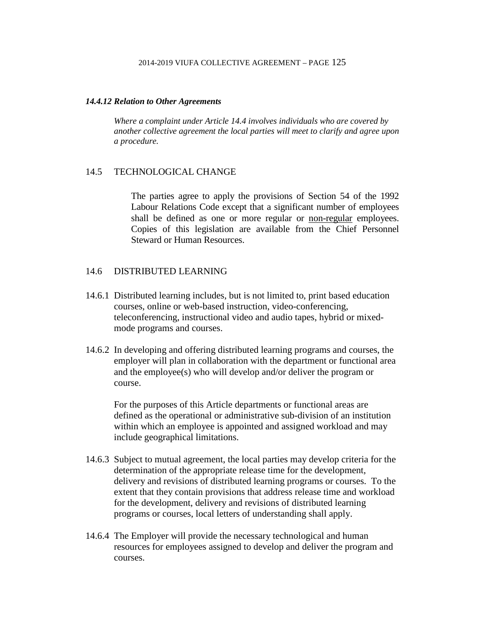#### *14.4.12 Relation to Other Agreements*

*Where a complaint under Article 14.4 involves individuals who are covered by another collective agreement the local parties will meet to clarify and agree upon a procedure.*

### 14.5 TECHNOLOGICAL CHANGE

The parties agree to apply the provisions of Section 54 of the 1992 Labour Relations Code except that a significant number of employees shall be defined as one or more regular or non-regular employees. Copies of this legislation are available from the Chief Personnel Steward or Human Resources.

# 14.6 DISTRIBUTED LEARNING

- 14.6.1 Distributed learning includes, but is not limited to, print based education courses, online or web-based instruction, video-conferencing, teleconferencing, instructional video and audio tapes, hybrid or mixedmode programs and courses.
- 14.6.2 In developing and offering distributed learning programs and courses, the employer will plan in collaboration with the department or functional area and the employee(s) who will develop and/or deliver the program or course.

For the purposes of this Article departments or functional areas are defined as the operational or administrative sub-division of an institution within which an employee is appointed and assigned workload and may include geographical limitations.

- 14.6.3 Subject to mutual agreement, the local parties may develop criteria for the determination of the appropriate release time for the development, delivery and revisions of distributed learning programs or courses. To the extent that they contain provisions that address release time and workload for the development, delivery and revisions of distributed learning programs or courses, local letters of understanding shall apply.
- 14.6.4 The Employer will provide the necessary technological and human resources for employees assigned to develop and deliver the program and courses.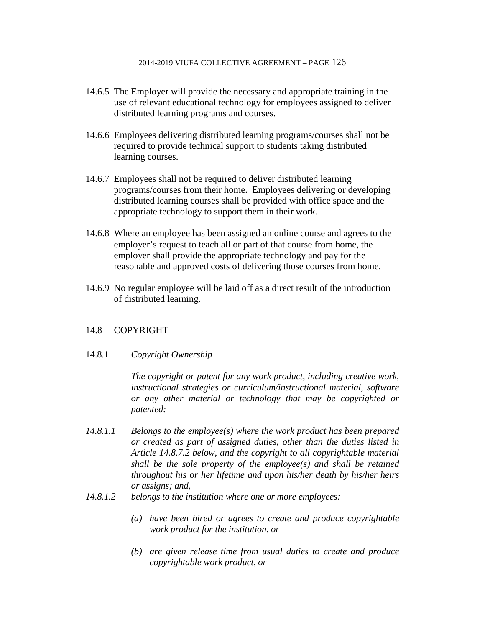- 14.6.5 The Employer will provide the necessary and appropriate training in the use of relevant educational technology for employees assigned to deliver distributed learning programs and courses.
- 14.6.6 Employees delivering distributed learning programs/courses shall not be required to provide technical support to students taking distributed learning courses.
- 14.6.7 Employees shall not be required to deliver distributed learning programs/courses from their home. Employees delivering or developing distributed learning courses shall be provided with office space and the appropriate technology to support them in their work.
- 14.6.8 Where an employee has been assigned an online course and agrees to the employer's request to teach all or part of that course from home, the employer shall provide the appropriate technology and pay for the reasonable and approved costs of delivering those courses from home.
- 14.6.9 No regular employee will be laid off as a direct result of the introduction of distributed learning.

# 14.8 COPYRIGHT

### 14.8.1 *Copyright Ownership*

*The copyright or patent for any work product, including creative work, instructional strategies or curriculum/instructional material, software or any other material or technology that may be copyrighted or patented:*

- *14.8.1.1 Belongs to the employee(s) where the work product has been prepared or created as part of assigned duties, other than the duties listed in Article 14.8.7.2 below, and the copyright to all copyrightable material shall be the sole property of the employee(s) and shall be retained throughout his or her lifetime and upon his/her death by his/her heirs or assigns; and,*
- *14.8.1.2 belongs to the institution where one or more employees:*
	- *(a) have been hired or agrees to create and produce copyrightable work product for the institution, or*
	- *(b) are given release time from usual duties to create and produce copyrightable work product, or*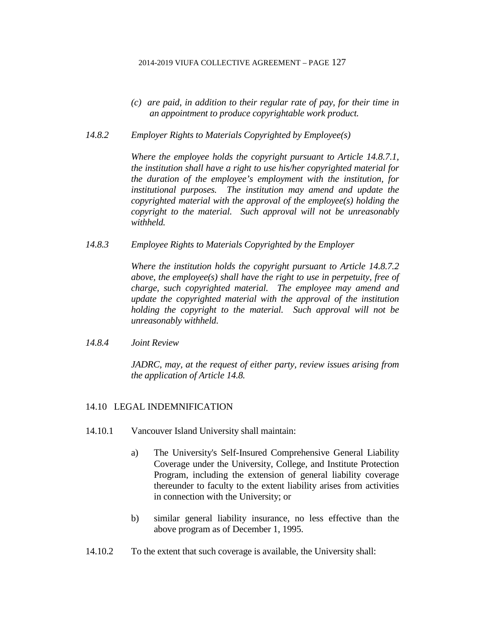- *(c) are paid, in addition to their regular rate of pay, for their time in an appointment to produce copyrightable work product.*
- *14.8.2 Employer Rights to Materials Copyrighted by Employee(s)*

*Where the employee holds the copyright pursuant to Article 14.8.7.1, the institution shall have a right to use his/her copyrighted material for the duration of the employee's employment with the institution, for institutional purposes. The institution may amend and update the copyrighted material with the approval of the employee(s) holding the copyright to the material. Such approval will not be unreasonably withheld.*

*14.8.3 Employee Rights to Materials Copyrighted by the Employer*

*Where the institution holds the copyright pursuant to Article 14.8.7.2 above, the employee(s) shall have the right to use in perpetuity, free of charge, such copyrighted material. The employee may amend and update the copyrighted material with the approval of the institution holding the copyright to the material. Such approval will not be unreasonably withheld.*

*14.8.4 Joint Review*

*JADRC, may, at the request of either party, review issues arising from the application of Article 14.8.*

# 14.10 LEGAL INDEMNIFICATION

- 14.10.1 Vancouver Island University shall maintain:
	- a) The University's Self-Insured Comprehensive General Liability Coverage under the University, College, and Institute Protection Program, including the extension of general liability coverage thereunder to faculty to the extent liability arises from activities in connection with the University; or
	- b) similar general liability insurance, no less effective than the above program as of December 1, 1995.
- 14.10.2 To the extent that such coverage is available, the University shall: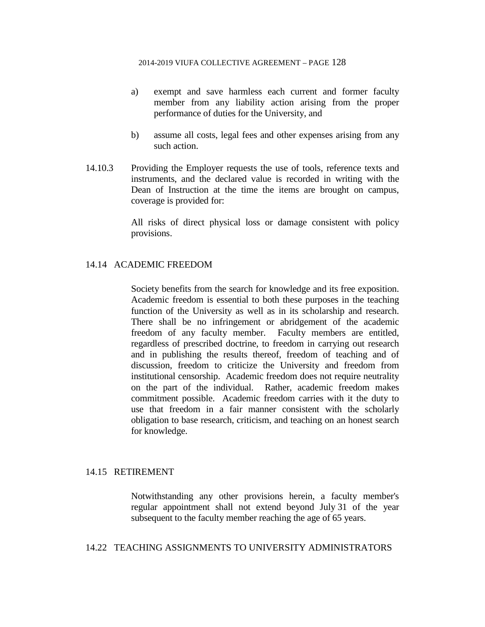- a) exempt and save harmless each current and former faculty member from any liability action arising from the proper performance of duties for the University, and
- b) assume all costs, legal fees and other expenses arising from any such action.
- 14.10.3 Providing the Employer requests the use of tools, reference texts and instruments, and the declared value is recorded in writing with the Dean of Instruction at the time the items are brought on campus, coverage is provided for:

All risks of direct physical loss or damage consistent with policy provisions.

### 14.14 ACADEMIC FREEDOM

Society benefits from the search for knowledge and its free exposition. Academic freedom is essential to both these purposes in the teaching function of the University as well as in its scholarship and research. There shall be no infringement or abridgement of the academic freedom of any faculty member. Faculty members are entitled, regardless of prescribed doctrine, to freedom in carrying out research and in publishing the results thereof, freedom of teaching and of discussion, freedom to criticize the University and freedom from institutional censorship. Academic freedom does not require neutrality on the part of the individual. Rather, academic freedom makes commitment possible. Academic freedom carries with it the duty to use that freedom in a fair manner consistent with the scholarly obligation to base research, criticism, and teaching on an honest search for knowledge.

### 14.15 RETIREMENT

Notwithstanding any other provisions herein, a faculty member's regular appointment shall not extend beyond July 31 of the year subsequent to the faculty member reaching the age of 65 years.

### 14.22 TEACHING ASSIGNMENTS TO UNIVERSITY ADMINISTRATORS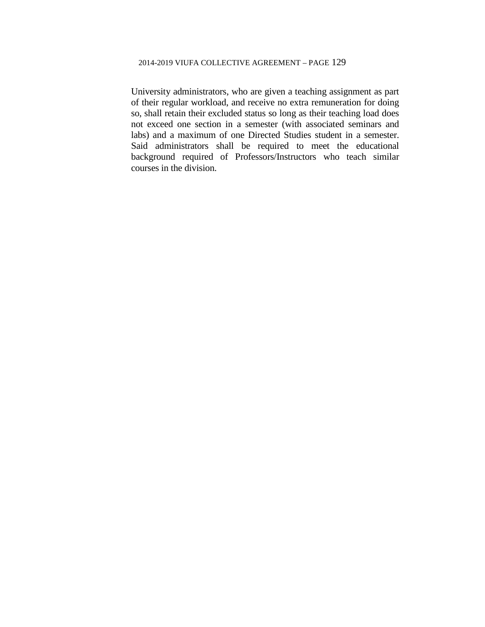University administrators, who are given a teaching assignment as part of their regular workload, and receive no extra remuneration for doing so, shall retain their excluded status so long as their teaching load does not exceed one section in a semester (with associated seminars and labs) and a maximum of one Directed Studies student in a semester. Said administrators shall be required to meet the educational background required of Professors/Instructors who teach similar courses in the division.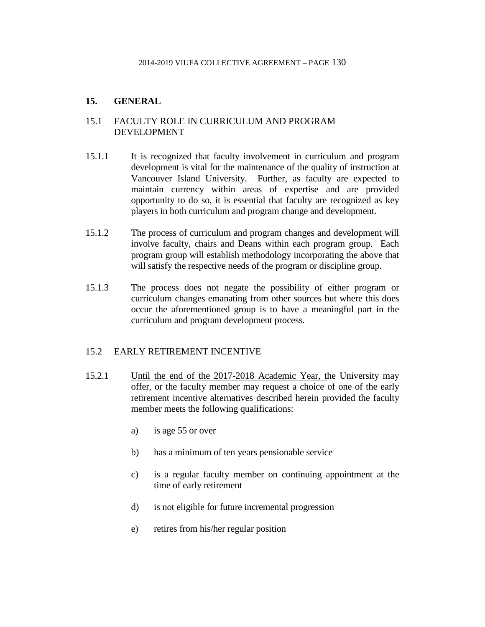## **15. GENERAL**

## 15.1 FACULTY ROLE IN CURRICULUM AND PROGRAM DEVELOPMENT

- 15.1.1 It is recognized that faculty involvement in curriculum and program development is vital for the maintenance of the quality of instruction at Vancouver Island University. Further, as faculty are expected to maintain currency within areas of expertise and are provided opportunity to do so, it is essential that faculty are recognized as key players in both curriculum and program change and development.
- 15.1.2 The process of curriculum and program changes and development will involve faculty, chairs and Deans within each program group. Each program group will establish methodology incorporating the above that will satisfy the respective needs of the program or discipline group.
- 15.1.3 The process does not negate the possibility of either program or curriculum changes emanating from other sources but where this does occur the aforementioned group is to have a meaningful part in the curriculum and program development process.

### 15.2 EARLY RETIREMENT INCENTIVE

- 15.2.1 Until the end of the 2017-2018 Academic Year, the University may offer, or the faculty member may request a choice of one of the early retirement incentive alternatives described herein provided the faculty member meets the following qualifications:
	- a) is age 55 or over
	- b) has a minimum of ten years pensionable service
	- c) is a regular faculty member on continuing appointment at the time of early retirement
	- d) is not eligible for future incremental progression
	- e) retires from his/her regular position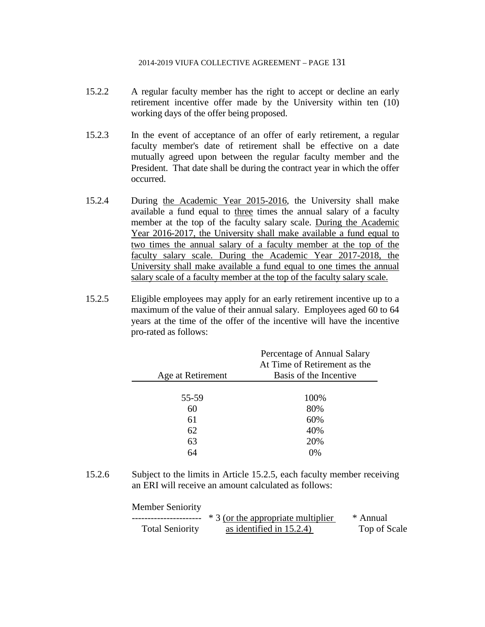- 15.2.2 A regular faculty member has the right to accept or decline an early retirement incentive offer made by the University within ten (10) working days of the offer being proposed.
- 15.2.3 In the event of acceptance of an offer of early retirement, a regular faculty member's date of retirement shall be effective on a date mutually agreed upon between the regular faculty member and the President. That date shall be during the contract year in which the offer occurred.
- 15.2.4 During the Academic Year 2015-2016, the University shall make available a fund equal to three times the annual salary of a faculty member at the top of the faculty salary scale. During the Academic Year 2016-2017, the University shall make available a fund equal to two times the annual salary of a faculty member at the top of the faculty salary scale. During the Academic Year 2017-2018, the University shall make available a fund equal to one times the annual salary scale of a faculty member at the top of the faculty salary scale.
- 15.2.5 Eligible employees may apply for an early retirement incentive up to a maximum of the value of their annual salary. Employees aged 60 to 64 years at the time of the offer of the incentive will have the incentive pro-rated as follows:

|                   | Percentage of Annual Salary  |
|-------------------|------------------------------|
|                   | At Time of Retirement as the |
| Age at Retirement | Basis of the Incentive       |
|                   |                              |
| 55-59             | 100%                         |
| 60                | 80%                          |
| 61                | 60%                          |
| 62                | 40%                          |
| 63                | 20%                          |
| 64                | 0%                           |

15.2.6 Subject to the limits in Article 15.2.5, each faculty member receiving an ERI will receive an amount calculated as follows:

Member Seniority

|                        | * 3 (or the appropriate multiplier | * Annual     |
|------------------------|------------------------------------|--------------|
| <b>Total Seniority</b> | as identified in $15.2.4$ )        | Top of Scale |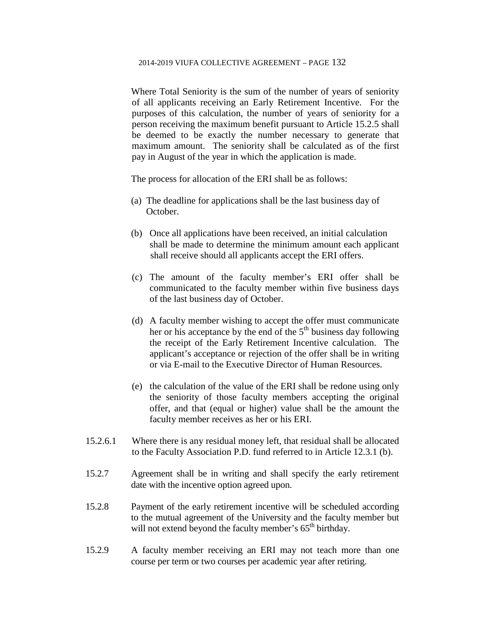Where Total Seniority is the sum of the number of years of seniority of all applicants receiving an Early Retirement Incentive. For the purposes of this calculation, the number of years of seniority for a person receiving the maximum benefit pursuant to Article 15.2.5 shall be deemed to be exactly the number necessary to generate that maximum amount. The seniority shall be calculated as of the first pay in August of the year in which the application is made.

The process for allocation of the ERI shall be as follows:

- (a) The deadline for applications shall be the last business day of October.
- (b) Once all applications have been received, an initial calculation shall be made to determine the minimum amount each applicant shall receive should all applicants accept the ERI offers.
- (c) The amount of the faculty member's ERI offer shall be communicated to the faculty member within five business days of the last business day of October.
- (d) A faculty member wishing to accept the offer must communicate her or his acceptance by the end of the  $5<sup>th</sup>$  business day following the receipt of the Early Retirement Incentive calculation. The applicant's acceptance or rejection of the offer shall be in writing or via E-mail to the Executive Director of Human Resources.
- (e) the calculation of the value of the ERI shall be redone using only the seniority of those faculty members accepting the original offer, and that (equal or higher) value shall be the amount the faculty member receives as her or his ERI.
- 15.2.6.1 Where there is any residual money left, that residual shall be allocated to the Faculty Association P.D. fund referred to in Article 12.3.1 (b).
- 15.2.7 Agreement shall be in writing and shall specify the early retirement date with the incentive option agreed upon.
- 15.2.8 Payment of the early retirement incentive will be scheduled according to the mutual agreement of the University and the faculty member but will not extend beyond the faculty member's  $65<sup>th</sup>$  birthday.
- 15.2.9 A faculty member receiving an ERI may not teach more than one course per term or two courses per academic year after retiring.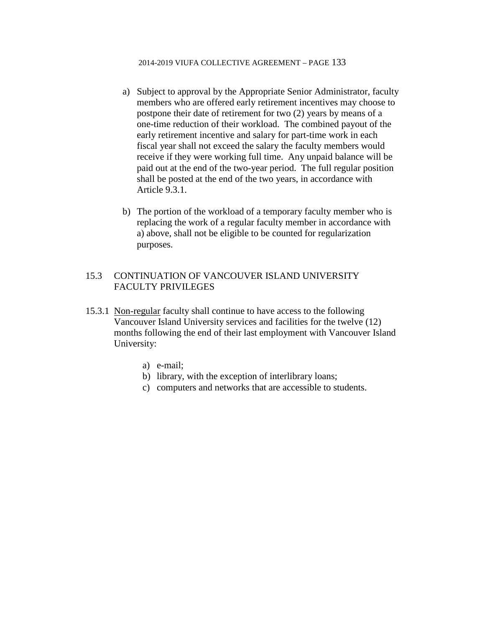- a) Subject to approval by the Appropriate Senior Administrator, faculty members who are offered early retirement incentives may choose to postpone their date of retirement for two (2) years by means of a one-time reduction of their workload. The combined payout of the early retirement incentive and salary for part-time work in each fiscal year shall not exceed the salary the faculty members would receive if they were working full time. Any unpaid balance will be paid out at the end of the two-year period. The full regular position shall be posted at the end of the two years, in accordance with Article 9.3.1.
- b) The portion of the workload of a temporary faculty member who is replacing the work of a regular faculty member in accordance with a) above, shall not be eligible to be counted for regularization purposes.

## 15.3 CONTINUATION OF VANCOUVER ISLAND UNIVERSITY FACULTY PRIVILEGES

- 15.3.1 Non-regular faculty shall continue to have access to the following Vancouver Island University services and facilities for the twelve (12) months following the end of their last employment with Vancouver Island University:
	- a) e-mail;
	- b) library, with the exception of interlibrary loans;
	- c) computers and networks that are accessible to students.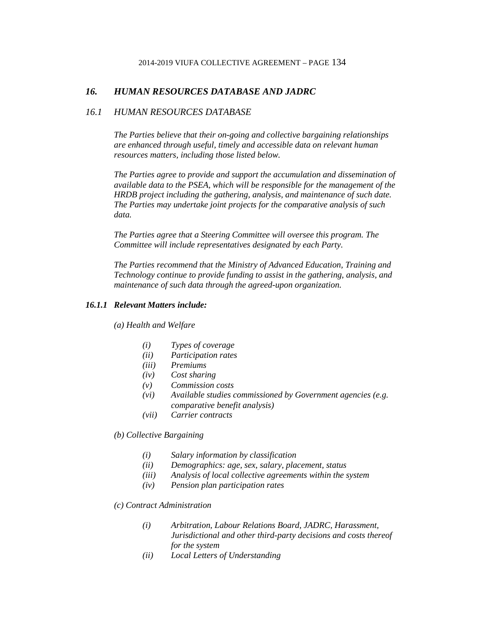### *16. HUMAN RESOURCES DATABASE AND JADRC*

### *16.1 HUMAN RESOURCES DATABASE*

*The Parties believe that their on-going and collective bargaining relationships are enhanced through useful, timely and accessible data on relevant human resources matters, including those listed below.*

*The Parties agree to provide and support the accumulation and dissemination of available data to the PSEA, which will be responsible for the management of the HRDB project including the gathering, analysis, and maintenance of such date. The Parties may undertake joint projects for the comparative analysis of such data.*

*The Parties agree that a Steering Committee will oversee this program. The Committee will include representatives designated by each Party.*

*The Parties recommend that the Ministry of Advanced Education, Training and Technology continue to provide funding to assist in the gathering, analysis, and maintenance of such data through the agreed-upon organization.*

### *16.1.1 Relevant Matters include:*

*(a) Health and Welfare*

- *(i) Types of coverage*
- *(ii) Participation rates*
- *(iii) Premiums*
- *(iv) Cost sharing*
- *(v) Commission costs*
- *(vi) Available studies commissioned by Government agencies (e.g. comparative benefit analysis)*
- *(vii) Carrier contracts*

*(b) Collective Bargaining*

- *(i) Salary information by classification*
- *(ii) Demographics: age, sex, salary, placement, status*
- *(iii) Analysis of local collective agreements within the system*
- *(iv) Pension plan participation rates*

#### *(c) Contract Administration*

- *(i) Arbitration, Labour Relations Board, JADRC, Harassment, Jurisdictional and other third-party decisions and costs thereof for the system*
- *(ii) Local Letters of Understanding*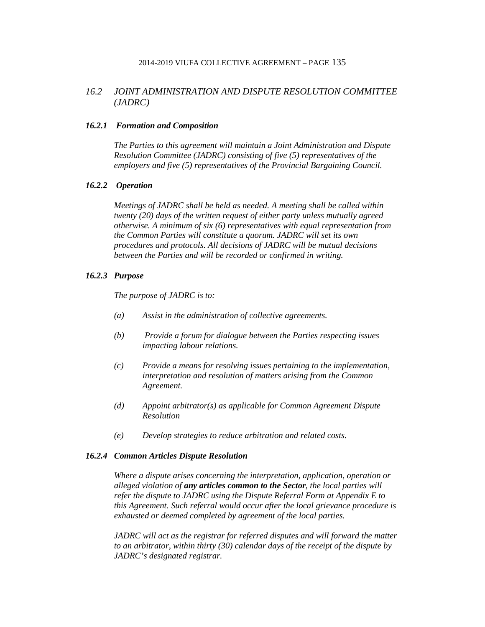## *16.2 JOINT ADMINISTRATION AND DISPUTE RESOLUTION COMMITTEE (JADRC)*

#### *16.2.1 Formation and Composition*

*The Parties to this agreement will maintain a Joint Administration and Dispute Resolution Committee (JADRC) consisting of five (5) representatives of the employers and five (5) representatives of the Provincial Bargaining Council.*

### *16.2.2 Operation*

*Meetings of JADRC shall be held as needed. A meeting shall be called within twenty (20) days of the written request of either party unless mutually agreed otherwise. A minimum of six (6) representatives with equal representation from the Common Parties will constitute a quorum. JADRC will set its own procedures and protocols. All decisions of JADRC will be mutual decisions between the Parties and will be recorded or confirmed in writing.*

#### *16.2.3 Purpose*

*The purpose of JADRC is to:*

- *(a) Assist in the administration of collective agreements.*
- *(b) Provide a forum for dialogue between the Parties respecting issues impacting labour relations.*
- *(c) Provide a means for resolving issues pertaining to the implementation, interpretation and resolution of matters arising from the Common Agreement.*
- *(d) Appoint arbitrator(s) as applicable for Common Agreement Dispute Resolution*
- *(e) Develop strategies to reduce arbitration and related costs.*

#### *16.2.4 Common Articles Dispute Resolution*

*Where a dispute arises concerning the interpretation, application, operation or alleged violation of any articles common to the Sector, the local parties will refer the dispute to JADRC using the Dispute Referral Form at Appendix E to this Agreement. Such referral would occur after the local grievance procedure is exhausted or deemed completed by agreement of the local parties.*

*JADRC will act as the registrar for referred disputes and will forward the matter to an arbitrator, within thirty (30) calendar days of the receipt of the dispute by JADRC's designated registrar.*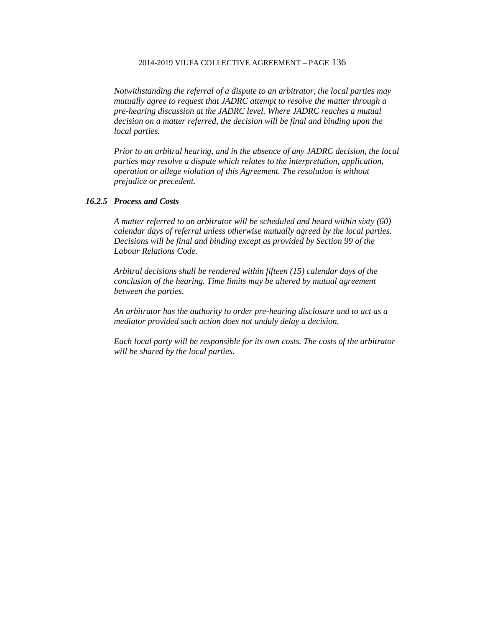*Notwithstanding the referral of a dispute to an arbitrator, the local parties may mutually agree to request that JADRC attempt to resolve the matter through a pre-hearing discussion at the JADRC level. Where JADRC reaches a mutual decision on a matter referred, the decision will be final and binding upon the local parties.*

*Prior to an arbitral hearing, and in the absence of any JADRC decision, the local parties may resolve a dispute which relates to the interpretation, application, operation or allege violation of this Agreement. The resolution is without prejudice or precedent.*

### *16.2.5 Process and Costs*

*A matter referred to an arbitrator will be scheduled and heard within sixty (60) calendar days of referral unless otherwise mutually agreed by the local parties. Decisions will be final and binding except as provided by Section 99 of the Labour Relations Code.*

*Arbitral decisions shall be rendered within fifteen (15) calendar days of the conclusion of the hearing. Time limits may be altered by mutual agreement between the parties.*

*An arbitrator has the authority to order pre-hearing disclosure and to act as a mediator provided such action does not unduly delay a decision.*

*Each local party will be responsible for its own costs. The costs of the arbitrator will be shared by the local parties.*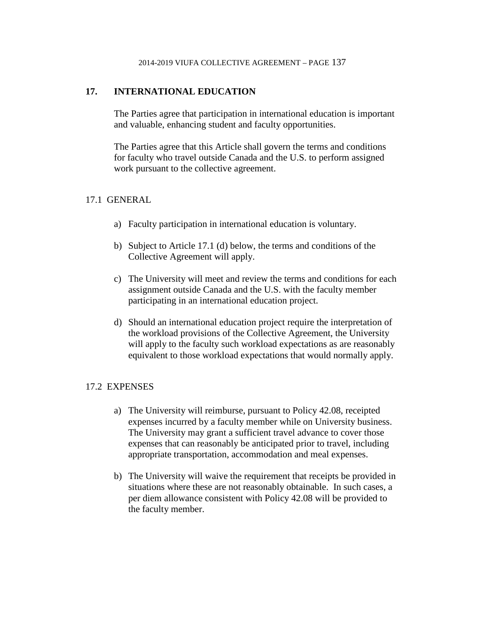## **17. INTERNATIONAL EDUCATION**

The Parties agree that participation in international education is important and valuable, enhancing student and faculty opportunities.

The Parties agree that this Article shall govern the terms and conditions for faculty who travel outside Canada and the U.S. to perform assigned work pursuant to the collective agreement.

## 17.1 GENERAL

- a) Faculty participation in international education is voluntary.
- b) Subject to Article 17.1 (d) below, the terms and conditions of the Collective Agreement will apply.
- c) The University will meet and review the terms and conditions for each assignment outside Canada and the U.S. with the faculty member participating in an international education project.
- d) Should an international education project require the interpretation of the workload provisions of the Collective Agreement, the University will apply to the faculty such workload expectations as are reasonably equivalent to those workload expectations that would normally apply.

### 17.2 EXPENSES

- a) The University will reimburse, pursuant to Policy 42.08, receipted expenses incurred by a faculty member while on University business. The University may grant a sufficient travel advance to cover those expenses that can reasonably be anticipated prior to travel, including appropriate transportation, accommodation and meal expenses.
- b) The University will waive the requirement that receipts be provided in situations where these are not reasonably obtainable. In such cases, a per diem allowance consistent with Policy 42.08 will be provided to the faculty member.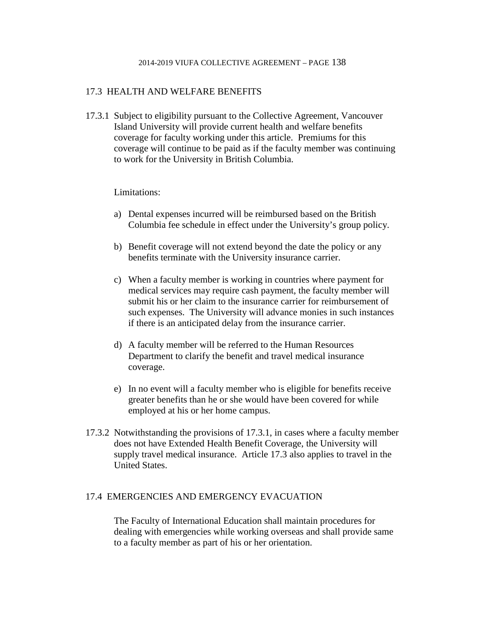## 17.3 HEALTH AND WELFARE BENEFITS

17.3.1 Subject to eligibility pursuant to the Collective Agreement, Vancouver Island University will provide current health and welfare benefits coverage for faculty working under this article. Premiums for this coverage will continue to be paid as if the faculty member was continuing to work for the University in British Columbia.

### Limitations:

- a) Dental expenses incurred will be reimbursed based on the British Columbia fee schedule in effect under the University's group policy.
- b) Benefit coverage will not extend beyond the date the policy or any benefits terminate with the University insurance carrier.
- c) When a faculty member is working in countries where payment for medical services may require cash payment, the faculty member will submit his or her claim to the insurance carrier for reimbursement of such expenses. The University will advance monies in such instances if there is an anticipated delay from the insurance carrier.
- d) A faculty member will be referred to the Human Resources Department to clarify the benefit and travel medical insurance coverage.
- e) In no event will a faculty member who is eligible for benefits receive greater benefits than he or she would have been covered for while employed at his or her home campus.
- 17.3.2 Notwithstanding the provisions of 17.3.1, in cases where a faculty member does not have Extended Health Benefit Coverage, the University will supply travel medical insurance. Article 17.3 also applies to travel in the United States.

## 17.4 EMERGENCIES AND EMERGENCY EVACUATION

The Faculty of International Education shall maintain procedures for dealing with emergencies while working overseas and shall provide same to a faculty member as part of his or her orientation.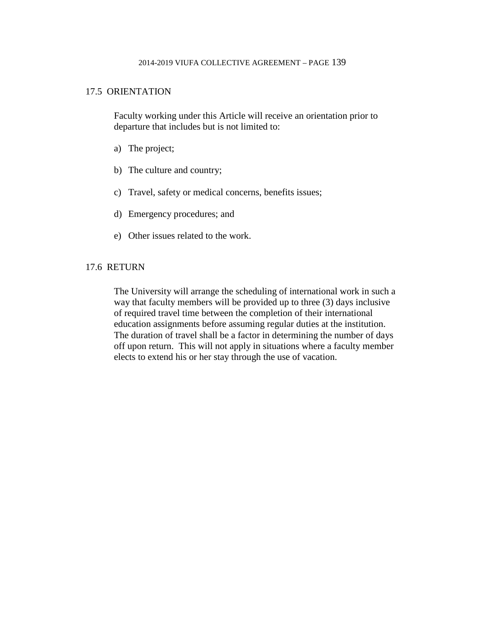### 17.5 ORIENTATION

Faculty working under this Article will receive an orientation prior to departure that includes but is not limited to:

- a) The project;
- b) The culture and country;
- c) Travel, safety or medical concerns, benefits issues;
- d) Emergency procedures; and
- e) Other issues related to the work.

## 17.6 RETURN

The University will arrange the scheduling of international work in such a way that faculty members will be provided up to three (3) days inclusive of required travel time between the completion of their international education assignments before assuming regular duties at the institution. The duration of travel shall be a factor in determining the number of days off upon return. This will not apply in situations where a faculty member elects to extend his or her stay through the use of vacation.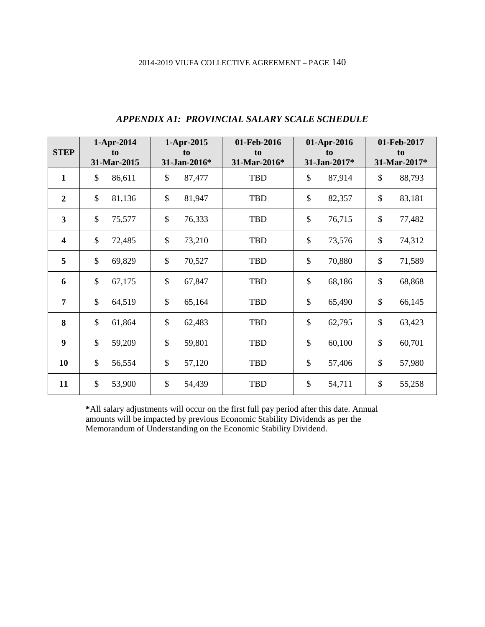| <b>STEP</b>      |               | 1-Apr-2014<br>to |               | 1-Apr-2015<br>to | 01-Feb-2016<br>to | 01-Apr-2016<br>to |                           | 01-Feb-2017<br>to |
|------------------|---------------|------------------|---------------|------------------|-------------------|-------------------|---------------------------|-------------------|
|                  |               | 31-Mar-2015      |               | 31-Jan-2016*     | 31-Mar-2016*      | 31-Jan-2017*      |                           | 31-Mar-2017*      |
| $\mathbf{1}$     | \$            | 86,611           | $\mathcal{S}$ | 87,477           | <b>TBD</b>        | \$<br>87,914      | \$                        | 88,793            |
| $\boldsymbol{2}$ | \$            | 81,136           | $\mathcal{S}$ | 81,947           | <b>TBD</b>        | \$<br>82,357      | $\boldsymbol{\mathsf{S}}$ | 83,181            |
| $\mathbf{3}$     | \$            | 75,577           | \$            | 76,333           | <b>TBD</b>        | \$<br>76,715      | $\boldsymbol{\mathsf{S}}$ | 77,482            |
| 4                | $\mathcal{S}$ | 72,485           | $\mathcal{S}$ | 73,210           | <b>TBD</b>        | \$<br>73,576      | $\boldsymbol{\mathsf{S}}$ | 74,312            |
| 5                | $\mathcal{S}$ | 69,829           | $\mathcal{S}$ | 70,527           | <b>TBD</b>        | \$<br>70,880      | $\boldsymbol{\mathsf{S}}$ | 71,589            |
| 6                | $\mathcal{S}$ | 67,175           | $\mathcal{S}$ | 67,847           | <b>TBD</b>        | \$<br>68,186      | \$                        | 68,868            |
| 7                | \$            | 64,519           | $\mathcal{S}$ | 65,164           | <b>TBD</b>        | \$<br>65,490      | \$                        | 66,145            |
| 8                | $\mathcal{S}$ | 61,864           | $\mathcal{S}$ | 62,483           | <b>TBD</b>        | \$<br>62,795      | $\mathbb{S}$              | 63,423            |
| 9                | \$            | 59,209           | \$            | 59,801           | <b>TBD</b>        | \$<br>60,100      | $\$$                      | 60,701            |
| 10               | \$            | 56,554           | \$            | 57,120           | <b>TBD</b>        | \$<br>57,406      | \$                        | 57,980            |
| 11               | \$            | 53,900           | $\mathcal{S}$ | 54,439           | <b>TBD</b>        | \$<br>54,711      | \$                        | 55,258            |

# *APPENDIX A1: PROVINCIAL SALARY SCALE SCHEDULE*

**\***All salary adjustments will occur on the first full pay period after this date. Annual amounts will be impacted by previous Economic Stability Dividends as per the Memorandum of Understanding on the Economic Stability Dividend.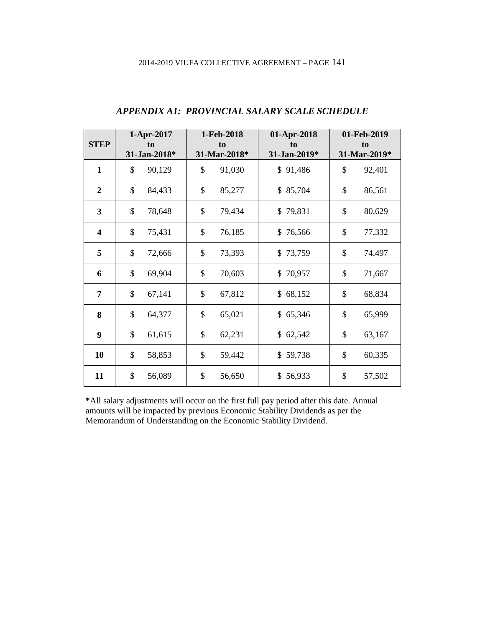| <b>STEP</b>             | 1-Apr-2017<br>to<br>31-Jan-2018* | 1-Feb-2018<br>to<br>31-Mar-2018* | 01-Apr-2018<br>to<br>31-Jan-2019* | 01-Feb-2019<br>to<br>31-Mar-2019* |
|-------------------------|----------------------------------|----------------------------------|-----------------------------------|-----------------------------------|
| $\mathbf{1}$            | \$<br>90,129                     | \$<br>91,030                     | \$91,486                          | \$<br>92,401                      |
| $\boldsymbol{2}$        | \$<br>84,433                     | \$<br>85,277                     | \$85,704                          | \$<br>86,561                      |
| $\overline{3}$          | \$<br>78,648                     | \$<br>79,434                     | \$79,831                          | \$<br>80,629                      |
| $\overline{\mathbf{4}}$ | \$<br>75,431                     | \$<br>76,185                     | \$76,566                          | \$<br>77,332                      |
| 5                       | \$<br>72,666                     | \$<br>73,393                     | \$73,759                          | \$<br>74,497                      |
| 6                       | \$<br>69,904                     | \$<br>70,603                     | \$70,957                          | \$<br>71,667                      |
| 7                       | \$<br>67,141                     | \$<br>67,812                     | \$68,152                          | \$<br>68,834                      |
| 8                       | \$<br>64,377                     | \$<br>65,021                     | \$65,346                          | \$<br>65,999                      |
| 9                       | \$<br>61,615                     | \$<br>62,231                     | \$62,542                          | \$<br>63,167                      |
| 10                      | \$<br>58,853                     | \$<br>59,442                     | \$59,738                          | \$<br>60,335                      |
| 11                      | \$<br>56,089                     | \$<br>56,650                     | \$56,933                          | \$<br>57,502                      |

# *APPENDIX A1: PROVINCIAL SALARY SCALE SCHEDULE*

**\***All salary adjustments will occur on the first full pay period after this date. Annual amounts will be impacted by previous Economic Stability Dividends as per the Memorandum of Understanding on the Economic Stability Dividend.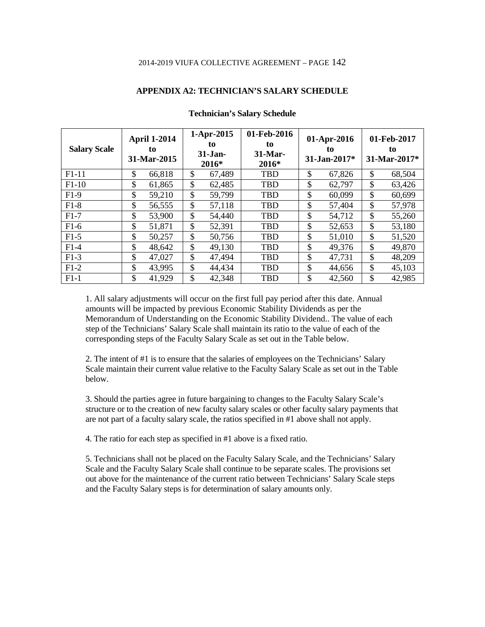### **APPENDIX A2: TECHNICIAN'S SALARY SCHEDULE**

| <b>Salary Scale</b> | <b>April 1-2014</b><br>to<br>31-Mar-2015 | 1-Apr-2015<br>to<br>31-Jan-<br>2016* | 01-Feb-2016<br>to<br>31-Mar-<br>2016* |               | 01-Apr-2016<br>to<br>31-Jan-2017* | 01-Feb-2017<br>to<br>31-Mar-2017* |
|---------------------|------------------------------------------|--------------------------------------|---------------------------------------|---------------|-----------------------------------|-----------------------------------|
| $F1-11$             | \$<br>66,818                             | \$<br>67,489                         | <b>TBD</b>                            | \$            | 67,826                            | \$<br>68,504                      |
| $F1-10$             | \$<br>61,865                             | \$<br>62,485                         | <b>TBD</b>                            | \$            | 62,797                            | \$<br>63,426                      |
| $F1-9$              | \$<br>59,210                             | \$<br>59,799                         | <b>TBD</b>                            | \$            | 60,099                            | \$<br>60,699                      |
| $F1-8$              | \$<br>56,555                             | \$<br>57,118                         | <b>TBD</b>                            | \$            | 57,404                            | \$<br>57,978                      |
| $F1-7$              | \$<br>53,900                             | \$<br>54,440                         | <b>TBD</b>                            | \$            | 54,712                            | \$<br>55,260                      |
| $F1-6$              | \$<br>51,871                             | \$<br>52,391                         | <b>TBD</b>                            | \$            | 52,653                            | \$<br>53,180                      |
| $F1-5$              | \$<br>50,257                             | \$<br>50,756                         | <b>TBD</b>                            | \$            | 51,010                            | \$<br>51,520                      |
| $F1-4$              | \$<br>48,642                             | \$<br>49,130                         | <b>TBD</b>                            | \$            | 49,376                            | \$<br>49,870                      |
| $F1-3$              | \$<br>47,027                             | \$<br>47,494                         | <b>TBD</b>                            | \$            | 47,731                            | \$<br>48,209                      |
| $F1-2$              | \$<br>43,995                             | \$<br>44,434                         | TBD                                   | $\mathcal{S}$ | 44,656                            | \$<br>45,103                      |
| $F1-1$              | \$<br>41,929                             | \$<br>42,348                         | TBD                                   | \$            | 42,560                            | \$<br>42,985                      |

#### **Technician's Salary Schedule**

1. All salary adjustments will occur on the first full pay period after this date. Annual amounts will be impacted by previous Economic Stability Dividends as per the Memorandum of Understanding on the Economic Stability Dividend.. The value of each step of the Technicians' Salary Scale shall maintain its ratio to the value of each of the corresponding steps of the Faculty Salary Scale as set out in the Table below.

2. The intent of #1 is to ensure that the salaries of employees on the Technicians' Salary Scale maintain their current value relative to the Faculty Salary Scale as set out in the Table below.

3. Should the parties agree in future bargaining to changes to the Faculty Salary Scale's structure or to the creation of new faculty salary scales or other faculty salary payments that are not part of a faculty salary scale, the ratios specified in #1 above shall not apply.

4. The ratio for each step as specified in #1 above is a fixed ratio.

5. Technicians shall not be placed on the Faculty Salary Scale, and the Technicians' Salary Scale and the Faculty Salary Scale shall continue to be separate scales. The provisions set out above for the maintenance of the current ratio between Technicians' Salary Scale steps and the Faculty Salary steps is for determination of salary amounts only.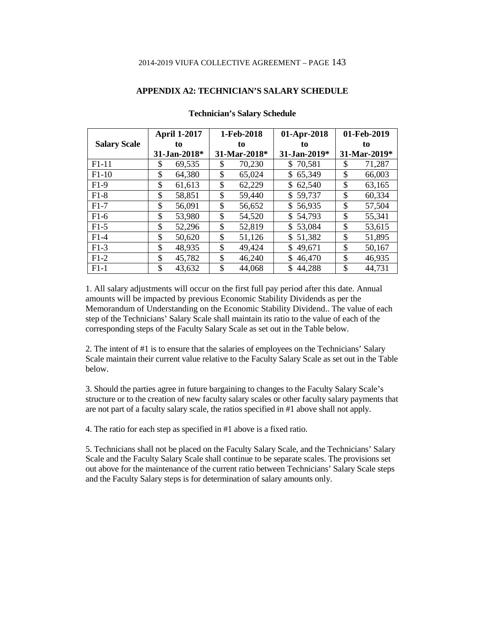### **APPENDIX A2: TECHNICIAN'S SALARY SCHEDULE**

|                     |    | 1-Feb-2018<br><b>April 1-2017</b> |    | 01-Apr-2018  |     | 01-Feb-2019        |    |              |
|---------------------|----|-----------------------------------|----|--------------|-----|--------------------|----|--------------|
| <b>Salary Scale</b> |    | to                                |    | to           |     | to                 |    | to           |
|                     |    | 31-Jan-2018*                      |    | 31-Mar-2018* |     | $31 - Jan - 2019*$ |    | 31-Mar-2019* |
| $F1-11$             | S  | 69,535                            | S  | 70,230       | S.  | 70,581             | S  | 71,287       |
| $F1-10$             | \$ | 64,380                            | \$ | 65,024       | \$  | 65,349             | \$ | 66,003       |
| $F1-9$              | \$ | 61,613                            | \$ | 62,229       | \$. | 62,540             | \$ | 63,165       |
| $F1-8$              | \$ | 58,851                            | \$ | 59,440       | \$  | 59,737             | \$ | 60,334       |
| $F1-7$              | \$ | 56,091                            | \$ | 56,652       | \$  | 56,935             | \$ | 57,504       |
| $F1-6$              | \$ | 53,980                            | \$ | 54,520       | \$. | 54,793             | \$ | 55,341       |
| $F1-5$              | \$ | 52,296                            | \$ | 52,819       | \$  | 53,084             | \$ | 53,615       |
| $F1-4$              | \$ | 50,620                            | \$ | 51,126       | \$. | 51,382             | \$ | 51,895       |
| $F1-3$              | \$ | 48,935                            | \$ | 49,424       | \$  | 49,671             | \$ | 50,167       |
| $F1-2$              | \$ | 45,782                            | \$ | 46,240       | \$  | 46,470             | \$ | 46,935       |
| $F1-1$              | \$ | 43,632                            | \$ | 44,068       |     | 44,288             | \$ | 44,731       |

#### **Technician's Salary Schedule**

1. All salary adjustments will occur on the first full pay period after this date. Annual amounts will be impacted by previous Economic Stability Dividends as per the Memorandum of Understanding on the Economic Stability Dividend.. The value of each step of the Technicians' Salary Scale shall maintain its ratio to the value of each of the corresponding steps of the Faculty Salary Scale as set out in the Table below.

2. The intent of #1 is to ensure that the salaries of employees on the Technicians' Salary Scale maintain their current value relative to the Faculty Salary Scale as set out in the Table below.

3. Should the parties agree in future bargaining to changes to the Faculty Salary Scale's structure or to the creation of new faculty salary scales or other faculty salary payments that are not part of a faculty salary scale, the ratios specified in #1 above shall not apply.

4. The ratio for each step as specified in #1 above is a fixed ratio.

5. Technicians shall not be placed on the Faculty Salary Scale, and the Technicians' Salary Scale and the Faculty Salary Scale shall continue to be separate scales. The provisions set out above for the maintenance of the current ratio between Technicians' Salary Scale steps and the Faculty Salary steps is for determination of salary amounts only.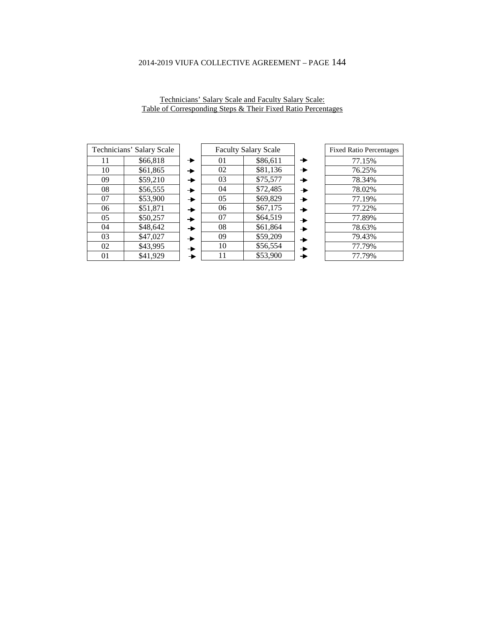| Technicians' Salary Scale |          |  |  |
|---------------------------|----------|--|--|
| 11                        | \$66,818 |  |  |
| 10                        | \$61,865 |  |  |
| 09                        | \$59,210 |  |  |
| 08                        | \$56,555 |  |  |
| 07                        | \$53,900 |  |  |
| 06                        | \$51,871 |  |  |
| 05                        | \$50,257 |  |  |
| 04                        | \$48,642 |  |  |
| 03                        | \$47,027 |  |  |
| 02                        | \$43,995 |  |  |
| $_{01}$                   | \$41,929 |  |  |

| Technicians' Salary Scale and Faculty Salary Scale:          |  |  |  |  |
|--------------------------------------------------------------|--|--|--|--|
| Table of Corresponding Steps & Their Fixed Ratio Percentages |  |  |  |  |

|   | <b>Faculty Salary Scale</b> |          |  |
|---|-----------------------------|----------|--|
|   | 01                          | \$86,611 |  |
|   | 02                          | \$81,136 |  |
| → | 03                          | \$75,577 |  |
| ▸ | 04                          | \$72,485 |  |
| → | 05                          | \$69,829 |  |
| ▸ | 06                          | \$67,175 |  |
| ▸ | 07                          | \$64,519 |  |
| ▸ | 08                          | \$61,864 |  |
|   | 09                          | \$59,209 |  |
|   | 10                          | \$56,554 |  |
|   | 11                          | \$53,900 |  |

| <b>Fixed Ratio Percentages</b> |
|--------------------------------|
| 77.15%                         |
| 76.25%                         |
| 78.34%                         |
| 78.02%                         |
| 77.19%                         |
| 77.22%                         |
| 77.89%                         |
| 78.63%                         |
| 79.43%                         |
| 77.79%                         |
| 77.79%                         |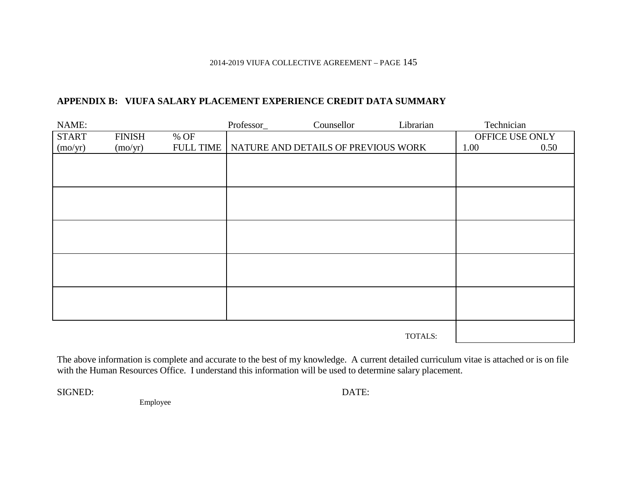# **APPENDIX B: VIUFA SALARY PLACEMENT EXPERIENCE CREDIT DATA SUMMARY**

| NAME:        |               |                  | Professor_ | Counsellor                          | Librarian | Technician |                 |
|--------------|---------------|------------------|------------|-------------------------------------|-----------|------------|-----------------|
| <b>START</b> | <b>FINISH</b> | % OF             |            |                                     |           |            | OFFICE USE ONLY |
| (mo/yr)      | (mo/yr)       | <b>FULL TIME</b> |            | NATURE AND DETAILS OF PREVIOUS WORK |           | 1.00       | 0.50            |
|              |               |                  |            |                                     |           |            |                 |
|              |               |                  |            |                                     |           |            |                 |
|              |               |                  |            |                                     |           |            |                 |
|              |               |                  |            |                                     |           |            |                 |
|              |               |                  |            |                                     |           |            |                 |
|              |               |                  |            |                                     |           |            |                 |
|              |               |                  |            |                                     |           |            |                 |
|              |               |                  |            |                                     |           |            |                 |
|              |               |                  |            |                                     |           |            |                 |
|              |               |                  |            |                                     |           |            |                 |
|              |               |                  |            |                                     |           |            |                 |
|              |               |                  |            |                                     |           |            |                 |
|              |               |                  |            |                                     |           |            |                 |
|              |               |                  |            |                                     |           |            |                 |
|              |               |                  |            |                                     |           |            |                 |
|              |               |                  |            |                                     |           |            |                 |
|              |               |                  |            |                                     | TOTALS:   |            |                 |

The above information is complete and accurate to the best of my knowledge. A current detailed curriculum vitae is attached or is on file with the Human Resources Office. I understand this information will be used to determine salary placement.

SIGNED: DATE:

Employee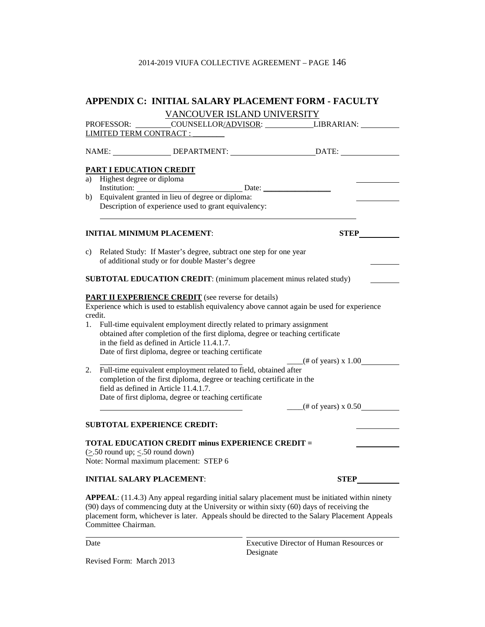| APPENDIX C: INITIAL SALARY PLACEMENT FORM - FACULTY                                                                                                                                                                                                                                                                                                                                                                                                                       |
|---------------------------------------------------------------------------------------------------------------------------------------------------------------------------------------------------------------------------------------------------------------------------------------------------------------------------------------------------------------------------------------------------------------------------------------------------------------------------|
| VANCOUVER ISLAND UNIVERSITY                                                                                                                                                                                                                                                                                                                                                                                                                                               |
| PROFESSOR: __________COUNSELLOR <u>/ADVISOR:</u> ______________LIBRARIAN: __________                                                                                                                                                                                                                                                                                                                                                                                      |
| LIMITED TERM CONTRACT :                                                                                                                                                                                                                                                                                                                                                                                                                                                   |
| NAME: _________________DEPARTMENT: ______________________________DATE: ________________                                                                                                                                                                                                                                                                                                                                                                                   |
| <b>PART I EDUCATION CREDIT</b>                                                                                                                                                                                                                                                                                                                                                                                                                                            |
| a) Highest degree or diploma                                                                                                                                                                                                                                                                                                                                                                                                                                              |
| Institution: Date: Date:                                                                                                                                                                                                                                                                                                                                                                                                                                                  |
| b) Equivalent granted in lieu of degree or diploma:<br>Description of experience used to grant equivalency:                                                                                                                                                                                                                                                                                                                                                               |
| <b>INITIAL MINIMUM PLACEMENT:</b><br><b>STEP</b>                                                                                                                                                                                                                                                                                                                                                                                                                          |
| Related Study: If Master's degree, subtract one step for one year<br>C)<br>of additional study or for double Master's degree                                                                                                                                                                                                                                                                                                                                              |
| SUBTOTAL EDUCATION CREDIT: (minimum placement minus related study)                                                                                                                                                                                                                                                                                                                                                                                                        |
| <b>PART II EXPERIENCE CREDIT</b> (see reverse for details)<br>Experience which is used to establish equivalency above cannot again be used for experience<br>credit.<br>Full-time equivalent employment directly related to primary assignment<br>1.<br>obtained after completion of the first diploma, degree or teaching certificate<br>in the field as defined in Article 11.4.1.7.<br>Date of first diploma, degree or teaching certificate<br>$($ # of years) x 1.00 |
| 2. Full-time equivalent employment related to field, obtained after<br>completion of the first diploma, degree or teaching certificate in the<br>field as defined in Article 11.4.1.7.                                                                                                                                                                                                                                                                                    |
| Date of first diploma, degree or teaching certificate<br>$-$ (# of years) x 0.50                                                                                                                                                                                                                                                                                                                                                                                          |
| <b>SUBTOTAL EXPERIENCE CREDIT:</b>                                                                                                                                                                                                                                                                                                                                                                                                                                        |
| <b>TOTAL EDUCATION CREDIT minus EXPERIENCE CREDIT =</b><br>$(\geq 50$ round up; $\leq 50$ round down)<br>Note: Normal maximum placement: STEP 6                                                                                                                                                                                                                                                                                                                           |
| <b>INITIAL SALARY PLACEMENT:</b><br><b>STEP</b>                                                                                                                                                                                                                                                                                                                                                                                                                           |
| <b>APPEAL</b> : (11.4.3) Any appeal regarding initial salary placement must be initiated within ninety<br>(90) days of commencing duty at the University or within sixty (60) days of receiving the<br>placement form, whichever is later. Appeals should be directed to the Salary Placement Appeals<br>Committee Chairman.                                                                                                                                              |

Date **Executive Director of Human Resources or** Designate

Revised Form: March 2013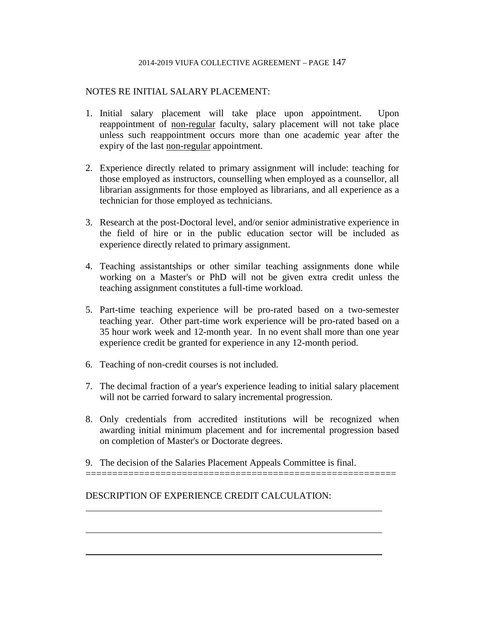## NOTES RE INITIAL SALARY PLACEMENT:

- 1. Initial salary placement will take place upon appointment. Upon reappointment of non-regular faculty, salary placement will not take place unless such reappointment occurs more than one academic year after the expiry of the last non-regular appointment.
- 2. Experience directly related to primary assignment will include: teaching for those employed as instructors, counselling when employed as a counsellor, all librarian assignments for those employed as librarians, and all experience as a technician for those employed as technicians.
- 3. Research at the post-Doctoral level, and/or senior administrative experience in the field of hire or in the public education sector will be included as experience directly related to primary assignment.
- 4. Teaching assistantships or other similar teaching assignments done while working on a Master's or PhD will not be given extra credit unless the teaching assignment constitutes a full-time workload.
- 5. Part-time teaching experience will be pro-rated based on a two-semester teaching year. Other part-time work experience will be pro-rated based on a 35 hour work week and 12-month year. In no event shall more than one year experience credit be granted for experience in any 12-month period.
- 6. Teaching of non-credit courses is not included.
- 7. The decimal fraction of a year's experience leading to initial salary placement will not be carried forward to salary incremental progression.
- 8. Only credentials from accredited institutions will be recognized when awarding initial minimum placement and for incremental progression based on completion of Master's or Doctorate degrees.
- 9. The decision of the Salaries Placement Appeals Committee is final.

==========================================================

DESCRIPTION OF EXPERIENCE CREDIT CALCULATION: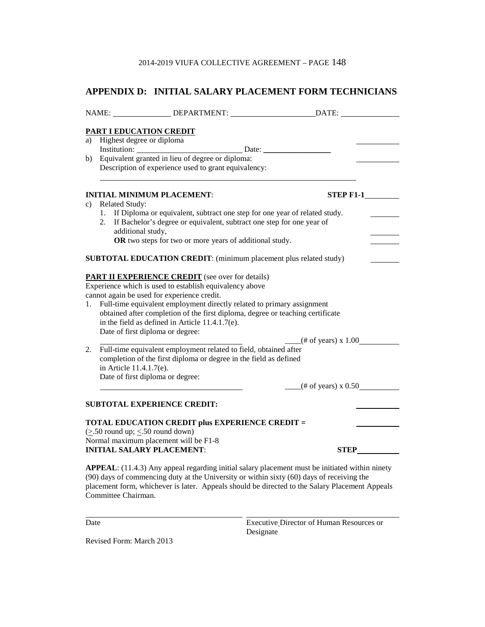# **APPENDIX D: INITIAL SALARY PLACEMENT FORM TECHNICIANS**

| PART I EDUCATION CREDIT<br>a) Highest degree or diploma                                                                                                                                                                                                                                                                      |                                                                                                                    |                                     |  |  |
|------------------------------------------------------------------------------------------------------------------------------------------------------------------------------------------------------------------------------------------------------------------------------------------------------------------------------|--------------------------------------------------------------------------------------------------------------------|-------------------------------------|--|--|
|                                                                                                                                                                                                                                                                                                                              |                                                                                                                    |                                     |  |  |
| b)                                                                                                                                                                                                                                                                                                                           | Equivalent granted in lieu of degree or diploma:                                                                   |                                     |  |  |
|                                                                                                                                                                                                                                                                                                                              | Description of experience used to grant equivalency:                                                               |                                     |  |  |
|                                                                                                                                                                                                                                                                                                                              | <b>INITIAL MINIMUM PLACEMENT:</b>                                                                                  | $STEP$ F1-1                         |  |  |
| c)                                                                                                                                                                                                                                                                                                                           | <b>Related Study:</b>                                                                                              |                                     |  |  |
|                                                                                                                                                                                                                                                                                                                              | 1. If Diploma or equivalent, subtract one step for one year of related study.                                      |                                     |  |  |
|                                                                                                                                                                                                                                                                                                                              | 2. If Bachelor's degree or equivalent, subtract one step for one year of                                           |                                     |  |  |
|                                                                                                                                                                                                                                                                                                                              | additional study,                                                                                                  |                                     |  |  |
|                                                                                                                                                                                                                                                                                                                              | OR two steps for two or more years of additional study.                                                            |                                     |  |  |
|                                                                                                                                                                                                                                                                                                                              | <b>SUBTOTAL EDUCATION CREDIT:</b> (minimum placement plus related study)                                           |                                     |  |  |
|                                                                                                                                                                                                                                                                                                                              | <b>PART II EXPERIENCE CREDIT</b> (see over for details)<br>Experience which is used to establish equivalency above |                                     |  |  |
|                                                                                                                                                                                                                                                                                                                              | cannot again be used for experience credit.                                                                        |                                     |  |  |
| 1.                                                                                                                                                                                                                                                                                                                           | Full-time equivalent employment directly related to primary assignment                                             |                                     |  |  |
|                                                                                                                                                                                                                                                                                                                              | obtained after completion of the first diploma, degree or teaching certificate                                     |                                     |  |  |
|                                                                                                                                                                                                                                                                                                                              | in the field as defined in Article 11.4.1.7(e).                                                                    |                                     |  |  |
|                                                                                                                                                                                                                                                                                                                              | Date of first diploma or degree:                                                                                   |                                     |  |  |
|                                                                                                                                                                                                                                                                                                                              |                                                                                                                    | $\frac{4}{100}$ (# of years) x 1.00 |  |  |
| 2.                                                                                                                                                                                                                                                                                                                           | Full-time equivalent employment related to field, obtained after                                                   |                                     |  |  |
|                                                                                                                                                                                                                                                                                                                              | completion of the first diploma or degree in the field as defined                                                  |                                     |  |  |
|                                                                                                                                                                                                                                                                                                                              | in Article 11.4.1.7(e).                                                                                            |                                     |  |  |
|                                                                                                                                                                                                                                                                                                                              | Date of first diploma or degree:                                                                                   |                                     |  |  |
|                                                                                                                                                                                                                                                                                                                              |                                                                                                                    | $\frac{1}{2}$ (# of years) x 0.50   |  |  |
|                                                                                                                                                                                                                                                                                                                              | <b>SUBTOTAL EXPERIENCE CREDIT:</b>                                                                                 |                                     |  |  |
| <b>TOTAL EDUCATION CREDIT plus EXPERIENCE CREDIT =</b>                                                                                                                                                                                                                                                                       |                                                                                                                    |                                     |  |  |
|                                                                                                                                                                                                                                                                                                                              | $(\geq 50$ round up; $\leq 50$ round down)                                                                         |                                     |  |  |
| Normal maximum placement will be F1-8<br>STEP_<br><b>INITIAL SALARY PLACEMENT:</b>                                                                                                                                                                                                                                           |                                                                                                                    |                                     |  |  |
|                                                                                                                                                                                                                                                                                                                              |                                                                                                                    |                                     |  |  |
| <b>APPEAL</b> : (11.4.3) Any appeal regarding initial salary placement must be initiated within ninety<br>(90) days of commencing duty at the University or within sixty (60) days of receiving the<br>placement form, whichever is later. Appeals should be directed to the Salary Placement Appeals<br>Committee Chairman. |                                                                                                                    |                                     |  |  |

Date **Executive Director of Human Resources or** Designate

Revised Form: March 2013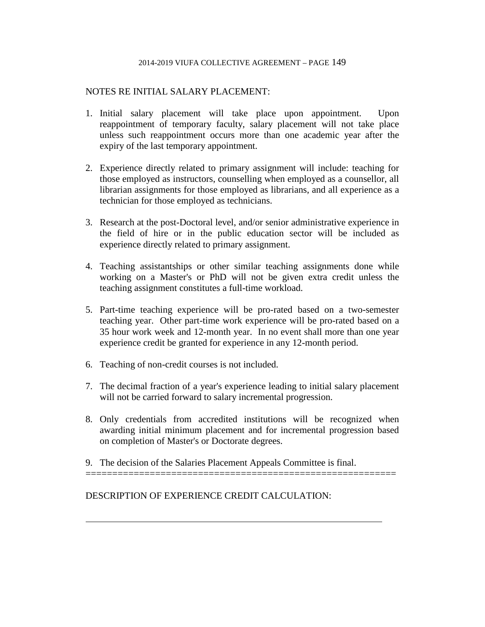### NOTES RE INITIAL SALARY PLACEMENT:

- 1. Initial salary placement will take place upon appointment. Upon reappointment of temporary faculty, salary placement will not take place unless such reappointment occurs more than one academic year after the expiry of the last temporary appointment.
- 2. Experience directly related to primary assignment will include: teaching for those employed as instructors, counselling when employed as a counsellor, all librarian assignments for those employed as librarians, and all experience as a technician for those employed as technicians.
- 3. Research at the post-Doctoral level, and/or senior administrative experience in the field of hire or in the public education sector will be included as experience directly related to primary assignment.
- 4. Teaching assistantships or other similar teaching assignments done while working on a Master's or PhD will not be given extra credit unless the teaching assignment constitutes a full-time workload.
- 5. Part-time teaching experience will be pro-rated based on a two-semester teaching year. Other part-time work experience will be pro-rated based on a 35 hour work week and 12-month year. In no event shall more than one year experience credit be granted for experience in any 12-month period.
- 6. Teaching of non-credit courses is not included.
- 7. The decimal fraction of a year's experience leading to initial salary placement will not be carried forward to salary incremental progression.
- 8. Only credentials from accredited institutions will be recognized when awarding initial minimum placement and for incremental progression based on completion of Master's or Doctorate degrees.
- 9. The decision of the Salaries Placement Appeals Committee is final.

==========================================================

DESCRIPTION OF EXPERIENCE CREDIT CALCULATION: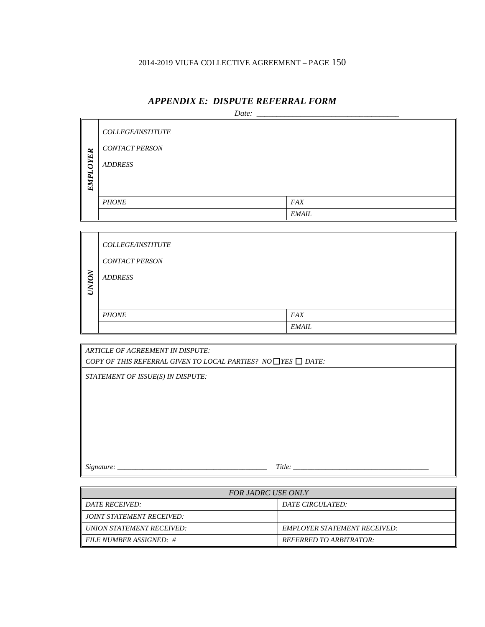|      | Date:                 |              |  |  |  |
|------|-----------------------|--------------|--|--|--|
|      | COLLEGE/INSTITUTE     |              |  |  |  |
|      | <b>CONTACT PERSON</b> |              |  |  |  |
| OYER | <b>ADDRESS</b>        |              |  |  |  |
| EMPL |                       |              |  |  |  |
|      |                       |              |  |  |  |
|      | <b>PHONE</b>          | <b>FAX</b>   |  |  |  |
|      |                       | <b>EMAIL</b> |  |  |  |

## *APPENDIX E: DISPUTE REFERRAL FORM*

|                  | <b>COLLEGE/INSTITUTE</b> |              |
|------------------|--------------------------|--------------|
| NOI              | <b>CONTACT PERSON</b>    |              |
|                  | <b>ADDRESS</b>           |              |
| ↘<br>$\mathbb Z$ |                          |              |
|                  |                          |              |
|                  | <b>PHONE</b>             | <b>FAX</b>   |
|                  |                          | <i>EMAIL</i> |

| <b>ARTICLE OF AGREEMENT IN DISPUTE:</b>                                  |  |
|--------------------------------------------------------------------------|--|
| COPY OF THIS REFERRAL GIVEN TO LOCAL PARTIES? NO $\Box$ YES $\Box$ DATE: |  |
| STATEMENT OF ISSUE(S) IN DISPUTE:                                        |  |
|                                                                          |  |
|                                                                          |  |
|                                                                          |  |
|                                                                          |  |
|                                                                          |  |
|                                                                          |  |
|                                                                          |  |
| Title:<br>Signature:                                                     |  |

| <b>FOR JADRC USE ONLY</b>              |                                     |  |
|----------------------------------------|-------------------------------------|--|
| <b>II DATE RECEIVED:</b>               | DATE CIRCULATED:                    |  |
| JOINT STATEMENT RECEIVED:              |                                     |  |
| UNION STATEMENT RECEIVED:              | <b>EMPLOYER STATEMENT RECEIVED:</b> |  |
| $\parallel$ FILE NUMBER ASSIGNED: $\#$ | <b>REFERRED TO ARBITRATOR:</b>      |  |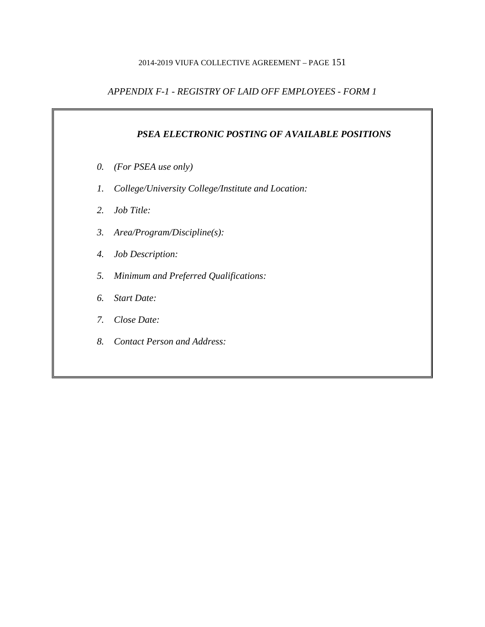# *APPENDIX F-1 - REGISTRY OF LAID OFF EMPLOYEES - FORM 1*

# *PSEA ELECTRONIC POSTING OF AVAILABLE POSITIONS*

- *0. (For PSEA use only)*
- *1. College/University College/Institute and Location:*
- *2. Job Title:*
- *3. Area/Program/Discipline(s):*
- *4. Job Description:*
- *5. Minimum and Preferred Qualifications:*
- *6. Start Date:*
- *7. Close Date:*
- *8. Contact Person and Address:*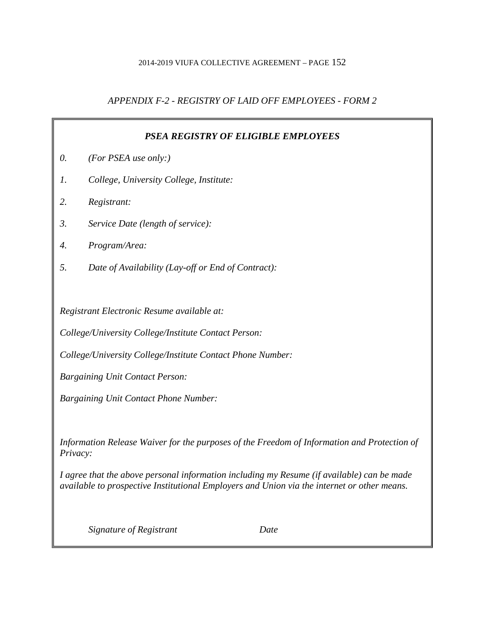# *APPENDIX F-2 - REGISTRY OF LAID OFF EMPLOYEES - FORM 2*

| PSEA REGISTRY OF ELIGIBLE EMPLOYEES                                                                                                                                                       |                                                            |  |
|-------------------------------------------------------------------------------------------------------------------------------------------------------------------------------------------|------------------------------------------------------------|--|
| 0.                                                                                                                                                                                        | (For PSEA use only:)                                       |  |
| 1.                                                                                                                                                                                        | College, University College, Institute:                    |  |
| 2.                                                                                                                                                                                        | Registrant:                                                |  |
| 3.                                                                                                                                                                                        | Service Date (length of service):                          |  |
| 4.                                                                                                                                                                                        | Program/Area:                                              |  |
| 5.                                                                                                                                                                                        | Date of Availability (Lay-off or End of Contract):         |  |
|                                                                                                                                                                                           |                                                            |  |
|                                                                                                                                                                                           | Registrant Electronic Resume available at:                 |  |
|                                                                                                                                                                                           | College/University College/Institute Contact Person:       |  |
|                                                                                                                                                                                           | College/University College/Institute Contact Phone Number: |  |
|                                                                                                                                                                                           | <b>Bargaining Unit Contact Person:</b>                     |  |
| <b>Bargaining Unit Contact Phone Number:</b>                                                                                                                                              |                                                            |  |
|                                                                                                                                                                                           |                                                            |  |
| Information Release Waiver for the purposes of the Freedom of Information and Protection of<br>Privacy:                                                                                   |                                                            |  |
| I agree that the above personal information including my Resume (if available) can be made<br>available to prospective Institutional Employers and Union via the internet or other means. |                                                            |  |
|                                                                                                                                                                                           | Signature of Registrant<br>Date                            |  |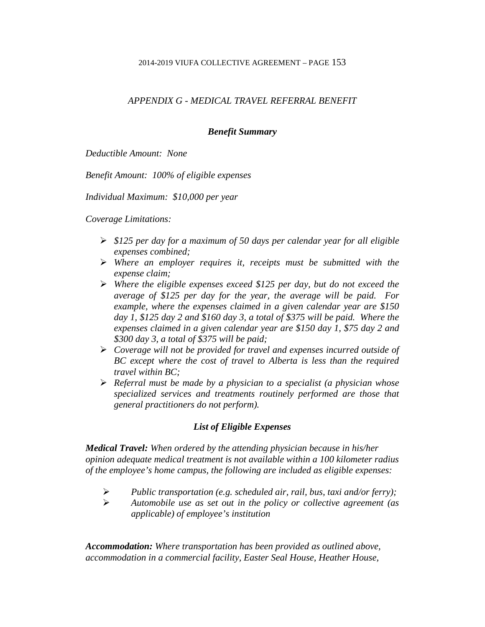# *APPENDIX G - MEDICAL TRAVEL REFERRAL BENEFIT*

## *Benefit Summary*

*Deductible Amount: None*

*Benefit Amount: 100% of eligible expenses*

*Individual Maximum: \$10,000 per year*

*Coverage Limitations:*

- *\$125 per day for a maximum of 50 days per calendar year for all eligible expenses combined;*
- *Where an employer requires it, receipts must be submitted with the expense claim;*
- *Where the eligible expenses exceed \$125 per day, but do not exceed the average of \$125 per day for the year, the average will be paid. For example, where the expenses claimed in a given calendar year are \$150 day 1, \$125 day 2 and \$160 day 3, a total of \$375 will be paid. Where the expenses claimed in a given calendar year are \$150 day 1, \$75 day 2 and \$300 day 3, a total of \$375 will be paid;*
- *Coverage will not be provided for travel and expenses incurred outside of BC except where the cost of travel to Alberta is less than the required travel within BC;*
- *Referral must be made by a physician to a specialist (a physician whose specialized services and treatments routinely performed are those that general practitioners do not perform).*

# *List of Eligible Expenses*

*Medical Travel: When ordered by the attending physician because in his/her opinion adequate medical treatment is not available within a 100 kilometer radius of the employee's home campus, the following are included as eligible expenses:*

- *Public transportation (e.g. scheduled air, rail, bus, taxi and/or ferry);*
- *Automobile use as set out in the policy or collective agreement (as applicable) of employee's institution*

*Accommodation: Where transportation has been provided as outlined above, accommodation in a commercial facility, Easter Seal House, Heather House,*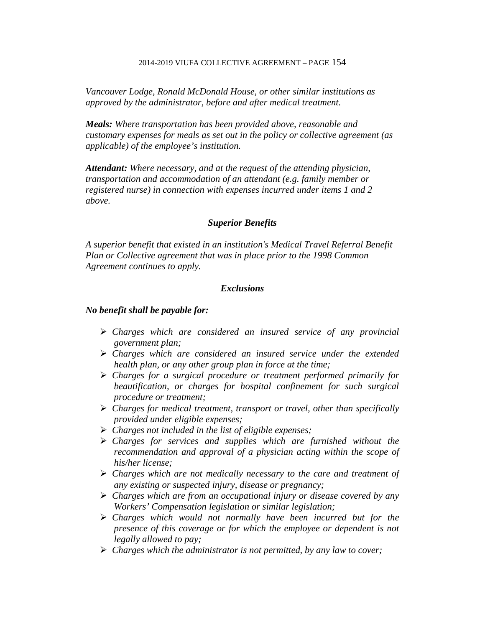*Vancouver Lodge, Ronald McDonald House, or other similar institutions as approved by the administrator, before and after medical treatment.*

*Meals: Where transportation has been provided above, reasonable and customary expenses for meals as set out in the policy or collective agreement (as applicable) of the employee's institution.*

*Attendant: Where necessary, and at the request of the attending physician, transportation and accommodation of an attendant (e.g. family member or registered nurse) in connection with expenses incurred under items 1 and 2 above.*

### *Superior Benefits*

*A superior benefit that existed in an institution's Medical Travel Referral Benefit Plan or Collective agreement that was in place prior to the 1998 Common Agreement continues to apply.*

## *Exclusions*

### *No benefit shall be payable for:*

- *Charges which are considered an insured service of any provincial government plan;*
- *Charges which are considered an insured service under the extended health plan, or any other group plan in force at the time;*
- *Charges for a surgical procedure or treatment performed primarily for beautification, or charges for hospital confinement for such surgical procedure or treatment;*
- *Charges for medical treatment, transport or travel, other than specifically provided under eligible expenses;*
- *Charges not included in the list of eligible expenses;*
- *Charges for services and supplies which are furnished without the recommendation and approval of a physician acting within the scope of his/her license;*
- *Charges which are not medically necessary to the care and treatment of any existing or suspected injury, disease or pregnancy;*
- *Charges which are from an occupational injury or disease covered by any Workers' Compensation legislation or similar legislation;*
- *Charges which would not normally have been incurred but for the presence of this coverage or for which the employee or dependent is not legally allowed to pay;*
- *Charges which the administrator is not permitted, by any law to cover;*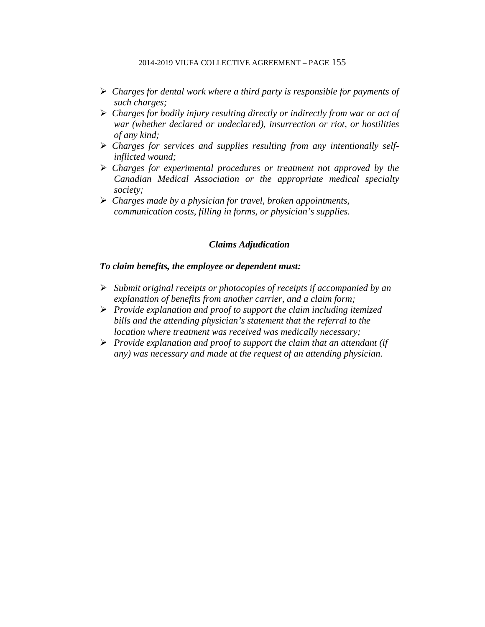- *Charges for dental work where a third party is responsible for payments of such charges;*
- *Charges for bodily injury resulting directly or indirectly from war or act of war (whether declared or undeclared), insurrection or riot, or hostilities of any kind;*
- *Charges for services and supplies resulting from any intentionally selfinflicted wound;*
- *Charges for experimental procedures or treatment not approved by the Canadian Medical Association or the appropriate medical specialty society;*
- *Charges made by a physician for travel, broken appointments, communication costs, filling in forms, or physician's supplies.*

## *Claims Adjudication*

## *To claim benefits, the employee or dependent must:*

- *Submit original receipts or photocopies of receipts if accompanied by an explanation of benefits from another carrier, and a claim form;*
- *Provide explanation and proof to support the claim including itemized bills and the attending physician's statement that the referral to the location where treatment was received was medically necessary;*
- *Provide explanation and proof to support the claim that an attendant (if any) was necessary and made at the request of an attending physician.*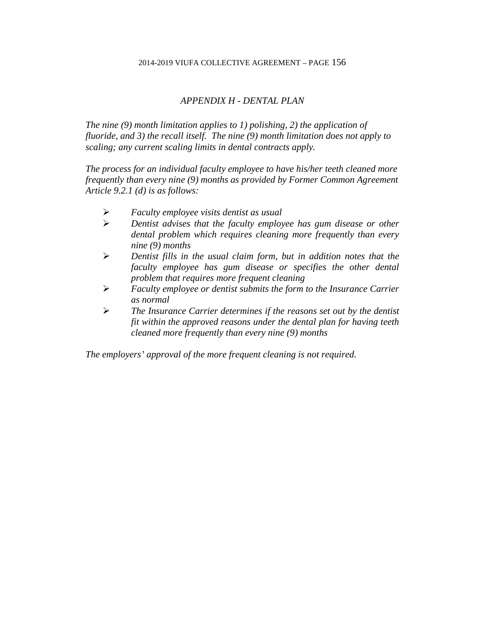## *APPENDIX H - DENTAL PLAN*

*The nine (9) month limitation applies to 1) polishing, 2) the application of fluoride, and 3) the recall itself. The nine (9) month limitation does not apply to scaling; any current scaling limits in dental contracts apply.*

*The process for an individual faculty employee to have his/her teeth cleaned more frequently than every nine (9) months as provided by Former Common Agreement Article 9.2.1 (d) is as follows:*

- *Faculty employee visits dentist as usual*
- *Dentist advises that the faculty employee has gum disease or other dental problem which requires cleaning more frequently than every nine (9) months*
- *Dentist fills in the usual claim form, but in addition notes that the faculty employee has gum disease or specifies the other dental problem that requires more frequent cleaning*
- *Faculty employee or dentist submits the form to the Insurance Carrier as normal*
- *The Insurance Carrier determines if the reasons set out by the dentist fit within the approved reasons under the dental plan for having teeth cleaned more frequently than every nine (9) months*

*The employers' approval of the more frequent cleaning is not required.*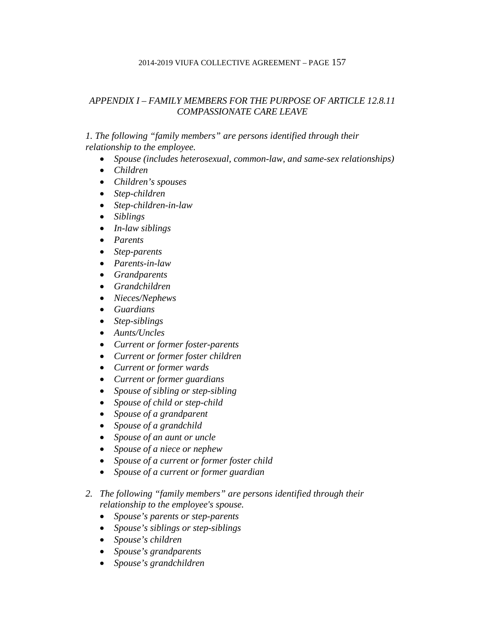# *APPENDIX I – FAMILY MEMBERS FOR THE PURPOSE OF ARTICLE 12.8.11 COMPASSIONATE CARE LEAVE*

## *1. The following "family members" are persons identified through their relationship to the employee.*

- *Spouse (includes heterosexual, common-law, and same-sex relationships)*
- *Children*
- *Children's spouses*
- *Step-children*
- *Step-children-in-law*
- *Siblings*
- *In-law siblings*
- *Parents*
- *Step-parents*
- *Parents-in-law*
- *Grandparents*
- *Grandchildren*
- *Nieces/Nephews*
- *Guardians*
- *Step-siblings*
- *Aunts/Uncles*
- *Current or former foster-parents*
- *Current or former foster children*
- *Current or former wards*
- *Current or former guardians*
- *Spouse of sibling or step-sibling*
- *Spouse of child or step-child*
- *Spouse of a grandparent*
- *Spouse of a grandchild*
- *Spouse of an aunt or uncle*
- *Spouse of a niece or nephew*
- *Spouse of a current or former foster child*
- *Spouse of a current or former guardian*
- *2. The following "family members" are persons identified through their relationship to the employee's spouse.*
	- *Spouse's parents or step-parents*
	- *Spouse's siblings or step-siblings*
	- *Spouse's children*
	- *Spouse's grandparents*
	- *Spouse's grandchildren*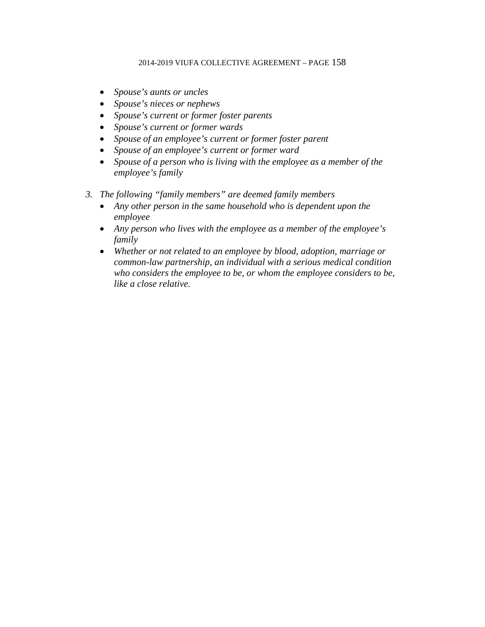- *Spouse's aunts or uncles*
- *Spouse's nieces or nephews*
- *Spouse's current or former foster parents*
- *Spouse's current or former wards*
- *Spouse of an employee's current or former foster parent*
- *Spouse of an employee's current or former ward*
- *Spouse of a person who is living with the employee as a member of the employee's family*
- *3. The following "family members" are deemed family members*
	- *Any other person in the same household who is dependent upon the employee*
	- *Any person who lives with the employee as a member of the employee's family*
	- *Whether or not related to an employee by blood, adoption, marriage or common-law partnership, an individual with a serious medical condition who considers the employee to be, or whom the employee considers to be, like a close relative.*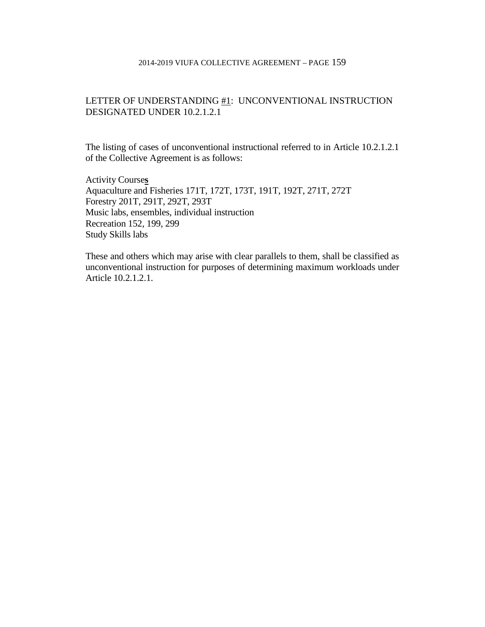## LETTER OF UNDERSTANDING #1: UNCONVENTIONAL INSTRUCTION DESIGNATED UNDER 10.2.1.2.1

The listing of cases of unconventional instructional referred to in Article 10.2.1.2.1 of the Collective Agreement is as follows:

Activity Course**s** Aquaculture and Fisheries 171T, 172T, 173T, 191T, 192T, 271T, 272T Forestry 201T, 291T, 292T, 293T Music labs, ensembles, individual instruction Recreation 152, 199, 299 Study Skills labs

These and others which may arise with clear parallels to them, shall be classified as unconventional instruction for purposes of determining maximum workloads under Article 10.2.1.2.1.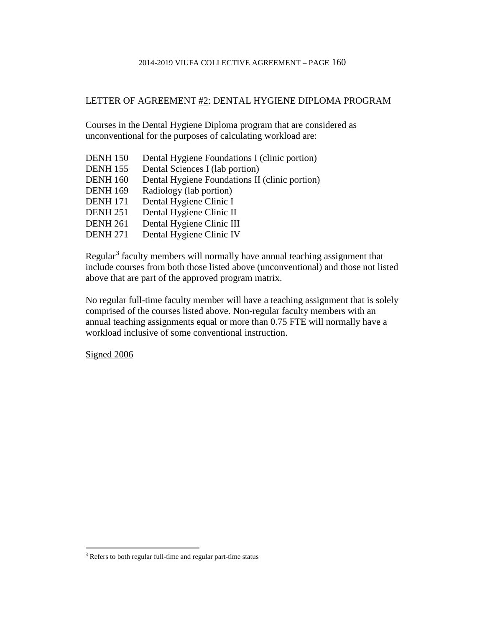## LETTER OF AGREEMENT #2: DENTAL HYGIENE DIPLOMA PROGRAM

Courses in the Dental Hygiene Diploma program that are considered as unconventional for the purposes of calculating workload are:

DENH 150 Dental Hygiene Foundations I (clinic portion) DENH 155 Dental Sciences I (lab portion) DENH 160 Dental Hygiene Foundations II (clinic portion) DENH 169 Radiology (lab portion) DENH 171 Dental Hygiene Clinic I DENH 251 Dental Hygiene Clinic II DENH 261 Dental Hygiene Clinic III DENH 271 Dental Hygiene Clinic IV

Regular<sup>[3](#page-175-0)</sup> faculty members will normally have annual teaching assignment that include courses from both those listed above (unconventional) and those not listed above that are part of the approved program matrix.

No regular full-time faculty member will have a teaching assignment that is solely comprised of the courses listed above. Non-regular faculty members with an annual teaching assignments equal or more than 0.75 FTE will normally have a workload inclusive of some conventional instruction.

Signed 2006

<span id="page-175-0"></span> $\overline{a}$  $3$  Refers to both regular full-time and regular part-time status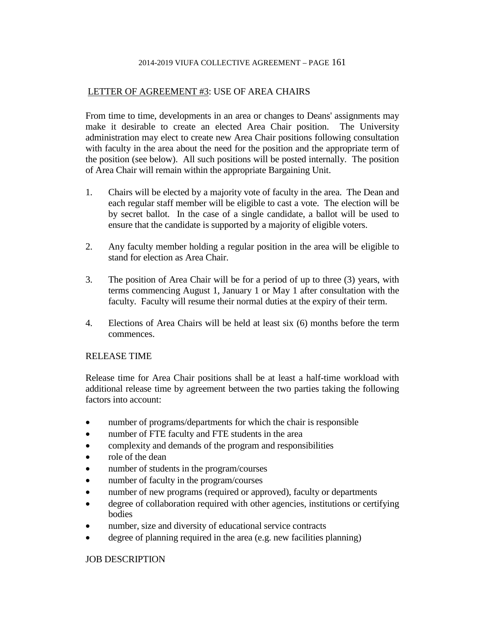## LETTER OF AGREEMENT #3: USE OF AREA CHAIRS

From time to time, developments in an area or changes to Deans' assignments may make it desirable to create an elected Area Chair position. The University administration may elect to create new Area Chair positions following consultation with faculty in the area about the need for the position and the appropriate term of the position (see below). All such positions will be posted internally. The position of Area Chair will remain within the appropriate Bargaining Unit.

- 1. Chairs will be elected by a majority vote of faculty in the area. The Dean and each regular staff member will be eligible to cast a vote. The election will be by secret ballot. In the case of a single candidate, a ballot will be used to ensure that the candidate is supported by a majority of eligible voters.
- 2. Any faculty member holding a regular position in the area will be eligible to stand for election as Area Chair.
- 3. The position of Area Chair will be for a period of up to three (3) years, with terms commencing August 1, January 1 or May 1 after consultation with the faculty. Faculty will resume their normal duties at the expiry of their term.
- 4. Elections of Area Chairs will be held at least six (6) months before the term commences.

### RELEASE TIME

Release time for Area Chair positions shall be at least a half-time workload with additional release time by agreement between the two parties taking the following factors into account:

- number of programs/departments for which the chair is responsible
- number of FTE faculty and FTE students in the area
- complexity and demands of the program and responsibilities
- role of the dean
- number of students in the program/courses
- number of faculty in the program/courses
- number of new programs (required or approved), faculty or departments
- degree of collaboration required with other agencies, institutions or certifying bodies
- number, size and diversity of educational service contracts
- degree of planning required in the area (e.g. new facilities planning)

## JOB DESCRIPTION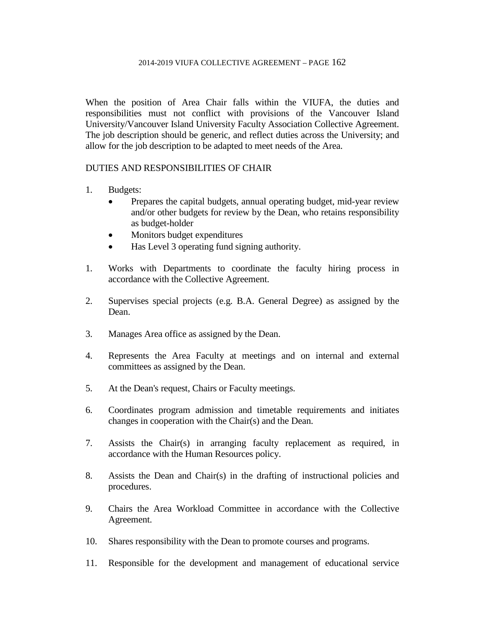When the position of Area Chair falls within the VIUFA, the duties and responsibilities must not conflict with provisions of the Vancouver Island University/Vancouver Island University Faculty Association Collective Agreement. The job description should be generic, and reflect duties across the University; and allow for the job description to be adapted to meet needs of the Area.

## DUTIES AND RESPONSIBILITIES OF CHAIR

- 1. Budgets:
	- Prepares the capital budgets, annual operating budget, mid-year review and/or other budgets for review by the Dean, who retains responsibility as budget-holder
	- Monitors budget expenditures
	- Has Level 3 operating fund signing authority.
- 1. Works with Departments to coordinate the faculty hiring process in accordance with the Collective Agreement.
- 2. Supervises special projects (e.g. B.A. General Degree) as assigned by the Dean.
- 3. Manages Area office as assigned by the Dean.
- 4. Represents the Area Faculty at meetings and on internal and external committees as assigned by the Dean.
- 5. At the Dean's request, Chairs or Faculty meetings.
- 6. Coordinates program admission and timetable requirements and initiates changes in cooperation with the Chair(s) and the Dean.
- 7. Assists the Chair(s) in arranging faculty replacement as required, in accordance with the Human Resources policy.
- 8. Assists the Dean and Chair(s) in the drafting of instructional policies and procedures.
- 9. Chairs the Area Workload Committee in accordance with the Collective Agreement.
- 10. Shares responsibility with the Dean to promote courses and programs.
- 11. Responsible for the development and management of educational service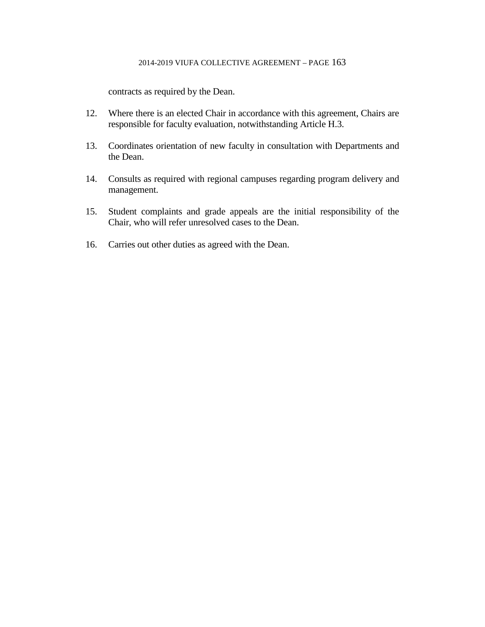contracts as required by the Dean.

- 12. Where there is an elected Chair in accordance with this agreement, Chairs are responsible for faculty evaluation, notwithstanding Article H.3.
- 13. Coordinates orientation of new faculty in consultation with Departments and the Dean.
- 14. Consults as required with regional campuses regarding program delivery and management.
- 15. Student complaints and grade appeals are the initial responsibility of the Chair, who will refer unresolved cases to the Dean.
- 16. Carries out other duties as agreed with the Dean.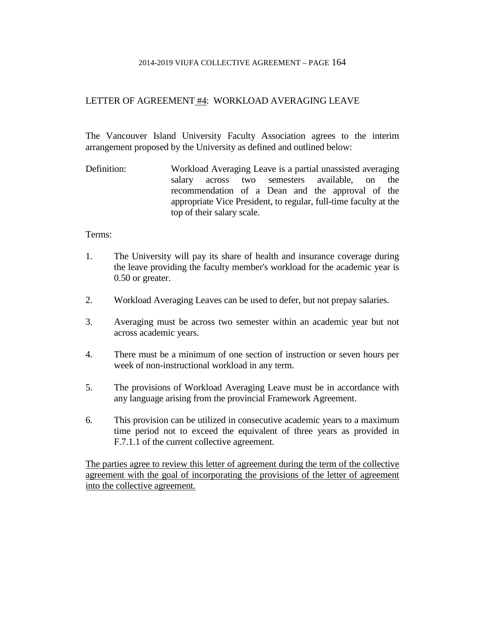## LETTER OF AGREEMENT #4: WORKLOAD AVERAGING LEAVE

The Vancouver Island University Faculty Association agrees to the interim arrangement proposed by the University as defined and outlined below:

Definition: Workload Averaging Leave is a partial unassisted averaging salary across two semesters available, on the recommendation of a Dean and the approval of the appropriate Vice President, to regular, full-time faculty at the top of their salary scale.

### Terms:

- 1. The University will pay its share of health and insurance coverage during the leave providing the faculty member's workload for the academic year is 0.50 or greater.
- 2. Workload Averaging Leaves can be used to defer, but not prepay salaries.
- 3. Averaging must be across two semester within an academic year but not across academic years.
- 4. There must be a minimum of one section of instruction or seven hours per week of non-instructional workload in any term.
- 5. The provisions of Workload Averaging Leave must be in accordance with any language arising from the provincial Framework Agreement.
- 6. This provision can be utilized in consecutive academic years to a maximum time period not to exceed the equivalent of three years as provided in F.7.1.1 of the current collective agreement.

The parties agree to review this letter of agreement during the term of the collective agreement with the goal of incorporating the provisions of the letter of agreement into the collective agreement.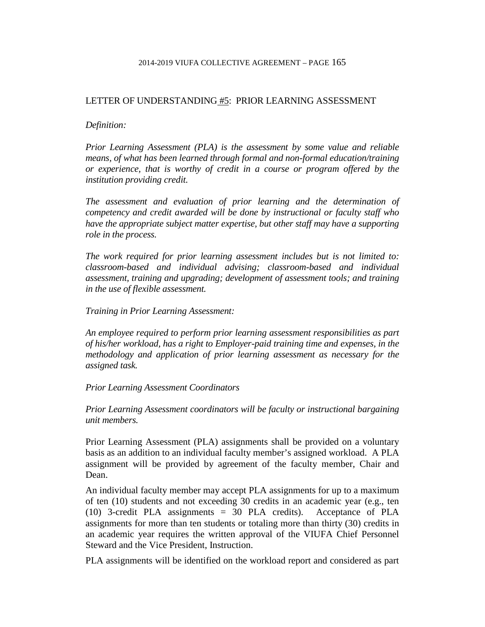### LETTER OF UNDERSTANDING #5: PRIOR LEARNING ASSESSMENT

#### *Definition:*

*Prior Learning Assessment (PLA) is the assessment by some value and reliable means, of what has been learned through formal and non-formal education/training or experience, that is worthy of credit in a course or program offered by the institution providing credit.*

*The assessment and evaluation of prior learning and the determination of competency and credit awarded will be done by instructional or faculty staff who have the appropriate subject matter expertise, but other staff may have a supporting role in the process.*

*The work required for prior learning assessment includes but is not limited to: classroom-based and individual advising; classroom-based and individual assessment, training and upgrading; development of assessment tools; and training in the use of flexible assessment.*

*Training in Prior Learning Assessment:*

*An employee required to perform prior learning assessment responsibilities as part of his/her workload, has a right to Employer-paid training time and expenses, in the methodology and application of prior learning assessment as necessary for the assigned task.*

### *Prior Learning Assessment Coordinators*

*Prior Learning Assessment coordinators will be faculty or instructional bargaining unit members.*

Prior Learning Assessment (PLA) assignments shall be provided on a voluntary basis as an addition to an individual faculty member's assigned workload. A PLA assignment will be provided by agreement of the faculty member, Chair and Dean.

An individual faculty member may accept PLA assignments for up to a maximum of ten (10) students and not exceeding 30 credits in an academic year (e.g., ten (10) 3-credit PLA assignments = 30 PLA credits). Acceptance of PLA assignments for more than ten students or totaling more than thirty (30) credits in an academic year requires the written approval of the VIUFA Chief Personnel Steward and the Vice President, Instruction.

PLA assignments will be identified on the workload report and considered as part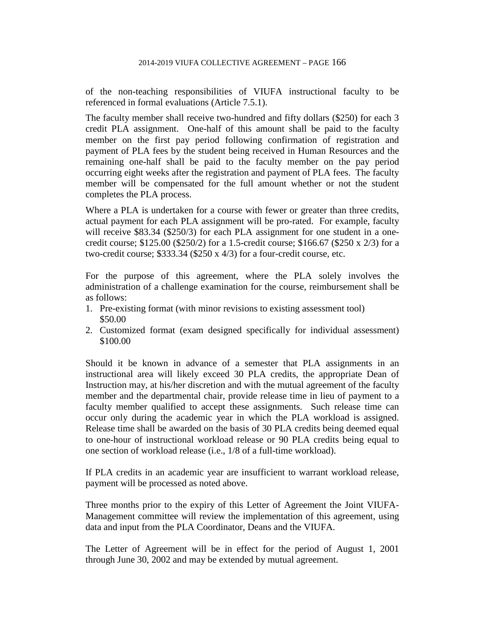of the non-teaching responsibilities of VIUFA instructional faculty to be referenced in formal evaluations (Article 7.5.1).

The faculty member shall receive two-hundred and fifty dollars (\$250) for each 3 credit PLA assignment. One-half of this amount shall be paid to the faculty member on the first pay period following confirmation of registration and payment of PLA fees by the student being received in Human Resources and the remaining one-half shall be paid to the faculty member on the pay period occurring eight weeks after the registration and payment of PLA fees. The faculty member will be compensated for the full amount whether or not the student completes the PLA process.

Where a PLA is undertaken for a course with fewer or greater than three credits, actual payment for each PLA assignment will be pro-rated. For example, faculty will receive \$83.34 (\$250/3) for each PLA assignment for one student in a onecredit course; \$125.00 (\$250/2) for a 1.5-credit course; \$166.67 (\$250 x 2/3) for a two-credit course; \$333.34 (\$250 x 4/3) for a four-credit course, etc.

For the purpose of this agreement, where the PLA solely involves the administration of a challenge examination for the course, reimbursement shall be as follows:

- 1. Pre-existing format (with minor revisions to existing assessment tool) \$50.00
- 2. Customized format (exam designed specifically for individual assessment) \$100.00

Should it be known in advance of a semester that PLA assignments in an instructional area will likely exceed 30 PLA credits, the appropriate Dean of Instruction may, at his/her discretion and with the mutual agreement of the faculty member and the departmental chair, provide release time in lieu of payment to a faculty member qualified to accept these assignments. Such release time can occur only during the academic year in which the PLA workload is assigned. Release time shall be awarded on the basis of 30 PLA credits being deemed equal to one-hour of instructional workload release or 90 PLA credits being equal to one section of workload release (i.e., 1/8 of a full-time workload).

If PLA credits in an academic year are insufficient to warrant workload release, payment will be processed as noted above.

Three months prior to the expiry of this Letter of Agreement the Joint VIUFA-Management committee will review the implementation of this agreement, using data and input from the PLA Coordinator, Deans and the VIUFA.

The Letter of Agreement will be in effect for the period of August 1, 2001 through June 30, 2002 and may be extended by mutual agreement.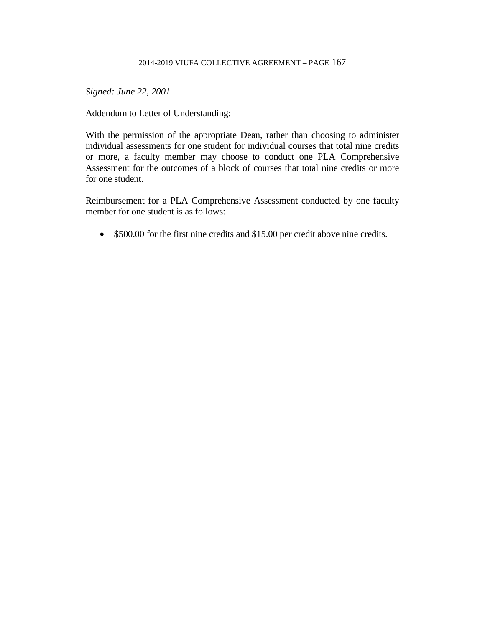*Signed: June 22, 2001*

Addendum to Letter of Understanding:

With the permission of the appropriate Dean, rather than choosing to administer individual assessments for one student for individual courses that total nine credits or more, a faculty member may choose to conduct one PLA Comprehensive Assessment for the outcomes of a block of courses that total nine credits or more for one student.

Reimbursement for a PLA Comprehensive Assessment conducted by one faculty member for one student is as follows:

• \$500.00 for the first nine credits and \$15.00 per credit above nine credits.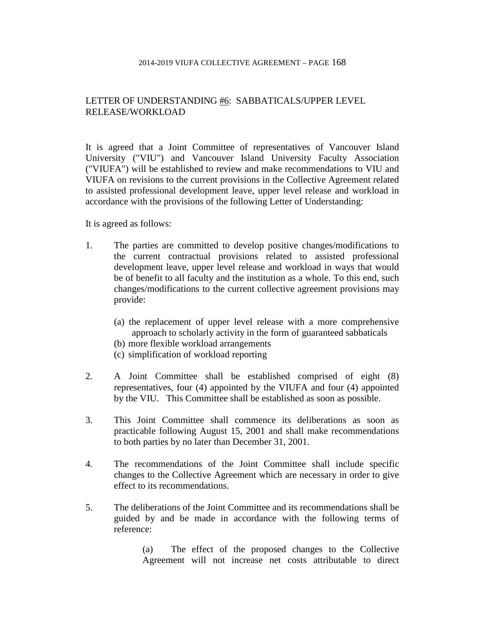## LETTER OF UNDERSTANDING #6: SABBATICALS/UPPER LEVEL RELEASE/WORKLOAD

It is agreed that a Joint Committee of representatives of Vancouver Island University ("VIU") and Vancouver Island University Faculty Association ("VIUFA") will be established to review and make recommendations to VIU and VIUFA on revisions to the current provisions in the Collective Agreement related to assisted professional development leave, upper level release and workload in accordance with the provisions of the following Letter of Understanding:

It is agreed as follows:

- 1. The parties are committed to develop positive changes/modifications to the current contractual provisions related to assisted professional development leave, upper level release and workload in ways that would be of benefit to all faculty and the institution as a whole. To this end, such changes/modifications to the current collective agreement provisions may provide:
	- (a) the replacement of upper level release with a more comprehensive approach to scholarly activity in the form of guaranteed sabbaticals
	- (b) more flexible workload arrangements
	- (c) simplification of workload reporting
- 2. A Joint Committee shall be established comprised of eight (8) representatives, four (4) appointed by the VIUFA and four (4) appointed by the VIU. This Committee shall be established as soon as possible.
- 3. This Joint Committee shall commence its deliberations as soon as practicable following August 15, 2001 and shall make recommendations to both parties by no later than December 31, 2001.
- 4. The recommendations of the Joint Committee shall include specific changes to the Collective Agreement which are necessary in order to give effect to its recommendations.
- 5. The deliberations of the Joint Committee and its recommendations shall be guided by and be made in accordance with the following terms of reference:

(a) The effect of the proposed changes to the Collective Agreement will not increase net costs attributable to direct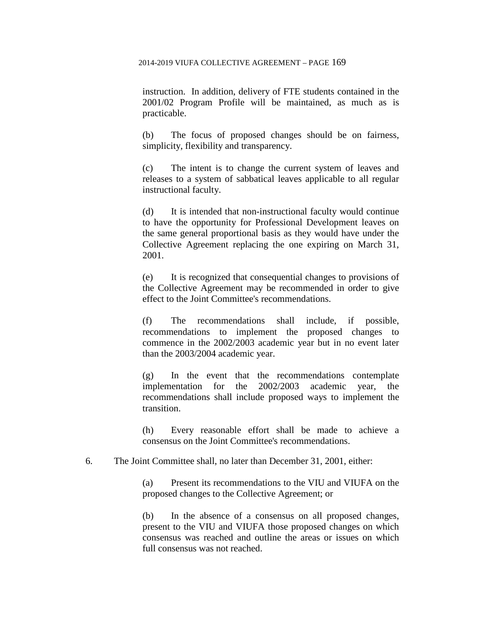instruction. In addition, delivery of FTE students contained in the 2001/02 Program Profile will be maintained, as much as is practicable.

(b) The focus of proposed changes should be on fairness, simplicity, flexibility and transparency.

(c) The intent is to change the current system of leaves and releases to a system of sabbatical leaves applicable to all regular instructional faculty.

(d) It is intended that non-instructional faculty would continue to have the opportunity for Professional Development leaves on the same general proportional basis as they would have under the Collective Agreement replacing the one expiring on March 31, 2001.

(e) It is recognized that consequential changes to provisions of the Collective Agreement may be recommended in order to give effect to the Joint Committee's recommendations.

(f) The recommendations shall include, if possible, recommendations to implement the proposed changes to commence in the 2002/2003 academic year but in no event later than the 2003/2004 academic year.

(g) In the event that the recommendations contemplate implementation for the 2002/2003 academic year, the recommendations shall include proposed ways to implement the transition.

(h) Every reasonable effort shall be made to achieve a consensus on the Joint Committee's recommendations.

6. The Joint Committee shall, no later than December 31, 2001, either:

(a) Present its recommendations to the VIU and VIUFA on the proposed changes to the Collective Agreement; or

(b) In the absence of a consensus on all proposed changes, present to the VIU and VIUFA those proposed changes on which consensus was reached and outline the areas or issues on which full consensus was not reached.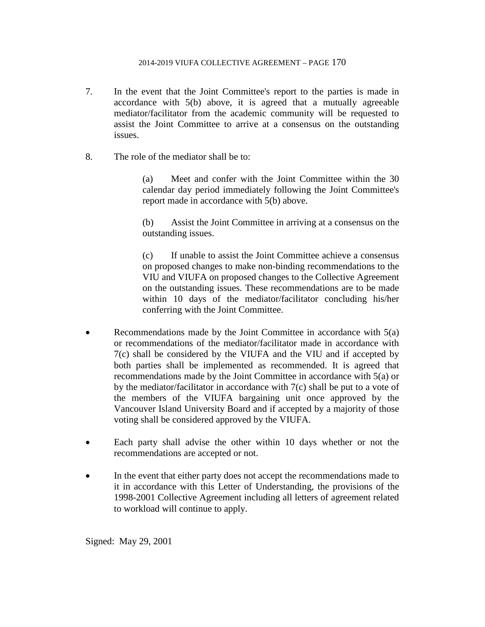- 7. In the event that the Joint Committee's report to the parties is made in accordance with 5(b) above, it is agreed that a mutually agreeable mediator/facilitator from the academic community will be requested to assist the Joint Committee to arrive at a consensus on the outstanding issues.
- 8. The role of the mediator shall be to:

(a) Meet and confer with the Joint Committee within the 30 calendar day period immediately following the Joint Committee's report made in accordance with 5(b) above.

(b) Assist the Joint Committee in arriving at a consensus on the outstanding issues.

(c) If unable to assist the Joint Committee achieve a consensus on proposed changes to make non-binding recommendations to the VIU and VIUFA on proposed changes to the Collective Agreement on the outstanding issues. These recommendations are to be made within 10 days of the mediator/facilitator concluding his/her conferring with the Joint Committee.

- Recommendations made by the Joint Committee in accordance with 5(a) or recommendations of the mediator/facilitator made in accordance with 7(c) shall be considered by the VIUFA and the VIU and if accepted by both parties shall be implemented as recommended. It is agreed that recommendations made by the Joint Committee in accordance with 5(a) or by the mediator/facilitator in accordance with  $7(c)$  shall be put to a vote of the members of the VIUFA bargaining unit once approved by the Vancouver Island University Board and if accepted by a majority of those voting shall be considered approved by the VIUFA.
- Each party shall advise the other within 10 days whether or not the recommendations are accepted or not.
- In the event that either party does not accept the recommendations made to it in accordance with this Letter of Understanding, the provisions of the 1998-2001 Collective Agreement including all letters of agreement related to workload will continue to apply.

Signed: May 29, 2001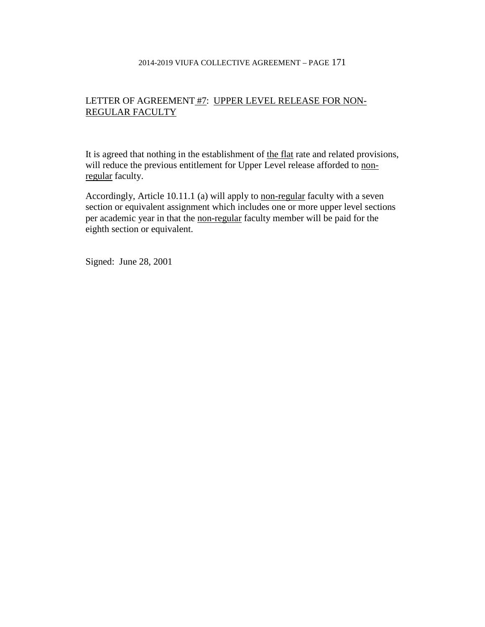# LETTER OF AGREEMENT #7: UPPER LEVEL RELEASE FOR NON-REGULAR FACULTY

It is agreed that nothing in the establishment of the flat rate and related provisions, will reduce the previous entitlement for Upper Level release afforded to nonregular faculty.

Accordingly, Article 10.11.1 (a) will apply to non-regular faculty with a seven section or equivalent assignment which includes one or more upper level sections per academic year in that the non-regular faculty member will be paid for the eighth section or equivalent.

Signed: June 28, 2001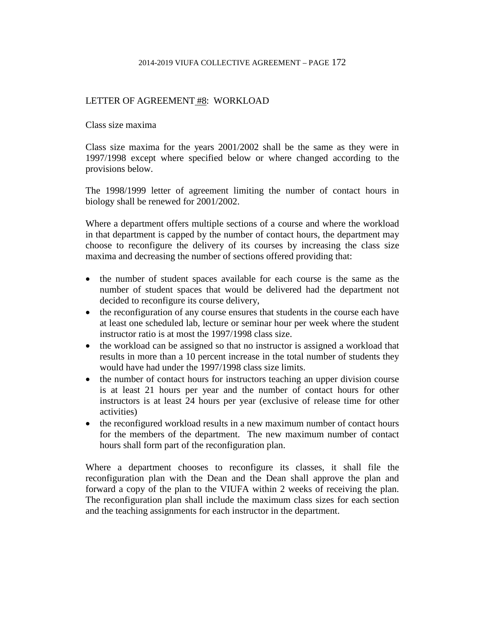## LETTER OF AGREEMENT #8: WORKLOAD

Class size maxima

Class size maxima for the years 2001/2002 shall be the same as they were in 1997/1998 except where specified below or where changed according to the provisions below.

The 1998/1999 letter of agreement limiting the number of contact hours in biology shall be renewed for 2001/2002.

Where a department offers multiple sections of a course and where the workload in that department is capped by the number of contact hours, the department may choose to reconfigure the delivery of its courses by increasing the class size maxima and decreasing the number of sections offered providing that:

- the number of student spaces available for each course is the same as the number of student spaces that would be delivered had the department not decided to reconfigure its course delivery,
- the reconfiguration of any course ensures that students in the course each have at least one scheduled lab, lecture or seminar hour per week where the student instructor ratio is at most the 1997/1998 class size.
- the workload can be assigned so that no instructor is assigned a workload that results in more than a 10 percent increase in the total number of students they would have had under the 1997/1998 class size limits.
- the number of contact hours for instructors teaching an upper division course is at least 21 hours per year and the number of contact hours for other instructors is at least 24 hours per year (exclusive of release time for other activities)
- the reconfigured workload results in a new maximum number of contact hours for the members of the department. The new maximum number of contact hours shall form part of the reconfiguration plan.

Where a department chooses to reconfigure its classes, it shall file the reconfiguration plan with the Dean and the Dean shall approve the plan and forward a copy of the plan to the VIUFA within 2 weeks of receiving the plan. The reconfiguration plan shall include the maximum class sizes for each section and the teaching assignments for each instructor in the department.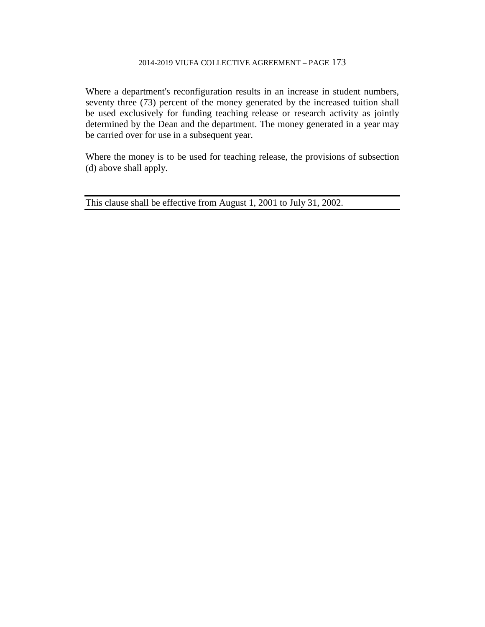Where a department's reconfiguration results in an increase in student numbers, seventy three (73) percent of the money generated by the increased tuition shall be used exclusively for funding teaching release or research activity as jointly determined by the Dean and the department. The money generated in a year may be carried over for use in a subsequent year.

Where the money is to be used for teaching release, the provisions of subsection (d) above shall apply.

This clause shall be effective from August 1, 2001 to July 31, 2002.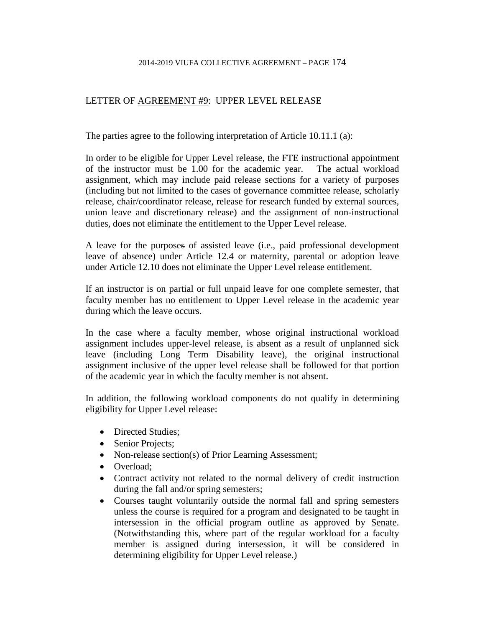## LETTER OF AGREEMENT #9: UPPER LEVEL RELEASE

The parties agree to the following interpretation of Article 10.11.1 (a):

In order to be eligible for Upper Level release, the FTE instructional appointment of the instructor must be 1.00 for the academic year. The actual workload assignment, which may include paid release sections for a variety of purposes (including but not limited to the cases of governance committee release, scholarly release, chair/coordinator release, release for research funded by external sources, union leave and discretionary release) and the assignment of non-instructional duties, does not eliminate the entitlement to the Upper Level release.

A leave for the purposes of assisted leave (i.e., paid professional development leave of absence) under Article 12.4 or maternity, parental or adoption leave under Article 12.10 does not eliminate the Upper Level release entitlement.

If an instructor is on partial or full unpaid leave for one complete semester, that faculty member has no entitlement to Upper Level release in the academic year during which the leave occurs.

In the case where a faculty member, whose original instructional workload assignment includes upper-level release, is absent as a result of unplanned sick leave (including Long Term Disability leave), the original instructional assignment inclusive of the upper level release shall be followed for that portion of the academic year in which the faculty member is not absent.

In addition, the following workload components do not qualify in determining eligibility for Upper Level release:

- Directed Studies;
- Senior Projects;
- Non-release section(s) of Prior Learning Assessment;
- Overload:
- Contract activity not related to the normal delivery of credit instruction during the fall and/or spring semesters;
- Courses taught voluntarily outside the normal fall and spring semesters unless the course is required for a program and designated to be taught in intersession in the official program outline as approved by Senate. (Notwithstanding this, where part of the regular workload for a faculty member is assigned during intersession, it will be considered in determining eligibility for Upper Level release.)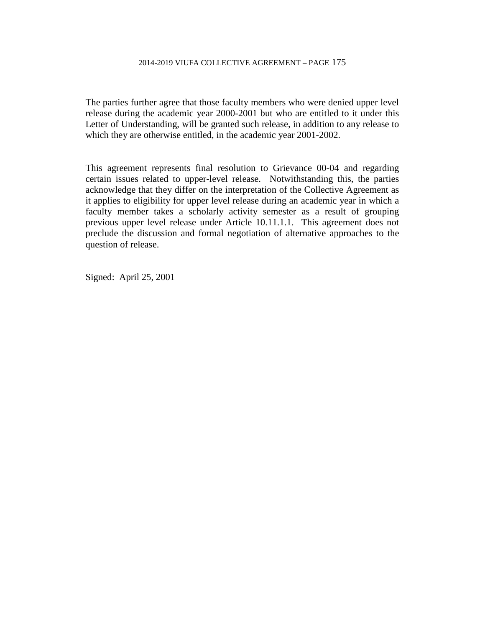The parties further agree that those faculty members who were denied upper level release during the academic year 2000-2001 but who are entitled to it under this Letter of Understanding, will be granted such release, in addition to any release to which they are otherwise entitled, in the academic year 2001-2002.

This agreement represents final resolution to Grievance 00-04 and regarding certain issues related to upper-level release. Notwithstanding this, the parties acknowledge that they differ on the interpretation of the Collective Agreement as it applies to eligibility for upper level release during an academic year in which a faculty member takes a scholarly activity semester as a result of grouping previous upper level release under Article 10.11.1.1. This agreement does not preclude the discussion and formal negotiation of alternative approaches to the question of release.

Signed: April 25, 2001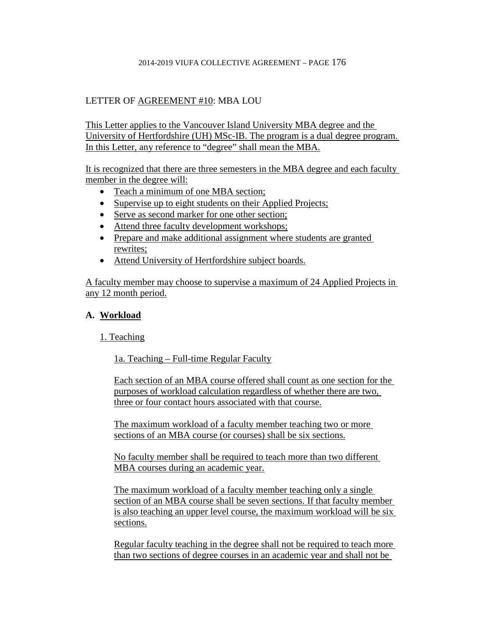# LETTER OF AGREEMENT #10: MBA LOU

This Letter applies to the Vancouver Island University MBA degree and the University of Hertfordshire (UH) MSc-IB. The program is a dual degree program. In this Letter, any reference to "degree" shall mean the MBA.

It is recognized that there are three semesters in the MBA degree and each faculty member in the degree will:

- Teach a minimum of one MBA section;
- Supervise up to eight students on their Applied Projects;
- Serve as second marker for one other section;
- Attend three faculty development workshops;
- Prepare and make additional assignment where students are granted rewrites;
- Attend University of Hertfordshire subject boards.

A faculty member may choose to supervise a maximum of 24 Applied Projects in any 12 month period.

# **A. Workload**

# 1. Teaching

1a. Teaching – Full-time Regular Faculty

Each section of an MBA course offered shall count as one section for the purposes of workload calculation regardless of whether there are two, three or four contact hours associated with that course.

The maximum workload of a faculty member teaching two or more sections of an MBA course (or courses) shall be six sections.

No faculty member shall be required to teach more than two different MBA courses during an academic year.

The maximum workload of a faculty member teaching only a single section of an MBA course shall be seven sections. If that faculty member is also teaching an upper level course, the maximum workload will be six sections.

Regular faculty teaching in the degree shall not be required to teach more than two sections of degree courses in an academic year and shall not be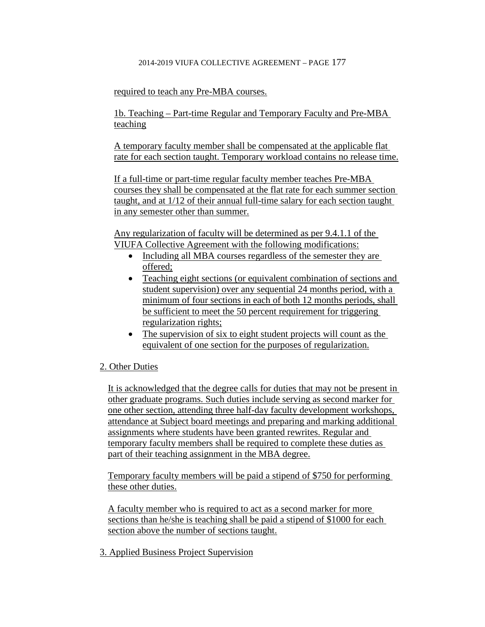## required to teach any Pre-MBA courses.

1b. Teaching – Part-time Regular and Temporary Faculty and Pre-MBA teaching

A temporary faculty member shall be compensated at the applicable flat rate for each section taught. Temporary workload contains no release time.

If a full-time or part-time regular faculty member teaches Pre-MBA courses they shall be compensated at the flat rate for each summer section taught, and at 1/12 of their annual full-time salary for each section taught in any semester other than summer.

Any regularization of faculty will be determined as per 9.4.1.1 of the VIUFA Collective Agreement with the following modifications:

- Including all MBA courses regardless of the semester they are offered;
- Teaching eight sections (or equivalent combination of sections and student supervision) over any sequential 24 months period, with a minimum of four sections in each of both 12 months periods, shall be sufficient to meet the 50 percent requirement for triggering regularization rights;
- The supervision of six to eight student projects will count as the equivalent of one section for the purposes of regularization.

## 2. Other Duties

It is acknowledged that the degree calls for duties that may not be present in other graduate programs. Such duties include serving as second marker for one other section, attending three half-day faculty development workshops, attendance at Subject board meetings and preparing and marking additional assignments where students have been granted rewrites. Regular and temporary faculty members shall be required to complete these duties as part of their teaching assignment in the MBA degree.

Temporary faculty members will be paid a stipend of \$750 for performing these other duties.

A faculty member who is required to act as a second marker for more sections than he/she is teaching shall be paid a stipend of \$1000 for each section above the number of sections taught.

3. Applied Business Project Supervision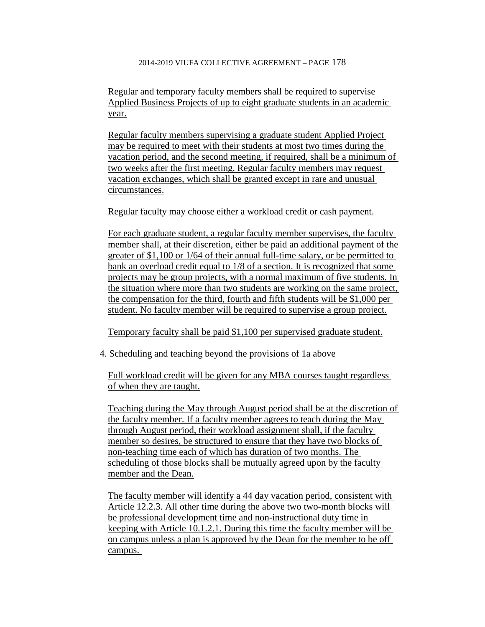Regular and temporary faculty members shall be required to supervise Applied Business Projects of up to eight graduate students in an academic year.

Regular faculty members supervising a graduate student Applied Project may be required to meet with their students at most two times during the vacation period, and the second meeting, if required, shall be a minimum of two weeks after the first meeting. Regular faculty members may request vacation exchanges, which shall be granted except in rare and unusual circumstances.

Regular faculty may choose either a workload credit or cash payment.

For each graduate student, a regular faculty member supervises, the faculty member shall, at their discretion, either be paid an additional payment of the greater of \$1,100 or 1/64 of their annual full-time salary, or be permitted to bank an overload credit equal to 1/8 of a section. It is recognized that some projects may be group projects, with a normal maximum of five students. In the situation where more than two students are working on the same project, the compensation for the third, fourth and fifth students will be \$1,000 per student. No faculty member will be required to supervise a group project.

Temporary faculty shall be paid \$1,100 per supervised graduate student.

4. Scheduling and teaching beyond the provisions of 1a above

Full workload credit will be given for any MBA courses taught regardless of when they are taught.

Teaching during the May through August period shall be at the discretion of the faculty member. If a faculty member agrees to teach during the May through August period, their workload assignment shall, if the faculty member so desires, be structured to ensure that they have two blocks of non-teaching time each of which has duration of two months. The scheduling of those blocks shall be mutually agreed upon by the faculty member and the Dean.

The faculty member will identify a 44 day vacation period, consistent with Article 12.2.3. All other time during the above two two-month blocks will be professional development time and non-instructional duty time in keeping with Article 10.1.2.1. During this time the faculty member will be on campus unless a plan is approved by the Dean for the member to be off campus.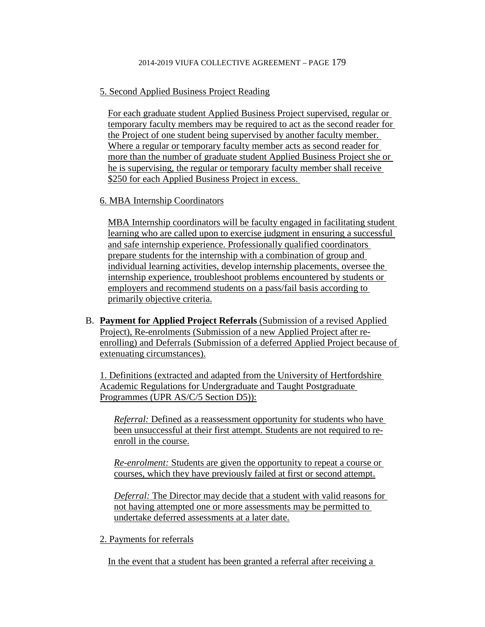## 5. Second Applied Business Project Reading

For each graduate student Applied Business Project supervised, regular or temporary faculty members may be required to act as the second reader for the Project of one student being supervised by another faculty member. Where a regular or temporary faculty member acts as second reader for more than the number of graduate student Applied Business Project she or he is supervising, the regular or temporary faculty member shall receive \$250 for each Applied Business Project in excess.

## 6. MBA Internship Coordinators

MBA Internship coordinators will be faculty engaged in facilitating student learning who are called upon to exercise judgment in ensuring a successful and safe internship experience. Professionally qualified coordinators prepare students for the internship with a combination of group and individual learning activities, develop internship placements, oversee the internship experience, troubleshoot problems encountered by students or employers and recommend students on a pass/fail basis according to primarily objective criteria.

B. **Payment for Applied Project Referrals** (Submission of a revised Applied Project), Re-enrolments (Submission of a new Applied Project after reenrolling) and Deferrals (Submission of a deferred Applied Project because of extenuating circumstances).

1. Definitions (extracted and adapted from the University of Hertfordshire Academic Regulations for Undergraduate and Taught Postgraduate Programmes (UPR AS/C/5 Section D5)):

*Referral:* Defined as a reassessment opportunity for students who have been unsuccessful at their first attempt. Students are not required to reenroll in the course.

*Re-enrolment:* Students are given the opportunity to repeat a course or courses, which they have previously failed at first or second attempt.

*Deferral:* The Director may decide that a student with valid reasons for not having attempted one or more assessments may be permitted to undertake deferred assessments at a later date.

## 2. Payments for referrals

In the event that a student has been granted a referral after receiving a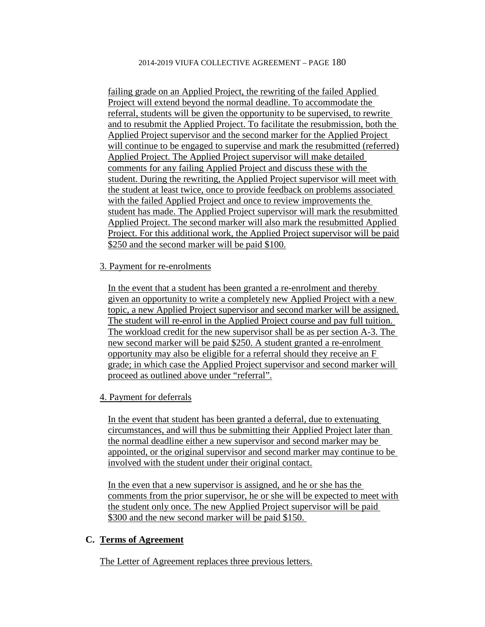failing grade on an Applied Project, the rewriting of the failed Applied Project will extend beyond the normal deadline. To accommodate the referral, students will be given the opportunity to be supervised, to rewrite and to resubmit the Applied Project. To facilitate the resubmission, both the Applied Project supervisor and the second marker for the Applied Project will continue to be engaged to supervise and mark the resubmitted (referred) Applied Project. The Applied Project supervisor will make detailed comments for any failing Applied Project and discuss these with the student. During the rewriting, the Applied Project supervisor will meet with the student at least twice, once to provide feedback on problems associated with the failed Applied Project and once to review improvements the student has made. The Applied Project supervisor will mark the resubmitted Applied Project. The second marker will also mark the resubmitted Applied Project. For this additional work, the Applied Project supervisor will be paid \$250 and the second marker will be paid \$100.

### 3. Payment for re-enrolments

In the event that a student has been granted a re-enrolment and thereby given an opportunity to write a completely new Applied Project with a new topic, a new Applied Project supervisor and second marker will be assigned. The student will re-enrol in the Applied Project course and pay full tuition. The workload credit for the new supervisor shall be as per section A-3. The new second marker will be paid \$250. A student granted a re-enrolment opportunity may also be eligible for a referral should they receive an F grade; in which case the Applied Project supervisor and second marker will proceed as outlined above under "referral".

4. Payment for deferrals

In the event that student has been granted a deferral, due to extenuating circumstances, and will thus be submitting their Applied Project later than the normal deadline either a new supervisor and second marker may be appointed, or the original supervisor and second marker may continue to be involved with the student under their original contact.

In the even that a new supervisor is assigned, and he or she has the comments from the prior supervisor, he or she will be expected to meet with the student only once. The new Applied Project supervisor will be paid \$300 and the new second marker will be paid \$150.

## **C. Terms of Agreement**

The Letter of Agreement replaces three previous letters.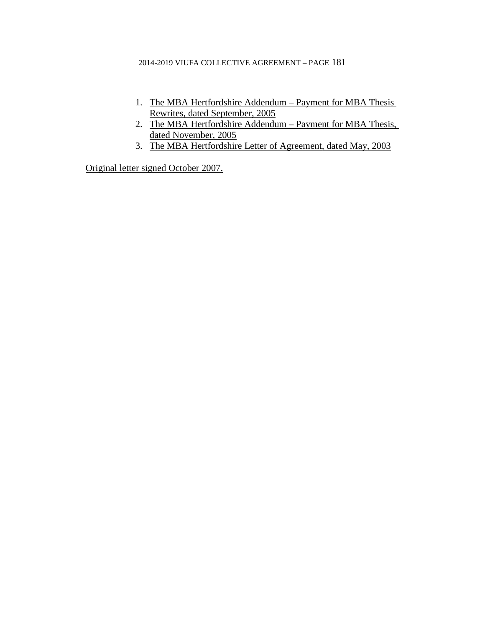- 1. The MBA Hertfordshire Addendum Payment for MBA Thesis Rewrites, dated September, 2005
- 2. The MBA Hertfordshire Addendum Payment for MBA Thesis, dated November, 2005
- 3. The MBA Hertfordshire Letter of Agreement, dated May, 2003

Original letter signed October 2007.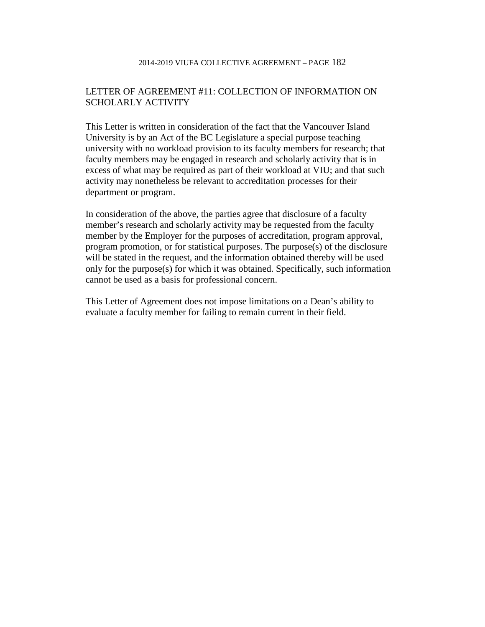# LETTER OF AGREEMENT #11: COLLECTION OF INFORMATION ON SCHOLARLY ACTIVITY

This Letter is written in consideration of the fact that the Vancouver Island University is by an Act of the BC Legislature a special purpose teaching university with no workload provision to its faculty members for research; that faculty members may be engaged in research and scholarly activity that is in excess of what may be required as part of their workload at VIU; and that such activity may nonetheless be relevant to accreditation processes for their department or program.

In consideration of the above, the parties agree that disclosure of a faculty member's research and scholarly activity may be requested from the faculty member by the Employer for the purposes of accreditation, program approval, program promotion, or for statistical purposes. The purpose(s) of the disclosure will be stated in the request, and the information obtained thereby will be used only for the purpose(s) for which it was obtained. Specifically, such information cannot be used as a basis for professional concern.

This Letter of Agreement does not impose limitations on a Dean's ability to evaluate a faculty member for failing to remain current in their field.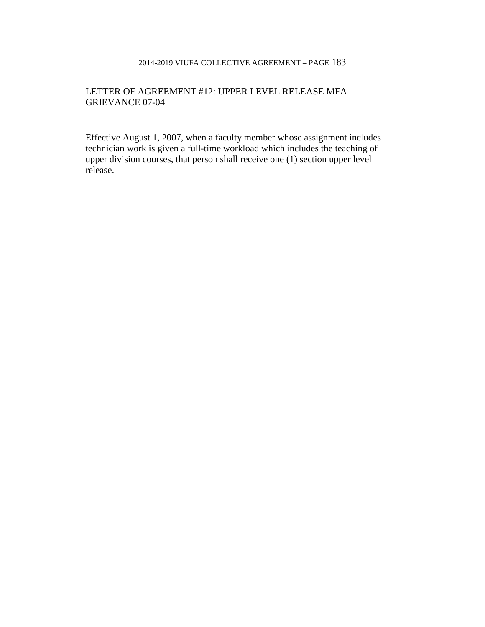## LETTER OF AGREEMENT #12: UPPER LEVEL RELEASE MFA GRIEVANCE 07-04

Effective August 1, 2007, when a faculty member whose assignment includes technician work is given a full-time workload which includes the teaching of upper division courses, that person shall receive one (1) section upper level release.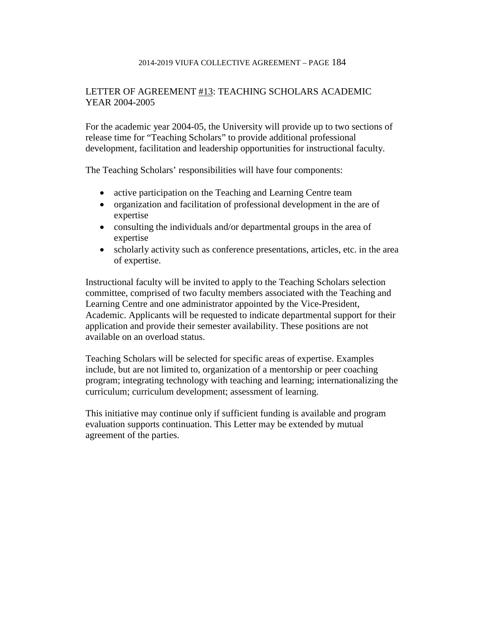# LETTER OF AGREEMENT #13: TEACHING SCHOLARS ACADEMIC YEAR 2004-2005

For the academic year 2004-05, the University will provide up to two sections of release time for "Teaching Scholars" to provide additional professional development, facilitation and leadership opportunities for instructional faculty.

The Teaching Scholars' responsibilities will have four components:

- active participation on the Teaching and Learning Centre team
- organization and facilitation of professional development in the are of expertise
- consulting the individuals and/or departmental groups in the area of expertise
- scholarly activity such as conference presentations, articles, etc. in the area of expertise.

Instructional faculty will be invited to apply to the Teaching Scholars selection committee, comprised of two faculty members associated with the Teaching and Learning Centre and one administrator appointed by the Vice-President, Academic. Applicants will be requested to indicate departmental support for their application and provide their semester availability. These positions are not available on an overload status.

Teaching Scholars will be selected for specific areas of expertise. Examples include, but are not limited to, organization of a mentorship or peer coaching program; integrating technology with teaching and learning; internationalizing the curriculum; curriculum development; assessment of learning.

This initiative may continue only if sufficient funding is available and program evaluation supports continuation. This Letter may be extended by mutual agreement of the parties.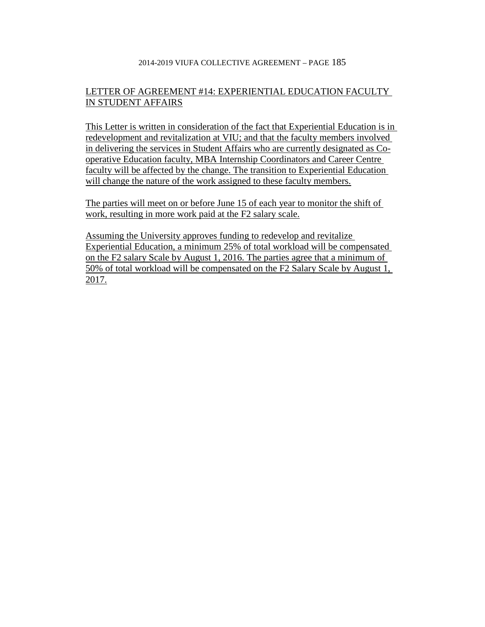# LETTER OF AGREEMENT #14: EXPERIENTIAL EDUCATION FACULTY IN STUDENT AFFAIRS

This Letter is written in consideration of the fact that Experiential Education is in redevelopment and revitalization at VIU; and that the faculty members involved in delivering the services in Student Affairs who are currently designated as Cooperative Education faculty, MBA Internship Coordinators and Career Centre faculty will be affected by the change. The transition to Experiential Education will change the nature of the work assigned to these faculty members.

The parties will meet on or before June 15 of each year to monitor the shift of work, resulting in more work paid at the F2 salary scale.

Assuming the University approves funding to redevelop and revitalize Experiential Education, a minimum 25% of total workload will be compensated on the F2 salary Scale by August 1, 2016. The parties agree that a minimum of 50% of total workload will be compensated on the F2 Salary Scale by August 1, 2017.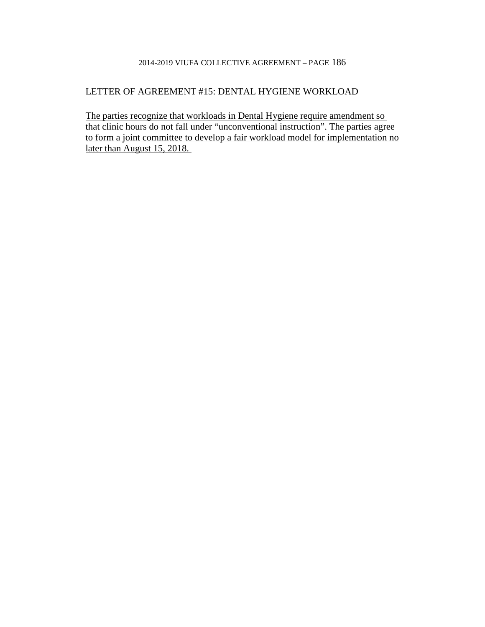# LETTER OF AGREEMENT #15: DENTAL HYGIENE WORKLOAD

The parties recognize that workloads in Dental Hygiene require amendment so that clinic hours do not fall under "unconventional instruction". The parties agree to form a joint committee to develop a fair workload model for implementation no later than August 15, 2018.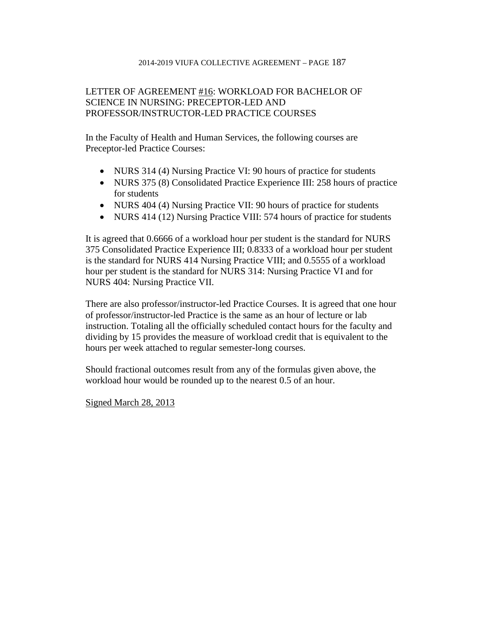# LETTER OF AGREEMENT #16: WORKLOAD FOR BACHELOR OF SCIENCE IN NURSING: PRECEPTOR-LED AND PROFESSOR/INSTRUCTOR-LED PRACTICE COURSES

In the Faculty of Health and Human Services, the following courses are Preceptor-led Practice Courses:

- NURS 314 (4) Nursing Practice VI: 90 hours of practice for students
- NURS 375 (8) Consolidated Practice Experience III: 258 hours of practice for students
- NURS 404 (4) Nursing Practice VII: 90 hours of practice for students
- NURS 414 (12) Nursing Practice VIII: 574 hours of practice for students

It is agreed that 0.6666 of a workload hour per student is the standard for NURS 375 Consolidated Practice Experience III; 0.8333 of a workload hour per student is the standard for NURS 414 Nursing Practice VIII; and 0.5555 of a workload hour per student is the standard for NURS 314: Nursing Practice VI and for NURS 404: Nursing Practice VII.

There are also professor/instructor-led Practice Courses. It is agreed that one hour of professor/instructor-led Practice is the same as an hour of lecture or lab instruction. Totaling all the officially scheduled contact hours for the faculty and dividing by 15 provides the measure of workload credit that is equivalent to the hours per week attached to regular semester-long courses.

Should fractional outcomes result from any of the formulas given above, the workload hour would be rounded up to the nearest 0.5 of an hour.

Signed March 28, 2013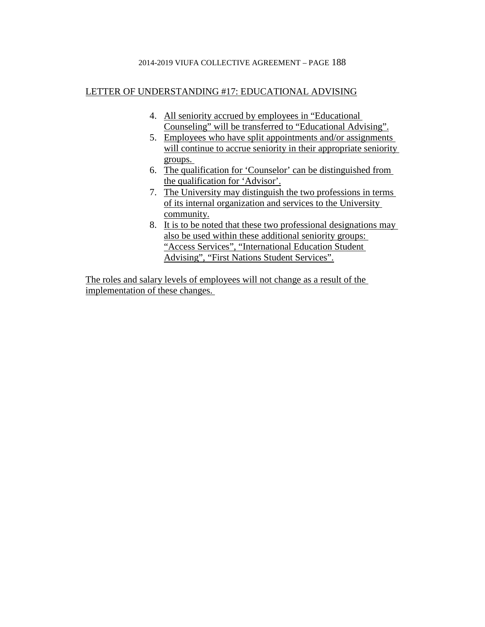## LETTER OF UNDERSTANDING #17: EDUCATIONAL ADVISING

- 4. All seniority accrued by employees in "Educational Counseling" will be transferred to "Educational Advising".
- 5. Employees who have split appointments and/or assignments will continue to accrue seniority in their appropriate seniority groups.
- 6. The qualification for 'Counselor' can be distinguished from the qualification for 'Advisor'.
- 7. The University may distinguish the two professions in terms of its internal organization and services to the University community.
- 8. It is to be noted that these two professional designations may also be used within these additional seniority groups: "Access Services", "International Education Student Advising", "First Nations Student Services".

The roles and salary levels of employees will not change as a result of the implementation of these changes.